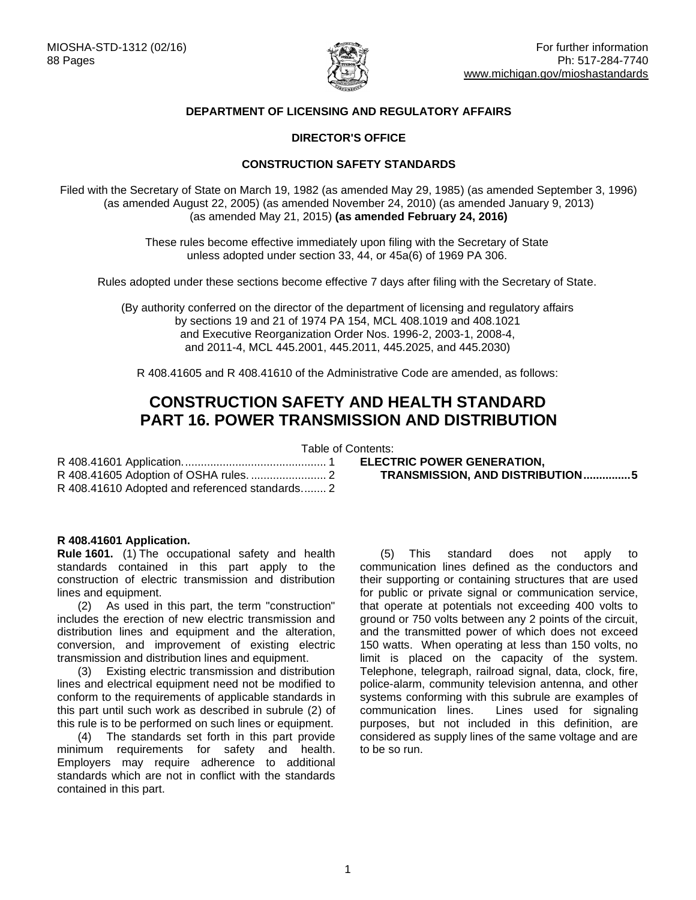

### **DEPARTMENT OF LICENSING AND REGULATORY AFFAIRS**

### **DIRECTOR'S OFFICE**

### **CONSTRUCTION SAFETY STANDARDS**

Filed with the Secretary of State on March 19, 1982 (as amended May 29, 1985) (as amended September 3, 1996) (as amended August 22, 2005) (as amended November 24, 2010) (as amended January 9, 2013) (as amended May 21, 2015) **(as amended February 24, 2016)**

> These rules become effective immediately upon filing with the Secretary of State unless adopted under section 33, 44, or 45a(6) of 1969 PA 306.

Rules adopted under these sections become effective 7 days after filing with the Secretary of State.

(By authority conferred on the director of the department of licensing and regulatory affairs by sections 19 and 21 of 1974 PA 154, MCL 408.1019 and 408.1021 and Executive Reorganization Order Nos. 1996-2, 2003-1, 2008-4, and 2011-4, MCL 445.2001, 445.2011, 445.2025, and 445.2030)

R 408.41605 and R 408.41610 of the Administrative Code are amended, as follows:

# **CONSTRUCTION SAFETY AND HEALTH STANDARD PART 16. POWER TRANSMISSION AND DISTRIBUTION**

Table of Contents:

|  | R 408.41610 Adopted and referenced standards 2 |  |
|--|------------------------------------------------|--|

**[ELECTRIC POWER GENERATION,](#page-3-0)** 

#### <span id="page-0-0"></span>**R 408.41601 Application.**

**Rule 1601.** (1) The occupational safety and health standards contained in this part apply to the construction of electric transmission and distribution lines and equipment.

(2) As used in this part, the term "construction" includes the erection of new electric transmission and distribution lines and equipment and the alteration, conversion, and improvement of existing electric transmission and distribution lines and equipment.

(3) Existing electric transmission and distribution lines and electrical equipment need not be modified to conform to the requirements of applicable standards in this part until such work as described in subrule (2) of this rule is to be performed on such lines or equipment.

(4) The standards set forth in this part provide minimum requirements for safety and health. Employers may require adherence to additional standards which are not in conflict with the standards contained in this part.

(5) This standard does not apply to communication lines defined as the conductors and their supporting or containing structures that are used for public or private signal or communication service, that operate at potentials not exceeding 400 volts to ground or 750 volts between any 2 points of the circuit, and the transmitted power of which does not exceed 150 watts. When operating at less than 150 volts, no limit is placed on the capacity of the system. Telephone, telegraph, railroad signal, data, clock, fire, police-alarm, community television antenna, and other systems conforming with this subrule are examples of communication lines. Lines used for signaling purposes, but not included in this definition, are considered as supply lines of the same voltage and are to be so run.

**[TRANSMISSION, AND DISTRIBUTION...............5](#page-3-0)**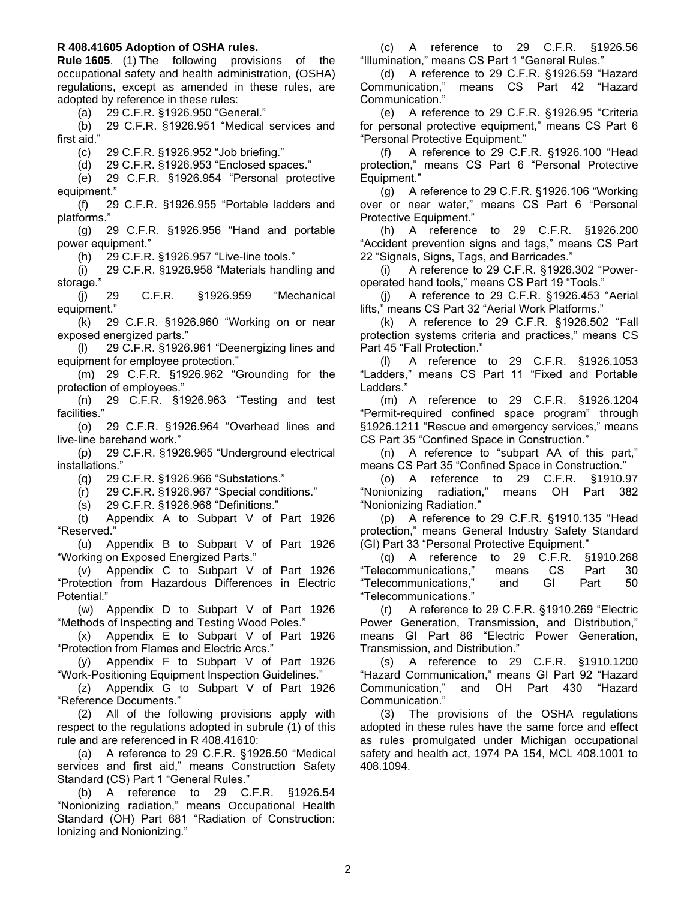#### <span id="page-1-0"></span>**R 408.41605 Adoption of OSHA rules.**

<span id="page-1-1"></span>**Rule 1605**. (1) The following provisions of the occupational safety and health administration, (OSHA) regulations, except as amended in these rules, are adopted by reference in these rules:

(a) 29 C.F.R. §1926.950 "General."

(b) 29 C.F.R. §1926.951 "Medical services and first aid."

(c) 29 C.F.R. §1926.952 "Job briefing."

(d) 29 C.F.R. §1926.953 "Enclosed spaces."

(e) 29 C.F.R. §1926.954 "Personal protective equipment."

(f) 29 C.F.R. §1926.955 "Portable ladders and platforms."

(g) 29 C.F.R. §1926.956 "Hand and portable power equipment."

(h) 29 C.F.R. §1926.957 "Live-line tools."

(i) 29 C.F.R. §1926.958 "Materials handling and storage."

(j) 29 C.F.R. §1926.959 "Mechanical equipment."

(k) 29 C.F.R. §1926.960 "Working on or near exposed energized parts."

(l) 29 C.F.R. §1926.961 "Deenergizing lines and equipment for employee protection."

(m) 29 C.F.R. §1926.962 "Grounding for the protection of employees."

(n) 29 C.F.R. §1926.963 "Testing and test facilities."

(o) 29 C.F.R. §1926.964 "Overhead lines and live-line barehand work."

(p) 29 C.F.R. §1926.965 "Underground electrical installations."

(q) 29 C.F.R. §1926.966 "Substations."

(r) 29 C.F.R. §1926.967 "Special conditions."

(s) 29 C.F.R. §1926.968 "Definitions."

(t) Appendix A to Subpart V of Part 1926 "Reserved."

(u) Appendix B to Subpart V of Part 1926 "Working on Exposed Energized Parts."

(v) Appendix C to Subpart V of Part 1926 "Protection from Hazardous Differences in Electric Potential."

(w) Appendix D to Subpart V of Part 1926 "Methods of Inspecting and Testing Wood Poles."

(x) Appendix E to Subpart V of Part 1926 "Protection from Flames and Electric Arcs."

(y) Appendix F to Subpart V of Part 1926 "Work-Positioning Equipment Inspection Guidelines."

(z) Appendix G to Subpart V of Part 1926 "Reference Documents."

(2) All of the following provisions apply with respect to the regulations adopted in subrule (1) of this rule and are referenced in R 408.41610:

(a) A reference to 29 C.F.R. §1926.50 "Medical services and first aid," means Construction Safety Standard (CS) Part 1 "General Rules."

(b) A reference to 29 C.F.R. §1926.54 "Nonionizing radiation," means Occupational Health Standard (OH) Part 681 "Radiation of Construction: Ionizing and Nonionizing."

(c) A reference to 29 C.F.R. §1926.56 "Illumination," means CS Part 1 "General Rules."

(d) A reference to 29 C.F.R. §1926.59 "Hazard Communication," means CS Part 42 "Hazard Communication."

(e) A reference to 29 C.F.R. §1926.95 "Criteria for personal protective equipment," means CS Part 6 "Personal Protective Equipment."

(f) A reference to 29 C.F.R. §1926.100 "Head protection," means CS Part 6 "Personal Protective Equipment."

(g) A reference to 29 C.F.R. §1926.106 "Working over or near water," means CS Part 6 "Personal Protective Equipment."

(h) A reference to 29 C.F.R. §1926.200 "Accident prevention signs and tags," means CS Part 22 "Signals, Signs, Tags, and Barricades."

(i) A reference to 29 C.F.R. §1926.302 "Poweroperated hand tools," means CS Part 19 "Tools."

(j) A reference to 29 C.F.R. §1926.453 "Aerial lifts," means CS Part 32 "Aerial Work Platforms."

(k) A reference to 29 C.F.R. §1926.502 "Fall protection systems criteria and practices," means CS Part 45 "Fall Protection."

(l) A reference to 29 C.F.R. §1926.1053 "Ladders," means CS Part 11 "Fixed and Portable Ladders."

(m) A reference to 29 C.F.R. §1926.1204 ["Permit-required confined space program"](https://www.federalregister.gov/articles/2015/05/04/2015-08843/confined-spaces-in-construction#sec-1926-1204) through §1926.1211 ["Rescue and emergency services,"](https://www.federalregister.gov/articles/2015/05/04/2015-08843/confined-spaces-in-construction#sec-1926-1211) means CS Part 35 "Confined Space in Construction."

(n) A reference to "subpart AA of this part," means CS Part 35 "Confined Space in Construction."

(o) A reference to 29 C.F.R. §1910.97 "Nonionizing radiation," means OH Part 382 "Nonionizing Radiation."

(p) A reference to 29 C.F.R. §1910.135 "Head protection," means General Industry Safety Standard (GI) Part 33 "Personal Protective Equipment."

(q) A reference to 29 C.F.R. §1910.268 "Telecommunications," means CS Part 30 "Telecommunications," and GI Part 50 "Telecommunications."

(r) A reference to 29 C.F.R. §1910.269 "Electric Power Generation, Transmission, and Distribution," means GI Part 86 "Electric Power Generation, Transmission, and Distribution."

(s) A reference to 29 C.F.R. §1910.1200 "Hazard Communication," means GI Part 92 "Hazard Communication," and OH Part 430 "Hazard Communication."

(3) The provisions of the OSHA regulations adopted in these rules have the same force and effect as rules promulgated under Michigan occupational safety and health act, 1974 PA 154, MCL 408.1001 to 408.1094.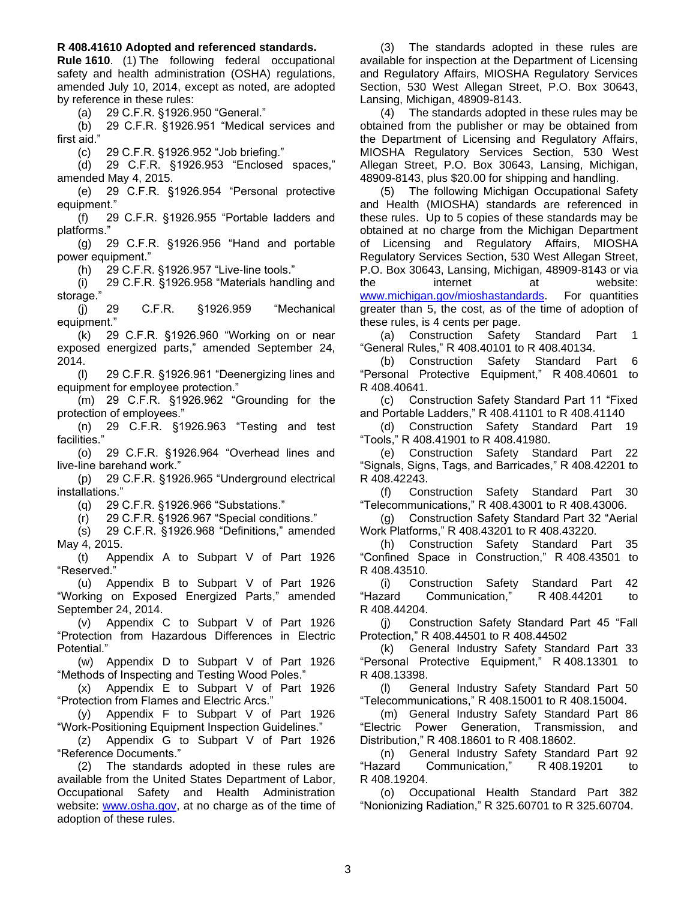#### **R 408.41610 Adopted and referenced standards.**

**Rule 1610**. (1) The following federal occupational safety and health administration (OSHA) regulations, amended July 10, 2014, except as noted, are adopted by reference in these rules:

(a) 29 C.F.R. §1926.950 "General."

(b) 29 C.F.R. §1926.951 "Medical services and first aid."

(c) 29 C.F.R. §1926.952 "Job briefing."

(d) 29 C.F.R. §1926.953 "Enclosed spaces," amended May 4, 2015.

(e) 29 C.F.R. §1926.954 "Personal protective equipment."

(f) 29 C.F.R. §1926.955 "Portable ladders and platforms."

(g) 29 C.F.R. §1926.956 "Hand and portable power equipment."

(h) 29 C.F.R. §1926.957 "Live-line tools."

(i) 29 C.F.R. §1926.958 "Materials handling and storage."

(j) 29 C.F.R. §1926.959 "Mechanical equipment."

(k) 29 C.F.R. §1926.960 "Working on or near exposed energized parts," amended September 24, 2014.

(l) 29 C.F.R. §1926.961 "Deenergizing lines and equipment for employee protection."

(m) 29 C.F.R. §1926.962 "Grounding for the protection of employees."

(n) 29 C.F.R. §1926.963 "Testing and test facilities."

(o) 29 C.F.R. §1926.964 "Overhead lines and live-line barehand work."

(p) 29 C.F.R. §1926.965 "Underground electrical installations."

(q) 29 C.F.R. §1926.966 "Substations."

(r) 29 C.F.R. §1926.967 "Special conditions."

(s) 29 C.F.R. §1926.968 "Definitions," amended May 4, 2015.

(t) Appendix A to Subpart V of Part 1926 "Reserved."

(u) Appendix B to Subpart V of Part 1926 "Working on Exposed Energized Parts," amended September 24, 2014.

(v) Appendix C to Subpart V of Part 1926 "Protection from Hazardous Differences in Electric Potential."

(w) Appendix D to Subpart V of Part 1926 "Methods of Inspecting and Testing Wood Poles."

(x) Appendix E to Subpart V of Part 1926 "Protection from Flames and Electric Arcs."

(y) Appendix F to Subpart V of Part 1926 "Work-Positioning Equipment Inspection Guidelines."

(z) Appendix G to Subpart V of Part 1926 "Reference Documents."

(2) The standards adopted in these rules are available from the United States Department of Labor, Occupational Safety and Health Administration website: [www.osha.gov,](http://www.osha.gov/) at no charge as of the time of adoption of these rules.

(3) The standards adopted in these rules are available for inspection at the Department of Licensing and Regulatory Affairs, MIOSHA Regulatory Services Section, 530 West Allegan Street, P.O. Box 30643, Lansing, Michigan, 48909-8143.

(4) The standards adopted in these rules may be obtained from the publisher or may be obtained from the Department of Licensing and Regulatory Affairs, MIOSHA Regulatory Services Section, 530 West Allegan Street, P.O. Box 30643, Lansing, Michigan, 48909-8143, plus \$20.00 for shipping and handling.

(5) The following Michigan Occupational Safety and Health (MIOSHA) standards are referenced in these rules. Up to 5 copies of these standards may be obtained at no charge from the Michigan Department of Licensing and Regulatory Affairs, MIOSHA Regulatory Services Section, 530 West Allegan Street, P.O. Box 30643, Lansing, Michigan, 48909-8143 or via the internet at website: [www.michigan.gov/mioshastandards.](http://www.michigan.gov/mioshastandards) For quantities greater than 5, the cost, as of the time of adoption of these rules, is 4 cents per page.

(a) Construction Safety Standard Part 1 "General Rules," R 408.40101 to R 408.40134.

(b) Construction Safety Standard Part 6 "Personal Protective Equipment," R 408.40601 to R 408.40641.

(c) Construction Safety Standard Part 11 "Fixed and Portable Ladders," R 408.41101 to R 408.41140

(d) Construction Safety Standard Part 19 "Tools," R 408.41901 to R 408.41980.

(e) Construction Safety Standard Part 22 "Signals, Signs, Tags, and Barricades," R 408.42201 to R 408.42243.

(f) Construction Safety Standard Part 30 "Telecommunications," R 408.43001 to R 408.43006.

(g) Construction Safety Standard Part 32 "Aerial Work Platforms," R 408.43201 to R 408.43220.

(h) Construction Safety Standard Part 35 "Confined Space in Construction," R 408.43501 to R 408.43510.

(i) Construction Safety Standard Part 42 "Hazard Communication," R 408.44201 to R 408.44204.

(j) Construction Safety Standard Part 45 "Fall Protection," R 408.44501 to R 408.44502

(k) General Industry Safety Standard Part 33 "Personal Protective Equipment," R 408.13301 to R 408.13398.

(l) General Industry Safety Standard Part 50 "Telecommunications," R 408.15001 to R 408.15004.

(m) General Industry Safety Standard Part 86 "Electric Power Generation, Transmission, and Distribution," R 408.18601 to R 408.18602.

(n) General Industry Safety Standard Part 92 "Hazard Communication," R 408.19201 to R 408.19204.

(o) Occupational Health Standard Part 382 "Nonionizing Radiation," R 325.60701 to R 325.60704.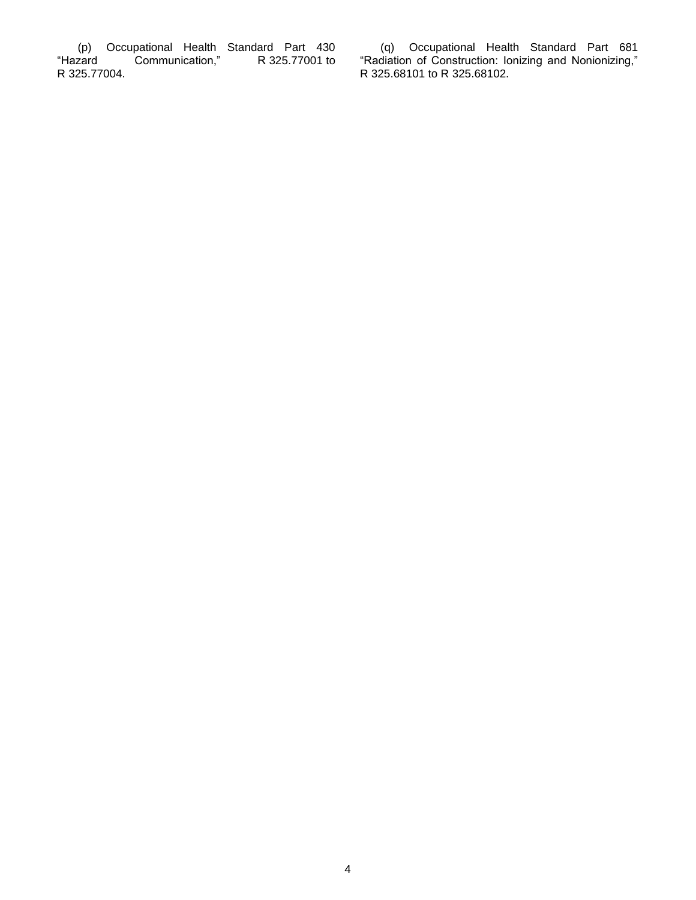<span id="page-3-0"></span>(p) Occupational Health Standard Part 430 "Hazard Communication," R 325.77001 to R 325.77004.

(q) Occupational Health Standard Part 681 "Radiation of Construction: Ionizing and Nonionizing," R 325.68101 to R 325.68102.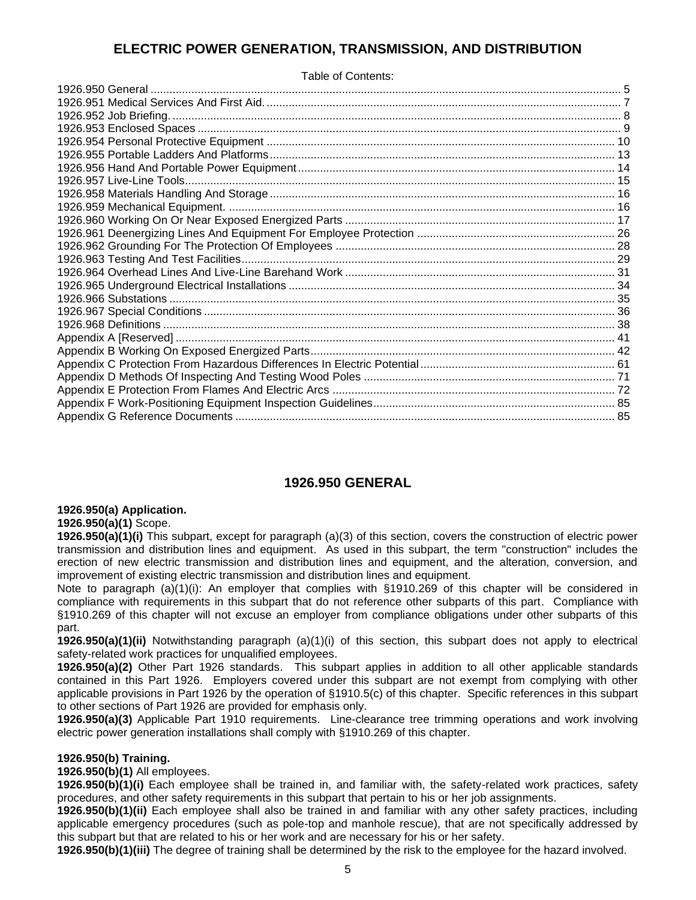# **ELECTRIC POWER GENERATION, TRANSMISSION, AND DISTRIBUTION**

#### Table of Contents:

### **1926.950 GENERAL**

# <span id="page-4-0"></span>**1926.950(a) Application.**

#### **1926.950(a)(1)** Scope.

**1926.950(a)(1)(i)** This subpart, except for paragraph (a)(3) of this section, covers the construction of electric power transmission and distribution lines and equipment. As used in this subpart, the term "construction" includes the erection of new electric transmission and distribution lines and equipment, and the alteration, conversion, and improvement of existing electric transmission and distribution lines and equipment.

Note to paragraph (a)(1)(i): An employer that complies with §1910.269 of this chapter will be considered in compliance with requirements in this subpart that do not reference other subparts of this part. Compliance with §1910.269 of this chapter will not excuse an employer from compliance obligations under other subparts of this part.

**1926.950(a)(1)(ii)** Notwithstanding paragraph (a)(1)(i) of this section, this subpart does not apply to electrical safety-related work practices for unqualified employees.

**1926.950(a)(2)** Other Part 1926 standards. This subpart applies in addition to all other applicable standards contained in this Part 1926. Employers covered under this subpart are not exempt from complying with other applicable provisions in Part 1926 by the operation of §1910.5(c) of this chapter. Specific references in this subpart to other sections of Part 1926 are provided for emphasis only.

**1926.950(a)(3)** Applicable Part 1910 requirements. Line-clearance tree trimming operations and work involving electric power generation installations shall comply with §1910.269 of this chapter.

#### **1926.950(b) Training.**

**1926.950(b)(1)** All employees.

**1926.950(b)(1)(i)** Each employee shall be trained in, and familiar with, the safety-related work practices, safety procedures, and other safety requirements in this subpart that pertain to his or her job assignments.

**1926.950(b)(1)(ii)** Each employee shall also be trained in and familiar with any other safety practices, including applicable emergency procedures (such as pole-top and manhole rescue), that are not specifically addressed by this subpart but that are related to his or her work and are necessary for his or her safety.

**1926.950(b)(1)(iii)** The degree of training shall be determined by the risk to the employee for the hazard involved.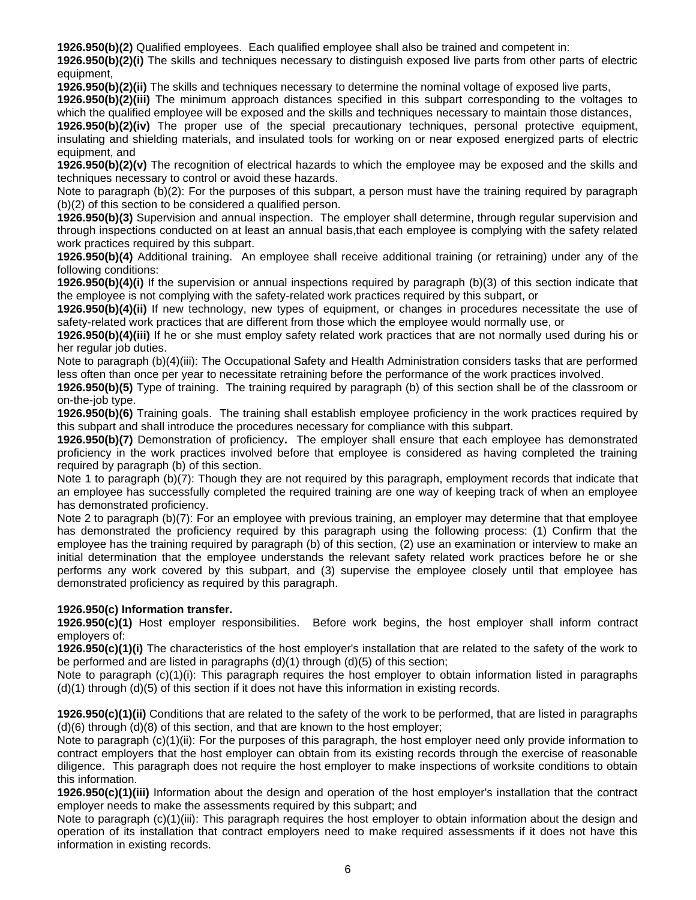**1926.950(b)(2)** Qualified employees. Each qualified employee shall also be trained and competent in:

**1926.950(b)(2)(i)** The skills and techniques necessary to distinguish exposed live parts from other parts of electric equipment,

**1926.950(b)(2)(ii)** The skills and techniques necessary to determine the nominal voltage of exposed live parts,

**1926.950(b)(2)(iii)** The minimum approach distances specified in this subpart corresponding to the voltages to which the qualified employee will be exposed and the skills and techniques necessary to maintain those distances,

**1926.950(b)(2)(iv)** The proper use of the special precautionary techniques, personal protective equipment, insulating and shielding materials, and insulated tools for working on or near exposed energized parts of electric equipment, and

**1926.950(b)(2)(v)** The recognition of electrical hazards to which the employee may be exposed and the skills and techniques necessary to control or avoid these hazards.

Note to paragraph (b)(2): For the purposes of this subpart, a person must have the training required by paragraph (b)(2) of this section to be considered a qualified person.

**1926.950(b)(3)** Supervision and annual inspection. The employer shall determine, through regular supervision and through inspections conducted on at least an annual basis,that each employee is complying with the safety related work practices required by this subpart.

**1926.950(b)(4)** Additional training. An employee shall receive additional training (or retraining) under any of the following conditions:

**1926.950(b)(4)(i)** If the supervision or annual inspections required by paragraph (b)(3) of this section indicate that the employee is not complying with the safety-related work practices required by this subpart, or

**1926.950(b)(4)(ii)** If new technology, new types of equipment, or changes in procedures necessitate the use of safety-related work practices that are different from those which the employee would normally use, or

**1926.950(b)(4)(iii)** If he or she must employ safety related work practices that are not normally used during his or her regular job duties.

Note to paragraph (b)(4)(iii): The Occupational Safety and Health Administration considers tasks that are performed less often than once per year to necessitate retraining before the performance of the work practices involved.

**1926.950(b)(5)** Type of training. The training required by paragraph (b) of this section shall be of the classroom or on-the-job type.

**1926.950(b)(6)** Training goals. The training shall establish employee proficiency in the work practices required by this subpart and shall introduce the procedures necessary for compliance with this subpart.

**1926.950(b)(7)** Demonstration of proficiency**.** The employer shall ensure that each employee has demonstrated proficiency in the work practices involved before that employee is considered as having completed the training required by paragraph (b) of this section.

Note 1 to paragraph (b)(7): Though they are not required by this paragraph, employment records that indicate that an employee has successfully completed the required training are one way of keeping track of when an employee has demonstrated proficiency.

Note 2 to paragraph (b)(7): For an employee with previous training, an employer may determine that that employee has demonstrated the proficiency required by this paragraph using the following process: (1) Confirm that the employee has the training required by paragraph (b) of this section, (2) use an examination or interview to make an initial determination that the employee understands the relevant safety related work practices before he or she performs any work covered by this subpart, and (3) supervise the employee closely until that employee has demonstrated proficiency as required by this paragraph.

### **[1926.950\(c\)](https://www.osha.gov/pls/oshaweb/owalink.query_links?src_doc_type=STANDARDS&src_unique_file=1926_0950&src_anchor_name=1926.950(c)) Information transfer.**

**1926.950(c)(1)** Host employer responsibilities. Before work begins, the host employer shall inform contract employers of:

**1926.950(c)(1)(i)** The characteristics of the host employer's installation that are related to the safety of the work to be performed and are listed in paragraphs (d)(1) through (d)(5) of this section;

Note to paragraph (c)(1)(i): This paragraph requires the host employer to obtain information listed in paragraphs  $(d)(1)$  through  $(d)(5)$  of this section if it does not have this information in existing records.

**1926.950(c)(1)(ii)** Conditions that are related to the safety of the work to be performed, that are listed in paragraphs (d)(6) through (d)(8) of this section, and that are known to the host employer;

Note to paragraph (c)(1)(ii): For the purposes of this paragraph, the host employer need only provide information to contract employers that the host employer can obtain from its existing records through the exercise of reasonable diligence. This paragraph does not require the host employer to make inspections of worksite conditions to obtain this information.

**1926.950(c)(1)(iii)** Information about the design and operation of the host employer's installation that the contract employer needs to make the assessments required by this subpart; and

Note to paragraph (c)(1)(iii): This paragraph requires the host employer to obtain information about the design and operation of its installation that contract employers need to make required assessments if it does not have this information in existing records.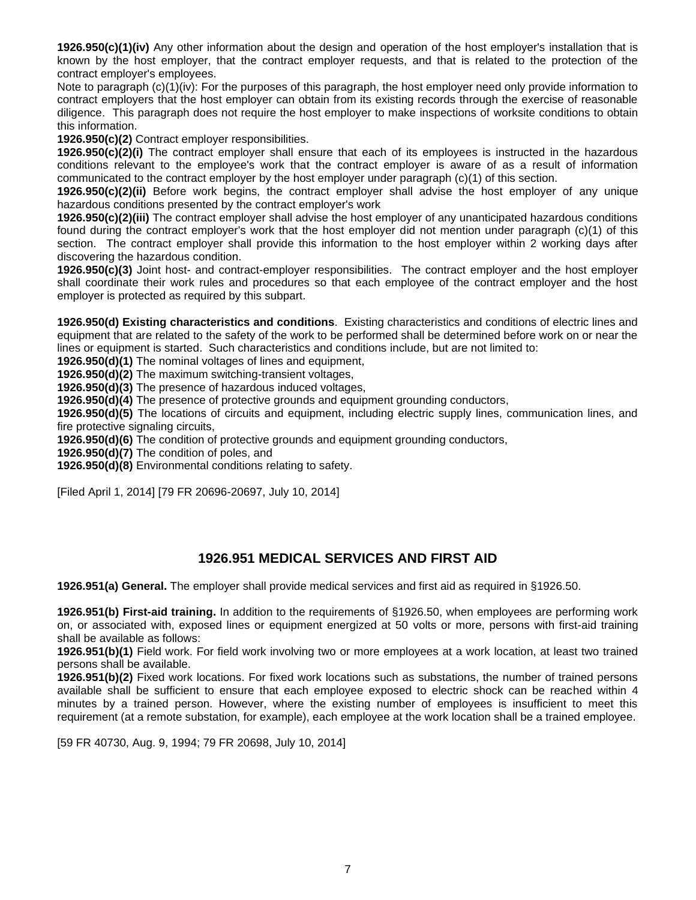**1926.950(c)(1)(iv)** Any other information about the design and operation of the host employer's installation that is known by the host employer, that the contract employer requests, and that is related to the protection of the contract employer's employees.

Note to paragraph (c)(1)(iv): For the purposes of this paragraph, the host employer need only provide information to contract employers that the host employer can obtain from its existing records through the exercise of reasonable diligence. This paragraph does not require the host employer to make inspections of worksite conditions to obtain this information.

**1926.950(c)(2)** Contract employer responsibilities.

**1926.950(c)(2)(i)** The contract employer shall ensure that each of its employees is instructed in the hazardous conditions relevant to the employee's work that the contract employer is aware of as a result of information communicated to the contract employer by the host employer under paragraph (c)(1) of this section.

**1926.950(c)(2)(ii)** Before work begins, the contract employer shall advise the host employer of any unique hazardous conditions presented by the contract employer's work

**1926.950(c)(2)(iii)** The contract employer shall advise the host employer of any unanticipated hazardous conditions found during the contract employer's work that the host employer did not mention under paragraph (c)(1) of this section. The contract employer shall provide this information to the host employer within 2 working days after discovering the hazardous condition.

**1926.950(c)(3)** Joint host- and contract-employer responsibilities. The contract employer and the host employer shall coordinate their work rules and procedures so that each employee of the contract employer and the host employer is protected as required by this subpart.

**1926.950(d) Existing characteristics and conditions**. Existing characteristics and conditions of electric lines and equipment that are related to the safety of the work to be performed shall be determined before work on or near the lines or equipment is started. Such characteristics and conditions include, but are not limited to:

**1926.950(d)(1)** The nominal voltages of lines and equipment,

**1926.950(d)(2)** The maximum switching-transient voltages,

**1926.950(d)(3)** The presence of hazardous induced voltages,

**1926.950(d)(4)** The presence of protective grounds and equipment grounding conductors,

**1926.950(d)(5)** The locations of circuits and equipment, including electric supply lines, communication lines, and fire protective signaling circuits,

**1926.950(d)(6)** The condition of protective grounds and equipment grounding conductors,

**1926.950(d)(7)** The condition of poles, and

**1926.950(d)(8)** Environmental conditions relating to safety.

[Filed April 1, 2014] [79 FR 20696-20697, July 10, 2014]

### **1926.951 MEDICAL SERVICES AND FIRST AID**

<span id="page-6-0"></span>**1926.951(a) General.** The employer shall provide medical services and first aid as required in §1926.50.

**1926.951(b) First-aid training.** In addition to the requirements of §1926.50, when employees are performing work on, or associated with, exposed lines or equipment energized at 50 volts or more, persons with first-aid training shall be available as follows:

**[1926.951\(b\)\(1\)](https://www.osha.gov/pls/oshaweb/owalink.query_links?src_doc_type=STANDARDS&src_unique_file=1926_0951&src_anchor_name=1926.951(b)(1))** Field work. For field work involving two or more employees at a work location, at least two trained persons shall be available.

**[1926.951\(b\)\(2\)](https://www.osha.gov/pls/oshaweb/owalink.query_links?src_doc_type=STANDARDS&src_unique_file=1926_0951&src_anchor_name=1926.951(b)(2))** Fixed work locations. For fixed work locations such as substations, the number of trained persons available shall be sufficient to ensure that each employee exposed to electric shock can be reached within 4 minutes by a trained person. However, where the existing number of employees is insufficient to meet this requirement (at a remote substation, for example), each employee at the work location shall be a trained employee.

<span id="page-6-1"></span>[59 FR 40730, Aug. 9, 1994; 79 FR 20698, July 10, 2014]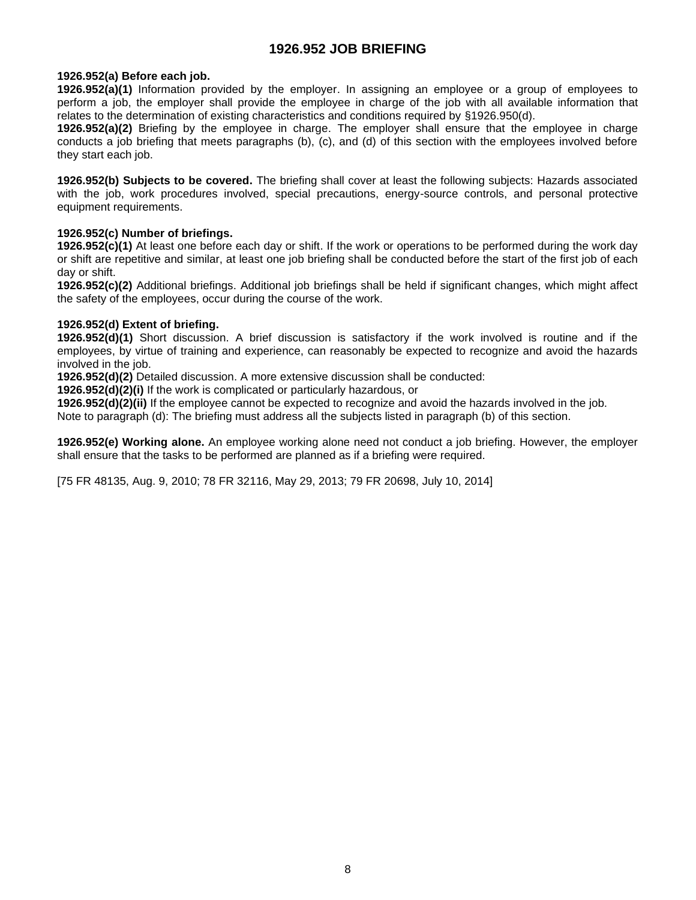# **1926.952 JOB BRIEFING**

### **1926.952(a) Before each job.**

**1926.952(a)(1)** Information provided by the employer. In assigning an employee or a group of employees to perform a job, the employer shall provide the employee in charge of the job with all available information that relates to the determination of existing characteristics and conditions required by §1926.950(d).

**1926.952(a)(2)** Briefing by the employee in charge. The employer shall ensure that the employee in charge conducts a job briefing that meets paragraphs (b), (c), and (d) of this section with the employees involved before they start each job.

**1926.952(b) Subjects to be covered.** The briefing shall cover at least the following subjects: Hazards associated with the job, work procedures involved, special precautions, energy-source controls, and personal protective equipment requirements.

### **[1926.952\(c\)](https://www.osha.gov/pls/oshaweb/owalink.query_links?src_doc_type=STANDARDS&src_unique_file=1926_0952&src_anchor_name=1926.952(c)) Number of briefings.**

**1926.952(c)(1)** At least one before each day or shift. If the work or operations to be performed during the work day or shift are repetitive and similar, at least one job briefing shall be conducted before the start of the first job of each day or shift.

**1926.952(c)(2)** Additional briefings. Additional job briefings shall be held if significant changes, which might affect the safety of the employees, occur during the course of the work.

### **1926.952(d) Extent of briefing.**

**1926.952(d)(1)** Short discussion. A brief discussion is satisfactory if the work involved is routine and if the employees, by virtue of training and experience, can reasonably be expected to recognize and avoid the hazards involved in the job.

**1926.952(d)(2)** Detailed discussion. A more extensive discussion shall be conducted:

**1926.952(d)(2)(i)** If the work is complicated or particularly hazardous, or

**1926.952(d)(2)(ii)** If the employee cannot be expected to recognize and avoid the hazards involved in the job.

Note to paragraph (d): The briefing must address all the subjects listed in paragraph (b) of this section.

**1926.952(e) Working alone.** An employee working alone need not conduct a job briefing. However, the employer shall ensure that the tasks to be performed are planned as if a briefing were required.

[75 FR 48135, Aug. 9, 2010; 78 FR 32116, May 29, 2013; 79 FR 20698, July 10, 2014]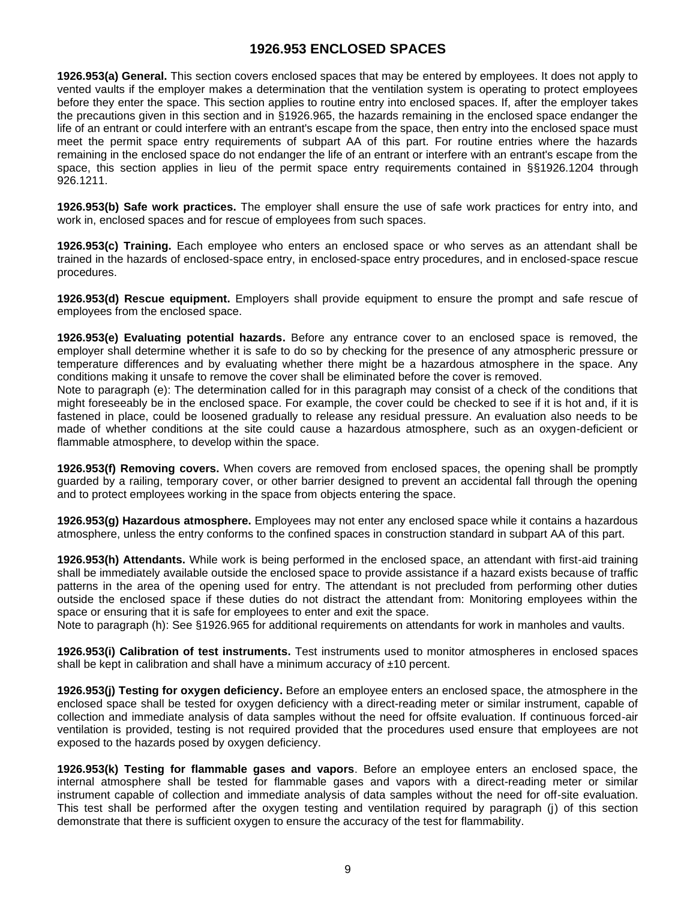# **1926.953 ENCLOSED SPACES**

<span id="page-8-0"></span>**1926.953(a) General.** This section covers enclosed spaces that may be entered by employees. It does not apply to vented vaults if the employer makes a determination that the ventilation system is operating to protect employees before they enter the space. This section applies to routine entry into enclosed spaces. If, after the employer takes the precautions given in this section and in §1926.965, the hazards remaining in the enclosed space endanger the life of an entrant or could interfere with an entrant's escape from the space, then entry into the enclosed space must meet the permit space entry requirements of subpart AA of this part. For routine entries where the hazards remaining in the enclosed space do not endanger the life of an entrant or interfere with an entrant's escape from the space, this section applies in lieu of the permit space entry requirements contained in §§1926.1204 through 926.1211.

**1926.953(b) Safe work practices.** The employer shall ensure the use of safe work practices for entry into, and work in, enclosed spaces and for rescue of employees from such spaces.

**1926.953(c) Training.** Each employee who enters an enclosed space or who serves as an attendant shall be trained in the hazards of enclosed-space entry, in enclosed-space entry procedures, and in enclosed-space rescue procedures.

**1926.953(d) Rescue equipment.** Employers shall provide equipment to ensure the prompt and safe rescue of employees from the enclosed space.

**1926.953(e) Evaluating potential hazards.** Before any entrance cover to an enclosed space is removed, the employer shall determine whether it is safe to do so by checking for the presence of any atmospheric pressure or temperature differences and by evaluating whether there might be a hazardous atmosphere in the space. Any conditions making it unsafe to remove the cover shall be eliminated before the cover is removed.

Note to paragraph (e): The determination called for in this paragraph may consist of a check of the conditions that might foreseeably be in the enclosed space. For example, the cover could be checked to see if it is hot and, if it is fastened in place, could be loosened gradually to release any residual pressure. An evaluation also needs to be made of whether conditions at the site could cause a hazardous atmosphere, such as an oxygen-deficient or flammable atmosphere, to develop within the space.

**1926.953(f) Removing covers.** When covers are removed from enclosed spaces, the opening shall be promptly guarded by a railing, temporary cover, or other barrier designed to prevent an accidental fall through the opening and to protect employees working in the space from objects entering the space.

**1926.953(g) Hazardous atmosphere.** Employees may not enter any enclosed space while it contains a hazardous atmosphere, unless the entry conforms to the confined spaces in construction standard in subpart AA of this part.

**1926.953(h) Attendants.** While work is being performed in the enclosed space, an attendant with first-aid training shall be immediately available outside the enclosed space to provide assistance if a hazard exists because of traffic patterns in the area of the opening used for entry. The attendant is not precluded from performing other duties outside the enclosed space if these duties do not distract the attendant from: Monitoring employees within the space or ensuring that it is safe for employees to enter and exit the space.

Note to paragraph (h): See §1926.965 for additional requirements on attendants for work in manholes and vaults.

**1926.953(i) Calibration of test instruments.** Test instruments used to monitor atmospheres in enclosed spaces shall be kept in calibration and shall have a minimum accuracy of ±10 percent.

**1926.953(j) Testing for oxygen deficiency.** Before an employee enters an enclosed space, the atmosphere in the enclosed space shall be tested for oxygen deficiency with a direct-reading meter or similar instrument, capable of collection and immediate analysis of data samples without the need for offsite evaluation. If continuous forced-air ventilation is provided, testing is not required provided that the procedures used ensure that employees are not exposed to the hazards posed by oxygen deficiency.

**1926.953(k) Testing for flammable gases and vapors**. Before an employee enters an enclosed space, the internal atmosphere shall be tested for flammable gases and vapors with a direct-reading meter or similar instrument capable of collection and immediate analysis of data samples without the need for off-site evaluation. This test shall be performed after the oxygen testing and ventilation required by paragraph (j) of this section demonstrate that there is sufficient oxygen to ensure the accuracy of the test for flammability.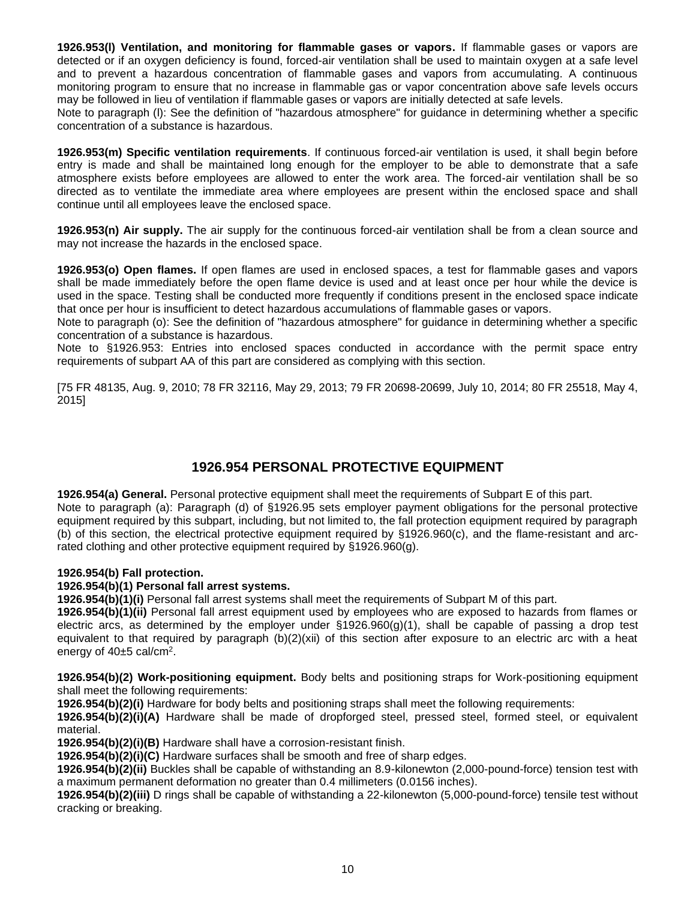**1926.953(l) Ventilation, and monitoring for flammable gases or vapors.** If flammable gases or vapors are detected or if an oxygen deficiency is found, forced-air ventilation shall be used to maintain oxygen at a safe level and to prevent a hazardous concentration of flammable gases and vapors from accumulating. A continuous monitoring program to ensure that no increase in flammable gas or vapor concentration above safe levels occurs may be followed in lieu of ventilation if flammable gases or vapors are initially detected at safe levels.

Note to paragraph (l): See the definition of "hazardous atmosphere" for guidance in determining whether a specific concentration of a substance is hazardous.

**1926.953(m) Specific ventilation requirements**. If continuous forced-air ventilation is used, it shall begin before entry is made and shall be maintained long enough for the employer to be able to demonstrate that a safe atmosphere exists before employees are allowed to enter the work area. The forced-air ventilation shall be so directed as to ventilate the immediate area where employees are present within the enclosed space and shall continue until all employees leave the enclosed space.

**1926.953(n) Air supply.** The air supply for the continuous forced-air ventilation shall be from a clean source and may not increase the hazards in the enclosed space.

**1926.953(o) Open flames.** If open flames are used in enclosed spaces, a test for flammable gases and vapors shall be made immediately before the open flame device is used and at least once per hour while the device is used in the space. Testing shall be conducted more frequently if conditions present in the enclosed space indicate that once per hour is insufficient to detect hazardous accumulations of flammable gases or vapors.

Note to paragraph (o): See the definition of "hazardous atmosphere" for guidance in determining whether a specific concentration of a substance is hazardous.

Note to §1926.953: Entries into enclosed spaces conducted in accordance with the permit space entry requirements of subpart AA of this part are considered as complying with this section.

[75 FR 48135, Aug. 9, 2010; 78 FR 32116, May 29, 2013; 79 FR 20698-20699, July 10, 2014; 80 FR 25518, May 4, 2015]

### **1926.954 PERSONAL PROTECTIVE EQUIPMENT**

<span id="page-9-0"></span>**1926.954(a) General.** Personal protective equipment shall meet the requirements of Subpart E of this part. Note to paragraph (a): Paragraph (d) of §1926.95 sets employer payment obligations for the personal protective equipment required by this subpart, including, but not limited to, the fall protection equipment required by paragraph (b) of this section, the electrical protective equipment required by §1926.960(c), and the flame-resistant and arcrated clothing and other protective equipment required by §1926.960(g).

#### **1926.954(b) Fall protection.**

#### **1926.954(b)(1) Personal fall arrest systems.**

**1926.954(b)(1)(i)** Personal fall arrest systems shall meet the requirements of Subpart M of this part.

**1926.954(b)(1)(ii)** Personal fall arrest equipment used by employees who are exposed to hazards from flames or electric arcs, as determined by the employer under §1926.960(g)(1), shall be capable of passing a drop test equivalent to that required by paragraph  $(b)(2)(xii)$  of this section after exposure to an electric arc with a heat energy of  $40±5$  cal/cm<sup>2</sup>.

**1926.954(b)(2) Work-positioning equipment.** Body belts and positioning straps for Work-positioning equipment shall meet the following requirements:

**1926.954(b)(2)(i)** Hardware for body belts and positioning straps shall meet the following requirements:

**1926.954(b)(2)(i)(A)** Hardware shall be made of dropforged steel, pressed steel, formed steel, or equivalent material.

**1926.954(b)(2)(i)(B)** Hardware shall have a corrosion-resistant finish.

**1926.954(b)(2)(i)(C)** Hardware surfaces shall be smooth and free of sharp edges.

**1926.954(b)(2)(ii)** Buckles shall be capable of withstanding an 8.9-kilonewton (2,000-pound-force) tension test with a maximum permanent deformation no greater than 0.4 millimeters (0.0156 inches).

**1926.954(b)(2)(iii)** D rings shall be capable of withstanding a 22-kilonewton (5,000-pound-force) tensile test without cracking or breaking.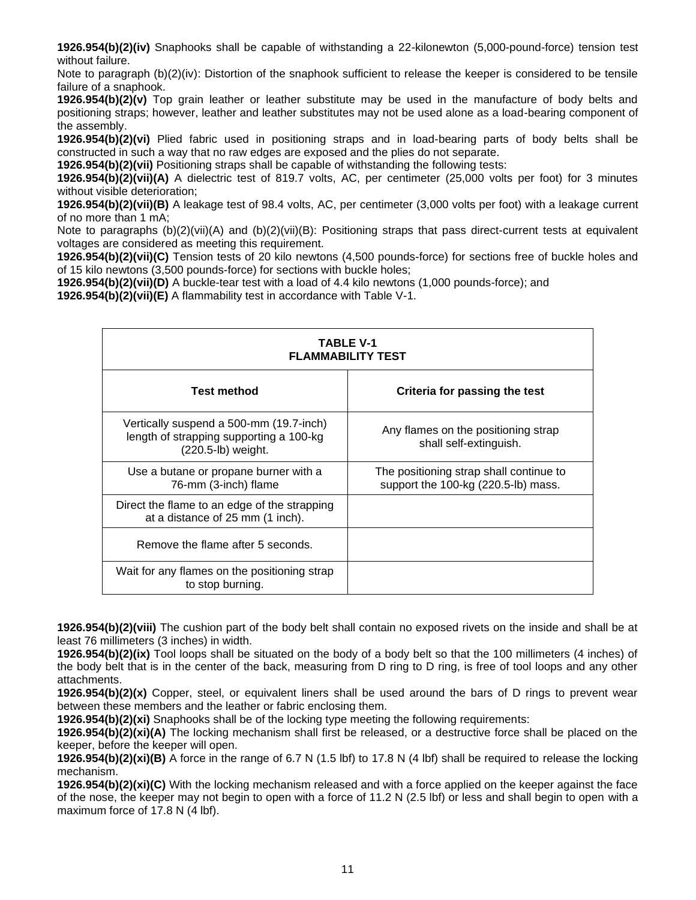**1926.954(b)(2)(iv)** Snaphooks shall be capable of withstanding a 22-kilonewton (5,000-pound-force) tension test without failure.

Note to paragraph (b)(2)(iv): Distortion of the snaphook sufficient to release the keeper is considered to be tensile failure of a snaphook.

**1926.954(b)(2)(v)** Top grain leather or leather substitute may be used in the manufacture of body belts and positioning straps; however, leather and leather substitutes may not be used alone as a load-bearing component of the assembly.

**1926.954(b)(2)(vi)** Plied fabric used in positioning straps and in load-bearing parts of body belts shall be constructed in such a way that no raw edges are exposed and the plies do not separate.

**1926.954(b)(2)(vii)** Positioning straps shall be capable of withstanding the following tests:

**1926.954(b)(2)(vii)(A)** A dielectric test of 819.7 volts, AC, per centimeter (25,000 volts per foot) for 3 minutes without visible deterioration;

**1926.954(b)(2)(vii)(B)** A leakage test of 98.4 volts, AC, per centimeter (3,000 volts per foot) with a leakage current of no more than 1 mA;

Note to paragraphs (b)(2)(vii)(A) and (b)(2)(vii)(B): Positioning straps that pass direct-current tests at equivalent voltages are considered as meeting this requirement.

**1926.954(b)(2)(vii)(C)** Tension tests of 20 kilo newtons (4,500 pounds-force) for sections free of buckle holes and of 15 kilo newtons (3,500 pounds-force) for sections with buckle holes;

**1926.954(b)(2)(vii)(D)** A buckle-tear test with a load of 4.4 kilo newtons (1,000 pounds-force); and

**1926.954(b)(2)(vii)(E)** A flammability test in accordance with Table V-1.

| <b>TABLE V-1</b><br><b>FLAMMABILITY TEST</b>                                                             |                                                                                |  |  |
|----------------------------------------------------------------------------------------------------------|--------------------------------------------------------------------------------|--|--|
| <b>Test method</b>                                                                                       | Criteria for passing the test                                                  |  |  |
| Vertically suspend a 500-mm (19.7-inch)<br>length of strapping supporting a 100-kg<br>(220.5-lb) weight. | Any flames on the positioning strap<br>shall self-extinguish.                  |  |  |
| Use a butane or propane burner with a<br>76-mm (3-inch) flame                                            | The positioning strap shall continue to<br>support the 100-kg (220.5-lb) mass. |  |  |
| Direct the flame to an edge of the strapping<br>at a distance of 25 mm (1 inch).                         |                                                                                |  |  |
| Remove the flame after 5 seconds.                                                                        |                                                                                |  |  |
| Wait for any flames on the positioning strap<br>to stop burning.                                         |                                                                                |  |  |

**1926.954(b)(2)(viii)** The cushion part of the body belt shall contain no exposed rivets on the inside and shall be at least 76 millimeters (3 inches) in width.

**1926.954(b)(2)(ix)** Tool loops shall be situated on the body of a body belt so that the 100 millimeters (4 inches) of the body belt that is in the center of the back, measuring from D ring to D ring, is free of tool loops and any other attachments.

**1926.954(b)(2)(x)** Copper, steel, or equivalent liners shall be used around the bars of D rings to prevent wear between these members and the leather or fabric enclosing them.

**1926.954(b)(2)(xi)** Snaphooks shall be of the locking type meeting the following requirements:

**1926.954(b)(2)(xi)(A)** The locking mechanism shall first be released, or a destructive force shall be placed on the keeper, before the keeper will open.

**1926.954(b)(2)(xi)(B)** A force in the range of 6.7 N (1.5 lbf) to 17.8 N (4 lbf) shall be required to release the locking mechanism.

**1926.954(b)(2)(xi)(C)** With the locking mechanism released and with a force applied on the keeper against the face of the nose, the keeper may not begin to open with a force of 11.2 N (2.5 lbf) or less and shall begin to open with a maximum force of 17.8 N (4 lbf).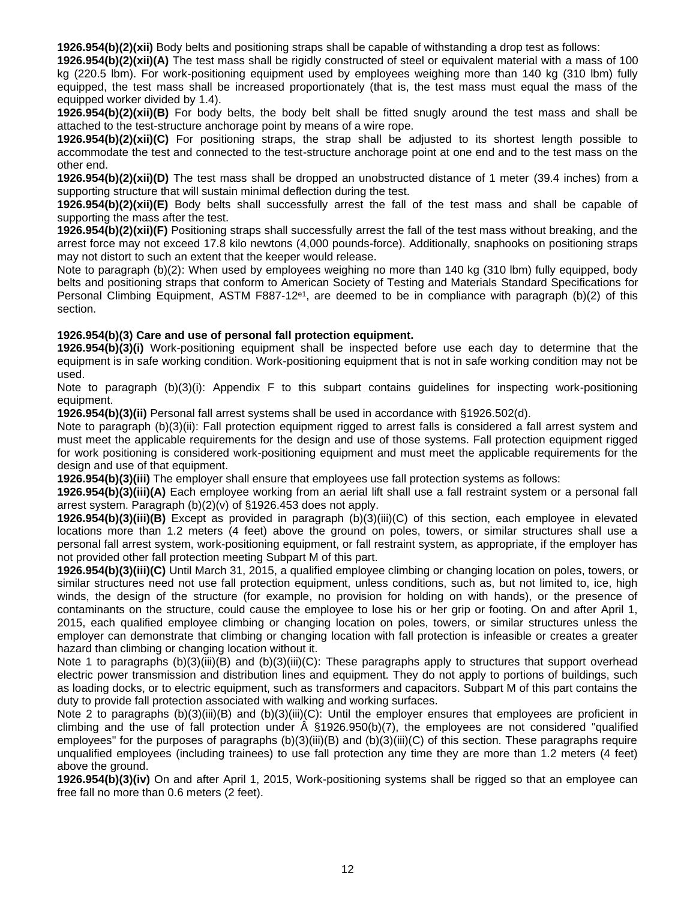**1926.954(b)(2)(xii)** Body belts and positioning straps shall be capable of withstanding a drop test as follows:

**1926.954(b)(2)(xii)(A)** The test mass shall be rigidly constructed of steel or equivalent material with a mass of 100 kg (220.5 lbm). For work-positioning equipment used by employees weighing more than 140 kg (310 lbm) fully equipped, the test mass shall be increased proportionately (that is, the test mass must equal the mass of the equipped worker divided by 1.4).

**1926.954(b)(2)(xii)(B)** For body belts, the body belt shall be fitted snugly around the test mass and shall be attached to the test-structure anchorage point by means of a wire rope.

**1926.954(b)(2)(xii)(C)** For positioning straps, the strap shall be adjusted to its shortest length possible to accommodate the test and connected to the test-structure anchorage point at one end and to the test mass on the other end.

**1926.954(b)(2)(xii)(D)** The test mass shall be dropped an unobstructed distance of 1 meter (39.4 inches) from a supporting structure that will sustain minimal deflection during the test.

**1926.954(b)(2)(xii)(E)** Body belts shall successfully arrest the fall of the test mass and shall be capable of supporting the mass after the test.

**1926.954(b)(2)(xii)(F)** Positioning straps shall successfully arrest the fall of the test mass without breaking, and the arrest force may not exceed 17.8 kilo newtons (4,000 pounds-force). Additionally, snaphooks on positioning straps may not distort to such an extent that the keeper would release.

Note to paragraph (b)(2): When used by employees weighing no more than 140 kg (310 lbm) fully equipped, body belts and positioning straps that conform to American Society of Testing and Materials Standard Specifications for Personal Climbing Equipment, ASTM F887-12<sup>e1</sup>, are deemed to be in compliance with paragraph (b)(2) of this section.

### **1926.954(b)(3) Care and use of personal fall protection equipment.**

**1926.954(b)(3)(i)** Work-positioning equipment shall be inspected before use each day to determine that the equipment is in safe working condition. Work-positioning equipment that is not in safe working condition may not be used.

Note to paragraph (b)(3)(i): Appendix F to this subpart contains guidelines for inspecting work-positioning equipment.

**1926.954(b)(3)(ii)** Personal fall arrest systems shall be used in accordance with §1926.502(d).

Note to paragraph (b)(3)(ii): Fall protection equipment rigged to arrest falls is considered a fall arrest system and must meet the applicable requirements for the design and use of those systems. Fall protection equipment rigged for work positioning is considered work-positioning equipment and must meet the applicable requirements for the design and use of that equipment.

**1926.954(b)(3)(iii)** The employer shall ensure that employees use fall protection systems as follows:

**1926.954(b)(3)(iii)(A)** Each employee working from an aerial lift shall use a fall restraint system or a personal fall arrest system. Paragraph (b)(2)(v) of §1926.453 does not apply.

**1926.954(b)(3)(iii)(B)** Except as provided in paragraph (b)(3)(iii)(C) of this section, each employee in elevated locations more than 1.2 meters (4 feet) above the ground on poles, towers, or similar structures shall use a personal fall arrest system, work-positioning equipment, or fall restraint system, as appropriate, if the employer has not provided other fall protection meeting Subpart M of this part.

**1926.954(b)(3)(iii)(C)** Until March 31, 2015, a qualified employee climbing or changing location on poles, towers, or similar structures need not use fall protection equipment, unless conditions, such as, but not limited to, ice, high winds, the design of the structure (for example, no provision for holding on with hands), or the presence of contaminants on the structure, could cause the employee to lose his or her grip or footing. On and after April 1, 2015, each qualified employee climbing or changing location on poles, towers, or similar structures unless the employer can demonstrate that climbing or changing location with fall protection is infeasible or creates a greater hazard than climbing or changing location without it.

Note 1 to paragraphs (b)(3)(iii)(B) and (b)(3)(iii)(C): These paragraphs apply to structures that support overhead electric power transmission and distribution lines and equipment. They do not apply to portions of buildings, such as loading docks, or to electric equipment, such as transformers and capacitors. Subpart M of this part contains the duty to provide fall protection associated with walking and working surfaces.

Note 2 to paragraphs (b)(3)(iii)(B) and (b)(3)(iii)(C): Until the employer ensures that employees are proficient in climbing and the use of fall protection under  $\hat{A}$  §1926.950(b)(7), the employees are not considered "qualified employees" for the purposes of paragraphs (b)(3)(iii)(B) and (b)(3)(iii)(C) of this section. These paragraphs require unqualified employees (including trainees) to use fall protection any time they are more than 1.2 meters (4 feet) above the ground.

**1926.954(b)(3)(iv)** On and after April 1, 2015, Work-positioning systems shall be rigged so that an employee can free fall no more than 0.6 meters (2 feet).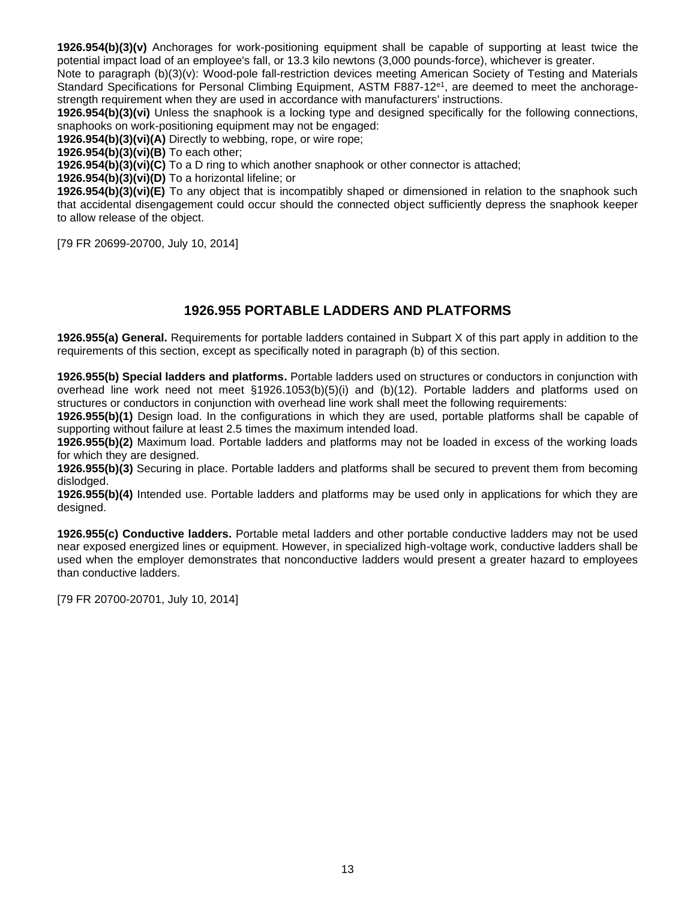**1926.954(b)(3)(v)** Anchorages for work-positioning equipment shall be capable of supporting at least twice the potential impact load of an employee's fall, or 13.3 kilo newtons (3,000 pounds-force), whichever is greater.

Note to paragraph (b)(3)(v): Wood-pole fall-restriction devices meeting American Society of Testing and Materials Standard Specifications for Personal Climbing Equipment, ASTM F887-12<sup>e1</sup>, are deemed to meet the anchoragestrength requirement when they are used in accordance with manufacturers' instructions.

**1926.954(b)(3)(vi)** Unless the snaphook is a locking type and designed specifically for the following connections, snaphooks on work-positioning equipment may not be engaged:

**1926.954(b)(3)(vi)(A)** Directly to webbing, rope, or wire rope;

**1926.954(b)(3)(vi)(B)** To each other;

**1926.954(b)(3)(vi)(C)** To a D ring to which another snaphook or other connector is attached;

**1926.954(b)(3)(vi)(D)** To a horizontal lifeline; or

**1926.954(b)(3)(vi)(E)** To any object that is incompatibly shaped or dimensioned in relation to the snaphook such that accidental disengagement could occur should the connected object sufficiently depress the snaphook keeper to allow release of the object.

[79 FR 20699-20700, July 10, 2014]

# **1926.955 PORTABLE LADDERS AND PLATFORMS**

<span id="page-12-0"></span>**1926.955(a) General.** Requirements for portable ladders contained in Subpart X of this part apply in addition to the requirements of this section, except as specifically noted in paragraph (b) of this section.

**1926.955(b) Special ladders and platforms.** Portable ladders used on structures or conductors in conjunction with overhead line work need not meet §1926.1053(b)(5)(i) and (b)(12). Portable ladders and platforms used on structures or conductors in conjunction with overhead line work shall meet the following requirements:

**1926.955(b)(1)** Design load. In the configurations in which they are used, portable platforms shall be capable of supporting without failure at least 2.5 times the maximum intended load.

**1926.955(b)(2)** Maximum load. Portable ladders and platforms may not be loaded in excess of the working loads for which they are designed.

**1926.955(b)(3)** Securing in place. Portable ladders and platforms shall be secured to prevent them from becoming dislodged.

**1926.955(b)(4)** Intended use. Portable ladders and platforms may be used only in applications for which they are designed.

**1926.955(c) Conductive ladders.** Portable metal ladders and other portable conductive ladders may not be used near exposed energized lines or equipment. However, in specialized high-voltage work, conductive ladders shall be used when the employer demonstrates that nonconductive ladders would present a greater hazard to employees than conductive ladders.

[79 FR 20700-20701, July 10, 2014]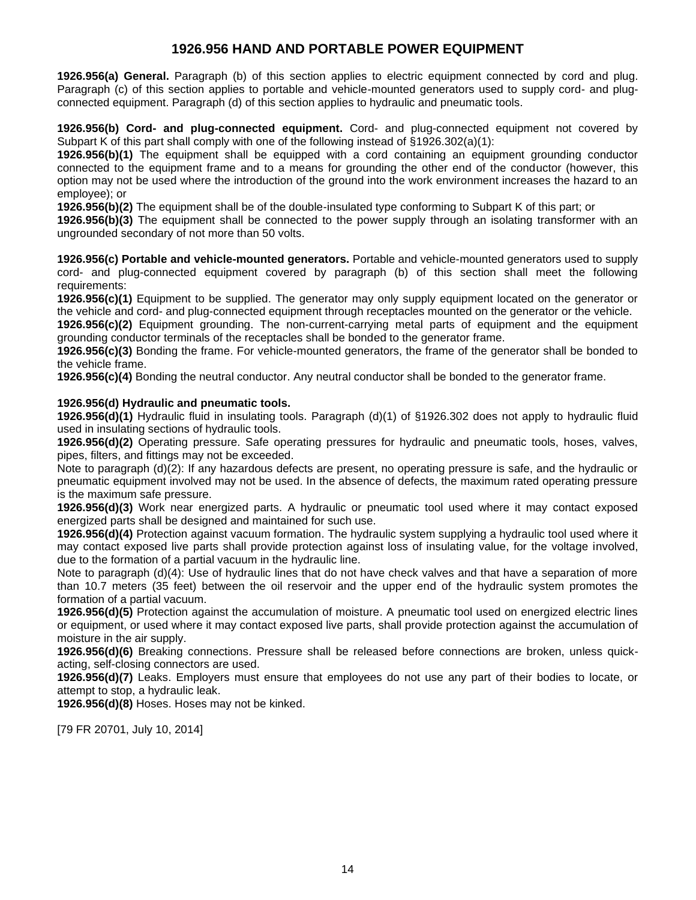# **1926.956 HAND AND PORTABLE POWER EQUIPMENT**

<span id="page-13-0"></span>**1926.956(a) General.** Paragraph (b) of this section applies to electric equipment connected by cord and plug. Paragraph (c) of this section applies to portable and vehicle-mounted generators used to supply cord- and plugconnected equipment. Paragraph (d) of this section applies to hydraulic and pneumatic tools.

**1926.956(b) Cord- and plug-connected equipment.** Cord- and plug-connected equipment not covered by Subpart K of this part shall comply with one of the following instead of §1926.302(a)(1):

**[1926.956\(b\)\(1\)](https://www.osha.gov/pls/oshaweb/owalink.query_links?src_doc_type=STANDARDS&src_unique_file=1926_0956&src_anchor_name=1926.956(b)(1))** The equipment shall be equipped with a cord containing an equipment grounding conductor connected to the equipment frame and to a means for grounding the other end of the conductor (however, this option may not be used where the introduction of the ground into the work environment increases the hazard to an employee); or

**1926.956(b)(2)** The equipment shall be of the double-insulated type conforming to Subpart K of this part; or

**1926.956(b)(3)** The equipment shall be connected to the power supply through an isolating transformer with an ungrounded secondary of not more than 50 volts.

**1926.956(c) Portable and vehicle-mounted generators.** Portable and vehicle-mounted generators used to supply cord- and plug-connected equipment covered by paragraph (b) of this section shall meet the following requirements:

**1926.956(c)(1)** Equipment to be supplied. The generator may only supply equipment located on the generator or the vehicle and cord- and plug-connected equipment through receptacles mounted on the generator or the vehicle.

**1926.956(c)(2)** Equipment grounding. The non-current-carrying metal parts of equipment and the equipment grounding conductor terminals of the receptacles shall be bonded to the generator frame.

**1926.956(c)(3)** Bonding the frame. For vehicle-mounted generators, the frame of the generator shall be bonded to the vehicle frame.

**1926.956(c)(4)** Bonding the neutral conductor. Any neutral conductor shall be bonded to the generator frame.

### **1926.956(d) Hydraulic and pneumatic tools.**

**1926.956(d)(1)** Hydraulic fluid in insulating tools. Paragraph (d)(1) of §1926.302 does not apply to hydraulic fluid used in insulating sections of hydraulic tools.

**1926.956(d)(2)** Operating pressure. Safe operating pressures for hydraulic and pneumatic tools, hoses, valves, pipes, filters, and fittings may not be exceeded.

Note to paragraph (d)(2): If any hazardous defects are present, no operating pressure is safe, and the hydraulic or pneumatic equipment involved may not be used. In the absence of defects, the maximum rated operating pressure is the maximum safe pressure.

**1926.956(d)(3)** Work near energized parts. A hydraulic or pneumatic tool used where it may contact exposed energized parts shall be designed and maintained for such use.

**1926.956(d)(4)** Protection against vacuum formation. The hydraulic system supplying a hydraulic tool used where it may contact exposed live parts shall provide protection against loss of insulating value, for the voltage involved, due to the formation of a partial vacuum in the hydraulic line.

Note to paragraph (d)(4): Use of hydraulic lines that do not have check valves and that have a separation of more than 10.7 meters (35 feet) between the oil reservoir and the upper end of the hydraulic system promotes the formation of a partial vacuum.

**1926.956(d)(5)** Protection against the accumulation of moisture. A pneumatic tool used on energized electric lines or equipment, or used where it may contact exposed live parts, shall provide protection against the accumulation of moisture in the air supply.

**1926.956(d)(6)** Breaking connections. Pressure shall be released before connections are broken, unless quickacting, self-closing connectors are used.

**1926.956(d)(7)** Leaks. Employers must ensure that employees do not use any part of their bodies to locate, or attempt to stop, a hydraulic leak.

**1926.956(d)(8)** Hoses. Hoses may not be kinked.

[79 FR 20701, July 10, 2014]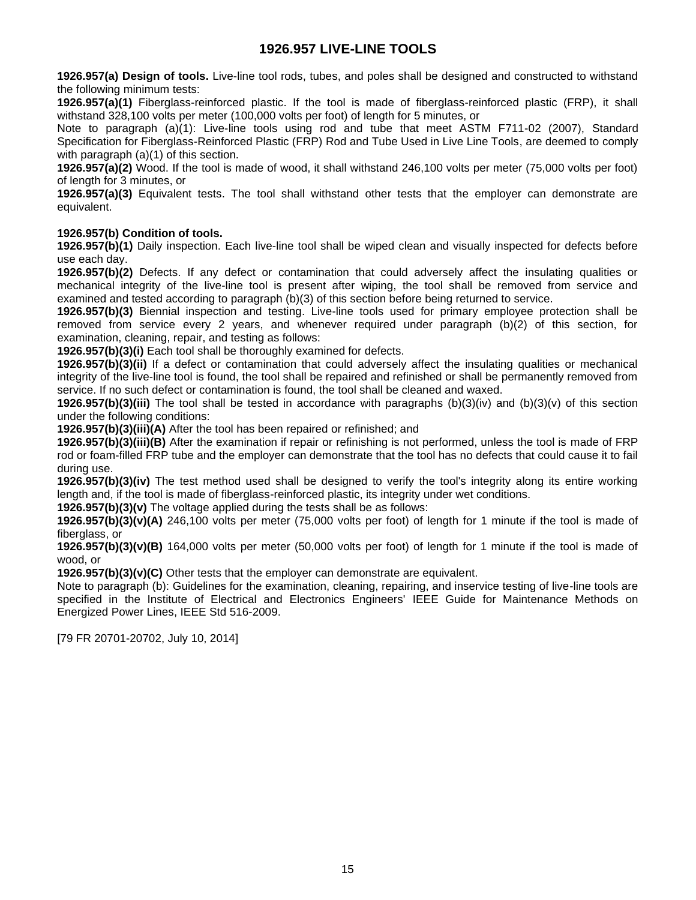# **1926.957 LIVE-LINE TOOLS**

<span id="page-14-0"></span>**1926.957(a) Design of tools.** Live-line tool rods, tubes, and poles shall be designed and constructed to withstand the following minimum tests:

**1926.957(a)(1)** Fiberglass-reinforced plastic. If the tool is made of fiberglass-reinforced plastic (FRP), it shall withstand 328,100 volts per meter (100,000 volts per foot) of length for 5 minutes, or

Note to paragraph (a)(1): Live-line tools using rod and tube that meet ASTM F711-02 (2007), Standard Specification for Fiberglass-Reinforced Plastic (FRP) Rod and Tube Used in Live Line Tools, are deemed to comply with paragraph (a)(1) of this section.

**1926.957(a)(2)** Wood. If the tool is made of wood, it shall withstand 246,100 volts per meter (75,000 volts per foot) of length for 3 minutes, or

**1926.957(a)(3)** Equivalent tests. The tool shall withstand other tests that the employer can demonstrate are equivalent.

### **1926.957(b) Condition of tools.**

**1926.957(b)(1)** Daily inspection. Each live-line tool shall be wiped clean and visually inspected for defects before use each day.

**1926.957(b)(2)** Defects. If any defect or contamination that could adversely affect the insulating qualities or mechanical integrity of the live-line tool is present after wiping, the tool shall be removed from service and examined and tested according to paragraph (b)(3) of this section before being returned to service.

**1926.957(b)(3)** Biennial inspection and testing. Live-line tools used for primary employee protection shall be removed from service every 2 years, and whenever required under paragraph (b)(2) of this section, for examination, cleaning, repair, and testing as follows:

**1926.957(b)(3)(i)** Each tool shall be thoroughly examined for defects.

**1926.957(b)(3)(ii)** If a defect or contamination that could adversely affect the insulating qualities or mechanical integrity of the live-line tool is found, the tool shall be repaired and refinished or shall be permanently removed from service. If no such defect or contamination is found, the tool shall be cleaned and waxed.

**1926.957(b)(3)(iii)** The tool shall be tested in accordance with paragraphs (b)(3)(iv) and (b)(3)(v) of this section under the following conditions:

**1926.957(b)(3)(iii)(A)** After the tool has been repaired or refinished; and

**1926.957(b)(3)(iii)(B)** After the examination if repair or refinishing is not performed, unless the tool is made of FRP rod or foam-filled FRP tube and the employer can demonstrate that the tool has no defects that could cause it to fail during use.

**1926.957(b)(3)(iv)** The test method used shall be designed to verify the tool's integrity along its entire working length and, if the tool is made of fiberglass-reinforced plastic, its integrity under wet conditions.

**1926.957(b)(3)(v)** The voltage applied during the tests shall be as follows:

**1926.957(b)(3)(v)(A)** 246,100 volts per meter (75,000 volts per foot) of length for 1 minute if the tool is made of fiberglass, or

**1926.957(b)(3)(v)(B)** 164,000 volts per meter (50,000 volts per foot) of length for 1 minute if the tool is made of wood, or

**1926.957(b)(3)(v)(C)** Other tests that the employer can demonstrate are equivalent.

Note to paragraph (b): Guidelines for the examination, cleaning, repairing, and inservice testing of live-line tools are specified in the Institute of Electrical and Electronics Engineers' IEEE Guide for Maintenance Methods on Energized Power Lines, IEEE Std 516-2009.

[79 FR 20701-20702, July 10, 2014]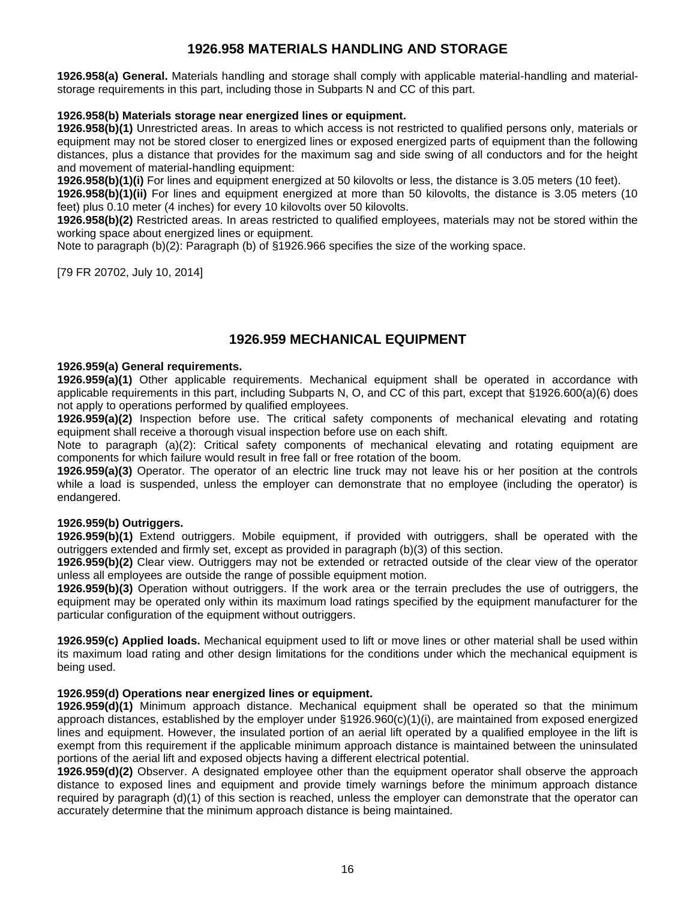# **1926.958 MATERIALS HANDLING AND STORAGE**

<span id="page-15-0"></span>**1926.958(a) General.** Materials handling and storage shall comply with applicable material-handling and materialstorage requirements in this part, including those in Subparts N and CC of this part.

### **1926.958(b) Materials storage near energized lines or equipment.**

**1926.958(b)(1)** Unrestricted areas. In areas to which access is not restricted to qualified persons only, materials or equipment may not be stored closer to energized lines or exposed energized parts of equipment than the following distances, plus a distance that provides for the maximum sag and side swing of all conductors and for the height and movement of material-handling equipment:

**1926.958(b)(1)(i)** For lines and equipment energized at 50 kilovolts or less, the distance is 3.05 meters (10 feet).

**1926.958(b)(1)(ii)** For lines and equipment energized at more than 50 kilovolts, the distance is 3.05 meters (10 feet) plus 0.10 meter (4 inches) for every 10 kilovolts over 50 kilovolts.

**1926.958(b)(2)** Restricted areas. In areas restricted to qualified employees, materials may not be stored within the working space about energized lines or equipment.

Note to paragraph (b)(2): Paragraph (b) of §1926.966 specifies the size of the working space.

[79 FR 20702, July 10, 2014]

### **1926.959 MECHANICAL EQUIPMENT**

#### <span id="page-15-1"></span>**1926.959(a) General requirements.**

**1926.959(a)(1)** Other applicable requirements. Mechanical equipment shall be operated in accordance with applicable requirements in this part, including Subparts N, O, and CC of this part, except that §1926.600(a)(6) does not apply to operations performed by qualified employees.

**1926.959(a)(2)** Inspection before use. The critical safety components of mechanical elevating and rotating equipment shall receive a thorough visual inspection before use on each shift.

Note to paragraph (a)(2): Critical safety components of mechanical elevating and rotating equipment are components for which failure would result in free fall or free rotation of the boom.

**1926.959(a)(3)** Operator. The operator of an electric line truck may not leave his or her position at the controls while a load is suspended, unless the employer can demonstrate that no employee (including the operator) is endangered.

#### **1926.959(b) Outriggers.**

**1926.959(b)(1)** Extend outriggers. Mobile equipment, if provided with outriggers, shall be operated with the outriggers extended and firmly set, except as provided in paragraph (b)(3) of this section.

**1926.959(b)(2)** Clear view. Outriggers may not be extended or retracted outside of the clear view of the operator unless all employees are outside the range of possible equipment motion.

**1926.959(b)(3)** Operation without outriggers. If the work area or the terrain precludes the use of outriggers, the equipment may be operated only within its maximum load ratings specified by the equipment manufacturer for the particular configuration of the equipment without outriggers.

**1926.959(c) Applied loads.** Mechanical equipment used to lift or move lines or other material shall be used within its maximum load rating and other design limitations for the conditions under which the mechanical equipment is being used.

### **1926.959(d) Operations near energized lines or equipment.**

**1926.959(d)(1)** Minimum approach distance. Mechanical equipment shall be operated so that the minimum approach distances, established by the employer under §1926.960(c)(1)(i), are maintained from exposed energized lines and equipment. However, the insulated portion of an aerial lift operated by a qualified employee in the lift is exempt from this requirement if the applicable minimum approach distance is maintained between the uninsulated portions of the aerial lift and exposed objects having a different electrical potential.

**1926.959(d)(2)** Observer. A designated employee other than the equipment operator shall observe the approach distance to exposed lines and equipment and provide timely warnings before the minimum approach distance required by paragraph (d)(1) of this section is reached, unless the employer can demonstrate that the operator can accurately determine that the minimum approach distance is being maintained.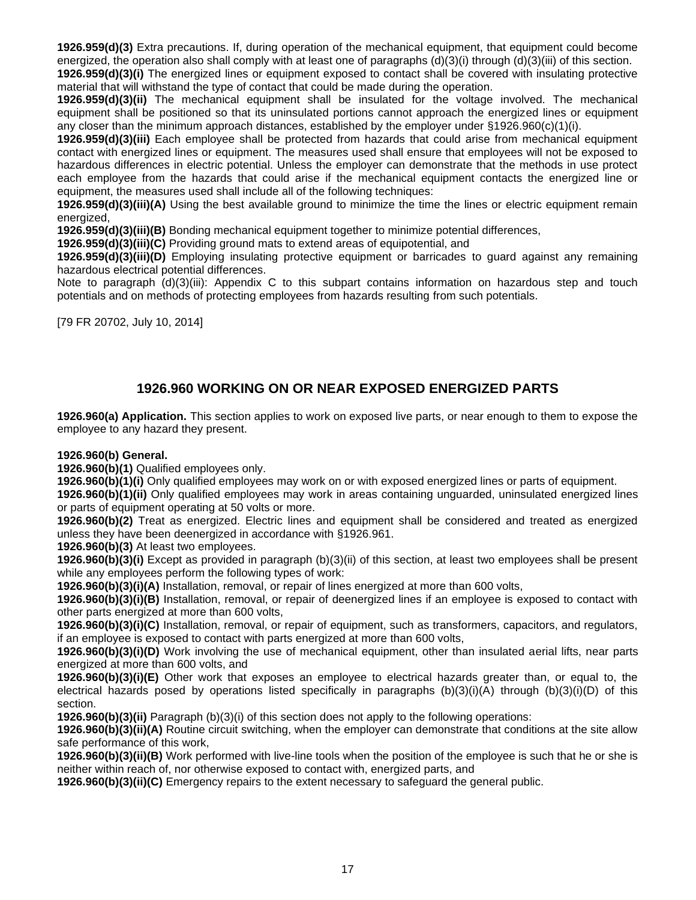**1926.959(d)(3)** Extra precautions. If, during operation of the mechanical equipment, that equipment could become energized, the operation also shall comply with at least one of paragraphs  $(d)(3)(i)$  through  $(d)(3)(iii)$  of this section. **1926.959(d)(3)(i)** The energized lines or equipment exposed to contact shall be covered with insulating protective

material that will withstand the type of contact that could be made during the operation.

**1926.959(d)(3)(ii)** The mechanical equipment shall be insulated for the voltage involved. The mechanical equipment shall be positioned so that its uninsulated portions cannot approach the energized lines or equipment any closer than the minimum approach distances, established by the employer under §1926.960(c)(1)(i).

**1926.959(d)(3)(iii)** Each employee shall be protected from hazards that could arise from mechanical equipment contact with energized lines or equipment. The measures used shall ensure that employees will not be exposed to hazardous differences in electric potential. Unless the employer can demonstrate that the methods in use protect each employee from the hazards that could arise if the mechanical equipment contacts the energized line or equipment, the measures used shall include all of the following techniques:

**1926.959(d)(3)(iii)(A)** Using the best available ground to minimize the time the lines or electric equipment remain energized,

**1926.959(d)(3)(iii)(B)** Bonding mechanical equipment together to minimize potential differences,

**1926.959(d)(3)(iii)(C)** Providing ground mats to extend areas of equipotential, and

**1926.959(d)(3)(iii)(D)** Employing insulating protective equipment or barricades to guard against any remaining hazardous electrical potential differences.

Note to paragraph (d)(3)(iii): Appendix C to this subpart contains information on hazardous step and touch potentials and on methods of protecting employees from hazards resulting from such potentials.

[79 FR 20702, July 10, 2014]

# **1926.960 WORKING ON OR NEAR EXPOSED ENERGIZED PARTS**

<span id="page-16-0"></span>**1926.960(a) Application.** This section applies to work on exposed live parts, or near enough to them to expose the employee to any hazard they present.

### **1926.960(b) General.**

**1926.960(b)(1)** Qualified employees only.

**1926.960(b)(1)(i)** Only qualified employees may work on or with exposed energized lines or parts of equipment.

**1926.960(b)(1)(ii)** Only qualified employees may work in areas containing unguarded, uninsulated energized lines or parts of equipment operating at 50 volts or more.

**1926.960(b)(2)** Treat as energized. Electric lines and equipment shall be considered and treated as energized unless they have been deenergized in accordance with §1926.961.

**1926.960(b)(3)** At least two employees.

**1926.960(b)(3)(i)** Except as provided in paragraph (b)(3)(ii) of this section, at least two employees shall be present while any employees perform the following types of work:

**1926.960(b)(3)(i)(A)** Installation, removal, or repair of lines energized at more than 600 volts,

**1926.960(b)(3)(i)(B)** Installation, removal, or repair of deenergized lines if an employee is exposed to contact with other parts energized at more than 600 volts,

**1926.960(b)(3)(i)(C)** Installation, removal, or repair of equipment, such as transformers, capacitors, and regulators, if an employee is exposed to contact with parts energized at more than 600 volts,

**1926.960(b)(3)(i)(D)** Work involving the use of mechanical equipment, other than insulated aerial lifts, near parts energized at more than 600 volts, and

**1926.960(b)(3)(i)(E)** Other work that exposes an employee to electrical hazards greater than, or equal to, the electrical hazards posed by operations listed specifically in paragraphs (b)(3)(i)(A) through (b)(3)(i)(D) of this section.

**1926.960(b)(3)(ii)** Paragraph (b)(3)(i) of this section does not apply to the following operations:

**1926.960(b)(3)(ii)(A)** Routine circuit switching, when the employer can demonstrate that conditions at the site allow safe performance of this work,

**1926.960(b)(3)(ii)(B)** Work performed with live-line tools when the position of the employee is such that he or she is neither within reach of, nor otherwise exposed to contact with, energized parts, and

**1926.960(b)(3)(ii)(C)** Emergency repairs to the extent necessary to safeguard the general public.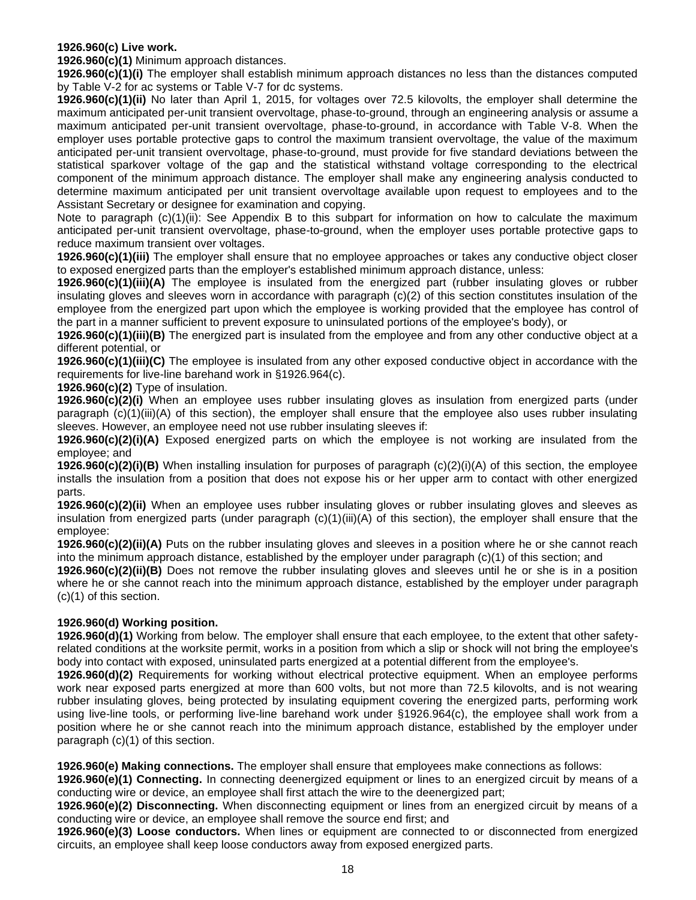#### **1926.960(c) Live work.**

**1926.960(c)(1)** Minimum approach distances.

**1926.960(c)(1)(i)** The employer shall establish minimum approach distances no less than the distances computed by Table V-2 for ac systems or Table V-7 for dc systems.

**1926.960(c)(1)(ii)** No later than April 1, 2015, for voltages over 72.5 kilovolts, the employer shall determine the maximum anticipated per-unit transient overvoltage, phase-to-ground, through an engineering analysis or assume a maximum anticipated per-unit transient overvoltage, phase-to-ground, in accordance with Table V-8. When the employer uses portable protective gaps to control the maximum transient overvoltage, the value of the maximum anticipated per-unit transient overvoltage, phase-to-ground, must provide for five standard deviations between the statistical sparkover voltage of the gap and the statistical withstand voltage corresponding to the electrical component of the minimum approach distance. The employer shall make any engineering analysis conducted to determine maximum anticipated per unit transient overvoltage available upon request to employees and to the Assistant Secretary or designee for examination and copying.

Note to paragraph (c)(1)(ii): See Appendix B to this subpart for information on how to calculate the maximum anticipated per-unit transient overvoltage, phase-to-ground, when the employer uses portable protective gaps to reduce maximum transient over voltages.

**1926.960(c)(1)(iii)** The employer shall ensure that no employee approaches or takes any conductive object closer to exposed energized parts than the employer's established minimum approach distance, unless:

**1926.960(c)(1)(iii)(A)** The employee is insulated from the energized part (rubber insulating gloves or rubber insulating gloves and sleeves worn in accordance with paragraph (c)(2) of this section constitutes insulation of the employee from the energized part upon which the employee is working provided that the employee has control of the part in a manner sufficient to prevent exposure to uninsulated portions of the employee's body), or

**1926.960(c)(1)(iii)(B)** The energized part is insulated from the employee and from any other conductive object at a different potential, or

**1926.960(c)(1)(iii)(C)** The employee is insulated from any other exposed conductive object in accordance with the requirements for live-line barehand work in §1926.964(c).

**1926.960(c)(2)** Type of insulation.

**1926.960(c)(2)(i)** When an employee uses rubber insulating gloves as insulation from energized parts (under paragraph (c)(1)(iii)(A) of this section), the employer shall ensure that the employee also uses rubber insulating sleeves. However, an employee need not use rubber insulating sleeves if:

**1926.960(c)(2)(i)(A)** Exposed energized parts on which the employee is not working are insulated from the employee; and

**1926.960(c)(2)(i)(B)** When installing insulation for purposes of paragraph (c)(2)(i)(A) of this section, the employee installs the insulation from a position that does not expose his or her upper arm to contact with other energized parts.

**1926.960(c)(2)(ii)** When an employee uses rubber insulating gloves or rubber insulating gloves and sleeves as insulation from energized parts (under paragraph  $(c)(1)(iii)(A)$  of this section), the employer shall ensure that the employee:

**1926.960(c)(2)(ii)(A)** Puts on the rubber insulating gloves and sleeves in a position where he or she cannot reach into the minimum approach distance, established by the employer under paragraph (c)(1) of this section; and

**1926.960(c)(2)(ii)(B)** Does not remove the rubber insulating gloves and sleeves until he or she is in a position where he or she cannot reach into the minimum approach distance, established by the employer under paragraph (c)(1) of this section.

#### **1926.960(d) Working position.**

**1926.960(d)(1)** Working from below. The employer shall ensure that each employee, to the extent that other safetyrelated conditions at the worksite permit, works in a position from which a slip or shock will not bring the employee's body into contact with exposed, uninsulated parts energized at a potential different from the employee's.

**1926.960(d)(2)** Requirements for working without electrical protective equipment. When an employee performs work near exposed parts energized at more than 600 volts, but not more than 72.5 kilovolts, and is not wearing rubber insulating gloves, being protected by insulating equipment covering the energized parts, performing work using live-line tools, or performing live-line barehand work under §1926.964(c), the employee shall work from a position where he or she cannot reach into the minimum approach distance, established by the employer under paragraph (c)(1) of this section.

**1926.960(e) Making connections.** The employer shall ensure that employees make connections as follows:

**1926.960(e)(1) Connecting.** In connecting deenergized equipment or lines to an energized circuit by means of a conducting wire or device, an employee shall first attach the wire to the deenergized part;

**1926.960(e)(2) Disconnecting.** When disconnecting equipment or lines from an energized circuit by means of a conducting wire or device, an employee shall remove the source end first; and

**1926.960(e)(3) Loose conductors.** When lines or equipment are connected to or disconnected from energized circuits, an employee shall keep loose conductors away from exposed energized parts.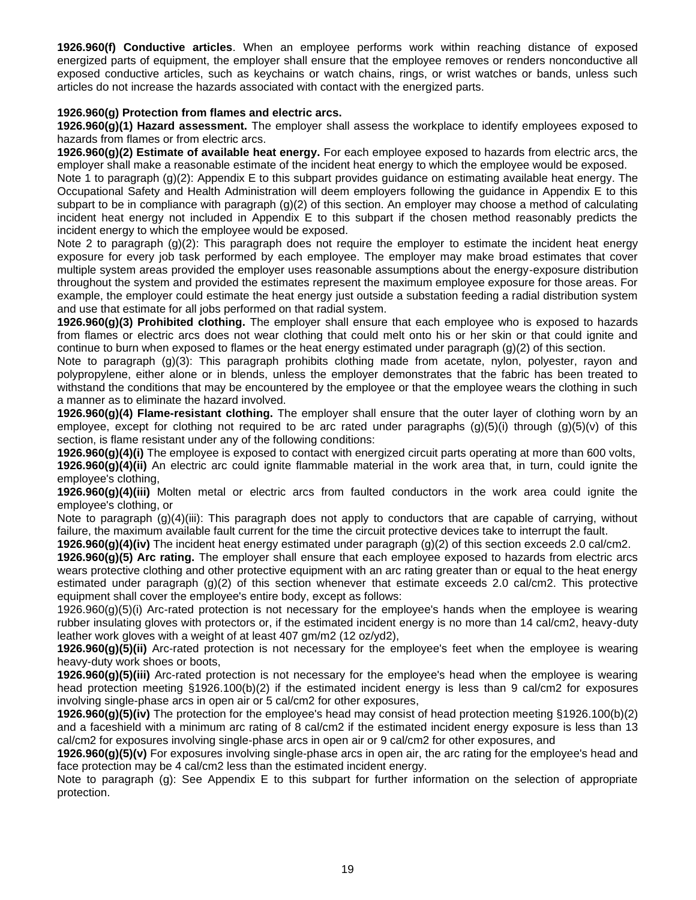**1926.960(f) Conductive articles**. When an employee performs work within reaching distance of exposed energized parts of equipment, the employer shall ensure that the employee removes or renders nonconductive all exposed conductive articles, such as keychains or watch chains, rings, or wrist watches or bands, unless such articles do not increase the hazards associated with contact with the energized parts.

#### **1926.960(g) Protection from flames and electric arcs.**

**1926.960(g)(1) Hazard assessment.** The employer shall assess the workplace to identify employees exposed to hazards from flames or from electric arcs.

**1926.960(g)(2) Estimate of available heat energy.** For each employee exposed to hazards from electric arcs, the employer shall make a reasonable estimate of the incident heat energy to which the employee would be exposed.

Note 1 to paragraph (g)(2): Appendix E to this subpart provides guidance on estimating available heat energy. The Occupational Safety and Health Administration will deem employers following the guidance in Appendix E to this subpart to be in compliance with paragraph (g)(2) of this section. An employer may choose a method of calculating incident heat energy not included in Appendix E to this subpart if the chosen method reasonably predicts the incident energy to which the employee would be exposed.

Note 2 to paragraph (g)(2): This paragraph does not require the employer to estimate the incident heat energy exposure for every job task performed by each employee. The employer may make broad estimates that cover multiple system areas provided the employer uses reasonable assumptions about the energy-exposure distribution throughout the system and provided the estimates represent the maximum employee exposure for those areas. For example, the employer could estimate the heat energy just outside a substation feeding a radial distribution system and use that estimate for all jobs performed on that radial system.

**1926.960(g)(3) Prohibited clothing.** The employer shall ensure that each employee who is exposed to hazards from flames or electric arcs does not wear clothing that could melt onto his or her skin or that could ignite and continue to burn when exposed to flames or the heat energy estimated under paragraph (g)(2) of this section.

Note to paragraph (g)(3): This paragraph prohibits clothing made from acetate, nylon, polyester, rayon and polypropylene, either alone or in blends, unless the employer demonstrates that the fabric has been treated to withstand the conditions that may be encountered by the employee or that the employee wears the clothing in such a manner as to eliminate the hazard involved.

**1926.960(g)(4) Flame-resistant clothing.** The employer shall ensure that the outer layer of clothing worn by an employee, except for clothing not required to be arc rated under paragraphs  $(q)(5)(i)$  through  $(q)(5)(v)$  of this section, is flame resistant under any of the following conditions:

**1926.960(g)(4)(i)** The employee is exposed to contact with energized circuit parts operating at more than 600 volts, **1926.960(g)(4)(ii)** An electric arc could ignite flammable material in the work area that, in turn, could ignite the employee's clothing,

**1926.960(g)(4)(iii)** Molten metal or electric arcs from faulted conductors in the work area could ignite the employee's clothing, or

Note to paragraph (g)(4)(iii): This paragraph does not apply to conductors that are capable of carrying, without failure, the maximum available fault current for the time the circuit protective devices take to interrupt the fault.

**1926.960(g)(4)(iv)** The incident heat energy estimated under paragraph (g)(2) of this section exceeds 2.0 cal/cm2.

**1926.960(g)(5) Arc rating.** The employer shall ensure that each employee exposed to hazards from electric arcs wears protective clothing and other protective equipment with an arc rating greater than or equal to the heat energy estimated under paragraph (g)(2) of this section whenever that estimate exceeds 2.0 cal/cm2. This protective equipment shall cover the employee's entire body, except as follows:

1926.960(g)(5)(i) Arc-rated protection is not necessary for the employee's hands when the employee is wearing rubber insulating gloves with protectors or, if the estimated incident energy is no more than 14 cal/cm2, heavy-duty leather work gloves with a weight of at least 407 gm/m2 (12 oz/yd2),

**1926.960(g)(5)(ii)** Arc-rated protection is not necessary for the employee's feet when the employee is wearing heavy-duty work shoes or boots,

**1926.960(g)(5)(iii)** Arc-rated protection is not necessary for the employee's head when the employee is wearing head protection meeting §1926.100(b)(2) if the estimated incident energy is less than 9 cal/cm2 for exposures involving single-phase arcs in open air or 5 cal/cm2 for other exposures,

**1926.960(g)(5)(iv)** The protection for the employee's head may consist of head protection meeting §1926.100(b)(2) and a faceshield with a minimum arc rating of 8 cal/cm2 if the estimated incident energy exposure is less than 13 cal/cm2 for exposures involving single-phase arcs in open air or 9 cal/cm2 for other exposures, and

**1926.960(g)(5)(v)** For exposures involving single-phase arcs in open air, the arc rating for the employee's head and face protection may be 4 cal/cm2 less than the estimated incident energy.

Note to paragraph (g): See Appendix E to this subpart for further information on the selection of appropriate protection.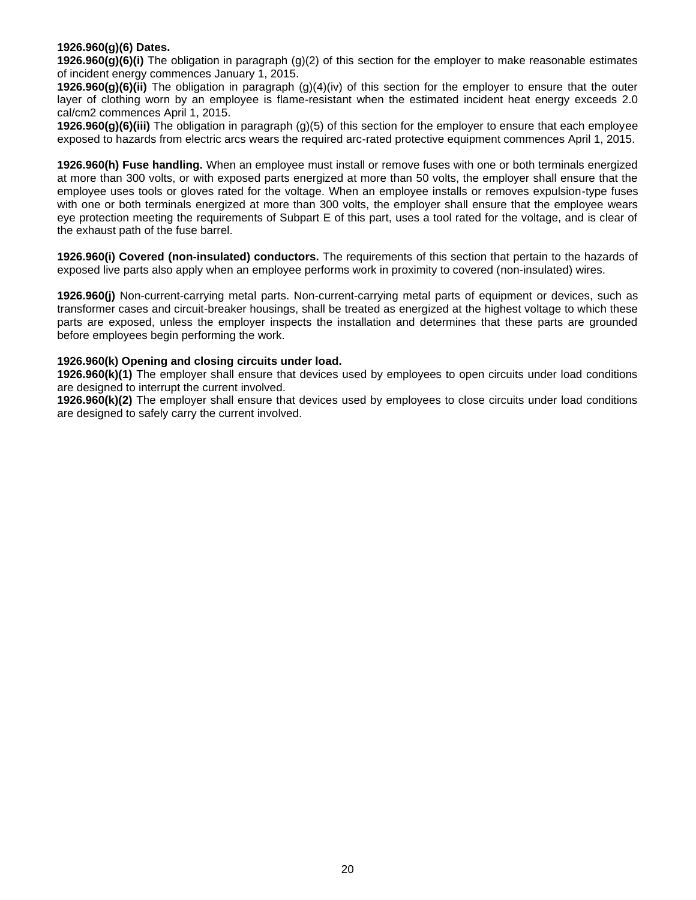#### **1926.960(g)(6) Dates.**

**1926.960(g)(6)(i)** The obligation in paragraph (g)(2) of this section for the employer to make reasonable estimates of incident energy commences January 1, 2015.

**1926.960(g)(6)(ii)** The obligation in paragraph (g)(4)(iv) of this section for the employer to ensure that the outer layer of clothing worn by an employee is flame-resistant when the estimated incident heat energy exceeds 2.0 cal/cm2 commences April 1, 2015.

**1926.960(g)(6)(iii)** The obligation in paragraph (g)(5) of this section for the employer to ensure that each employee exposed to hazards from electric arcs wears the required arc-rated protective equipment commences April 1, 2015.

**1926.960(h) Fuse handling.** When an employee must install or remove fuses with one or both terminals energized at more than 300 volts, or with exposed parts energized at more than 50 volts, the employer shall ensure that the employee uses tools or gloves rated for the voltage. When an employee installs or removes expulsion-type fuses with one or both terminals energized at more than 300 volts, the employer shall ensure that the employee wears eye protection meeting the requirements of Subpart E of this part, uses a tool rated for the voltage, and is clear of the exhaust path of the fuse barrel.

**1926.960(i) Covered (non-insulated) conductors.** The requirements of this section that pertain to the hazards of exposed live parts also apply when an employee performs work in proximity to covered (non-insulated) wires.

**1926.960(j)** Non-current-carrying metal parts. Non-current-carrying metal parts of equipment or devices, such as transformer cases and circuit-breaker housings, shall be treated as energized at the highest voltage to which these parts are exposed, unless the employer inspects the installation and determines that these parts are grounded before employees begin performing the work.

#### **1926.960(k) Opening and closing circuits under load.**

**1926.960(k)(1)** The employer shall ensure that devices used by employees to open circuits under load conditions are designed to interrupt the current involved.

**1926.960(k)(2)** The employer shall ensure that devices used by employees to close circuits under load conditions are designed to safely carry the current involved.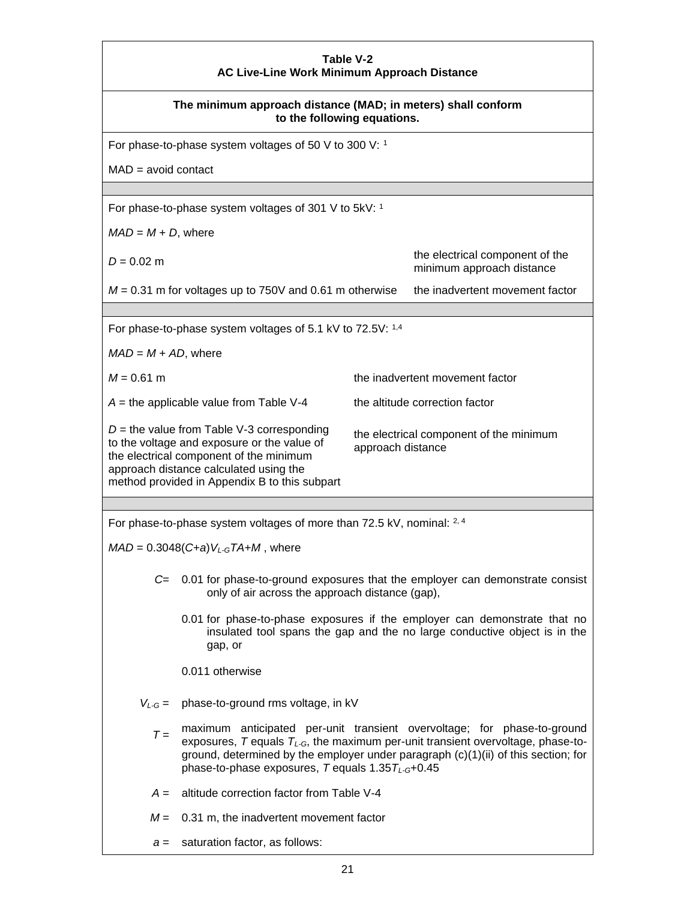#### **Table V-2 AC Live-Line Work Minimum Approach Distance**

| The minimum approach distance (MAD; in meters) shall conform<br>to the following equations.                                                                                                                                                                                                       |                                                                                                                                                                                                                                                                                                                   |  |  |  |  |
|---------------------------------------------------------------------------------------------------------------------------------------------------------------------------------------------------------------------------------------------------------------------------------------------------|-------------------------------------------------------------------------------------------------------------------------------------------------------------------------------------------------------------------------------------------------------------------------------------------------------------------|--|--|--|--|
|                                                                                                                                                                                                                                                                                                   | For phase-to-phase system voltages of 50 V to 300 V: 1                                                                                                                                                                                                                                                            |  |  |  |  |
| $MAD = avoid contact$                                                                                                                                                                                                                                                                             |                                                                                                                                                                                                                                                                                                                   |  |  |  |  |
|                                                                                                                                                                                                                                                                                                   |                                                                                                                                                                                                                                                                                                                   |  |  |  |  |
|                                                                                                                                                                                                                                                                                                   | For phase-to-phase system voltages of 301 V to 5kV: 1                                                                                                                                                                                                                                                             |  |  |  |  |
| $MAD = M + D$ , where                                                                                                                                                                                                                                                                             |                                                                                                                                                                                                                                                                                                                   |  |  |  |  |
| $D = 0.02$ m                                                                                                                                                                                                                                                                                      | the electrical component of the<br>minimum approach distance                                                                                                                                                                                                                                                      |  |  |  |  |
|                                                                                                                                                                                                                                                                                                   | the inadvertent movement factor<br>$M = 0.31$ m for voltages up to 750V and 0.61 m otherwise                                                                                                                                                                                                                      |  |  |  |  |
|                                                                                                                                                                                                                                                                                                   |                                                                                                                                                                                                                                                                                                                   |  |  |  |  |
|                                                                                                                                                                                                                                                                                                   | For phase-to-phase system voltages of 5.1 kV to 72.5V: 1,4                                                                                                                                                                                                                                                        |  |  |  |  |
| $MAD = M + AD$ , where                                                                                                                                                                                                                                                                            |                                                                                                                                                                                                                                                                                                                   |  |  |  |  |
| $M = 0.61$ m                                                                                                                                                                                                                                                                                      | the inadvertent movement factor                                                                                                                                                                                                                                                                                   |  |  |  |  |
|                                                                                                                                                                                                                                                                                                   | the altitude correction factor<br>$A =$ the applicable value from Table V-4                                                                                                                                                                                                                                       |  |  |  |  |
| $D =$ the value from Table V-3 corresponding<br>the electrical component of the minimum<br>to the voltage and exposure or the value of<br>approach distance<br>the electrical component of the minimum<br>approach distance calculated using the<br>method provided in Appendix B to this subpart |                                                                                                                                                                                                                                                                                                                   |  |  |  |  |
|                                                                                                                                                                                                                                                                                                   |                                                                                                                                                                                                                                                                                                                   |  |  |  |  |
|                                                                                                                                                                                                                                                                                                   | For phase-to-phase system voltages of more than 72.5 kV, nominal: 2, 4                                                                                                                                                                                                                                            |  |  |  |  |
|                                                                                                                                                                                                                                                                                                   | $MAD = 0.3048(C+a)V_{L-G}TA+M$ , where                                                                                                                                                                                                                                                                            |  |  |  |  |
| C=                                                                                                                                                                                                                                                                                                | 0.01 for phase-to-ground exposures that the employer can demonstrate consist<br>only of air across the approach distance (gap),                                                                                                                                                                                   |  |  |  |  |
|                                                                                                                                                                                                                                                                                                   | 0.01 for phase-to-phase exposures if the employer can demonstrate that no<br>insulated tool spans the gap and the no large conductive object is in the<br>gap, or                                                                                                                                                 |  |  |  |  |
|                                                                                                                                                                                                                                                                                                   | 0.011 otherwise                                                                                                                                                                                                                                                                                                   |  |  |  |  |
| $V_{L-G} =$                                                                                                                                                                                                                                                                                       | phase-to-ground rms voltage, in kV                                                                                                                                                                                                                                                                                |  |  |  |  |
| $T =$                                                                                                                                                                                                                                                                                             | maximum anticipated per-unit transient overvoltage; for phase-to-ground<br>exposures, $T$ equals $T_{L-G}$ , the maximum per-unit transient overvoltage, phase-to-<br>ground, determined by the employer under paragraph (c)(1)(ii) of this section; for<br>phase-to-phase exposures, T equals $1.35T_{L-G}+0.45$ |  |  |  |  |
| $A =$                                                                                                                                                                                                                                                                                             | altitude correction factor from Table V-4                                                                                                                                                                                                                                                                         |  |  |  |  |
| $M =$                                                                                                                                                                                                                                                                                             | 0.31 m, the inadvertent movement factor                                                                                                                                                                                                                                                                           |  |  |  |  |
| saturation factor, as follows:<br>$a =$                                                                                                                                                                                                                                                           |                                                                                                                                                                                                                                                                                                                   |  |  |  |  |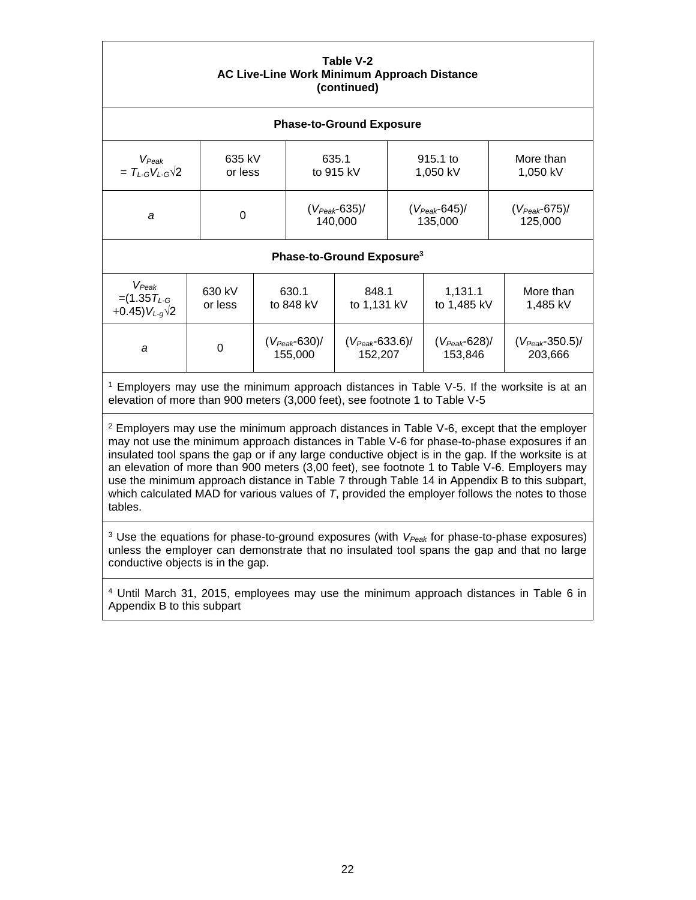#### **Table V-2 AC Live-Line Work Minimum Approach Distance (continued) Phase-to-Ground Exposure** *VPeak*  $= T_{L-G}V_{L-G}\sqrt{2}$ 635 kV or less 635.1 to 915 kV 915.1 to 1,050 kV More than 1,050 kV *a* 0 (*VPeak*-635)/ 140,000 (*VPeak*-645)/ 135,000 (*VPeak*-675)/ 125,000

### **Phase-to-Ground Exposure<sup>3</sup>**

| $V_{Peak}$<br>$=(1.35TL-G)$<br>+0.45) $V_{L-q}$ <sup>1</sup> 2 | 630 kV<br>or less | 630.1<br>to 848 kV                          | 848.1<br>to 1,131 kV                  | 1.131.1<br>to 1,485 kV                      | More than<br>1,485 kV                  |
|----------------------------------------------------------------|-------------------|---------------------------------------------|---------------------------------------|---------------------------------------------|----------------------------------------|
| a                                                              |                   | ( <i>V<sub>Peak</sub></i> -630)/<br>155,000 | V <sub>Peak</sub> -633.6)/<br>152,207 | ( <i>V<sub>Peak</sub></i> -628)/<br>153,846 | (V <sub>Peak</sub> -350.5)/<br>203,666 |

<sup>1</sup> Employers may use the minimum approach distances in Table V-5. If the worksite is at an elevation of more than 900 meters (3,000 feet), see footnote 1 to Table V-5

<sup>2</sup> Employers may use the minimum approach distances in Table V-6, except that the employer may not use the minimum approach distances in Table V-6 for phase-to-phase exposures if an insulated tool spans the gap or if any large conductive object is in the gap. If the worksite is at an elevation of more than 900 meters (3,00 feet), see footnote 1 to Table V-6. Employers may use the minimum approach distance in Table 7 through Table 14 in Appendix B to this subpart, which calculated MAD for various values of *T*, provided the employer follows the notes to those tables.

<sup>3</sup> Use the equations for phase-to-ground exposures (with *VPeak* for phase-to-phase exposures) unless the employer can demonstrate that no insulated tool spans the gap and that no large conductive objects is in the gap.

<sup>4</sup> Until March 31, 2015, employees may use the minimum approach distances in Table 6 in Appendix B to this subpart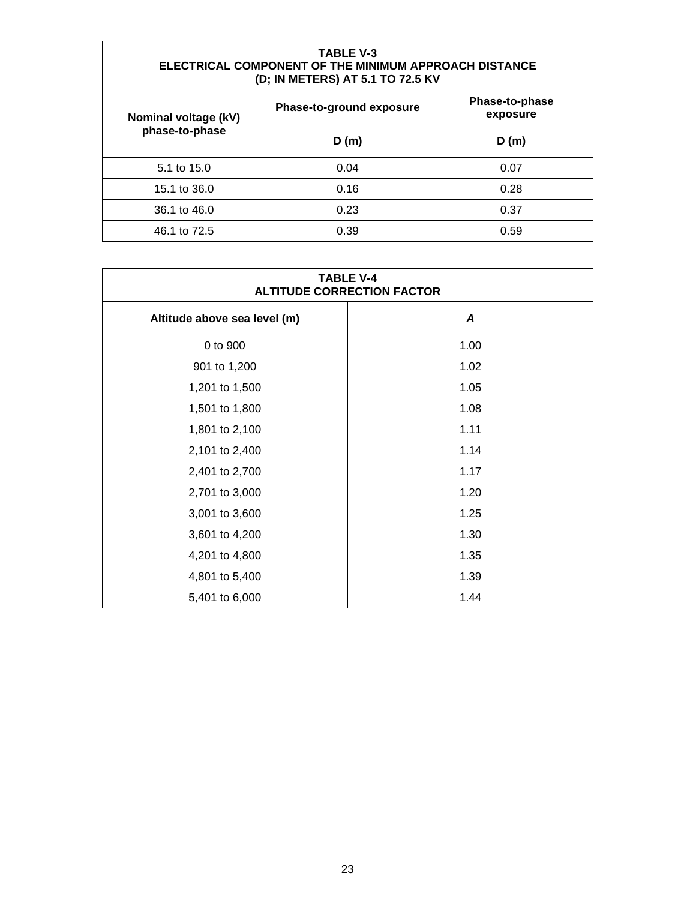| <b>TABLE V-3</b><br>ELECTRICAL COMPONENT OF THE MINIMUM APPROACH DISTANCE<br>(D; IN METERS) AT 5.1 TO 72.5 KV |                          |                            |  |  |  |
|---------------------------------------------------------------------------------------------------------------|--------------------------|----------------------------|--|--|--|
| Nominal voltage (kV)                                                                                          | Phase-to-ground exposure | Phase-to-phase<br>exposure |  |  |  |
| phase-to-phase                                                                                                | D(m)                     | D(m)                       |  |  |  |
| 5.1 to 15.0                                                                                                   | 0.04                     | 0.07                       |  |  |  |
| 15.1 to 36.0                                                                                                  | 0.16                     | 0.28                       |  |  |  |
| 36.1 to 46.0                                                                                                  | 0.23                     | 0.37                       |  |  |  |
| 46.1 to 72.5                                                                                                  | 0.39                     | 0.59                       |  |  |  |

| <b>TABLE V-4</b><br><b>ALTITUDE CORRECTION FACTOR</b> |      |  |  |
|-------------------------------------------------------|------|--|--|
| Altitude above sea level (m)                          | A    |  |  |
| 0 to 900                                              | 1.00 |  |  |
| 901 to 1,200                                          | 1.02 |  |  |
| 1,201 to 1,500                                        | 1.05 |  |  |
| 1,501 to 1,800                                        | 1.08 |  |  |
| 1,801 to 2,100                                        | 1.11 |  |  |
| 2,101 to 2,400                                        | 1.14 |  |  |
| 2,401 to 2,700                                        | 1.17 |  |  |
| 2,701 to 3,000                                        | 1.20 |  |  |
| 3,001 to 3,600                                        | 1.25 |  |  |
| 3,601 to 4,200                                        | 1.30 |  |  |
| 4,201 to 4,800                                        | 1.35 |  |  |
| 4,801 to 5,400                                        | 1.39 |  |  |
| 5,401 to 6,000                                        | 1.44 |  |  |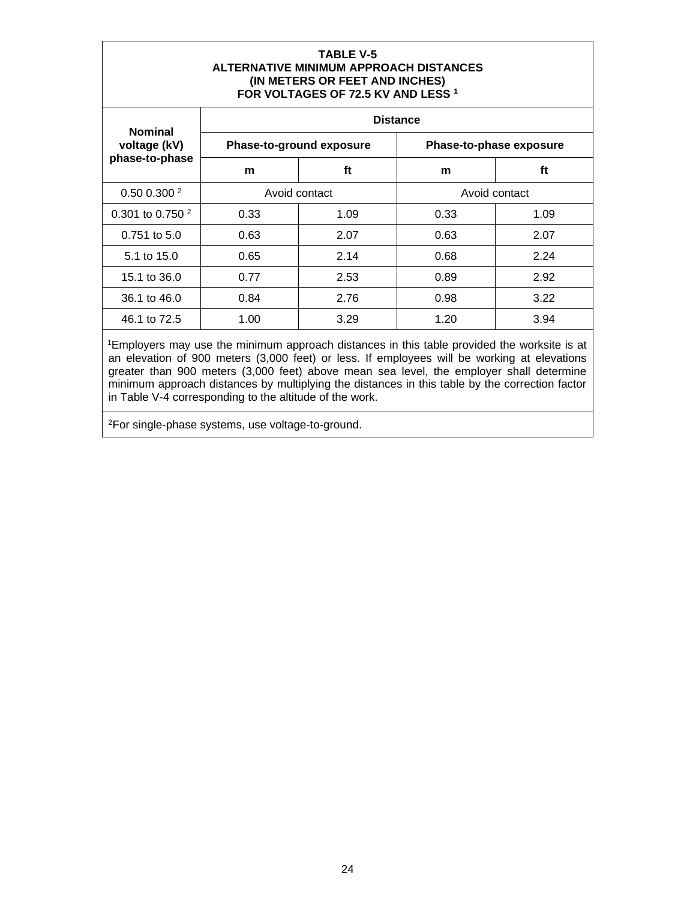#### **TABLE V-5 ALTERNATIVE MINIMUM APPROACH DISTANCES (IN METERS OR FEET AND INCHES) FOR VOLTAGES OF 72.5 KV AND LESS <sup>1</sup>**

| <b>Nominal</b>              | <b>Distance</b>          |      |                         |      |  |
|-----------------------------|--------------------------|------|-------------------------|------|--|
| voltage (kV)                | Phase-to-ground exposure |      | Phase-to-phase exposure |      |  |
| phase-to-phase              | m                        | ft   | m                       | ft   |  |
| 0.50 0.300 2                | Avoid contact            |      | Avoid contact           |      |  |
| 0.301 to 0.750 <sup>2</sup> | 0.33                     | 1.09 | 0.33                    | 1.09 |  |
| $0.751$ to 5.0              | 0.63                     | 2.07 | 0.63                    | 2.07 |  |
| 5.1 to 15.0                 | 0.65                     | 2.14 | 0.68                    | 2.24 |  |
| 15.1 to 36.0                | 0.77                     | 2.53 | 0.89                    | 2.92 |  |
| 36.1 to 46.0                | 0.84                     | 2.76 | 0.98                    | 3.22 |  |
| 46.1 to 72.5                | 1.00                     | 3.29 | 1.20                    | 3.94 |  |

<sup>1</sup>Employers may use the minimum approach distances in this table provided the worksite is at an elevation of 900 meters (3,000 feet) or less. If employees will be working at elevations greater than 900 meters (3,000 feet) above mean sea level, the employer shall determine minimum approach distances by multiplying the distances in this table by the correction factor in Table V-4 corresponding to the altitude of the work.

2For single-phase systems, use voltage-to-ground.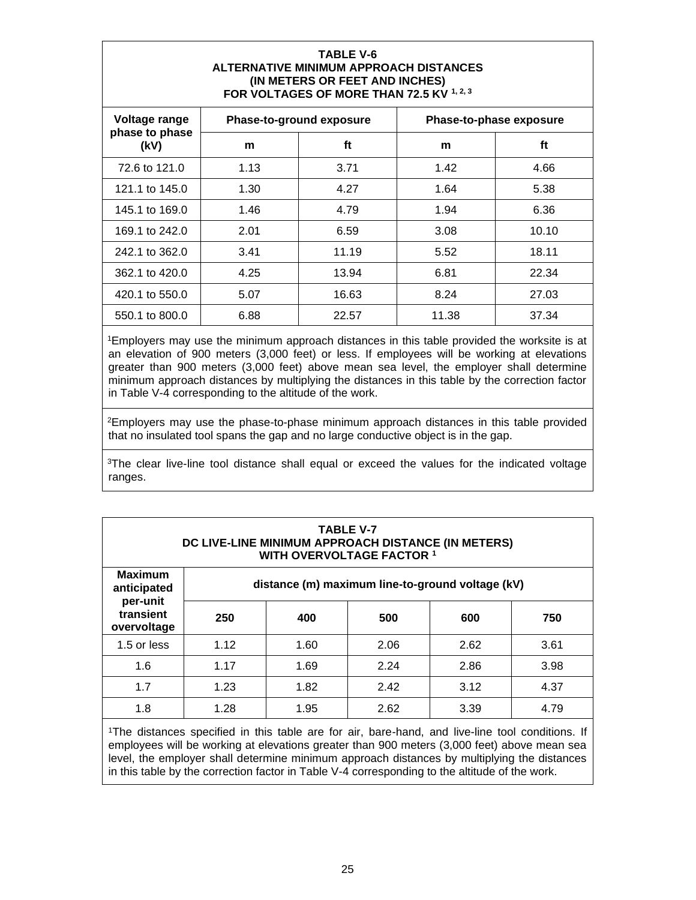#### **TABLE V-6 ALTERNATIVE MINIMUM APPROACH DISTANCES (IN METERS OR FEET AND INCHES)**  FOR VOLTAGES OF MORE THAN 72.5 KV <sup>1, 2, 3</sup>

| Voltage range          | Phase-to-ground exposure |       | Phase-to-phase exposure |       |  |
|------------------------|--------------------------|-------|-------------------------|-------|--|
| phase to phase<br>(kV) | m                        | ft    | m                       | ft    |  |
| 72.6 to 121.0          | 1.13                     | 3.71  | 1.42                    | 4.66  |  |
| 121.1 to 145.0         | 1.30                     | 4.27  | 1.64                    | 5.38  |  |
| 145.1 to 169.0         | 1.46                     | 4.79  | 1.94                    | 6.36  |  |
| 169.1 to 242.0         | 2.01                     | 6.59  | 3.08                    | 10.10 |  |
| 242.1 to 362.0         | 3.41                     | 11.19 | 5.52                    | 18.11 |  |
| 362.1 to 420.0         | 4.25                     | 13.94 | 6.81                    | 22.34 |  |
| 420.1 to 550.0         | 5.07                     | 16.63 | 8.24                    | 27.03 |  |
| 550.1 to 800.0         | 6.88                     | 22.57 | 11.38                   | 37.34 |  |

<sup>1</sup>Employers may use the minimum approach distances in this table provided the worksite is at an elevation of 900 meters (3,000 feet) or less. If employees will be working at elevations greater than 900 meters (3,000 feet) above mean sea level, the employer shall determine minimum approach distances by multiplying the distances in this table by the correction factor in Table V-4 corresponding to the altitude of the work.

<sup>2</sup>Employers may use the phase-to-phase minimum approach distances in this table provided that no insulated tool spans the gap and no large conductive object is in the gap.

<sup>3</sup>The clear live-line tool distance shall equal or exceed the values for the indicated voltage ranges.

| <b>TABLE V-7</b><br>DC LIVE-LINE MINIMUM APPROACH DISTANCE (IN METERS)<br><b>WITH OVERVOLTAGE FACTOR 1</b> |      |                                                  |      |      |      |  |
|------------------------------------------------------------------------------------------------------------|------|--------------------------------------------------|------|------|------|--|
| <b>Maximum</b><br>anticipated<br>per-unit                                                                  |      | distance (m) maximum line-to-ground voltage (kV) |      |      |      |  |
| transient<br>overvoltage                                                                                   | 250  | 400                                              | 500  | 600  | 750  |  |
| 1.5 or less                                                                                                | 1.12 | 1.60                                             | 2.06 | 2.62 | 3.61 |  |
| 1.6                                                                                                        | 1.17 | 1.69                                             | 2.24 | 2.86 | 3.98 |  |
| 1.7                                                                                                        | 1.23 | 1.82                                             | 2.42 | 3.12 | 4.37 |  |
| 1.8                                                                                                        | 1.28 | 1.95                                             | 2.62 | 3.39 | 4.79 |  |

<sup>1</sup>The distances specified in this table are for air, bare-hand, and live-line tool conditions. If employees will be working at elevations greater than 900 meters (3,000 feet) above mean sea level, the employer shall determine minimum approach distances by multiplying the distances in this table by the correction factor in Table V-4 corresponding to the altitude of the work.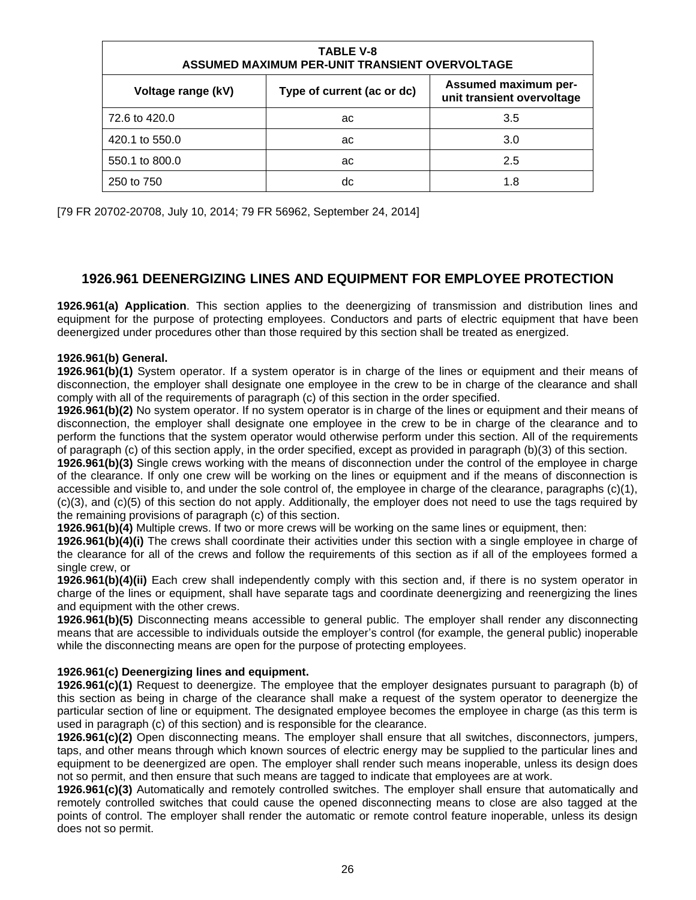| <b>TABLE V-8</b><br>ASSUMED MAXIMUM PER-UNIT TRANSIENT OVERVOLTAGE                                     |    |     |  |  |  |
|--------------------------------------------------------------------------------------------------------|----|-----|--|--|--|
| Assumed maximum per-<br>Type of current (ac or dc)<br>Voltage range (kV)<br>unit transient overvoltage |    |     |  |  |  |
| 72.6 to 420.0                                                                                          | ac | 3.5 |  |  |  |
| 420.1 to 550.0                                                                                         | ac | 3.0 |  |  |  |
| 550.1 to 800.0                                                                                         | ac | 2.5 |  |  |  |
| 250 to 750                                                                                             | dc | 1.8 |  |  |  |

[79 FR 20702-20708, July 10, 2014; 79 FR 56962, September 24, 2014]

# <span id="page-25-0"></span>**1926.961 DEENERGIZING LINES AND EQUIPMENT FOR EMPLOYEE PROTECTION**

**1926.961(a) Application**. This section applies to the deenergizing of transmission and distribution lines and equipment for the purpose of protecting employees. Conductors and parts of electric equipment that have been deenergized under procedures other than those required by this section shall be treated as energized.

### **1926.961(b) General.**

**1926.961(b)(1)** System operator. If a system operator is in charge of the lines or equipment and their means of disconnection, the employer shall designate one employee in the crew to be in charge of the clearance and shall comply with all of the requirements of paragraph (c) of this section in the order specified.

**1926.961(b)(2)** No system operator. If no system operator is in charge of the lines or equipment and their means of disconnection, the employer shall designate one employee in the crew to be in charge of the clearance and to perform the functions that the system operator would otherwise perform under this section. All of the requirements of paragraph (c) of this section apply, in the order specified, except as provided in paragraph (b)(3) of this section.

**1926.961(b)(3)** Single crews working with the means of disconnection under the control of the employee in charge of the clearance. If only one crew will be working on the lines or equipment and if the means of disconnection is accessible and visible to, and under the sole control of, the employee in charge of the clearance, paragraphs (c)(1), (c)(3), and (c)(5) of this section do not apply. Additionally, the employer does not need to use the tags required by the remaining provisions of paragraph (c) of this section.

**1926.961(b)(4)** Multiple crews. If two or more crews will be working on the same lines or equipment, then:

**1926.961(b)(4)(i)** The crews shall coordinate their activities under this section with a single employee in charge of the clearance for all of the crews and follow the requirements of this section as if all of the employees formed a single crew, or

**1926.961(b)(4)(ii)** Each crew shall independently comply with this section and, if there is no system operator in charge of the lines or equipment, shall have separate tags and coordinate deenergizing and reenergizing the lines and equipment with the other crews.

**1926.961(b)(5)** Disconnecting means accessible to general public. The employer shall render any disconnecting means that are accessible to individuals outside the employer's control (for example, the general public) inoperable while the disconnecting means are open for the purpose of protecting employees.

#### **1926.961(c) Deenergizing lines and equipment.**

**1926.961(c)(1)** Request to deenergize. The employee that the employer designates pursuant to paragraph (b) of this section as being in charge of the clearance shall make a request of the system operator to deenergize the particular section of line or equipment. The designated employee becomes the employee in charge (as this term is used in paragraph (c) of this section) and is responsible for the clearance.

**1926.961(c)(2)** Open disconnecting means. The employer shall ensure that all switches, disconnectors, jumpers, taps, and other means through which known sources of electric energy may be supplied to the particular lines and equipment to be deenergized are open. The employer shall render such means inoperable, unless its design does not so permit, and then ensure that such means are tagged to indicate that employees are at work.

**1926.961(c)(3)** Automatically and remotely controlled switches. The employer shall ensure that automatically and remotely controlled switches that could cause the opened disconnecting means to close are also tagged at the points of control. The employer shall render the automatic or remote control feature inoperable, unless its design does not so permit.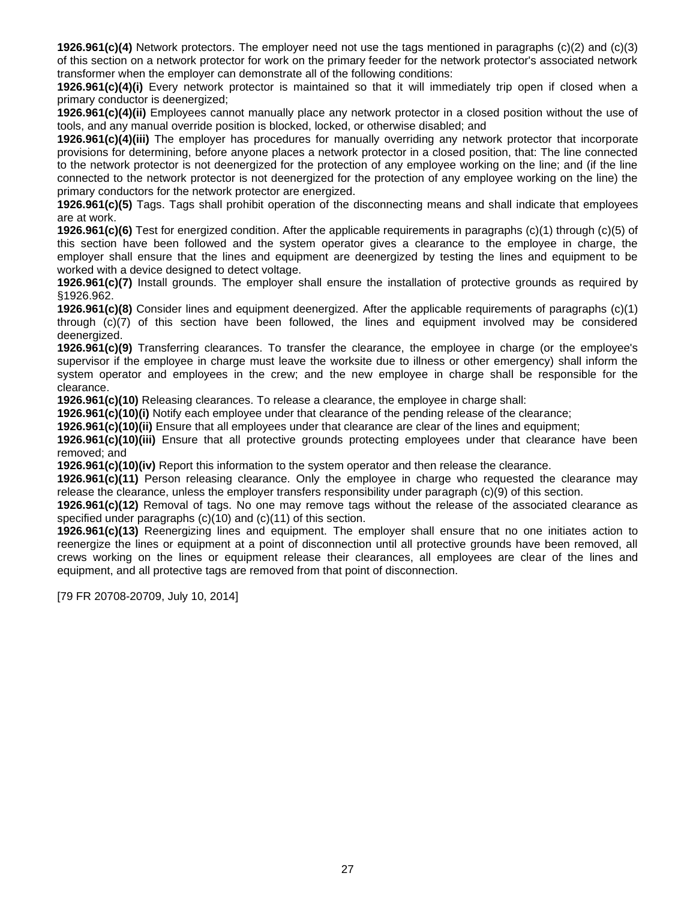**1926.961(c)(4)** Network protectors. The employer need not use the tags mentioned in paragraphs (c)(2) and (c)(3) of this section on a network protector for work on the primary feeder for the network protector's associated network transformer when the employer can demonstrate all of the following conditions:

**1926.961(c)(4)(i)** Every network protector is maintained so that it will immediately trip open if closed when a primary conductor is deenergized;

**1926.961(c)(4)(ii)** Employees cannot manually place any network protector in a closed position without the use of tools, and any manual override position is blocked, locked, or otherwise disabled; and

**1926.961(c)(4)(iii)** The employer has procedures for manually overriding any network protector that incorporate provisions for determining, before anyone places a network protector in a closed position, that: The line connected to the network protector is not deenergized for the protection of any employee working on the line; and (if the line connected to the network protector is not deenergized for the protection of any employee working on the line) the primary conductors for the network protector are energized.

**1926.961(c)(5)** Tags. Tags shall prohibit operation of the disconnecting means and shall indicate that employees are at work.

**1926.961(c)(6)** Test for energized condition. After the applicable requirements in paragraphs (c)(1) through (c)(5) of this section have been followed and the system operator gives a clearance to the employee in charge, the employer shall ensure that the lines and equipment are deenergized by testing the lines and equipment to be worked with a device designed to detect voltage.

**1926.961(c)(7)** Install grounds. The employer shall ensure the installation of protective grounds as required by §1926.962.

**1926.961(c)(8)** Consider lines and equipment deenergized. After the applicable requirements of paragraphs (c)(1) through (c)(7) of this section have been followed, the lines and equipment involved may be considered deenergized.

**1926.961(c)(9)** Transferring clearances. To transfer the clearance, the employee in charge (or the employee's supervisor if the employee in charge must leave the worksite due to illness or other emergency) shall inform the system operator and employees in the crew; and the new employee in charge shall be responsible for the clearance.

**1926.961(c)(10)** Releasing clearances. To release a clearance, the employee in charge shall:

**1926.961(c)(10)(i)** Notify each employee under that clearance of the pending release of the clearance;

**1926.961(c)(10)(ii)** Ensure that all employees under that clearance are clear of the lines and equipment;

**1926.961(c)(10)(iii)** Ensure that all protective grounds protecting employees under that clearance have been removed; and

**1926.961(c)(10)(iv)** Report this information to the system operator and then release the clearance.

**1926.961(c)(11)** Person releasing clearance. Only the employee in charge who requested the clearance may release the clearance, unless the employer transfers responsibility under paragraph (c)(9) of this section.

**1926.961(c)(12)** Removal of tags. No one may remove tags without the release of the associated clearance as specified under paragraphs (c)(10) and (c)(11) of this section.

**1926.961(c)(13)** Reenergizing lines and equipment. The employer shall ensure that no one initiates action to reenergize the lines or equipment at a point of disconnection until all protective grounds have been removed, all crews working on the lines or equipment release their clearances, all employees are clear of the lines and equipment, and all protective tags are removed from that point of disconnection.

[79 FR 20708-20709, July 10, 2014]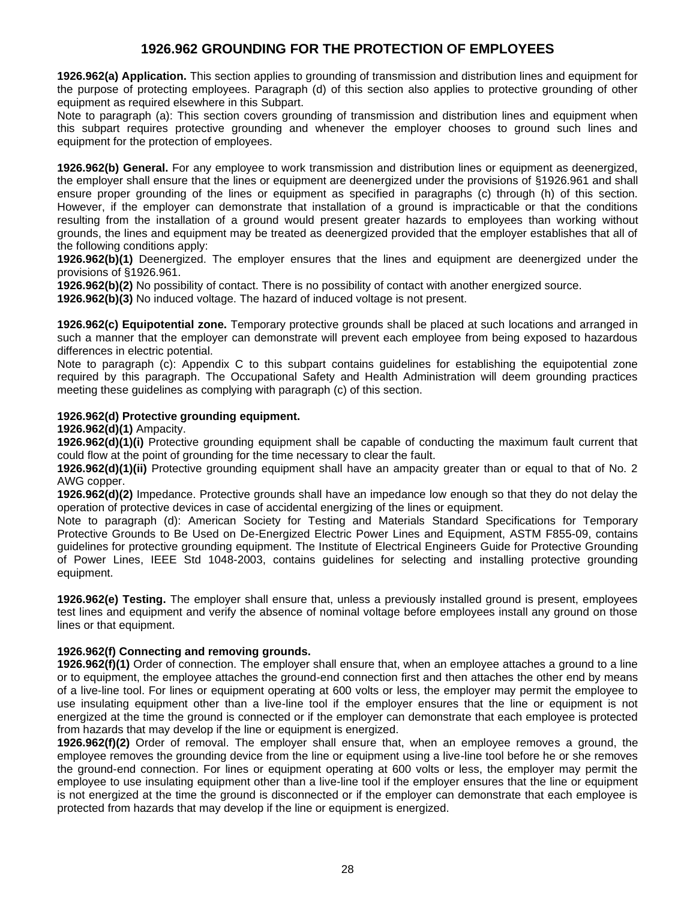# **1926.962 GROUNDING FOR THE PROTECTION OF EMPLOYEES**

<span id="page-27-0"></span>**1926.962(a) Application.** This section applies to grounding of transmission and distribution lines and equipment for the purpose of protecting employees. Paragraph (d) of this section also applies to protective grounding of other equipment as required elsewhere in this Subpart.

Note to paragraph (a): This section covers grounding of transmission and distribution lines and equipment when this subpart requires protective grounding and whenever the employer chooses to ground such lines and equipment for the protection of employees.

**1926.962(b) General.** For any employee to work transmission and distribution lines or equipment as deenergized, the employer shall ensure that the lines or equipment are deenergized under the provisions of §1926.961 and shall ensure proper grounding of the lines or equipment as specified in paragraphs (c) through (h) of this section. However, if the employer can demonstrate that installation of a ground is impracticable or that the conditions resulting from the installation of a ground would present greater hazards to employees than working without grounds, the lines and equipment may be treated as deenergized provided that the employer establishes that all of the following conditions apply:

**1926.962(b)(1)** Deenergized. The employer ensures that the lines and equipment are deenergized under the provisions of §1926.961.

**1926.962(b)(2)** No possibility of contact. There is no possibility of contact with another energized source.

**1926.962(b)(3)** No induced voltage. The hazard of induced voltage is not present.

**1926.962(c) Equipotential zone.** Temporary protective grounds shall be placed at such locations and arranged in such a manner that the employer can demonstrate will prevent each employee from being exposed to hazardous differences in electric potential.

Note to paragraph (c): Appendix C to this subpart contains guidelines for establishing the equipotential zone required by this paragraph. The Occupational Safety and Health Administration will deem grounding practices meeting these guidelines as complying with paragraph (c) of this section.

### **1926.962(d) Protective grounding equipment.**

**1926.962(d)(1)** Ampacity.

**1926.962(d)(1)(i)** Protective grounding equipment shall be capable of conducting the maximum fault current that could flow at the point of grounding for the time necessary to clear the fault.

**1926.962(d)(1)(ii)** Protective grounding equipment shall have an ampacity greater than or equal to that of No. 2 AWG copper.

**1926.962(d)(2)** Impedance. Protective grounds shall have an impedance low enough so that they do not delay the operation of protective devices in case of accidental energizing of the lines or equipment.

Note to paragraph (d): American Society for Testing and Materials Standard Specifications for Temporary Protective Grounds to Be Used on De-Energized Electric Power Lines and Equipment, ASTM F855-09, contains guidelines for protective grounding equipment. The Institute of Electrical Engineers Guide for Protective Grounding of Power Lines, IEEE Std 1048-2003, contains guidelines for selecting and installing protective grounding equipment.

**1926.962(e) Testing.** The employer shall ensure that, unless a previously installed ground is present, employees test lines and equipment and verify the absence of nominal voltage before employees install any ground on those lines or that equipment.

#### **1926.962(f) Connecting and removing grounds.**

**1926.962(f)(1)** Order of connection. The employer shall ensure that, when an employee attaches a ground to a line or to equipment, the employee attaches the ground-end connection first and then attaches the other end by means of a live-line tool. For lines or equipment operating at 600 volts or less, the employer may permit the employee to use insulating equipment other than a live-line tool if the employer ensures that the line or equipment is not energized at the time the ground is connected or if the employer can demonstrate that each employee is protected from hazards that may develop if the line or equipment is energized.

**1926.962(f)(2)** Order of removal. The employer shall ensure that, when an employee removes a ground, the employee removes the grounding device from the line or equipment using a live-line tool before he or she removes the ground-end connection. For lines or equipment operating at 600 volts or less, the employer may permit the employee to use insulating equipment other than a live-line tool if the employer ensures that the line or equipment is not energized at the time the ground is disconnected or if the employer can demonstrate that each employee is protected from hazards that may develop if the line or equipment is energized.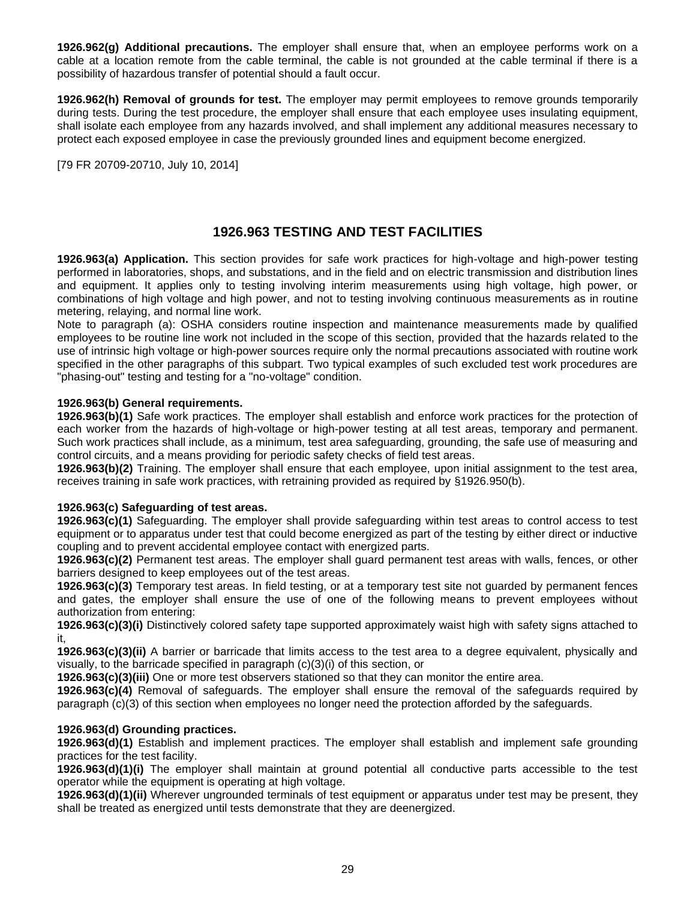**1926.962(g) Additional precautions.** The employer shall ensure that, when an employee performs work on a cable at a location remote from the cable terminal, the cable is not grounded at the cable terminal if there is a possibility of hazardous transfer of potential should a fault occur.

**1926.962(h) Removal of grounds for test.** The employer may permit employees to remove grounds temporarily during tests. During the test procedure, the employer shall ensure that each employee uses insulating equipment, shall isolate each employee from any hazards involved, and shall implement any additional measures necessary to protect each exposed employee in case the previously grounded lines and equipment become energized.

[79 FR 20709-20710, July 10, 2014]

### **1926.963 TESTING AND TEST FACILITIES**

<span id="page-28-0"></span>**1926.963(a) Application.** This section provides for safe work practices for high-voltage and high-power testing performed in laboratories, shops, and substations, and in the field and on electric transmission and distribution lines and equipment. It applies only to testing involving interim measurements using high voltage, high power, or combinations of high voltage and high power, and not to testing involving continuous measurements as in routine metering, relaying, and normal line work.

Note to paragraph (a): OSHA considers routine inspection and maintenance measurements made by qualified employees to be routine line work not included in the scope of this section, provided that the hazards related to the use of intrinsic high voltage or high-power sources require only the normal precautions associated with routine work specified in the other paragraphs of this subpart. Two typical examples of such excluded test work procedures are "phasing-out" testing and testing for a "no-voltage" condition.

#### **1926.963(b) General requirements.**

**1926.963(b)(1)** Safe work practices. The employer shall establish and enforce work practices for the protection of each worker from the hazards of high-voltage or high-power testing at all test areas, temporary and permanent. Such work practices shall include, as a minimum, test area safeguarding, grounding, the safe use of measuring and control circuits, and a means providing for periodic safety checks of field test areas.

**1926.963(b)(2)** Training. The employer shall ensure that each employee, upon initial assignment to the test area, receives training in safe work practices, with retraining provided as required by §1926.950(b).

#### **1926.963(c) Safeguarding of test areas.**

**1926.963(c)(1)** Safeguarding. The employer shall provide safeguarding within test areas to control access to test equipment or to apparatus under test that could become energized as part of the testing by either direct or inductive coupling and to prevent accidental employee contact with energized parts.

**1926.963(c)(2)** Permanent test areas. The employer shall guard permanent test areas with walls, fences, or other barriers designed to keep employees out of the test areas.

**1926.963(c)(3)** Temporary test areas. In field testing, or at a temporary test site not guarded by permanent fences and gates, the employer shall ensure the use of one of the following means to prevent employees without authorization from entering:

**1926.963(c)(3)(i)** Distinctively colored safety tape supported approximately waist high with safety signs attached to it,

**1926.963(c)(3)(ii)** A barrier or barricade that limits access to the test area to a degree equivalent, physically and visually, to the barricade specified in paragraph (c)(3)(i) of this section, or

**1926.963(c)(3)(iii)** One or more test observers stationed so that they can monitor the entire area.

**1926.963(c)(4)** Removal of safeguards. The employer shall ensure the removal of the safeguards required by paragraph (c)(3) of this section when employees no longer need the protection afforded by the safeguards.

#### **1926.963(d) Grounding practices.**

**1926.963(d)(1)** Establish and implement practices. The employer shall establish and implement safe grounding practices for the test facility.

**1926.963(d)(1)(i)** The employer shall maintain at ground potential all conductive parts accessible to the test operator while the equipment is operating at high voltage.

**1926.963(d)(1)(ii)** Wherever ungrounded terminals of test equipment or apparatus under test may be present, they shall be treated as energized until tests demonstrate that they are deenergized.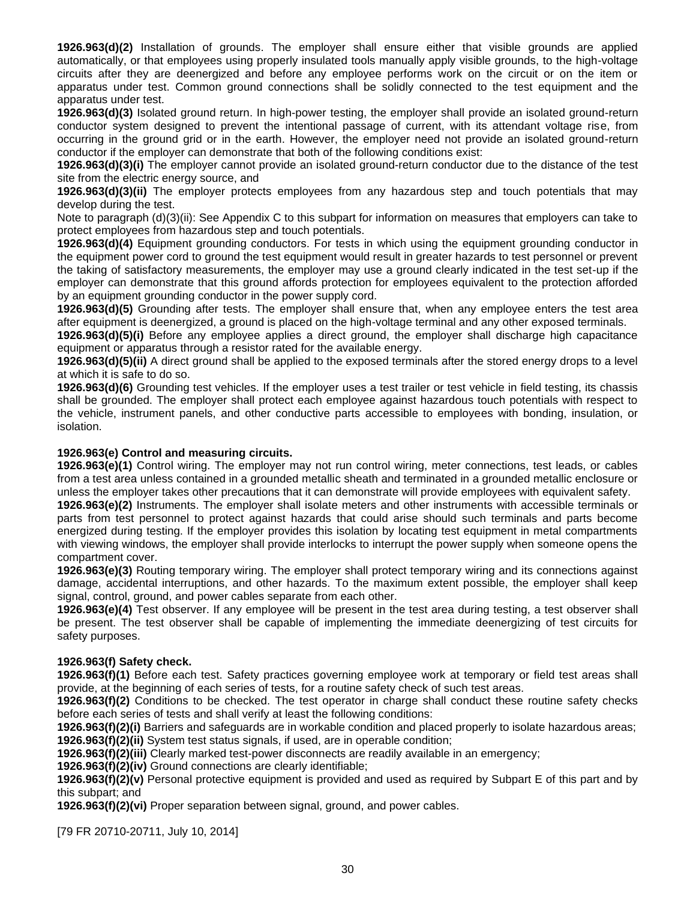**1926.963(d)(2)** Installation of grounds. The employer shall ensure either that visible grounds are applied automatically, or that employees using properly insulated tools manually apply visible grounds, to the high-voltage circuits after they are deenergized and before any employee performs work on the circuit or on the item or apparatus under test. Common ground connections shall be solidly connected to the test equipment and the apparatus under test.

**1926.963(d)(3)** Isolated ground return. In high-power testing, the employer shall provide an isolated ground-return conductor system designed to prevent the intentional passage of current, with its attendant voltage rise, from occurring in the ground grid or in the earth. However, the employer need not provide an isolated ground-return conductor if the employer can demonstrate that both of the following conditions exist:

**1926.963(d)(3)(i)** The employer cannot provide an isolated ground-return conductor due to the distance of the test site from the electric energy source, and

**1926.963(d)(3)(ii)** The employer protects employees from any hazardous step and touch potentials that may develop during the test.

Note to paragraph (d)(3)(ii): See Appendix C to this subpart for information on measures that employers can take to protect employees from hazardous step and touch potentials.

**1926.963(d)(4)** Equipment grounding conductors. For tests in which using the equipment grounding conductor in the equipment power cord to ground the test equipment would result in greater hazards to test personnel or prevent the taking of satisfactory measurements, the employer may use a ground clearly indicated in the test set-up if the employer can demonstrate that this ground affords protection for employees equivalent to the protection afforded by an equipment grounding conductor in the power supply cord.

**1926.963(d)(5)** Grounding after tests. The employer shall ensure that, when any employee enters the test area after equipment is deenergized, a ground is placed on the high-voltage terminal and any other exposed terminals.

**1926.963(d)(5)(i)** Before any employee applies a direct ground, the employer shall discharge high capacitance equipment or apparatus through a resistor rated for the available energy.

**1926.963(d)(5)(ii)** A direct ground shall be applied to the exposed terminals after the stored energy drops to a level at which it is safe to do so.

**1926.963(d)(6)** Grounding test vehicles. If the employer uses a test trailer or test vehicle in field testing, its chassis shall be grounded. The employer shall protect each employee against hazardous touch potentials with respect to the vehicle, instrument panels, and other conductive parts accessible to employees with bonding, insulation, or isolation.

#### **1926.963(e) Control and measuring circuits.**

**1926.963(e)(1)** Control wiring. The employer may not run control wiring, meter connections, test leads, or cables from a test area unless contained in a grounded metallic sheath and terminated in a grounded metallic enclosure or unless the employer takes other precautions that it can demonstrate will provide employees with equivalent safety.

**1926.963(e)(2)** Instruments. The employer shall isolate meters and other instruments with accessible terminals or parts from test personnel to protect against hazards that could arise should such terminals and parts become energized during testing. If the employer provides this isolation by locating test equipment in metal compartments with viewing windows, the employer shall provide interlocks to interrupt the power supply when someone opens the compartment cover.

**1926.963(e)(3)** Routing temporary wiring. The employer shall protect temporary wiring and its connections against damage, accidental interruptions, and other hazards. To the maximum extent possible, the employer shall keep signal, control, ground, and power cables separate from each other.

**1926.963(e)(4)** Test observer. If any employee will be present in the test area during testing, a test observer shall be present. The test observer shall be capable of implementing the immediate deenergizing of test circuits for safety purposes.

#### **1926.963(f) Safety check.**

**1926.963(f)(1)** Before each test. Safety practices governing employee work at temporary or field test areas shall provide, at the beginning of each series of tests, for a routine safety check of such test areas.

**1926.963(f)(2)** Conditions to be checked. The test operator in charge shall conduct these routine safety checks before each series of tests and shall verify at least the following conditions:

**1926.963(f)(2)(i)** Barriers and safeguards are in workable condition and placed properly to isolate hazardous areas; **1926.963(f)(2)(ii)** System test status signals, if used, are in operable condition;

**1926.963(f)(2)(iii)** Clearly marked test-power disconnects are readily available in an emergency;

**1926.963(f)(2)(iv)** Ground connections are clearly identifiable;

**1926.963(f)(2)(v)** Personal protective equipment is provided and used as required by Subpart E of this part and by this subpart; and

**1926.963(f)(2)(vi)** Proper separation between signal, ground, and power cables.

[79 FR 20710-20711, July 10, 2014]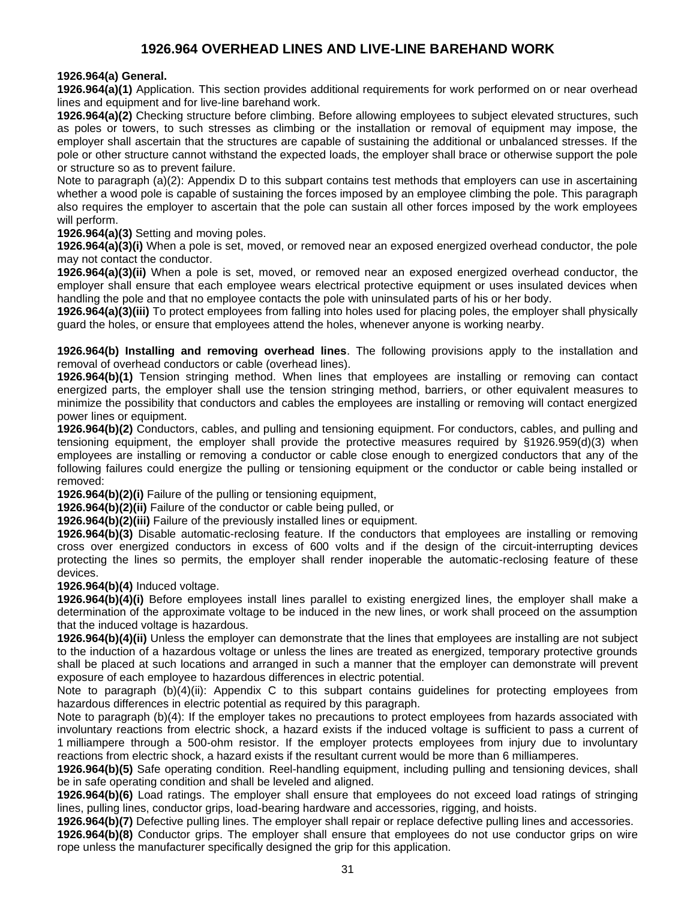# **1926.964 OVERHEAD LINES AND LIVE-LINE BAREHAND WORK**

### <span id="page-30-0"></span>**1926.964(a) General.**

**1926.964(a)(1)** Application. This section provides additional requirements for work performed on or near overhead lines and equipment and for live-line barehand work.

**1926.964(a)(2)** Checking structure before climbing. Before allowing employees to subject elevated structures, such as poles or towers, to such stresses as climbing or the installation or removal of equipment may impose, the employer shall ascertain that the structures are capable of sustaining the additional or unbalanced stresses. If the pole or other structure cannot withstand the expected loads, the employer shall brace or otherwise support the pole or structure so as to prevent failure.

Note to paragraph (a)(2): Appendix D to this subpart contains test methods that employers can use in ascertaining whether a wood pole is capable of sustaining the forces imposed by an employee climbing the pole. This paragraph also requires the employer to ascertain that the pole can sustain all other forces imposed by the work employees will perform.

**1926.964(a)(3)** Setting and moving poles.

**1926.964(a)(3)(i)** When a pole is set, moved, or removed near an exposed energized overhead conductor, the pole may not contact the conductor.

**1926.964(a)(3)(ii)** When a pole is set, moved, or removed near an exposed energized overhead conductor, the employer shall ensure that each employee wears electrical protective equipment or uses insulated devices when handling the pole and that no employee contacts the pole with uninsulated parts of his or her body.

**1926.964(a)(3)(iii)** To protect employees from falling into holes used for placing poles, the employer shall physically guard the holes, or ensure that employees attend the holes, whenever anyone is working nearby.

**1926.964(b) Installing and removing overhead lines**. The following provisions apply to the installation and removal of overhead conductors or cable (overhead lines).

**1926.964(b)(1)** Tension stringing method. When lines that employees are installing or removing can contact energized parts, the employer shall use the tension stringing method, barriers, or other equivalent measures to minimize the possibility that conductors and cables the employees are installing or removing will contact energized power lines or equipment.

**1926.964(b)(2)** Conductors, cables, and pulling and tensioning equipment. For conductors, cables, and pulling and tensioning equipment, the employer shall provide the protective measures required by §1926.959(d)(3) when employees are installing or removing a conductor or cable close enough to energized conductors that any of the following failures could energize the pulling or tensioning equipment or the conductor or cable being installed or removed:

**1926.964(b)(2)(i)** Failure of the pulling or tensioning equipment,

**1926.964(b)(2)(ii)** Failure of the conductor or cable being pulled, or

**1926.964(b)(2)(iii)** Failure of the previously installed lines or equipment.

**1926.964(b)(3)** Disable automatic-reclosing feature. If the conductors that employees are installing or removing cross over energized conductors in excess of 600 volts and if the design of the circuit-interrupting devices protecting the lines so permits, the employer shall render inoperable the automatic-reclosing feature of these devices.

**1926.964(b)(4)** Induced voltage.

**1926.964(b)(4)(i)** Before employees install lines parallel to existing energized lines, the employer shall make a determination of the approximate voltage to be induced in the new lines, or work shall proceed on the assumption that the induced voltage is hazardous.

**1926.964(b)(4)(ii)** Unless the employer can demonstrate that the lines that employees are installing are not subject to the induction of a hazardous voltage or unless the lines are treated as energized, temporary protective grounds shall be placed at such locations and arranged in such a manner that the employer can demonstrate will prevent exposure of each employee to hazardous differences in electric potential.

Note to paragraph (b)(4)(ii): Appendix C to this subpart contains guidelines for protecting employees from hazardous differences in electric potential as required by this paragraph.

Note to paragraph (b)(4): If the employer takes no precautions to protect employees from hazards associated with involuntary reactions from electric shock, a hazard exists if the induced voltage is sufficient to pass a current of 1 milliampere through a 500-ohm resistor. If the employer protects employees from injury due to involuntary reactions from electric shock, a hazard exists if the resultant current would be more than 6 milliamperes.

**1926.964(b)(5)** Safe operating condition. Reel-handling equipment, including pulling and tensioning devices, shall be in safe operating condition and shall be leveled and aligned.

**1926.964(b)(6)** Load ratings. The employer shall ensure that employees do not exceed load ratings of stringing lines, pulling lines, conductor grips, load-bearing hardware and accessories, rigging, and hoists.

**1926.964(b)(7)** Defective pulling lines. The employer shall repair or replace defective pulling lines and accessories. **1926.964(b)(8)** Conductor grips. The employer shall ensure that employees do not use conductor grips on wire rope unless the manufacturer specifically designed the grip for this application.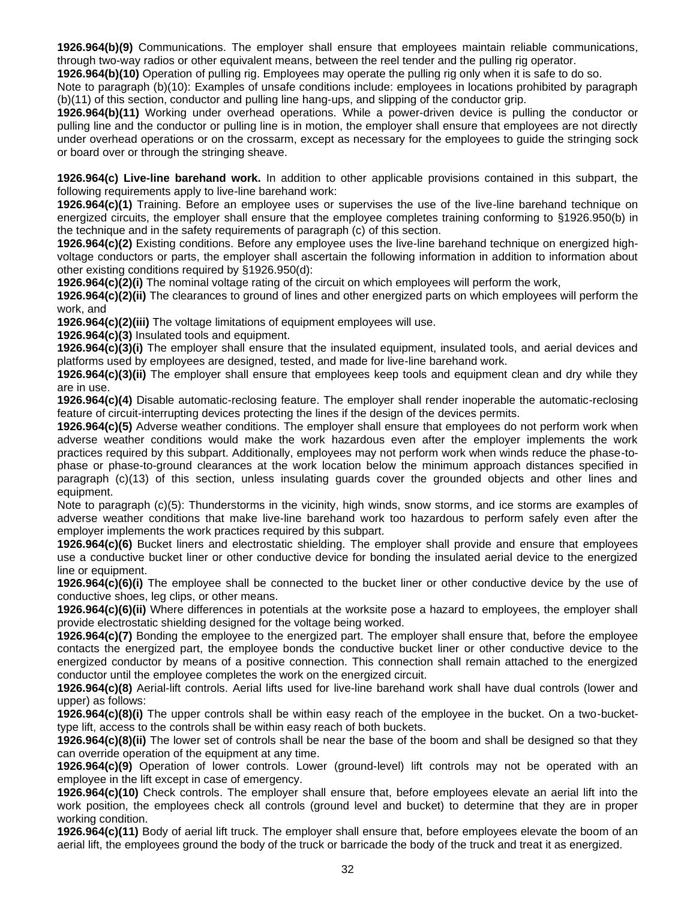**1926.964(b)(9)** Communications. The employer shall ensure that employees maintain reliable communications, through two-way radios or other equivalent means, between the reel tender and the pulling rig operator.

**1926.964(b)(10)** Operation of pulling rig. Employees may operate the pulling rig only when it is safe to do so.

Note to paragraph (b)(10): Examples of unsafe conditions include: employees in locations prohibited by paragraph (b)(11) of this section, conductor and pulling line hang-ups, and slipping of the conductor grip.

**1926.964(b)(11)** Working under overhead operations. While a power-driven device is pulling the conductor or pulling line and the conductor or pulling line is in motion, the employer shall ensure that employees are not directly under overhead operations or on the crossarm, except as necessary for the employees to guide the stringing sock or board over or through the stringing sheave.

**1926.964(c) Live-line barehand work.** In addition to other applicable provisions contained in this subpart, the following requirements apply to live-line barehand work:

**1926.964(c)(1)** Training. Before an employee uses or supervises the use of the live-line barehand technique on energized circuits, the employer shall ensure that the employee completes training conforming to §1926.950(b) in the technique and in the safety requirements of paragraph (c) of this section.

**1926.964(c)(2)** Existing conditions. Before any employee uses the live-line barehand technique on energized highvoltage conductors or parts, the employer shall ascertain the following information in addition to information about other existing conditions required by §1926.950(d):

**1926.964(c)(2)(i)** The nominal voltage rating of the circuit on which employees will perform the work,

**1926.964(c)(2)(ii)** The clearances to ground of lines and other energized parts on which employees will perform the work, and

**1926.964(c)(2)(iii)** The voltage limitations of equipment employees will use.

**1926.964(c)(3)** Insulated tools and equipment.

**1926.964(c)(3)(i)** The employer shall ensure that the insulated equipment, insulated tools, and aerial devices and platforms used by employees are designed, tested, and made for live-line barehand work.

**1926.964(c)(3)(ii)** The employer shall ensure that employees keep tools and equipment clean and dry while they are in use.

**1926.964(c)(4)** Disable automatic-reclosing feature. The employer shall render inoperable the automatic-reclosing feature of circuit-interrupting devices protecting the lines if the design of the devices permits.

**1926.964(c)(5)** Adverse weather conditions. The employer shall ensure that employees do not perform work when adverse weather conditions would make the work hazardous even after the employer implements the work practices required by this subpart. Additionally, employees may not perform work when winds reduce the phase-tophase or phase-to-ground clearances at the work location below the minimum approach distances specified in paragraph (c)(13) of this section, unless insulating guards cover the grounded objects and other lines and equipment.

Note to paragraph (c)(5): Thunderstorms in the vicinity, high winds, snow storms, and ice storms are examples of adverse weather conditions that make live-line barehand work too hazardous to perform safely even after the employer implements the work practices required by this subpart.

**1926.964(c)(6)** Bucket liners and electrostatic shielding. The employer shall provide and ensure that employees use a conductive bucket liner or other conductive device for bonding the insulated aerial device to the energized line or equipment.

**1926.964(c)(6)(i)** The employee shall be connected to the bucket liner or other conductive device by the use of conductive shoes, leg clips, or other means.

**1926.964(c)(6)(ii)** Where differences in potentials at the worksite pose a hazard to employees, the employer shall provide electrostatic shielding designed for the voltage being worked.

**1926.964(c)(7)** Bonding the employee to the energized part. The employer shall ensure that, before the employee contacts the energized part, the employee bonds the conductive bucket liner or other conductive device to the energized conductor by means of a positive connection. This connection shall remain attached to the energized conductor until the employee completes the work on the energized circuit.

**1926.964(c)(8)** Aerial-lift controls. Aerial lifts used for live-line barehand work shall have dual controls (lower and upper) as follows:

**1926.964(c)(8)(i)** The upper controls shall be within easy reach of the employee in the bucket. On a two-buckettype lift, access to the controls shall be within easy reach of both buckets.

**1926.964(c)(8)(ii)** The lower set of controls shall be near the base of the boom and shall be designed so that they can override operation of the equipment at any time.

**1926.964(c)(9)** Operation of lower controls. Lower (ground-level) lift controls may not be operated with an employee in the lift except in case of emergency.

**1926.964(c)(10)** Check controls. The employer shall ensure that, before employees elevate an aerial lift into the work position, the employees check all controls (ground level and bucket) to determine that they are in proper working condition.

**1926.964(c)(11)** Body of aerial lift truck. The employer shall ensure that, before employees elevate the boom of an aerial lift, the employees ground the body of the truck or barricade the body of the truck and treat it as energized.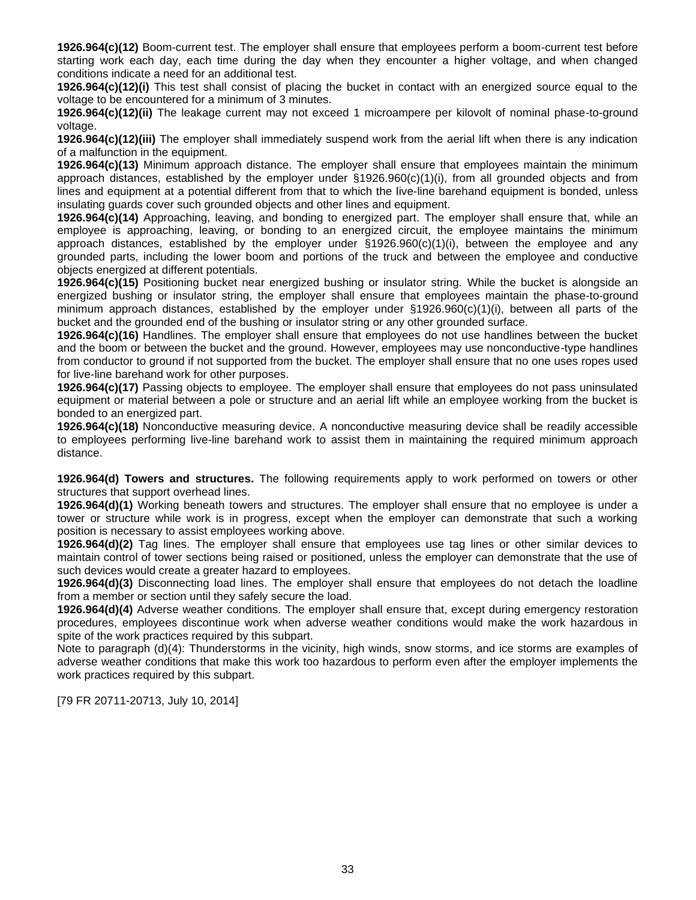**1926.964(c)(12)** Boom-current test. The employer shall ensure that employees perform a boom-current test before starting work each day, each time during the day when they encounter a higher voltage, and when changed conditions indicate a need for an additional test.

**1926.964(c)(12)(i)** This test shall consist of placing the bucket in contact with an energized source equal to the voltage to be encountered for a minimum of 3 minutes.

**1926.964(c)(12)(ii)** The leakage current may not exceed 1 microampere per kilovolt of nominal phase-to-ground voltage.

**1926.964(c)(12)(iii)** The employer shall immediately suspend work from the aerial lift when there is any indication of a malfunction in the equipment.

**1926.964(c)(13)** Minimum approach distance. The employer shall ensure that employees maintain the minimum approach distances, established by the employer under §1926.960(c)(1)(i), from all grounded objects and from lines and equipment at a potential different from that to which the live-line barehand equipment is bonded, unless insulating guards cover such grounded objects and other lines and equipment.

**1926.964(c)(14)** Approaching, leaving, and bonding to energized part. The employer shall ensure that, while an employee is approaching, leaving, or bonding to an energized circuit, the employee maintains the minimum approach distances, established by the employer under §1926.960(c)(1)(i), between the employee and any grounded parts, including the lower boom and portions of the truck and between the employee and conductive objects energized at different potentials.

**1926.964(c)(15)** Positioning bucket near energized bushing or insulator string. While the bucket is alongside an energized bushing or insulator string, the employer shall ensure that employees maintain the phase-to-ground minimum approach distances, established by the employer under §1926.960(c)(1)(i), between all parts of the bucket and the grounded end of the bushing or insulator string or any other grounded surface.

**1926.964(c)(16)** Handlines. The employer shall ensure that employees do not use handlines between the bucket and the boom or between the bucket and the ground. However, employees may use nonconductive-type handlines from conductor to ground if not supported from the bucket. The employer shall ensure that no one uses ropes used for live-line barehand work for other purposes.

**1926.964(c)(17)** Passing objects to employee. The employer shall ensure that employees do not pass uninsulated equipment or material between a pole or structure and an aerial lift while an employee working from the bucket is bonded to an energized part.

**1926.964(c)(18)** Nonconductive measuring device. A nonconductive measuring device shall be readily accessible to employees performing live-line barehand work to assist them in maintaining the required minimum approach distance.

**1926.964(d) Towers and structures.** The following requirements apply to work performed on towers or other structures that support overhead lines.

**1926.964(d)(1)** Working beneath towers and structures. The employer shall ensure that no employee is under a tower or structure while work is in progress, except when the employer can demonstrate that such a working position is necessary to assist employees working above.

**1926.964(d)(2)** Tag lines. The employer shall ensure that employees use tag lines or other similar devices to maintain control of tower sections being raised or positioned, unless the employer can demonstrate that the use of such devices would create a greater hazard to employees.

**1926.964(d)(3)** Disconnecting load lines. The employer shall ensure that employees do not detach the loadline from a member or section until they safely secure the load.

**1926.964(d)(4)** Adverse weather conditions. The employer shall ensure that, except during emergency restoration procedures, employees discontinue work when adverse weather conditions would make the work hazardous in spite of the work practices required by this subpart.

Note to paragraph (d)(4): Thunderstorms in the vicinity, high winds, snow storms, and ice storms are examples of adverse weather conditions that make this work too hazardous to perform even after the employer implements the work practices required by this subpart.

[79 FR 20711-20713, July 10, 2014]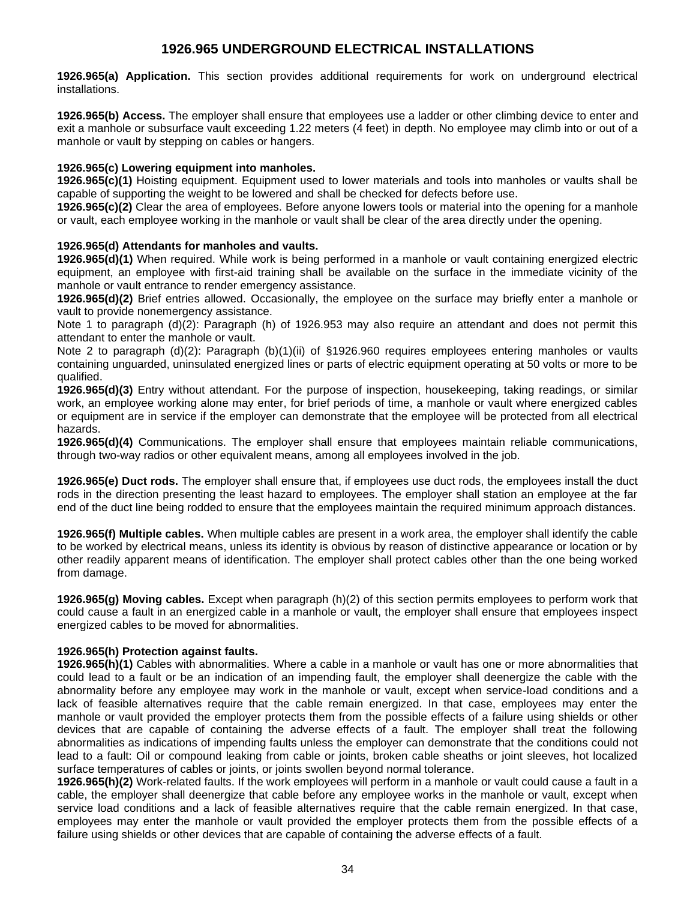# **1926.965 UNDERGROUND ELECTRICAL INSTALLATIONS**

<span id="page-33-0"></span>**1926.965(a) Application.** This section provides additional requirements for work on underground electrical installations.

**1926.965(b) Access.** The employer shall ensure that employees use a ladder or other climbing device to enter and exit a manhole or subsurface vault exceeding 1.22 meters (4 feet) in depth. No employee may climb into or out of a manhole or vault by stepping on cables or hangers.

### **1926.965(c) Lowering equipment into manholes.**

**1926.965(c)(1)** Hoisting equipment. Equipment used to lower materials and tools into manholes or vaults shall be capable of supporting the weight to be lowered and shall be checked for defects before use.

**1926.965(c)(2)** Clear the area of employees. Before anyone lowers tools or material into the opening for a manhole or vault, each employee working in the manhole or vault shall be clear of the area directly under the opening.

### **1926.965(d) Attendants for manholes and vaults.**

**1926.965(d)(1)** When required. While work is being performed in a manhole or vault containing energized electric equipment, an employee with first-aid training shall be available on the surface in the immediate vicinity of the manhole or vault entrance to render emergency assistance.

**1926.965(d)(2)** Brief entries allowed. Occasionally, the employee on the surface may briefly enter a manhole or vault to provide nonemergency assistance.

Note 1 to paragraph (d)(2): Paragraph (h) of 1926.953 may also require an attendant and does not permit this attendant to enter the manhole or vault.

Note 2 to paragraph (d)(2): Paragraph (b)(1)(ii) of §1926.960 requires employees entering manholes or vaults containing unguarded, uninsulated energized lines or parts of electric equipment operating at 50 volts or more to be qualified.

**1926.965(d)(3)** Entry without attendant. For the purpose of inspection, housekeeping, taking readings, or similar work, an employee working alone may enter, for brief periods of time, a manhole or vault where energized cables or equipment are in service if the employer can demonstrate that the employee will be protected from all electrical hazards.

**1926.965(d)(4)** Communications. The employer shall ensure that employees maintain reliable communications, through two-way radios or other equivalent means, among all employees involved in the job.

**1926.965(e) Duct rods.** The employer shall ensure that, if employees use duct rods, the employees install the duct rods in the direction presenting the least hazard to employees. The employer shall station an employee at the far end of the duct line being rodded to ensure that the employees maintain the required minimum approach distances.

**1926.965(f) Multiple cables.** When multiple cables are present in a work area, the employer shall identify the cable to be worked by electrical means, unless its identity is obvious by reason of distinctive appearance or location or by other readily apparent means of identification. The employer shall protect cables other than the one being worked from damage.

**1926.965(g) Moving cables.** Except when paragraph (h)(2) of this section permits employees to perform work that could cause a fault in an energized cable in a manhole or vault, the employer shall ensure that employees inspect energized cables to be moved for abnormalities.

#### **1926.965(h) Protection against faults.**

**1926.965(h)(1)** Cables with abnormalities. Where a cable in a manhole or vault has one or more abnormalities that could lead to a fault or be an indication of an impending fault, the employer shall deenergize the cable with the abnormality before any employee may work in the manhole or vault, except when service-load conditions and a lack of feasible alternatives require that the cable remain energized. In that case, employees may enter the manhole or vault provided the employer protects them from the possible effects of a failure using shields or other devices that are capable of containing the adverse effects of a fault. The employer shall treat the following abnormalities as indications of impending faults unless the employer can demonstrate that the conditions could not lead to a fault: Oil or compound leaking from cable or joints, broken cable sheaths or joint sleeves, hot localized surface temperatures of cables or joints, or joints swollen beyond normal tolerance.

**1926.965(h)(2)** Work-related faults. If the work employees will perform in a manhole or vault could cause a fault in a cable, the employer shall deenergize that cable before any employee works in the manhole or vault, except when service load conditions and a lack of feasible alternatives require that the cable remain energized. In that case, employees may enter the manhole or vault provided the employer protects them from the possible effects of a failure using shields or other devices that are capable of containing the adverse effects of a fault.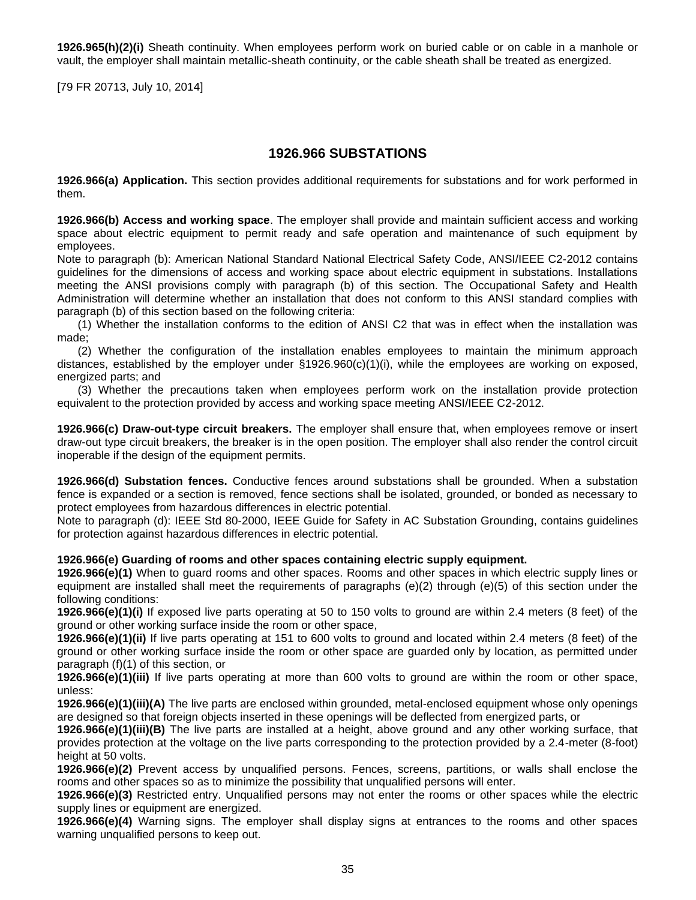**1926.965(h)(2)(i)** Sheath continuity. When employees perform work on buried cable or on cable in a manhole or vault, the employer shall maintain metallic-sheath continuity, or the cable sheath shall be treated as energized.

[79 FR 20713, July 10, 2014]

### **1926.966 SUBSTATIONS**

<span id="page-34-0"></span>**1926.966(a) Application.** This section provides additional requirements for substations and for work performed in them.

**1926.966(b) Access and working space**. The employer shall provide and maintain sufficient access and working space about electric equipment to permit ready and safe operation and maintenance of such equipment by employees.

Note to paragraph (b): American National Standard National Electrical Safety Code, ANSI/IEEE C2-2012 contains guidelines for the dimensions of access and working space about electric equipment in substations. Installations meeting the ANSI provisions comply with paragraph (b) of this section. The Occupational Safety and Health Administration will determine whether an installation that does not conform to this ANSI standard complies with paragraph (b) of this section based on the following criteria:

(1) Whether the installation conforms to the edition of ANSI C2 that was in effect when the installation was made;

(2) Whether the configuration of the installation enables employees to maintain the minimum approach distances, established by the employer under §1926.960(c)(1)(i), while the employees are working on exposed, energized parts; and

(3) Whether the precautions taken when employees perform work on the installation provide protection equivalent to the protection provided by access and working space meeting ANSI/IEEE C2-2012.

**1926.966(c) Draw-out-type circuit breakers.** The employer shall ensure that, when employees remove or insert draw-out type circuit breakers, the breaker is in the open position. The employer shall also render the control circuit inoperable if the design of the equipment permits.

**1926.966(d) Substation fences.** Conductive fences around substations shall be grounded. When a substation fence is expanded or a section is removed, fence sections shall be isolated, grounded, or bonded as necessary to protect employees from hazardous differences in electric potential.

Note to paragraph (d): IEEE Std 80-2000, IEEE Guide for Safety in AC Substation Grounding, contains guidelines for protection against hazardous differences in electric potential.

#### **1926.966(e) Guarding of rooms and other spaces containing electric supply equipment.**

**1926.966(e)(1)** When to guard rooms and other spaces. Rooms and other spaces in which electric supply lines or equipment are installed shall meet the requirements of paragraphs (e)(2) through (e)(5) of this section under the following conditions:

**1926.966(e)(1)(i)** If exposed live parts operating at 50 to 150 volts to ground are within 2.4 meters (8 feet) of the ground or other working surface inside the room or other space,

**1926.966(e)(1)(ii)** If live parts operating at 151 to 600 volts to ground and located within 2.4 meters (8 feet) of the ground or other working surface inside the room or other space are guarded only by location, as permitted under paragraph (f)(1) of this section, or

**1926.966(e)(1)(iii)** If live parts operating at more than 600 volts to ground are within the room or other space, unless:

**1926.966(e)(1)(iii)(A)** The live parts are enclosed within grounded, metal-enclosed equipment whose only openings are designed so that foreign objects inserted in these openings will be deflected from energized parts, or

**1926.966(e)(1)(iii)(B)** The live parts are installed at a height, above ground and any other working surface, that provides protection at the voltage on the live parts corresponding to the protection provided by a 2.4-meter (8-foot) height at 50 volts.

**1926.966(e)(2)** Prevent access by unqualified persons. Fences, screens, partitions, or walls shall enclose the rooms and other spaces so as to minimize the possibility that unqualified persons will enter.

**1926.966(e)(3)** Restricted entry. Unqualified persons may not enter the rooms or other spaces while the electric supply lines or equipment are energized.

**1926.966(e)(4)** Warning signs. The employer shall display signs at entrances to the rooms and other spaces warning unqualified persons to keep out.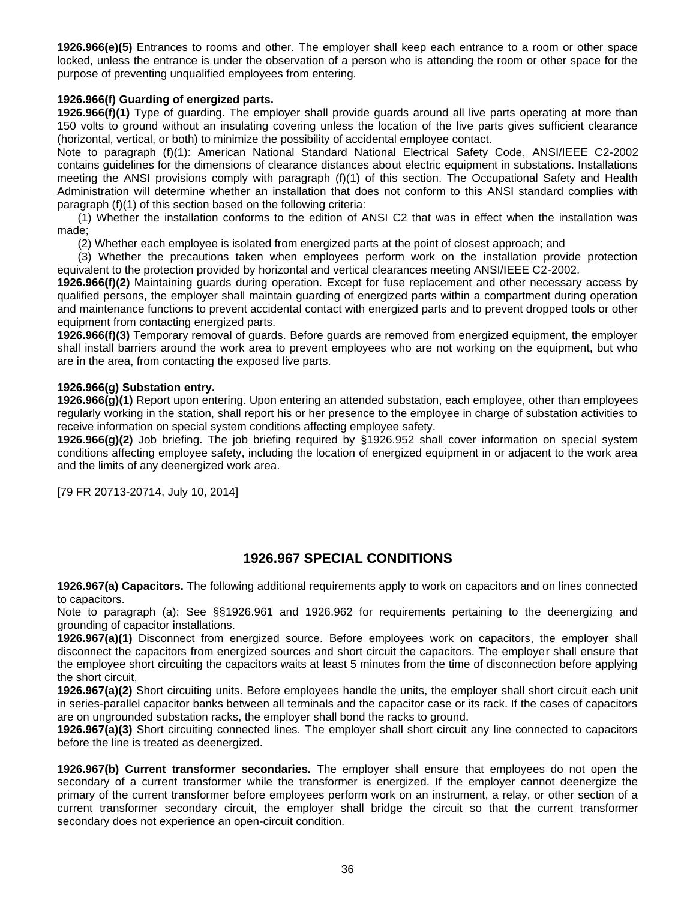**1926.966(e)(5)** Entrances to rooms and other. The employer shall keep each entrance to a room or other space locked, unless the entrance is under the observation of a person who is attending the room or other space for the purpose of preventing unqualified employees from entering.

### **1926.966(f) Guarding of energized parts.**

**1926.966(f)(1)** Type of guarding. The employer shall provide guards around all live parts operating at more than 150 volts to ground without an insulating covering unless the location of the live parts gives sufficient clearance (horizontal, vertical, or both) to minimize the possibility of accidental employee contact.

Note to paragraph (f)(1): American National Standard National Electrical Safety Code, ANSI/IEEE C2-2002 contains guidelines for the dimensions of clearance distances about electric equipment in substations. Installations meeting the ANSI provisions comply with paragraph (f)(1) of this section. The Occupational Safety and Health Administration will determine whether an installation that does not conform to this ANSI standard complies with paragraph (f)(1) of this section based on the following criteria:

(1) Whether the installation conforms to the edition of ANSI C2 that was in effect when the installation was made;

(2) Whether each employee is isolated from energized parts at the point of closest approach; and

(3) Whether the precautions taken when employees perform work on the installation provide protection equivalent to the protection provided by horizontal and vertical clearances meeting ANSI/IEEE C2-2002.

**1926.966(f)(2)** Maintaining guards during operation. Except for fuse replacement and other necessary access by qualified persons, the employer shall maintain guarding of energized parts within a compartment during operation and maintenance functions to prevent accidental contact with energized parts and to prevent dropped tools or other equipment from contacting energized parts.

**1926.966(f)(3)** Temporary removal of guards. Before guards are removed from energized equipment, the employer shall install barriers around the work area to prevent employees who are not working on the equipment, but who are in the area, from contacting the exposed live parts.

#### **1926.966(g) Substation entry.**

**1926.966(g)(1)** Report upon entering. Upon entering an attended substation, each employee, other than employees regularly working in the station, shall report his or her presence to the employee in charge of substation activities to receive information on special system conditions affecting employee safety.

**1926.966(g)(2)** Job briefing. The job briefing required by §1926.952 shall cover information on special system conditions affecting employee safety, including the location of energized equipment in or adjacent to the work area and the limits of any deenergized work area.

[79 FR 20713-20714, July 10, 2014]

# **1926.967 SPECIAL CONDITIONS**

<span id="page-35-0"></span>**1926.967(a) Capacitors.** The following additional requirements apply to work on capacitors and on lines connected to capacitors.

Note to paragraph (a): See §§1926.961 and 1926.962 for requirements pertaining to the deenergizing and grounding of capacitor installations.

**1926.967(a)(1)** Disconnect from energized source. Before employees work on capacitors, the employer shall disconnect the capacitors from energized sources and short circuit the capacitors. The employer shall ensure that the employee short circuiting the capacitors waits at least 5 minutes from the time of disconnection before applying the short circuit,

**1926.967(a)(2)** Short circuiting units. Before employees handle the units, the employer shall short circuit each unit in series-parallel capacitor banks between all terminals and the capacitor case or its rack. If the cases of capacitors are on ungrounded substation racks, the employer shall bond the racks to ground.

**1926.967(a)(3)** Short circuiting connected lines. The employer shall short circuit any line connected to capacitors before the line is treated as deenergized.

**1926.967(b) Current transformer secondaries.** The employer shall ensure that employees do not open the secondary of a current transformer while the transformer is energized. If the employer cannot deenergize the primary of the current transformer before employees perform work on an instrument, a relay, or other section of a current transformer secondary circuit, the employer shall bridge the circuit so that the current transformer secondary does not experience an open-circuit condition.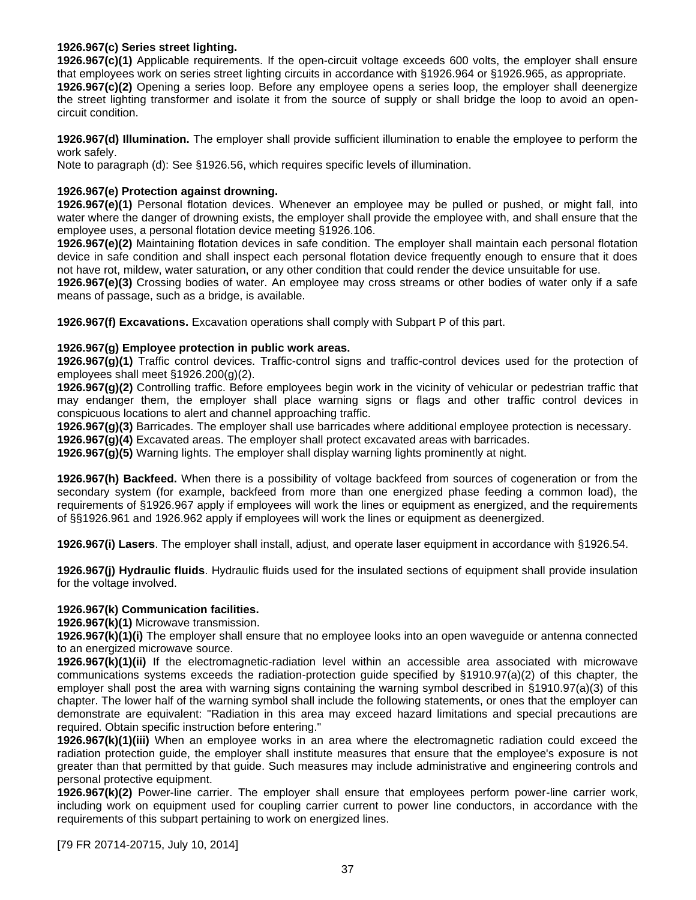## **1926.967(c) Series street lighting.**

**1926.967(c)(1)** Applicable requirements. If the open-circuit voltage exceeds 600 volts, the employer shall ensure that employees work on series street lighting circuits in accordance with §1926.964 or §1926.965, as appropriate. **1926.967(c)(2)** Opening a series loop. Before any employee opens a series loop, the employer shall deenergize the street lighting transformer and isolate it from the source of supply or shall bridge the loop to avoid an opencircuit condition.

**1926.967(d) Illumination.** The employer shall provide sufficient illumination to enable the employee to perform the work safely.

Note to paragraph (d): See §1926.56, which requires specific levels of illumination.

## **1926.967(e) Protection against drowning.**

**1926.967(e)(1)** Personal flotation devices. Whenever an employee may be pulled or pushed, or might fall, into water where the danger of drowning exists, the employer shall provide the employee with, and shall ensure that the employee uses, a personal flotation device meeting §1926.106.

**1926.967(e)(2)** Maintaining flotation devices in safe condition. The employer shall maintain each personal flotation device in safe condition and shall inspect each personal flotation device frequently enough to ensure that it does not have rot, mildew, water saturation, or any other condition that could render the device unsuitable for use.

**1926.967(e)(3)** Crossing bodies of water. An employee may cross streams or other bodies of water only if a safe means of passage, such as a bridge, is available.

**1926.967(f) Excavations.** Excavation operations shall comply with Subpart P of this part.

## **1926.967(g) Employee protection in public work areas.**

**1926.967(g)(1)** Traffic control devices. Traffic-control signs and traffic-control devices used for the protection of employees shall meet §1926.200(g)(2).

**1926.967(g)(2)** Controlling traffic. Before employees begin work in the vicinity of vehicular or pedestrian traffic that may endanger them, the employer shall place warning signs or flags and other traffic control devices in conspicuous locations to alert and channel approaching traffic.

**1926.967(g)(3)** Barricades. The employer shall use barricades where additional employee protection is necessary.

**1926.967(g)(4)** Excavated areas. The employer shall protect excavated areas with barricades.

**1926.967(g)(5)** Warning lights. The employer shall display warning lights prominently at night.

**1926.967(h) Backfeed.** When there is a possibility of voltage backfeed from sources of cogeneration or from the secondary system (for example, backfeed from more than one energized phase feeding a common load), the requirements of §1926.967 apply if employees will work the lines or equipment as energized, and the requirements of §§1926.961 and 1926.962 apply if employees will work the lines or equipment as deenergized.

**1926.967(i) Lasers**. The employer shall install, adjust, and operate laser equipment in accordance with §1926.54.

**1926.967(j) Hydraulic fluids**. Hydraulic fluids used for the insulated sections of equipment shall provide insulation for the voltage involved.

## **1926.967(k) Communication facilities.**

**1926.967(k)(1)** Microwave transmission.

**1926.967(k)(1)(i)** The employer shall ensure that no employee looks into an open waveguide or antenna connected to an energized microwave source.

**1926.967(k)(1)(ii)** If the electromagnetic-radiation level within an accessible area associated with microwave communications systems exceeds the radiation-protection guide specified by §1910.97(a)(2) of this chapter, the employer shall post the area with warning signs containing the warning symbol described in §1910.97(a)(3) of this chapter. The lower half of the warning symbol shall include the following statements, or ones that the employer can demonstrate are equivalent: "Radiation in this area may exceed hazard limitations and special precautions are required. Obtain specific instruction before entering."

**1926.967(k)(1)(iii)** When an employee works in an area where the electromagnetic radiation could exceed the radiation protection guide, the employer shall institute measures that ensure that the employee's exposure is not greater than that permitted by that guide. Such measures may include administrative and engineering controls and personal protective equipment.

**1926.967(k)(2)** Power-line carrier. The employer shall ensure that employees perform power-line carrier work, including work on equipment used for coupling carrier current to power line conductors, in accordance with the requirements of this subpart pertaining to work on energized lines.

[79 FR 20714-20715, July 10, 2014]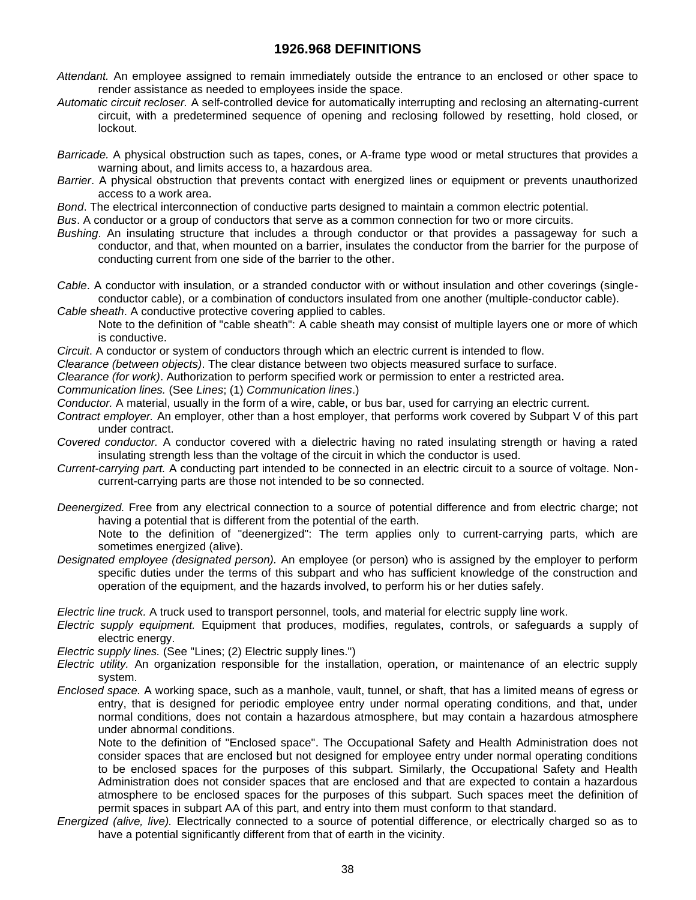# **1926.968 DEFINITIONS**

- *Attendant.* An employee assigned to remain immediately outside the entrance to an enclosed or other space to render assistance as needed to employees inside the space.
- *Automatic circuit recloser.* A self-controlled device for automatically interrupting and reclosing an alternating-current circuit, with a predetermined sequence of opening and reclosing followed by resetting, hold closed, or lockout.
- *Barricade.* A physical obstruction such as tapes, cones, or A-frame type wood or metal structures that provides a warning about, and limits access to, a hazardous area.
- *Barrier*. A physical obstruction that prevents contact with energized lines or equipment or prevents unauthorized access to a work area.

*Bond*. The electrical interconnection of conductive parts designed to maintain a common electric potential.

*Bus*. A conductor or a group of conductors that serve as a common connection for two or more circuits.

- *Bushing*. An insulating structure that includes a through conductor or that provides a passageway for such a conductor, and that, when mounted on a barrier, insulates the conductor from the barrier for the purpose of conducting current from one side of the barrier to the other.
- *Cable*. A conductor with insulation, or a stranded conductor with or without insulation and other coverings (singleconductor cable), or a combination of conductors insulated from one another (multiple-conductor cable).
- *Cable sheath*. A conductive protective covering applied to cables.

Note to the definition of "cable sheath": A cable sheath may consist of multiple layers one or more of which is conductive.

*Circuit*. A conductor or system of conductors through which an electric current is intended to flow.

*Clearance (between objects)*. The clear distance between two objects measured surface to surface.

*Clearance (for work)*. Authorization to perform specified work or permission to enter a restricted area.

*Communication lines.* (See *Lines*; (1) *Communication lines*.)

*Conductor.* A material, usually in the form of a wire, cable, or bus bar, used for carrying an electric current.

- *Contract employer.* An employer, other than a host employer, that performs work covered by Subpart V of this part under contract.
- *Covered conductor.* A conductor covered with a dielectric having no rated insulating strength or having a rated insulating strength less than the voltage of the circuit in which the conductor is used.
- *Current-carrying part.* A conducting part intended to be connected in an electric circuit to a source of voltage. Noncurrent-carrying parts are those not intended to be so connected.
- *Deenergized.* Free from any electrical connection to a source of potential difference and from electric charge; not having a potential that is different from the potential of the earth.

Note to the definition of "deenergized": The term applies only to current-carrying parts, which are sometimes energized (alive).

*Designated employee (designated person).* An employee (or person) who is assigned by the employer to perform specific duties under the terms of this subpart and who has sufficient knowledge of the construction and operation of the equipment, and the hazards involved, to perform his or her duties safely.

*Electric line truck.* A truck used to transport personnel, tools, and material for electric supply line work.

*Electric supply equipment.* Equipment that produces, modifies, regulates, controls, or safeguards a supply of electric energy.

*Electric supply lines.* (See "Lines; (2) Electric supply lines.")

- *Electric utility.* An organization responsible for the installation, operation, or maintenance of an electric supply system.
- *Enclosed space.* A working space, such as a manhole, vault, tunnel, or shaft, that has a limited means of egress or entry, that is designed for periodic employee entry under normal operating conditions, and that, under normal conditions, does not contain a hazardous atmosphere, but may contain a hazardous atmosphere under abnormal conditions.

Note to the definition of "Enclosed space". The Occupational Safety and Health Administration does not consider spaces that are enclosed but not designed for employee entry under normal operating conditions to be enclosed spaces for the purposes of this subpart. Similarly, the Occupational Safety and Health Administration does not consider spaces that are enclosed and that are expected to contain a hazardous atmosphere to be enclosed spaces for the purposes of this subpart. Such spaces meet the definition of permit spaces in subpart AA of this part, and entry into them must conform to that standard.

*Energized (alive, live).* Electrically connected to a source of potential difference, or electrically charged so as to have a potential significantly different from that of earth in the vicinity.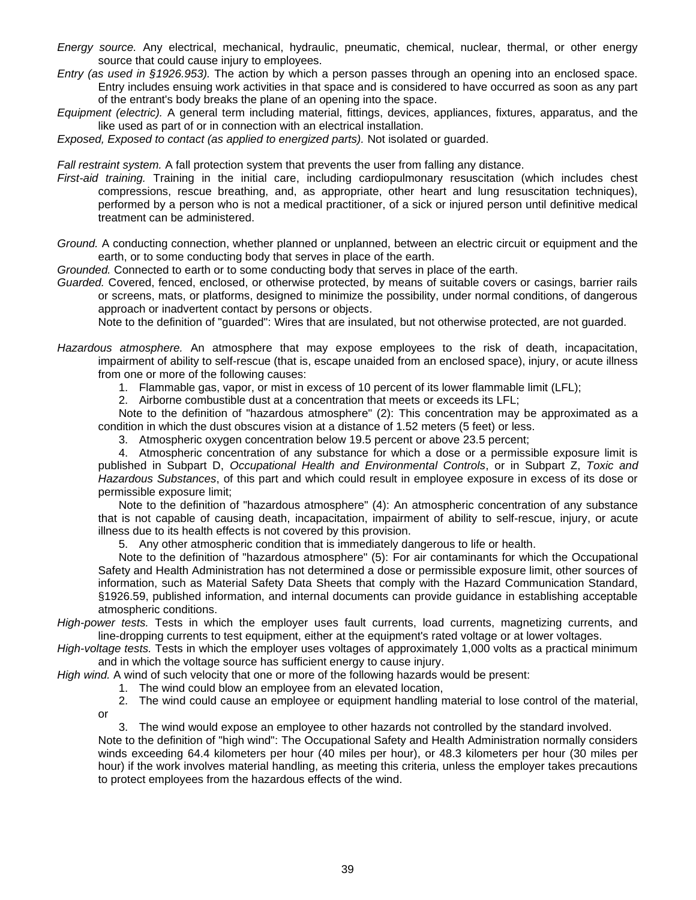- *Energy source.* Any electrical, mechanical, hydraulic, pneumatic, chemical, nuclear, thermal, or other energy source that could cause injury to employees.
- *Entry (as used in §1926.953).* The action by which a person passes through an opening into an enclosed space. Entry includes ensuing work activities in that space and is considered to have occurred as soon as any part of the entrant's body breaks the plane of an opening into the space.
- *Equipment (electric).* A general term including material, fittings, devices, appliances, fixtures, apparatus, and the like used as part of or in connection with an electrical installation.

*Exposed, Exposed to contact (as applied to energized parts).* Not isolated or guarded.

*Fall restraint system.* A fall protection system that prevents the user from falling any distance.

- *First-aid training.* Training in the initial care, including cardiopulmonary resuscitation (which includes chest compressions, rescue breathing, and, as appropriate, other heart and lung resuscitation techniques), performed by a person who is not a medical practitioner, of a sick or injured person until definitive medical treatment can be administered.
- *Ground.* A conducting connection, whether planned or unplanned, between an electric circuit or equipment and the earth, or to some conducting body that serves in place of the earth.

*Grounded.* Connected to earth or to some conducting body that serves in place of the earth.

*Guarded.* Covered, fenced, enclosed, or otherwise protected, by means of suitable covers or casings, barrier rails or screens, mats, or platforms, designed to minimize the possibility, under normal conditions, of dangerous approach or inadvertent contact by persons or objects.

Note to the definition of "guarded": Wires that are insulated, but not otherwise protected, are not guarded.

- *Hazardous atmosphere.* An atmosphere that may expose employees to the risk of death, incapacitation, impairment of ability to self-rescue (that is, escape unaided from an enclosed space), injury, or acute illness from one or more of the following causes:
	- 1. Flammable gas, vapor, or mist in excess of 10 percent of its lower flammable limit (LFL);
	- 2. Airborne combustible dust at a concentration that meets or exceeds its LFL;

Note to the definition of "hazardous atmosphere" (2): This concentration may be approximated as a condition in which the dust obscures vision at a distance of 1.52 meters (5 feet) or less.

3. Atmospheric oxygen concentration below 19.5 percent or above 23.5 percent;

4. Atmospheric concentration of any substance for which a dose or a permissible exposure limit is published in Subpart D, *Occupational Health and Environmental Controls*, or in Subpart Z, *Toxic and Hazardous Substances*, of this part and which could result in employee exposure in excess of its dose or permissible exposure limit;

Note to the definition of "hazardous atmosphere" (4): An atmospheric concentration of any substance that is not capable of causing death, incapacitation, impairment of ability to self-rescue, injury, or acute illness due to its health effects is not covered by this provision.

5. Any other atmospheric condition that is immediately dangerous to life or health.

Note to the definition of "hazardous atmosphere" (5): For air contaminants for which the Occupational Safety and Health Administration has not determined a dose or permissible exposure limit, other sources of information, such as Material Safety Data Sheets that comply with the Hazard Communication Standard, §1926.59, published information, and internal documents can provide guidance in establishing acceptable atmospheric conditions.

*High-power tests.* Tests in which the employer uses fault currents, load currents, magnetizing currents, and line-dropping currents to test equipment, either at the equipment's rated voltage or at lower voltages.

*High-voltage tests.* Tests in which the employer uses voltages of approximately 1,000 volts as a practical minimum and in which the voltage source has sufficient energy to cause injury.

*High wind.* A wind of such velocity that one or more of the following hazards would be present:

1. The wind could blow an employee from an elevated location,

2. The wind could cause an employee or equipment handling material to lose control of the material,

or

3. The wind would expose an employee to other hazards not controlled by the standard involved. Note to the definition of "high wind": The Occupational Safety and Health Administration normally considers

winds exceeding 64.4 kilometers per hour (40 miles per hour), or 48.3 kilometers per hour (30 miles per hour) if the work involves material handling, as meeting this criteria, unless the employer takes precautions to protect employees from the hazardous effects of the wind.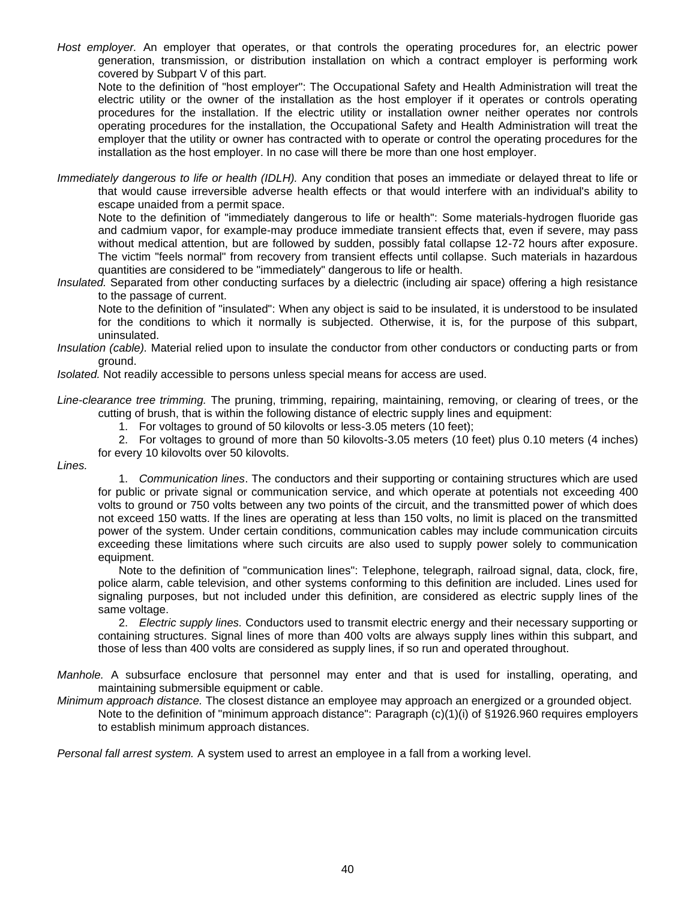*Host employer.* An employer that operates, or that controls the operating procedures for, an electric power generation, transmission, or distribution installation on which a contract employer is performing work covered by Subpart V of this part.

Note to the definition of "host employer": The Occupational Safety and Health Administration will treat the electric utility or the owner of the installation as the host employer if it operates or controls operating procedures for the installation. If the electric utility or installation owner neither operates nor controls operating procedures for the installation, the Occupational Safety and Health Administration will treat the employer that the utility or owner has contracted with to operate or control the operating procedures for the installation as the host employer. In no case will there be more than one host employer.

*Immediately dangerous to life or health (IDLH).* Any condition that poses an immediate or delayed threat to life or that would cause irreversible adverse health effects or that would interfere with an individual's ability to escape unaided from a permit space.

Note to the definition of "immediately dangerous to life or health": Some materials-hydrogen fluoride gas and cadmium vapor, for example-may produce immediate transient effects that, even if severe, may pass without medical attention, but are followed by sudden, possibly fatal collapse 12-72 hours after exposure. The victim "feels normal" from recovery from transient effects until collapse. Such materials in hazardous quantities are considered to be "immediately" dangerous to life or health.

*Insulated.* Separated from other conducting surfaces by a dielectric (including air space) offering a high resistance to the passage of current.

Note to the definition of "insulated": When any object is said to be insulated, it is understood to be insulated for the conditions to which it normally is subjected. Otherwise, it is, for the purpose of this subpart, uninsulated.

*Insulation (cable).* Material relied upon to insulate the conductor from other conductors or conducting parts or from ground.

## *Isolated.* Not readily accessible to persons unless special means for access are used.

- *Line-clearance tree trimming.* The pruning, trimming, repairing, maintaining, removing, or clearing of trees, or the cutting of brush, that is within the following distance of electric supply lines and equipment:
	- 1. For voltages to ground of 50 kilovolts or less-3.05 meters (10 feet);

2. For voltages to ground of more than 50 kilovolts-3.05 meters (10 feet) plus 0.10 meters (4 inches) for every 10 kilovolts over 50 kilovolts.

*Lines.*

1. *Communication lines*. The conductors and their supporting or containing structures which are used for public or private signal or communication service, and which operate at potentials not exceeding 400 volts to ground or 750 volts between any two points of the circuit, and the transmitted power of which does not exceed 150 watts. If the lines are operating at less than 150 volts, no limit is placed on the transmitted power of the system. Under certain conditions, communication cables may include communication circuits exceeding these limitations where such circuits are also used to supply power solely to communication equipment.

Note to the definition of "communication lines": Telephone, telegraph, railroad signal, data, clock, fire, police alarm, cable television, and other systems conforming to this definition are included. Lines used for signaling purposes, but not included under this definition, are considered as electric supply lines of the same voltage.

2. *Electric supply lines.* Conductors used to transmit electric energy and their necessary supporting or containing structures. Signal lines of more than 400 volts are always supply lines within this subpart, and those of less than 400 volts are considered as supply lines, if so run and operated throughout.

*Manhole.* A subsurface enclosure that personnel may enter and that is used for installing, operating, and maintaining submersible equipment or cable.

*Minimum approach distance.* The closest distance an employee may approach an energized or a grounded object.

Note to the definition of "minimum approach distance": Paragraph (c)(1)(i) of §1926.960 requires employers to establish minimum approach distances.

*Personal fall arrest system.* A system used to arrest an employee in a fall from a working level.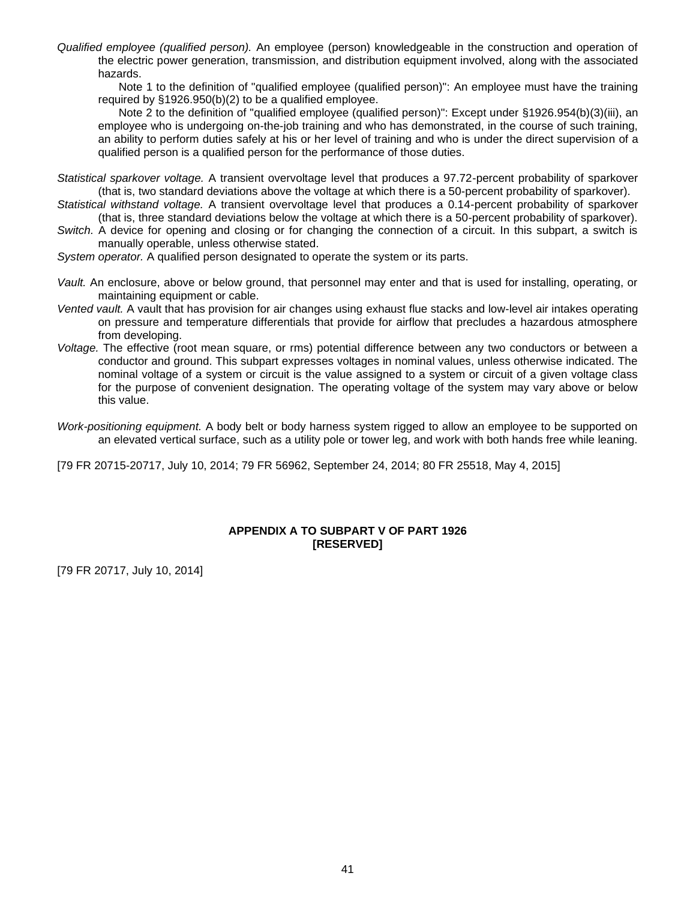*Qualified employee (qualified person).* An employee (person) knowledgeable in the construction and operation of the electric power generation, transmission, and distribution equipment involved, along with the associated hazards.

Note 1 to the definition of "qualified employee (qualified person)": An employee must have the training required by §1926.950(b)(2) to be a qualified employee.

Note 2 to the definition of "qualified employee (qualified person)": Except under §1926.954(b)(3)(iii), an employee who is undergoing on-the-job training and who has demonstrated, in the course of such training, an ability to perform duties safely at his or her level of training and who is under the direct supervision of a qualified person is a qualified person for the performance of those duties.

*Statistical sparkover voltage.* A transient overvoltage level that produces a 97.72-percent probability of sparkover (that is, two standard deviations above the voltage at which there is a 50-percent probability of sparkover).

- *Statistical withstand voltage.* A transient overvoltage level that produces a 0.14-percent probability of sparkover (that is, three standard deviations below the voltage at which there is a 50-percent probability of sparkover).
- *Switch.* A device for opening and closing or for changing the connection of a circuit. In this subpart, a switch is manually operable, unless otherwise stated.

*System operator.* A qualified person designated to operate the system or its parts.

- *Vault.* An enclosure, above or below ground, that personnel may enter and that is used for installing, operating, or maintaining equipment or cable.
- *Vented vault.* A vault that has provision for air changes using exhaust flue stacks and low-level air intakes operating on pressure and temperature differentials that provide for airflow that precludes a hazardous atmosphere from developing.
- *Voltage.* The effective (root mean square, or rms) potential difference between any two conductors or between a conductor and ground. This subpart expresses voltages in nominal values, unless otherwise indicated. The nominal voltage of a system or circuit is the value assigned to a system or circuit of a given voltage class for the purpose of convenient designation. The operating voltage of the system may vary above or below this value.

*Work-positioning equipment.* A body belt or body harness system rigged to allow an employee to be supported on an elevated vertical surface, such as a utility pole or tower leg, and work with both hands free while leaning.

[79 FR 20715-20717, July 10, 2014; 79 FR 56962, September 24, 2014; 80 FR 25518, May 4, 2015]

# **APPENDIX A TO SUBPART V OF PART 1926 [RESERVED]**

[79 FR 20717, July 10, 2014]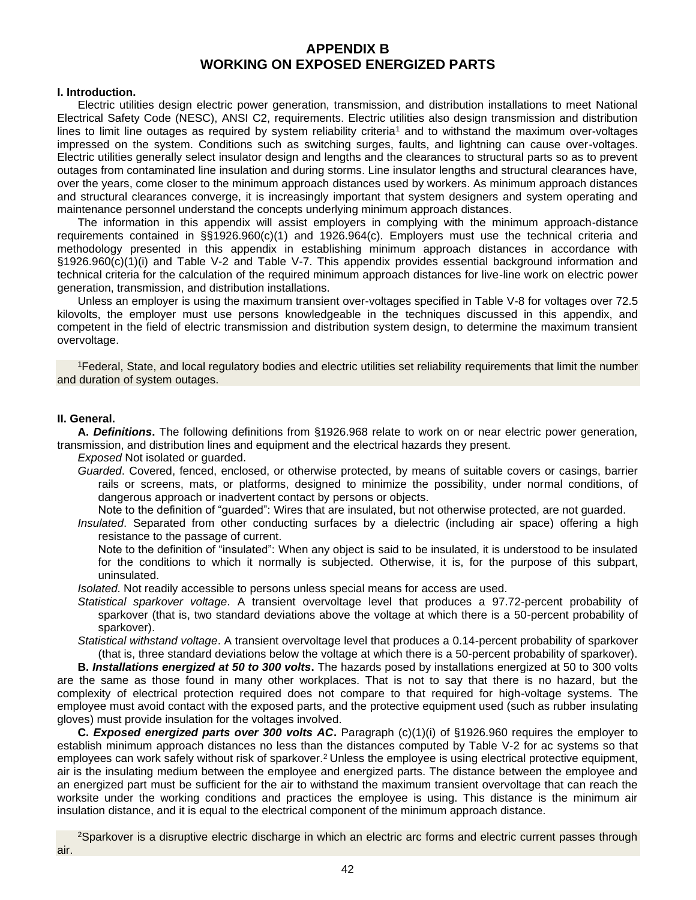# **APPENDIX B WORKING ON EXPOSED ENERGIZED PARTS**

## **I. Introduction.**

Electric utilities design electric power generation, transmission, and distribution installations to meet National Electrical Safety Code (NESC), ANSI C2, requirements. Electric utilities also design transmission and distribution lines to limit line outages as required by system reliability criteria<sup>1</sup> and to withstand the maximum over-voltages impressed on the system. Conditions such as switching surges, faults, and lightning can cause over-voltages. Electric utilities generally select insulator design and lengths and the clearances to structural parts so as to prevent outages from contaminated line insulation and during storms. Line insulator lengths and structural clearances have, over the years, come closer to the minimum approach distances used by workers. As minimum approach distances and structural clearances converge, it is increasingly important that system designers and system operating and maintenance personnel understand the concepts underlying minimum approach distances.

The information in this appendix will assist employers in complying with the minimum approach-distance requirements contained in §§1926.960(c)(1) and 1926.964(c). Employers must use the technical criteria and methodology presented in this appendix in establishing minimum approach distances in accordance with §1926.960(c)(1)(i) and Table V-2 and Table V-7. This appendix provides essential background information and technical criteria for the calculation of the required minimum approach distances for live-line work on electric power generation, transmission, and distribution installations.

Unless an employer is using the maximum transient over-voltages specified in Table V-8 for voltages over 72.5 kilovolts, the employer must use persons knowledgeable in the techniques discussed in this appendix, and competent in the field of electric transmission and distribution system design, to determine the maximum transient overvoltage.

<sup>1</sup>Federal, State, and local regulatory bodies and electric utilities set reliability requirements that limit the number and duration of system outages.

## **II. General.**

**A.** *Definitions***.** The following definitions from §1926.968 relate to work on or near electric power generation, transmission, and distribution lines and equipment and the electrical hazards they present.

*Exposed* Not isolated or guarded.

*Guarded*. Covered, fenced, enclosed, or otherwise protected, by means of suitable covers or casings, barrier rails or screens, mats, or platforms, designed to minimize the possibility, under normal conditions, of dangerous approach or inadvertent contact by persons or objects.

Note to the definition of "guarded": Wires that are insulated, but not otherwise protected, are not guarded.

*Insulated*. Separated from other conducting surfaces by a dielectric (including air space) offering a high resistance to the passage of current.

Note to the definition of "insulated": When any object is said to be insulated, it is understood to be insulated for the conditions to which it normally is subjected. Otherwise, it is, for the purpose of this subpart, uninsulated.

*Isolated*. Not readily accessible to persons unless special means for access are used.

*Statistical sparkover voltage*. A transient overvoltage level that produces a 97.72-percent probability of sparkover (that is, two standard deviations above the voltage at which there is a 50-percent probability of sparkover).

*Statistical withstand voltage*. A transient overvoltage level that produces a 0.14-percent probability of sparkover (that is, three standard deviations below the voltage at which there is a 50-percent probability of sparkover).

**B.** *Installations energized at 50 to 300 volts***.** The hazards posed by installations energized at 50 to 300 volts are the same as those found in many other workplaces. That is not to say that there is no hazard, but the complexity of electrical protection required does not compare to that required for high-voltage systems. The employee must avoid contact with the exposed parts, and the protective equipment used (such as rubber insulating gloves) must provide insulation for the voltages involved.

**C.** *Exposed energized parts over 300 volts AC***.** Paragraph (c)(1)(i) of §1926.960 requires the employer to establish minimum approach distances no less than the distances computed by Table V-2 for ac systems so that employees can work safely without risk of sparkover.<sup>2</sup> Unless the employee is using electrical protective equipment, air is the insulating medium between the employee and energized parts. The distance between the employee and an energized part must be sufficient for the air to withstand the maximum transient overvoltage that can reach the worksite under the working conditions and practices the employee is using. This distance is the minimum air insulation distance, and it is equal to the electrical component of the minimum approach distance.

<sup>2</sup>Sparkover is a disruptive electric discharge in which an electric arc forms and electric current passes through air.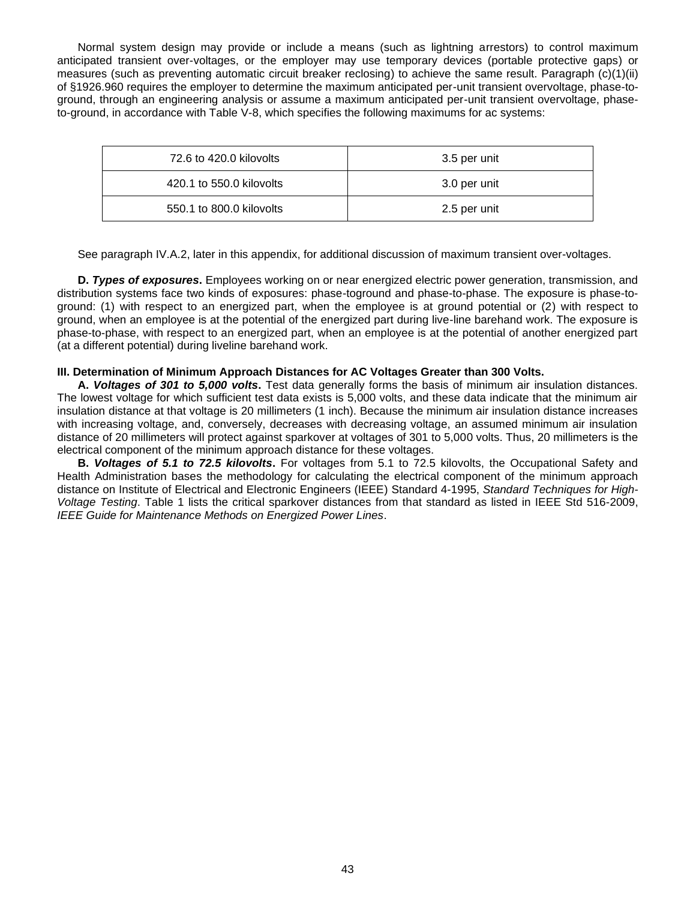Normal system design may provide or include a means (such as lightning arrestors) to control maximum anticipated transient over-voltages, or the employer may use temporary devices (portable protective gaps) or measures (such as preventing automatic circuit breaker reclosing) to achieve the same result. Paragraph (c)(1)(ii) of §1926.960 requires the employer to determine the maximum anticipated per-unit transient overvoltage, phase-toground, through an engineering analysis or assume a maximum anticipated per-unit transient overvoltage, phaseto-ground, in accordance with Table V-8, which specifies the following maximums for ac systems:

| 72.6 to 420.0 kilovolts  | 3.5 per unit |
|--------------------------|--------------|
| 420.1 to 550.0 kilovolts | 3.0 per unit |
| 550.1 to 800.0 kilovolts | 2.5 per unit |

See paragraph IV.A.2, later in this appendix, for additional discussion of maximum transient over-voltages.

**D.** *Types of exposures***.** Employees working on or near energized electric power generation, transmission, and distribution systems face two kinds of exposures: phase-toground and phase-to-phase. The exposure is phase-toground: (1) with respect to an energized part, when the employee is at ground potential or (2) with respect to ground, when an employee is at the potential of the energized part during live-line barehand work. The exposure is phase-to-phase, with respect to an energized part, when an employee is at the potential of another energized part (at a different potential) during liveline barehand work.

## **III. Determination of Minimum Approach Distances for AC Voltages Greater than 300 Volts.**

**A.** *Voltages of 301 to 5,000 volts***.** Test data generally forms the basis of minimum air insulation distances. The lowest voltage for which sufficient test data exists is 5,000 volts, and these data indicate that the minimum air insulation distance at that voltage is 20 millimeters (1 inch). Because the minimum air insulation distance increases with increasing voltage, and, conversely, decreases with decreasing voltage, an assumed minimum air insulation distance of 20 millimeters will protect against sparkover at voltages of 301 to 5,000 volts. Thus, 20 millimeters is the electrical component of the minimum approach distance for these voltages.

**B.** *Voltages of 5.1 to 72.5 kilovolts***.** For voltages from 5.1 to 72.5 kilovolts, the Occupational Safety and Health Administration bases the methodology for calculating the electrical component of the minimum approach distance on Institute of Electrical and Electronic Engineers (IEEE) Standard 4-1995, *Standard Techniques for High-Voltage Testing*. Table 1 lists the critical sparkover distances from that standard as listed in IEEE Std 516-2009, *IEEE Guide for Maintenance Methods on Energized Power Lines*.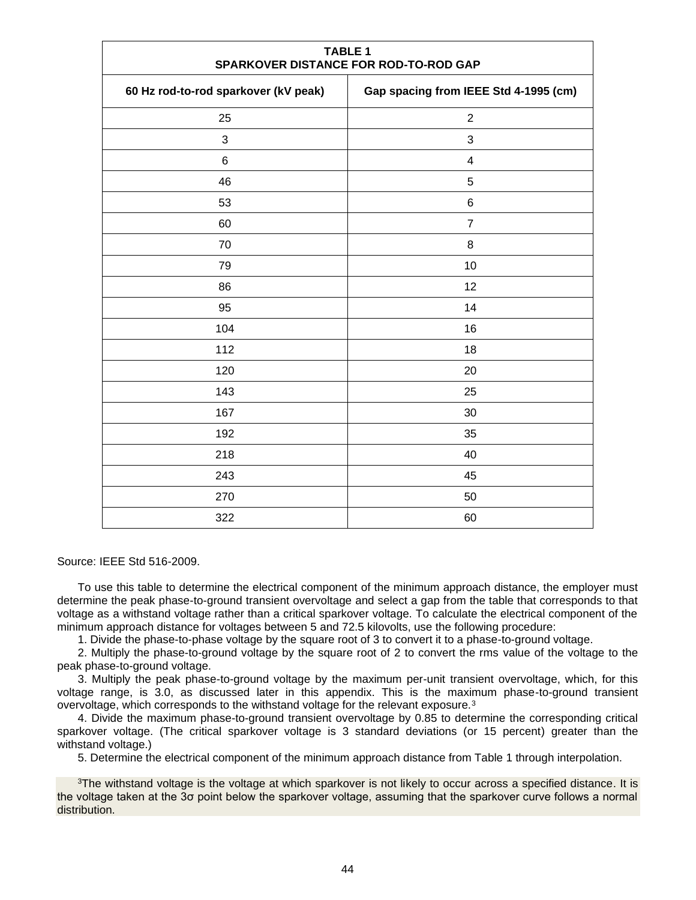| <b>TABLE 1</b><br>SPARKOVER DISTANCE FOR ROD-TO-ROD GAP |                                       |  |  |  |  |
|---------------------------------------------------------|---------------------------------------|--|--|--|--|
| 60 Hz rod-to-rod sparkover (kV peak)                    | Gap spacing from IEEE Std 4-1995 (cm) |  |  |  |  |
| 25                                                      | $\overline{2}$                        |  |  |  |  |
| 3                                                       | 3                                     |  |  |  |  |
| 6                                                       | $\overline{\mathbf{4}}$               |  |  |  |  |
| 46                                                      | 5                                     |  |  |  |  |
| 53                                                      | $\,6$                                 |  |  |  |  |
| 60                                                      | $\overline{7}$                        |  |  |  |  |
| 70                                                      | 8                                     |  |  |  |  |
| 79                                                      | 10                                    |  |  |  |  |
| 86                                                      | 12                                    |  |  |  |  |
| 95                                                      | 14                                    |  |  |  |  |
| 104                                                     | 16                                    |  |  |  |  |
| 112                                                     | 18                                    |  |  |  |  |
| 120                                                     | 20                                    |  |  |  |  |
| 143                                                     | 25                                    |  |  |  |  |
| 167                                                     | 30                                    |  |  |  |  |
| 192                                                     | 35                                    |  |  |  |  |
| 218                                                     | 40                                    |  |  |  |  |
| 243                                                     | 45                                    |  |  |  |  |
| 270                                                     | 50                                    |  |  |  |  |
| 322                                                     | 60                                    |  |  |  |  |

Source: IEEE Std 516-2009.

To use this table to determine the electrical component of the minimum approach distance, the employer must determine the peak phase-to-ground transient overvoltage and select a gap from the table that corresponds to that voltage as a withstand voltage rather than a critical sparkover voltage. To calculate the electrical component of the minimum approach distance for voltages between 5 and 72.5 kilovolts, use the following procedure:

1. Divide the phase-to-phase voltage by the square root of 3 to convert it to a phase-to-ground voltage.

2. Multiply the phase-to-ground voltage by the square root of 2 to convert the rms value of the voltage to the peak phase-to-ground voltage.

3. Multiply the peak phase-to-ground voltage by the maximum per-unit transient overvoltage, which, for this voltage range, is 3.0, as discussed later in this appendix. This is the maximum phase-to-ground transient overvoltage, which corresponds to the withstand voltage for the relevant exposure.<sup>3</sup>

4. Divide the maximum phase-to-ground transient overvoltage by 0.85 to determine the corresponding critical sparkover voltage. (The critical sparkover voltage is 3 standard deviations (or 15 percent) greater than the withstand voltage.)

5. Determine the electrical component of the minimum approach distance from Table 1 through interpolation.

<sup>3</sup>The withstand voltage is the voltage at which sparkover is not likely to occur across a specified distance. It is the voltage taken at the 3σ point below the sparkover voltage, assuming that the sparkover curve follows a normal distribution.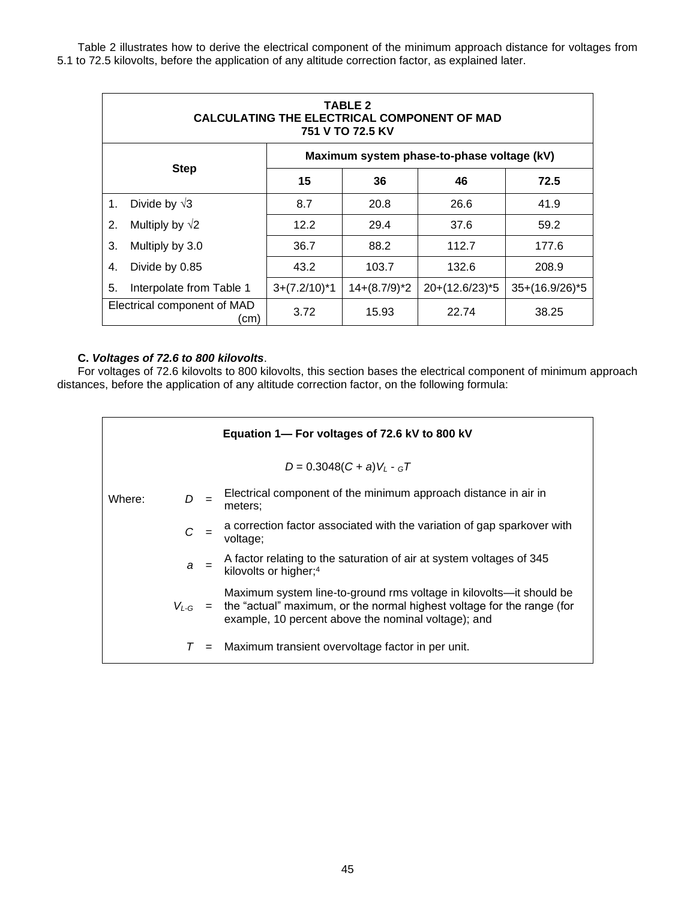Table 2 illustrates how to derive the electrical component of the minimum approach distance for voltages from 5.1 to 72.5 kilovolts, before the application of any altitude correction factor, as explained later.

|    | <b>TABLE 2</b><br><b>CALCULATING THE ELECTRICAL COMPONENT OF MAD</b><br>751 V TO 72.5 KV |                |                 |                  |                |  |
|----|------------------------------------------------------------------------------------------|----------------|-----------------|------------------|----------------|--|
|    | Maximum system phase-to-phase voltage (kV)                                               |                |                 |                  |                |  |
|    | <b>Step</b>                                                                              | 46             | 72.5            |                  |                |  |
| 1. | Divide by $\sqrt{3}$                                                                     | 8.7            | 20.8            | 26.6             | 41.9           |  |
| 2. | Multiply by $\sqrt{2}$                                                                   | 12.2           | 29.4            | 37.6             | 59.2           |  |
| 3. | Multiply by 3.0                                                                          | 36.7           | 88.2            | 112.7            | 177.6          |  |
| 4. | Divide by 0.85                                                                           | 43.2           | 103.7           | 132.6            | 208.9          |  |
| 5. | Interpolate from Table 1                                                                 | $3+(7.2/10)*1$ | $14+(8.7/9)^*2$ | $20+(12.6/23)*5$ | 35+(16.9/26)*5 |  |
|    | Electrical component of MAD<br>(cm                                                       | 3.72           | 15.93           | 22.74            | 38.25          |  |

## **C.** *Voltages of 72.6 to 800 kilovolts*.

For voltages of 72.6 kilovolts to 800 kilovolts, this section bases the electrical component of minimum approach distances, before the application of any altitude correction factor, on the following formula:

|        |       |       | Equation 1- For voltages of 72.6 kV to 800 kV                                                                                                                                                                    |
|--------|-------|-------|------------------------------------------------------------------------------------------------------------------------------------------------------------------------------------------------------------------|
|        |       |       | $D = 0.3048(C + a)V_L - aT$                                                                                                                                                                                      |
| Where: | $D =$ |       | Electrical component of the minimum approach distance in air in<br>meters:                                                                                                                                       |
|        |       | $C =$ | a correction factor associated with the variation of gap sparkover with<br>voltage:                                                                                                                              |
|        |       |       | A factor relating to the saturation of air at system voltages of 345<br>$a =$ kilovolts or higher; <sup>4</sup>                                                                                                  |
|        |       |       | Maximum system line-to-ground rms voltage in kilovolts—it should be<br>$V_{L-G}$ = the "actual" maximum, or the normal highest voltage for the range (for<br>example, 10 percent above the nominal voltage); and |
|        | T.    | $=$   | Maximum transient overvoltage factor in per unit.                                                                                                                                                                |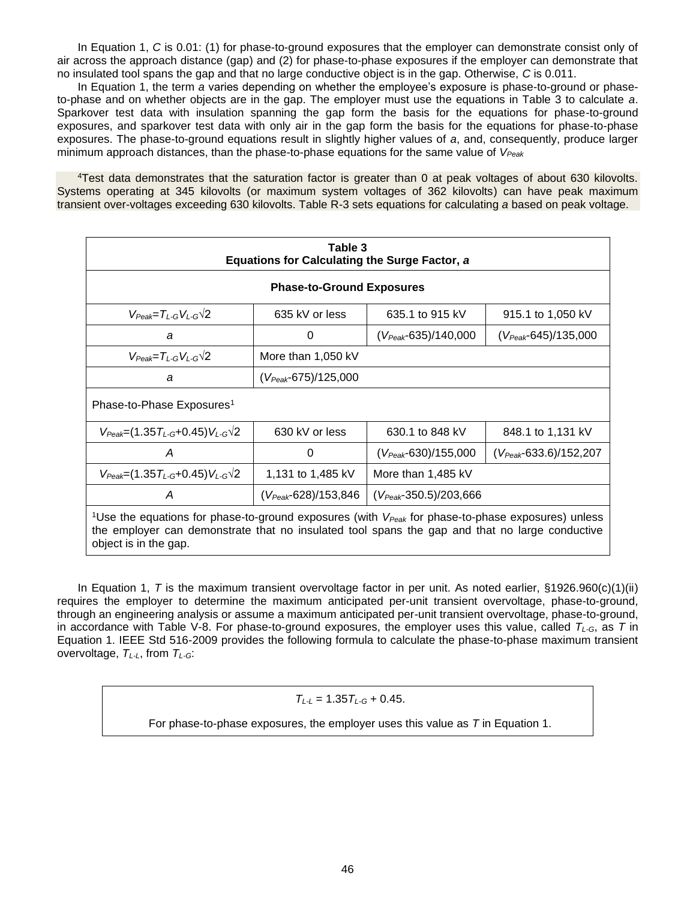In Equation 1, *C* is 0.01: (1) for phase-to-ground exposures that the employer can demonstrate consist only of air across the approach distance (gap) and (2) for phase-to-phase exposures if the employer can demonstrate that no insulated tool spans the gap and that no large conductive object is in the gap. Otherwise, *C* is 0.011.

In Equation 1, the term *a* varies depending on whether the employee's exposure is phase-to-ground or phaseto-phase and on whether objects are in the gap. The employer must use the equations in Table 3 to calculate *a*. Sparkover test data with insulation spanning the gap form the basis for the equations for phase-to-ground exposures, and sparkover test data with only air in the gap form the basis for the equations for phase-to-phase exposures. The phase-to-ground equations result in slightly higher values of *a*, and, consequently, produce larger minimum approach distances, than the phase-to-phase equations for the same value of *VPeak*

<sup>4</sup>Test data demonstrates that the saturation factor is greater than 0 at peak voltages of about 630 kilovolts. Systems operating at 345 kilovolts (or maximum system voltages of 362 kilovolts) can have peak maximum transient over-voltages exceeding 630 kilovolts. Table R-3 sets equations for calculating *a* based on peak voltage.

| Table 3<br>Equations for Calculating the Surge Factor, a                                                                                                                                                                                      |                           |                           |                                    |  |  |
|-----------------------------------------------------------------------------------------------------------------------------------------------------------------------------------------------------------------------------------------------|---------------------------|---------------------------|------------------------------------|--|--|
| <b>Phase-to-Ground Exposures</b>                                                                                                                                                                                                              |                           |                           |                                    |  |  |
| $V_{Peak} = T_{L-G} V_{L-G} \sqrt{2}$                                                                                                                                                                                                         | 635 kV or less            | 635.1 to 915 kV           | 915.1 to 1,050 kV                  |  |  |
| a                                                                                                                                                                                                                                             | 0                         | $(V_{Peak}$ -635)/140,000 | $(V_{Peak}$ -645)/135,000          |  |  |
| $V_{Peak} = T_{L-G}V_{L-G}\sqrt{2}$                                                                                                                                                                                                           | More than 1,050 kV        |                           |                                    |  |  |
| a                                                                                                                                                                                                                                             | $(V_{Peak}$ -675)/125,000 |                           |                                    |  |  |
| Phase-to-Phase Exposures <sup>1</sup>                                                                                                                                                                                                         |                           |                           |                                    |  |  |
| $V_{Peak}=(1.35T_{L-G}+0.45)V_{L-G}$ <sup>1</sup> 2                                                                                                                                                                                           | 630 kV or less            | 630.1 to 848 kV           | 848.1 to 1,131 kV                  |  |  |
| А                                                                                                                                                                                                                                             | 0                         | $(V_{Peak}$ -630)/155,000 | (V <sub>Peak</sub> -633.6)/152,207 |  |  |
| $V_{Peak}=(1.35T_{L-G}+0.45)V_{L-G}^{2}/2$                                                                                                                                                                                                    | 1,131 to 1,485 kV         | More than 1,485 kV        |                                    |  |  |
| ( <i>V<sub>Peak</sub></i> -628)/153,846<br>A<br>$(V_{Peak}350.5)/203,666$                                                                                                                                                                     |                           |                           |                                    |  |  |
| <sup>1</sup> Use the equations for phase-to-ground exposures (with $V_{Peak}$ for phase-to-phase exposures) unless<br>the employer can demonstrate that no insulated tool spans the gap and that no large conductive<br>object is in the gap. |                           |                           |                                    |  |  |

In Equation 1, *T* is the maximum transient overvoltage factor in per unit. As noted earlier, §1926.960(c)(1)(ii) requires the employer to determine the maximum anticipated per-unit transient overvoltage, phase-to-ground, through an engineering analysis or assume a maximum anticipated per-unit transient overvoltage, phase-to-ground, in accordance with Table V-8. For phase-to-ground exposures, the employer uses this value, called *TL-G*, as *T* in Equation 1. IEEE Std 516-2009 provides the following formula to calculate the phase-to-phase maximum transient overvoltage, *TL-L*, from *TL-G*:

# $T_{L-L} = 1.35 T_{L-G} + 0.45$ .

For phase-to-phase exposures, the employer uses this value as *T* in Equation 1.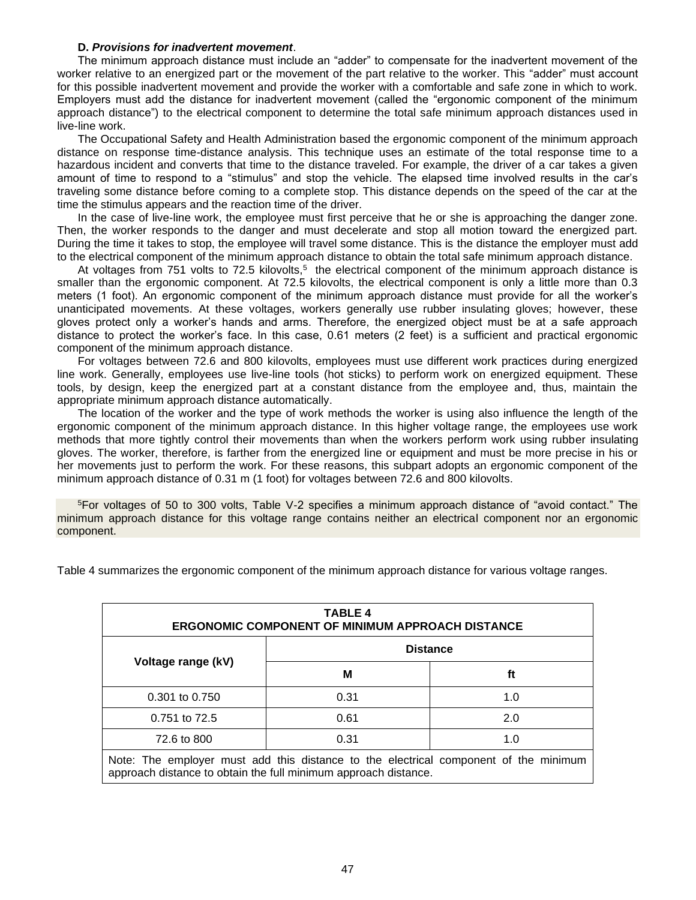#### **D.** *Provisions for inadvertent movement*.

The minimum approach distance must include an "adder" to compensate for the inadvertent movement of the worker relative to an energized part or the movement of the part relative to the worker. This "adder" must account for this possible inadvertent movement and provide the worker with a comfortable and safe zone in which to work. Employers must add the distance for inadvertent movement (called the "ergonomic component of the minimum approach distance") to the electrical component to determine the total safe minimum approach distances used in live-line work.

The Occupational Safety and Health Administration based the ergonomic component of the minimum approach distance on response time-distance analysis. This technique uses an estimate of the total response time to a hazardous incident and converts that time to the distance traveled. For example, the driver of a car takes a given amount of time to respond to a "stimulus" and stop the vehicle. The elapsed time involved results in the car's traveling some distance before coming to a complete stop. This distance depends on the speed of the car at the time the stimulus appears and the reaction time of the driver.

In the case of live-line work, the employee must first perceive that he or she is approaching the danger zone. Then, the worker responds to the danger and must decelerate and stop all motion toward the energized part. During the time it takes to stop, the employee will travel some distance. This is the distance the employer must add to the electrical component of the minimum approach distance to obtain the total safe minimum approach distance.

At voltages from 751 volts to 72.5 kilovolts,<sup>5</sup> the electrical component of the minimum approach distance is smaller than the ergonomic component. At 72.5 kilovolts, the electrical component is only a little more than 0.3 meters (1 foot). An ergonomic component of the minimum approach distance must provide for all the worker's unanticipated movements. At these voltages, workers generally use rubber insulating gloves; however, these gloves protect only a worker's hands and arms. Therefore, the energized object must be at a safe approach distance to protect the worker's face. In this case, 0.61 meters (2 feet) is a sufficient and practical ergonomic component of the minimum approach distance.

For voltages between 72.6 and 800 kilovolts, employees must use different work practices during energized line work. Generally, employees use live-line tools (hot sticks) to perform work on energized equipment. These tools, by design, keep the energized part at a constant distance from the employee and, thus, maintain the appropriate minimum approach distance automatically.

The location of the worker and the type of work methods the worker is using also influence the length of the ergonomic component of the minimum approach distance. In this higher voltage range, the employees use work methods that more tightly control their movements than when the workers perform work using rubber insulating gloves. The worker, therefore, is farther from the energized line or equipment and must be more precise in his or her movements just to perform the work. For these reasons, this subpart adopts an ergonomic component of the minimum approach distance of 0.31 m (1 foot) for voltages between 72.6 and 800 kilovolts.

<sup>5</sup>For voltages of 50 to 300 volts, Table V-2 specifies a minimum approach distance of "avoid contact." The minimum approach distance for this voltage range contains neither an electrical component nor an ergonomic component.

| Table 4 summarizes the ergonomic component of the minimum approach distance for various voltage ranges. |  |  |  |  |
|---------------------------------------------------------------------------------------------------------|--|--|--|--|
|                                                                                                         |  |  |  |  |

| <b>TABLE 4</b><br>ERGONOMIC COMPONENT OF MINIMUM APPROACH DISTANCE                                                                                      |   |    |  |  |
|---------------------------------------------------------------------------------------------------------------------------------------------------------|---|----|--|--|
| <b>Distance</b>                                                                                                                                         |   |    |  |  |
| Voltage range (kV)                                                                                                                                      | M | ft |  |  |
| 0.301 to 0.750<br>0.31<br>1.0                                                                                                                           |   |    |  |  |
| 0.751 to 72.5<br>0.61<br>2.0                                                                                                                            |   |    |  |  |
| 0.31<br>72.6 to 800<br>1.0                                                                                                                              |   |    |  |  |
| Note: The employer must add this distance to the electrical component of the minimum<br>approach distance to obtain the full minimum approach distance. |   |    |  |  |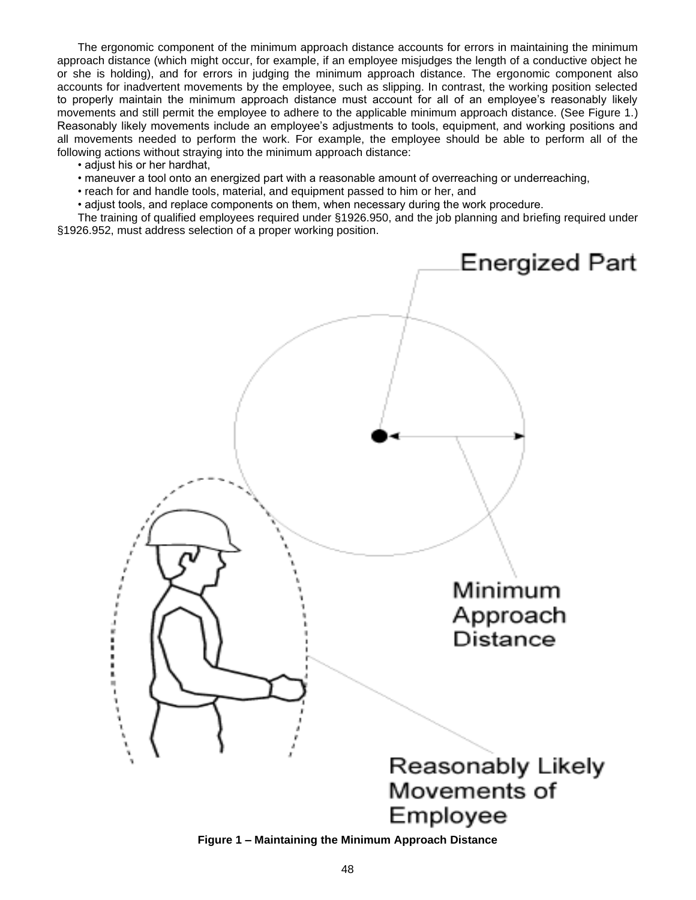The ergonomic component of the minimum approach distance accounts for errors in maintaining the minimum approach distance (which might occur, for example, if an employee misjudges the length of a conductive object he or she is holding), and for errors in judging the minimum approach distance. The ergonomic component also accounts for inadvertent movements by the employee, such as slipping. In contrast, the working position selected to properly maintain the minimum approach distance must account for all of an employee's reasonably likely movements and still permit the employee to adhere to the applicable minimum approach distance. (See Figure 1.) Reasonably likely movements include an employee's adjustments to tools, equipment, and working positions and all movements needed to perform the work. For example, the employee should be able to perform all of the following actions without straying into the minimum approach distance:

• adjust his or her hardhat.

- maneuver a tool onto an energized part with a reasonable amount of overreaching or underreaching,
- reach for and handle tools, material, and equipment passed to him or her, and
- adjust tools, and replace components on them, when necessary during the work procedure.

The training of qualified employees required under §1926.950, and the job planning and briefing required under §1926.952, must address selection of a proper working position.



**Figure 1 – Maintaining the Minimum Approach Distance**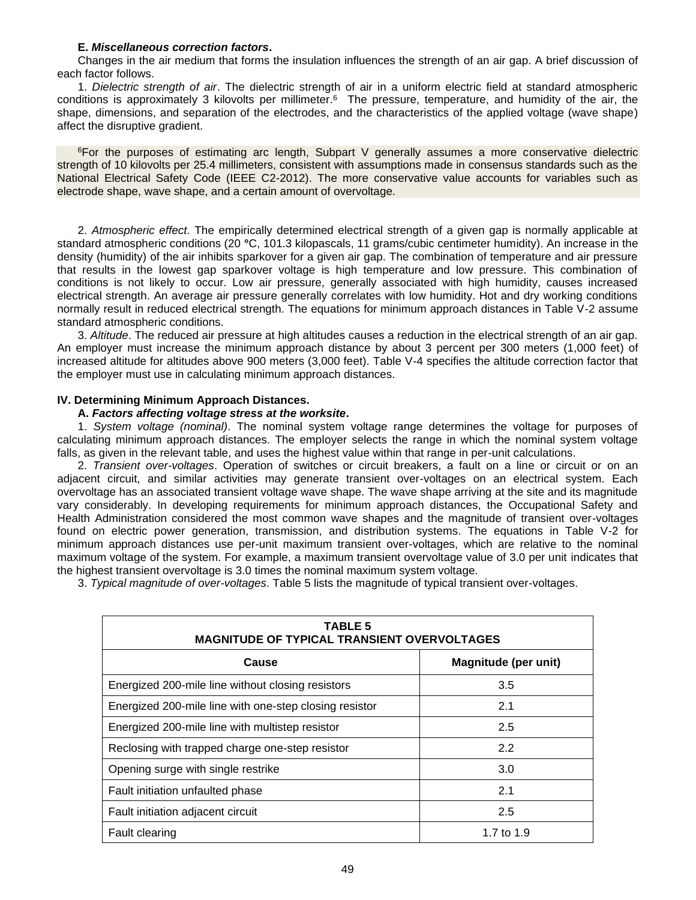## **E.** *Miscellaneous correction factors***.**

Changes in the air medium that forms the insulation influences the strength of an air gap. A brief discussion of each factor follows.

1. *Dielectric strength of air*. The dielectric strength of air in a uniform electric field at standard atmospheric conditions is approximately 3 kilovolts per millimeter.<sup>6</sup> The pressure, temperature, and humidity of the air, the shape, dimensions, and separation of the electrodes, and the characteristics of the applied voltage (wave shape) affect the disruptive gradient.

<sup>6</sup>For the purposes of estimating arc length, Subpart V generally assumes a more conservative dielectric strength of 10 kilovolts per 25.4 millimeters, consistent with assumptions made in consensus standards such as the National Electrical Safety Code (IEEE C2-2012). The more conservative value accounts for variables such as electrode shape, wave shape, and a certain amount of overvoltage.

2. *Atmospheric effect*. The empirically determined electrical strength of a given gap is normally applicable at standard atmospheric conditions (20 **°**C, 101.3 kilopascals, 11 grams/cubic centimeter humidity). An increase in the density (humidity) of the air inhibits sparkover for a given air gap. The combination of temperature and air pressure that results in the lowest gap sparkover voltage is high temperature and low pressure. This combination of conditions is not likely to occur. Low air pressure, generally associated with high humidity, causes increased electrical strength. An average air pressure generally correlates with low humidity. Hot and dry working conditions normally result in reduced electrical strength. The equations for minimum approach distances in Table V-2 assume standard atmospheric conditions.

3. *Altitude*. The reduced air pressure at high altitudes causes a reduction in the electrical strength of an air gap. An employer must increase the minimum approach distance by about 3 percent per 300 meters (1,000 feet) of increased altitude for altitudes above 900 meters (3,000 feet). Table V-4 specifies the altitude correction factor that the employer must use in calculating minimum approach distances.

## **IV. Determining Minimum Approach Distances.**

## **A.** *Factors affecting voltage stress at the worksite***.**

1. *System voltage (nominal)*. The nominal system voltage range determines the voltage for purposes of calculating minimum approach distances. The employer selects the range in which the nominal system voltage falls, as given in the relevant table, and uses the highest value within that range in per-unit calculations.

2. *Transient over-voltages*. Operation of switches or circuit breakers, a fault on a line or circuit or on an adjacent circuit, and similar activities may generate transient over-voltages on an electrical system. Each overvoltage has an associated transient voltage wave shape. The wave shape arriving at the site and its magnitude vary considerably. In developing requirements for minimum approach distances, the Occupational Safety and Health Administration considered the most common wave shapes and the magnitude of transient over-voltages found on electric power generation, transmission, and distribution systems. The equations in Table V-2 for minimum approach distances use per-unit maximum transient over-voltages, which are relative to the nominal maximum voltage of the system. For example, a maximum transient overvoltage value of 3.0 per unit indicates that the highest transient overvoltage is 3.0 times the nominal maximum system voltage.

3. *Typical magnitude of over-voltages*. Table 5 lists the magnitude of typical transient over-voltages.

| <b>TABLE 5</b><br><b>MAGNITUDE OF TYPICAL TRANSIENT OVERVOLTAGES</b> |                      |  |  |  |  |
|----------------------------------------------------------------------|----------------------|--|--|--|--|
| Cause                                                                | Magnitude (per unit) |  |  |  |  |
| Energized 200-mile line without closing resistors                    | 3.5                  |  |  |  |  |
| Energized 200-mile line with one-step closing resistor               | 2.1                  |  |  |  |  |
| Energized 200-mile line with multistep resistor                      | 2.5                  |  |  |  |  |
| Reclosing with trapped charge one-step resistor                      | 2.2                  |  |  |  |  |
| Opening surge with single restrike                                   | 3.0                  |  |  |  |  |
| Fault initiation unfaulted phase                                     | 2.1                  |  |  |  |  |
| Fault initiation adjacent circuit                                    | 2.5                  |  |  |  |  |
| Fault clearing                                                       | 1.7 to 1.9           |  |  |  |  |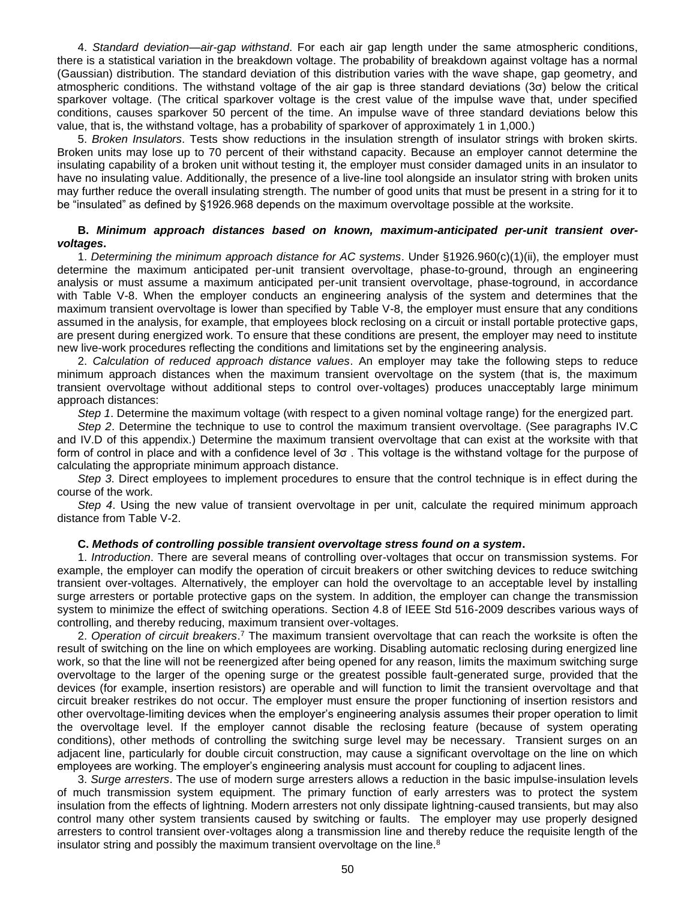4. *Standard deviation—air-gap withstand*. For each air gap length under the same atmospheric conditions, there is a statistical variation in the breakdown voltage. The probability of breakdown against voltage has a normal (Gaussian) distribution. The standard deviation of this distribution varies with the wave shape, gap geometry, and atmospheric conditions. The withstand voltage of the air gap is three standard deviations (3σ) below the critical sparkover voltage. (The critical sparkover voltage is the crest value of the impulse wave that, under specified conditions, causes sparkover 50 percent of the time. An impulse wave of three standard deviations below this value, that is, the withstand voltage, has a probability of sparkover of approximately 1 in 1,000.)

5. *Broken Insulators*. Tests show reductions in the insulation strength of insulator strings with broken skirts. Broken units may lose up to 70 percent of their withstand capacity. Because an employer cannot determine the insulating capability of a broken unit without testing it, the employer must consider damaged units in an insulator to have no insulating value. Additionally, the presence of a live-line tool alongside an insulator string with broken units may further reduce the overall insulating strength. The number of good units that must be present in a string for it to be "insulated" as defined by §1926.968 depends on the maximum overvoltage possible at the worksite.

## **B.** *Minimum approach distances based on known, maximum-anticipated per-unit transient overvoltages***.**

1. *Determining the minimum approach distance for AC systems*. Under §1926.960(c)(1)(ii), the employer must determine the maximum anticipated per-unit transient overvoltage, phase-to-ground, through an engineering analysis or must assume a maximum anticipated per-unit transient overvoltage, phase-toground, in accordance with Table V-8. When the employer conducts an engineering analysis of the system and determines that the maximum transient overvoltage is lower than specified by Table V-8, the employer must ensure that any conditions assumed in the analysis, for example, that employees block reclosing on a circuit or install portable protective gaps, are present during energized work. To ensure that these conditions are present, the employer may need to institute new live-work procedures reflecting the conditions and limitations set by the engineering analysis.

2. *Calculation of reduced approach distance values*. An employer may take the following steps to reduce minimum approach distances when the maximum transient overvoltage on the system (that is, the maximum transient overvoltage without additional steps to control over-voltages) produces unacceptably large minimum approach distances:

*Step 1*. Determine the maximum voltage (with respect to a given nominal voltage range) for the energized part.

*Step 2*. Determine the technique to use to control the maximum transient overvoltage. (See paragraphs IV.C and IV.D of this appendix.) Determine the maximum transient overvoltage that can exist at the worksite with that form of control in place and with a confidence level of 3σ . This voltage is the withstand voltage for the purpose of calculating the appropriate minimum approach distance.

*Step 3*. Direct employees to implement procedures to ensure that the control technique is in effect during the course of the work.

*Step 4*. Using the new value of transient overvoltage in per unit, calculate the required minimum approach distance from Table V-2.

## **C.** *Methods of controlling possible transient overvoltage stress found on a system***.**

1. *Introduction*. There are several means of controlling over-voltages that occur on transmission systems. For example, the employer can modify the operation of circuit breakers or other switching devices to reduce switching transient over-voltages. Alternatively, the employer can hold the overvoltage to an acceptable level by installing surge arresters or portable protective gaps on the system. In addition, the employer can change the transmission system to minimize the effect of switching operations. Section 4.8 of IEEE Std 516-2009 describes various ways of controlling, and thereby reducing, maximum transient over-voltages.

2. *Operation of circuit breakers*. <sup>7</sup> The maximum transient overvoltage that can reach the worksite is often the result of switching on the line on which employees are working. Disabling automatic reclosing during energized line work, so that the line will not be reenergized after being opened for any reason, limits the maximum switching surge overvoltage to the larger of the opening surge or the greatest possible fault-generated surge, provided that the devices (for example, insertion resistors) are operable and will function to limit the transient overvoltage and that circuit breaker restrikes do not occur. The employer must ensure the proper functioning of insertion resistors and other overvoltage-limiting devices when the employer's engineering analysis assumes their proper operation to limit the overvoltage level. If the employer cannot disable the reclosing feature (because of system operating conditions), other methods of controlling the switching surge level may be necessary. Transient surges on an adjacent line, particularly for double circuit construction, may cause a significant overvoltage on the line on which employees are working. The employer's engineering analysis must account for coupling to adjacent lines.

3. *Surge arresters*. The use of modern surge arresters allows a reduction in the basic impulse-insulation levels of much transmission system equipment. The primary function of early arresters was to protect the system insulation from the effects of lightning. Modern arresters not only dissipate lightning-caused transients, but may also control many other system transients caused by switching or faults. The employer may use properly designed arresters to control transient over-voltages along a transmission line and thereby reduce the requisite length of the insulator string and possibly the maximum transient overvoltage on the line.<sup>8</sup>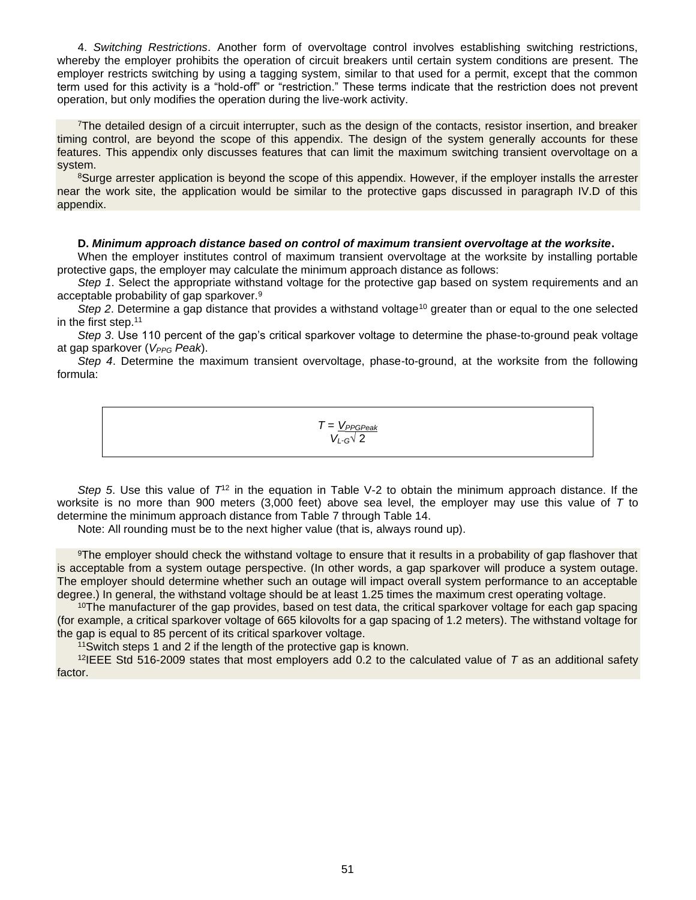4. *Switching Restrictions*. Another form of overvoltage control involves establishing switching restrictions, whereby the employer prohibits the operation of circuit breakers until certain system conditions are present. The employer restricts switching by using a tagging system, similar to that used for a permit, except that the common term used for this activity is a "hold-off" or "restriction." These terms indicate that the restriction does not prevent operation, but only modifies the operation during the live-work activity.

<sup>7</sup>The detailed design of a circuit interrupter, such as the design of the contacts, resistor insertion, and breaker timing control, are beyond the scope of this appendix. The design of the system generally accounts for these features. This appendix only discusses features that can limit the maximum switching transient overvoltage on a system.

<sup>8</sup>Surge arrester application is beyond the scope of this appendix. However, if the employer installs the arrester near the work site, the application would be similar to the protective gaps discussed in paragraph IV.D of this appendix.

## **D.** *Minimum approach distance based on control of maximum transient overvoltage at the worksite***.**

When the employer institutes control of maximum transient overvoltage at the worksite by installing portable protective gaps, the employer may calculate the minimum approach distance as follows:

*Step 1*. Select the appropriate withstand voltage for the protective gap based on system requirements and an acceptable probability of gap sparkover.<sup>9</sup>

*Step 2.* Determine a gap distance that provides a withstand voltage<sup>10</sup> greater than or equal to the one selected in the first step.<sup>11</sup>

*Step 3*. Use 110 percent of the gap's critical sparkover voltage to determine the phase-to-ground peak voltage at gap sparkover (*VPPG Peak*).

*Step 4*. Determine the maximum transient overvoltage, phase-to-ground, at the worksite from the following formula:

| $T = V_{PPGPeak}$<br>$V_{L-G} \sqrt{2}$ |
|-----------------------------------------|
|-----------------------------------------|

*Step 5*. Use this value of  $T^2$  in the equation in Table V-2 to obtain the minimum approach distance. If the worksite is no more than 900 meters (3,000 feet) above sea level, the employer may use this value of *T* to determine the minimum approach distance from Table 7 through Table 14.

Note: All rounding must be to the next higher value (that is, always round up).

<sup>9</sup>The employer should check the withstand voltage to ensure that it results in a probability of gap flashover that is acceptable from a system outage perspective. (In other words, a gap sparkover will produce a system outage. The employer should determine whether such an outage will impact overall system performance to an acceptable degree.) In general, the withstand voltage should be at least 1.25 times the maximum crest operating voltage.

<sup>10</sup>The manufacturer of the gap provides, based on test data, the critical sparkover voltage for each gap spacing (for example, a critical sparkover voltage of 665 kilovolts for a gap spacing of 1.2 meters). The withstand voltage for the gap is equal to 85 percent of its critical sparkover voltage.

<sup>11</sup>Switch steps 1 and 2 if the length of the protective gap is known.

<sup>12</sup>IEEE Std 516-2009 states that most employers add 0.2 to the calculated value of *T* as an additional safety factor.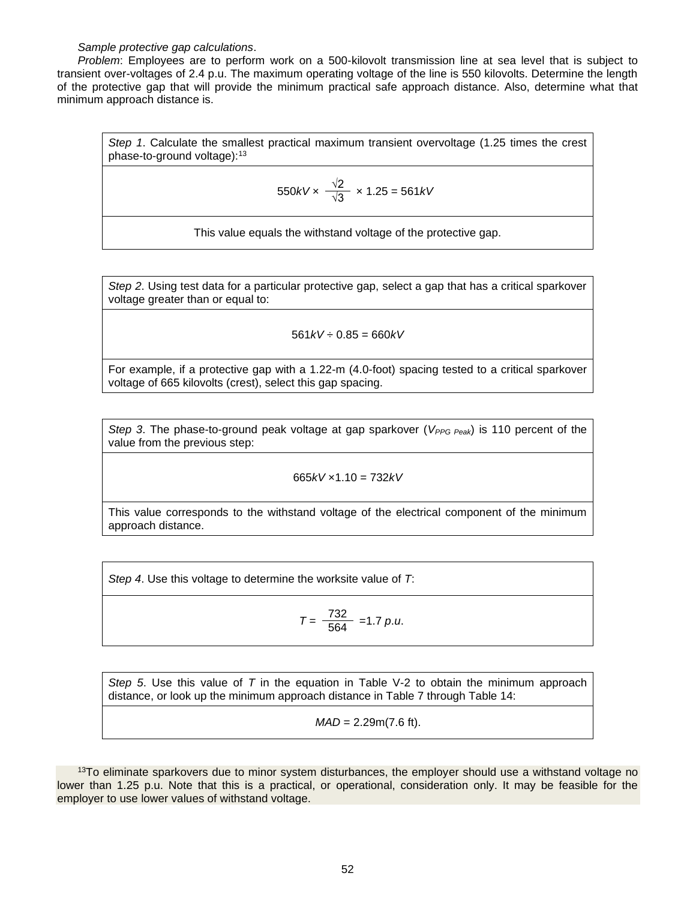## *Sample protective gap calculations*.

*Problem*: Employees are to perform work on a 500-kilovolt transmission line at sea level that is subject to transient over-voltages of 2.4 p.u. The maximum operating voltage of the line is 550 kilovolts. Determine the length of the protective gap that will provide the minimum practical safe approach distance. Also, determine what that minimum approach distance is.

*Step 1*. Calculate the smallest practical maximum transient overvoltage (1.25 times the crest phase-to-ground voltage):<sup>13</sup>

$$
550kV \times \frac{\sqrt{2}}{\sqrt{3}} \times 1.25 = 561kV
$$

This value equals the withstand voltage of the protective gap.

*Step 2*. Using test data for a particular protective gap, select a gap that has a critical sparkover voltage greater than or equal to:

$$
561kV \div 0.85 = 660kV
$$

For example, if a protective gap with a 1.22-m (4.0-foot) spacing tested to a critical sparkover voltage of 665 kilovolts (crest), select this gap spacing.

*Step 3*. The phase-to-ground peak voltage at gap sparkover (*VPPG Peak*) is 110 percent of the value from the previous step:

665*kV* ×1.10 = 732*kV*

This value corresponds to the withstand voltage of the electrical component of the minimum approach distance.

*Step 4*. Use this voltage to determine the worksite value of *T*:

$$
T = \frac{732}{564} = 1.7 p.u.
$$

*Step 5*. Use this value of *T* in the equation in Table V-2 to obtain the minimum approach distance, or look up the minimum approach distance in Table 7 through Table 14:

 $MAD = 2.29m(7.6 ft)$ .

<sup>13</sup>To eliminate sparkovers due to minor system disturbances, the employer should use a withstand voltage no lower than 1.25 p.u. Note that this is a practical, or operational, consideration only. It may be feasible for the employer to use lower values of withstand voltage.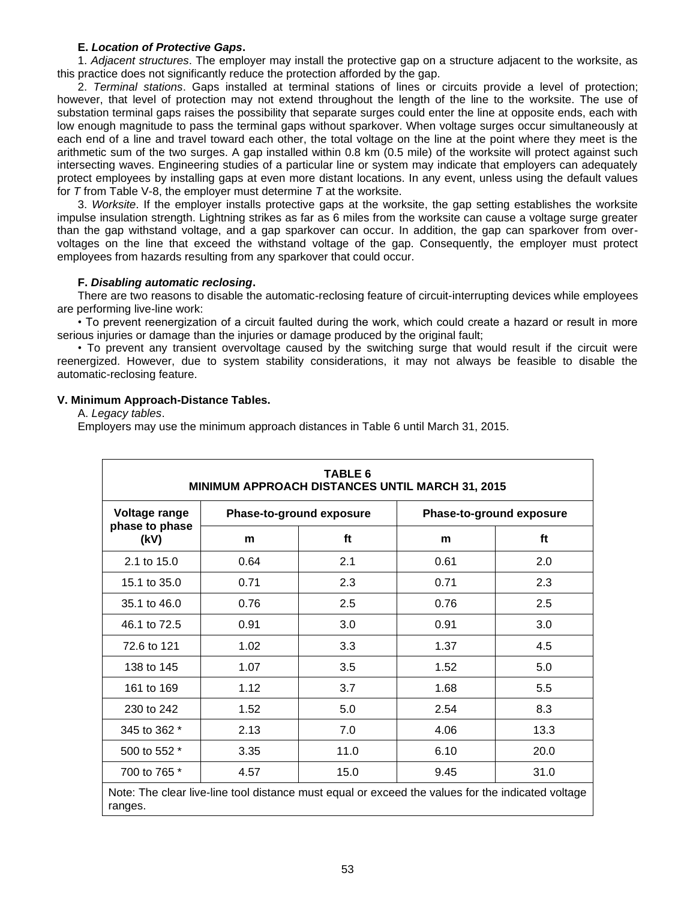## **E.** *Location of Protective Gaps***.**

1. *Adjacent structures*. The employer may install the protective gap on a structure adjacent to the worksite, as this practice does not significantly reduce the protection afforded by the gap.

2. *Terminal stations*. Gaps installed at terminal stations of lines or circuits provide a level of protection; however, that level of protection may not extend throughout the length of the line to the worksite. The use of substation terminal gaps raises the possibility that separate surges could enter the line at opposite ends, each with low enough magnitude to pass the terminal gaps without sparkover. When voltage surges occur simultaneously at each end of a line and travel toward each other, the total voltage on the line at the point where they meet is the arithmetic sum of the two surges. A gap installed within 0.8 km (0.5 mile) of the worksite will protect against such intersecting waves. Engineering studies of a particular line or system may indicate that employers can adequately protect employees by installing gaps at even more distant locations. In any event, unless using the default values for *T* from Table V-8, the employer must determine *T* at the worksite.

3. *Worksite*. If the employer installs protective gaps at the worksite, the gap setting establishes the worksite impulse insulation strength. Lightning strikes as far as 6 miles from the worksite can cause a voltage surge greater than the gap withstand voltage, and a gap sparkover can occur. In addition, the gap can sparkover from overvoltages on the line that exceed the withstand voltage of the gap. Consequently, the employer must protect employees from hazards resulting from any sparkover that could occur.

## **F.** *Disabling automatic reclosing***.**

There are two reasons to disable the automatic-reclosing feature of circuit-interrupting devices while employees are performing live-line work:

• To prevent reenergization of a circuit faulted during the work, which could create a hazard or result in more serious injuries or damage than the injuries or damage produced by the original fault;

• To prevent any transient overvoltage caused by the switching surge that would result if the circuit were reenergized. However, due to system stability considerations, it may not always be feasible to disable the automatic-reclosing feature.

## **V. Minimum Approach-Distance Tables.**

A. *Legacy tables*.

Employers may use the minimum approach distances in Table 6 until March 31, 2015.

| <b>TABLE 6</b><br><b>MINIMUM APPROACH DISTANCES UNTIL MARCH 31, 2015</b> |                          |                                                                                                   |                          |      |
|--------------------------------------------------------------------------|--------------------------|---------------------------------------------------------------------------------------------------|--------------------------|------|
| Voltage range                                                            | Phase-to-ground exposure |                                                                                                   | Phase-to-ground exposure |      |
| phase to phase<br>(kV)                                                   | m                        | ft                                                                                                | m                        | ft   |
| 2.1 to 15.0                                                              | 0.64                     | 2.1                                                                                               | 0.61                     | 2.0  |
| 15.1 to 35.0                                                             | 0.71                     | 2.3                                                                                               | 0.71                     | 2.3  |
| 35.1 to 46.0                                                             | 0.76                     | 2.5                                                                                               | 0.76                     | 2.5  |
| 46.1 to 72.5                                                             | 0.91                     | 3.0                                                                                               | 0.91                     | 3.0  |
| 72.6 to 121                                                              | 1.02                     | 3.3                                                                                               | 1.37                     | 4.5  |
| 138 to 145                                                               | 1.07                     | 3.5                                                                                               | 1.52                     | 5.0  |
| 161 to 169                                                               | 1.12                     | 3.7                                                                                               | 1.68                     | 5.5  |
| 230 to 242                                                               | 1.52                     | 5.0                                                                                               | 2.54                     | 8.3  |
| 345 to 362 *                                                             | 2.13                     | 7.0                                                                                               | 4.06                     | 13.3 |
| 500 to 552 *                                                             | 3.35                     | 11.0                                                                                              | 6.10                     | 20.0 |
| 700 to 765 *                                                             | 4.57                     | 15.0                                                                                              | 9.45                     | 31.0 |
| ranges.                                                                  |                          | Note: The clear live-line tool distance must equal or exceed the values for the indicated voltage |                          |      |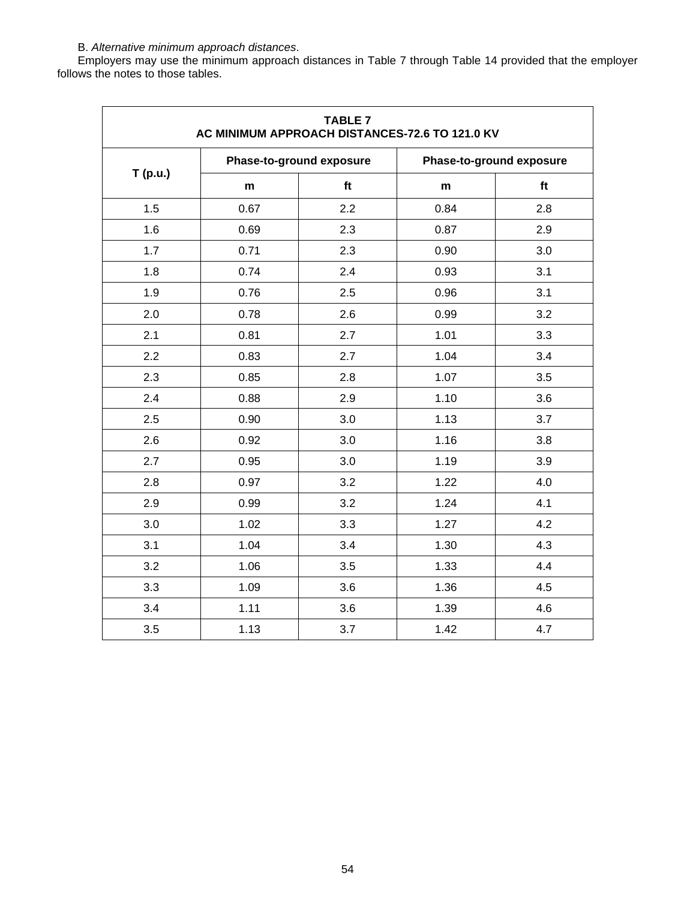## B. *Alternative minimum approach distances*.

Employers may use the minimum approach distances in Table 7 through Table 14 provided that the employer follows the notes to those tables.

|         | <b>TABLE 7</b><br>AC MINIMUM APPROACH DISTANCES-72.6 TO 121.0 KV |     |      |                          |  |
|---------|------------------------------------------------------------------|-----|------|--------------------------|--|
|         | Phase-to-ground exposure                                         |     |      | Phase-to-ground exposure |  |
| T(p.u.) | m                                                                | ft  | m    | ft                       |  |
| 1.5     | 0.67                                                             | 2.2 | 0.84 | 2.8                      |  |
| 1.6     | 0.69                                                             | 2.3 | 0.87 | 2.9                      |  |
| 1.7     | 0.71                                                             | 2.3 | 0.90 | 3.0                      |  |
| 1.8     | 0.74                                                             | 2.4 | 0.93 | 3.1                      |  |
| 1.9     | 0.76                                                             | 2.5 | 0.96 | 3.1                      |  |
| 2.0     | 0.78                                                             | 2.6 | 0.99 | 3.2                      |  |
| 2.1     | 0.81                                                             | 2.7 | 1.01 | 3.3                      |  |
| 2.2     | 0.83                                                             | 2.7 | 1.04 | 3.4                      |  |
| 2.3     | 0.85                                                             | 2.8 | 1.07 | 3.5                      |  |
| 2.4     | 0.88                                                             | 2.9 | 1.10 | 3.6                      |  |
| 2.5     | 0.90                                                             | 3.0 | 1.13 | 3.7                      |  |
| 2.6     | 0.92                                                             | 3.0 | 1.16 | 3.8                      |  |
| 2.7     | 0.95                                                             | 3.0 | 1.19 | 3.9                      |  |
| 2.8     | 0.97                                                             | 3.2 | 1.22 | 4.0                      |  |
| 2.9     | 0.99                                                             | 3.2 | 1.24 | 4.1                      |  |
| 3.0     | 1.02                                                             | 3.3 | 1.27 | 4.2                      |  |
| 3.1     | 1.04                                                             | 3.4 | 1.30 | 4.3                      |  |
| 3.2     | 1.06                                                             | 3.5 | 1.33 | 4.4                      |  |
| 3.3     | 1.09                                                             | 3.6 | 1.36 | 4.5                      |  |
| 3.4     | 1.11                                                             | 3.6 | 1.39 | 4.6                      |  |
| 3.5     | 1.13                                                             | 3.7 | 1.42 | 4.7                      |  |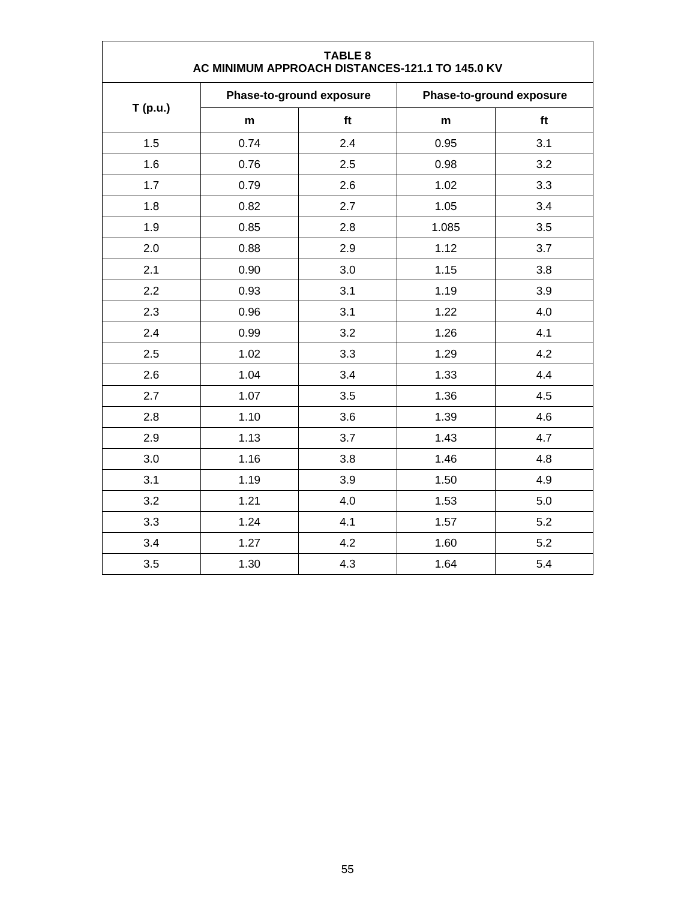| <b>TABLE 8</b><br>AC MINIMUM APPROACH DISTANCES-121.1 TO 145.0 KV |                          |     |                          |     |  |
|-------------------------------------------------------------------|--------------------------|-----|--------------------------|-----|--|
|                                                                   | Phase-to-ground exposure |     | Phase-to-ground exposure |     |  |
| T(p.u.)                                                           | m                        | ft  | m                        | ft  |  |
| 1.5                                                               | 0.74                     | 2.4 | 0.95                     | 3.1 |  |
| 1.6                                                               | 0.76                     | 2.5 | 0.98                     | 3.2 |  |
| 1.7                                                               | 0.79                     | 2.6 | 1.02                     | 3.3 |  |
| 1.8                                                               | 0.82                     | 2.7 | 1.05                     | 3.4 |  |
| 1.9                                                               | 0.85                     | 2.8 | 1.085                    | 3.5 |  |
| 2.0                                                               | 0.88                     | 2.9 | 1.12                     | 3.7 |  |
| 2.1                                                               | 0.90                     | 3.0 | 1.15                     | 3.8 |  |
| 2.2                                                               | 0.93                     | 3.1 | 1.19                     | 3.9 |  |
| 2.3                                                               | 0.96                     | 3.1 | 1.22                     | 4.0 |  |
| 2.4                                                               | 0.99                     | 3.2 | 1.26                     | 4.1 |  |
| 2.5                                                               | 1.02                     | 3.3 | 1.29                     | 4.2 |  |
| 2.6                                                               | 1.04                     | 3.4 | 1.33                     | 4.4 |  |
| 2.7                                                               | 1.07                     | 3.5 | 1.36                     | 4.5 |  |
| 2.8                                                               | 1.10                     | 3.6 | 1.39                     | 4.6 |  |
| 2.9                                                               | 1.13                     | 3.7 | 1.43                     | 4.7 |  |
| 3.0                                                               | 1.16                     | 3.8 | 1.46                     | 4.8 |  |
| 3.1                                                               | 1.19                     | 3.9 | 1.50                     | 4.9 |  |
| 3.2                                                               | 1.21                     | 4.0 | 1.53                     | 5.0 |  |
| 3.3                                                               | 1.24                     | 4.1 | 1.57                     | 5.2 |  |
| 3.4                                                               | 1.27                     | 4.2 | 1.60                     | 5.2 |  |
| 3.5                                                               | 1.30                     | 4.3 | 1.64                     | 5.4 |  |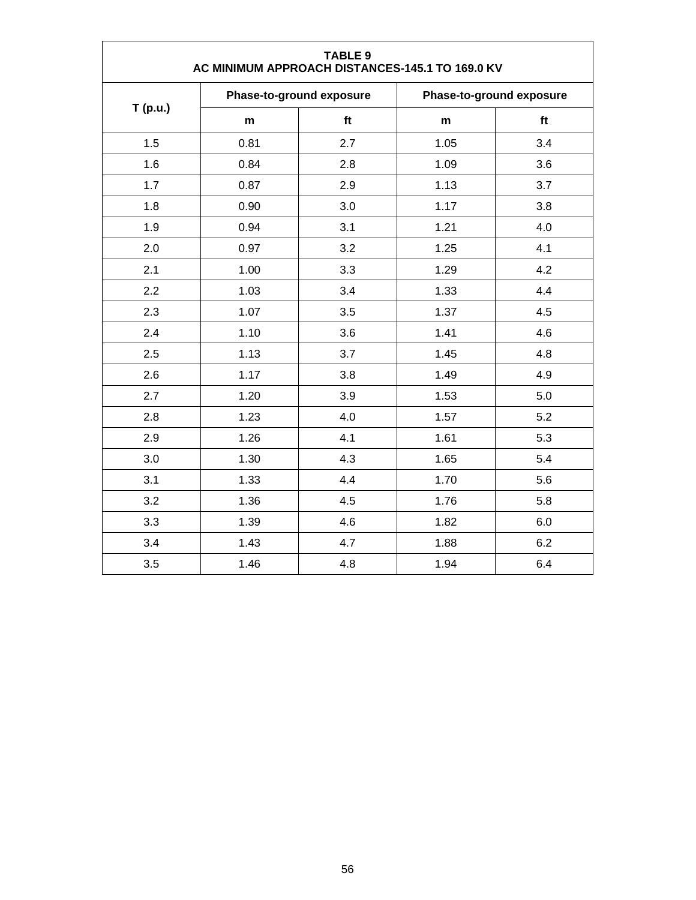| <b>TABLE 9</b><br>AC MINIMUM APPROACH DISTANCES-145.1 TO 169.0 KV |                          |     |                          |     |  |
|-------------------------------------------------------------------|--------------------------|-----|--------------------------|-----|--|
| T(p.u.)                                                           | Phase-to-ground exposure |     | Phase-to-ground exposure |     |  |
|                                                                   | m                        | ft  | m                        | ft  |  |
| 1.5                                                               | 0.81                     | 2.7 | 1.05                     | 3.4 |  |
| 1.6                                                               | 0.84                     | 2.8 | 1.09                     | 3.6 |  |
| 1.7                                                               | 0.87                     | 2.9 | 1.13                     | 3.7 |  |
| 1.8                                                               | 0.90                     | 3.0 | 1.17                     | 3.8 |  |
| 1.9                                                               | 0.94                     | 3.1 | 1.21                     | 4.0 |  |
| 2.0                                                               | 0.97                     | 3.2 | 1.25                     | 4.1 |  |
| 2.1                                                               | 1.00                     | 3.3 | 1.29                     | 4.2 |  |
| 2.2                                                               | 1.03                     | 3.4 | 1.33                     | 4.4 |  |
| 2.3                                                               | 1.07                     | 3.5 | 1.37                     | 4.5 |  |
| 2.4                                                               | 1.10                     | 3.6 | 1.41                     | 4.6 |  |
| 2.5                                                               | 1.13                     | 3.7 | 1.45                     | 4.8 |  |
| 2.6                                                               | 1.17                     | 3.8 | 1.49                     | 4.9 |  |
| 2.7                                                               | 1.20                     | 3.9 | 1.53                     | 5.0 |  |
| 2.8                                                               | 1.23                     | 4.0 | 1.57                     | 5.2 |  |
| 2.9                                                               | 1.26                     | 4.1 | 1.61                     | 5.3 |  |
| 3.0                                                               | 1.30                     | 4.3 | 1.65                     | 5.4 |  |
| 3.1                                                               | 1.33                     | 4.4 | 1.70                     | 5.6 |  |
| 3.2                                                               | 1.36                     | 4.5 | 1.76                     | 5.8 |  |
| 3.3                                                               | 1.39                     | 4.6 | 1.82                     | 6.0 |  |
| 3.4                                                               | 1.43                     | 4.7 | 1.88                     | 6.2 |  |
| 3.5                                                               | 1.46                     | 4.8 | 1.94                     | 6.4 |  |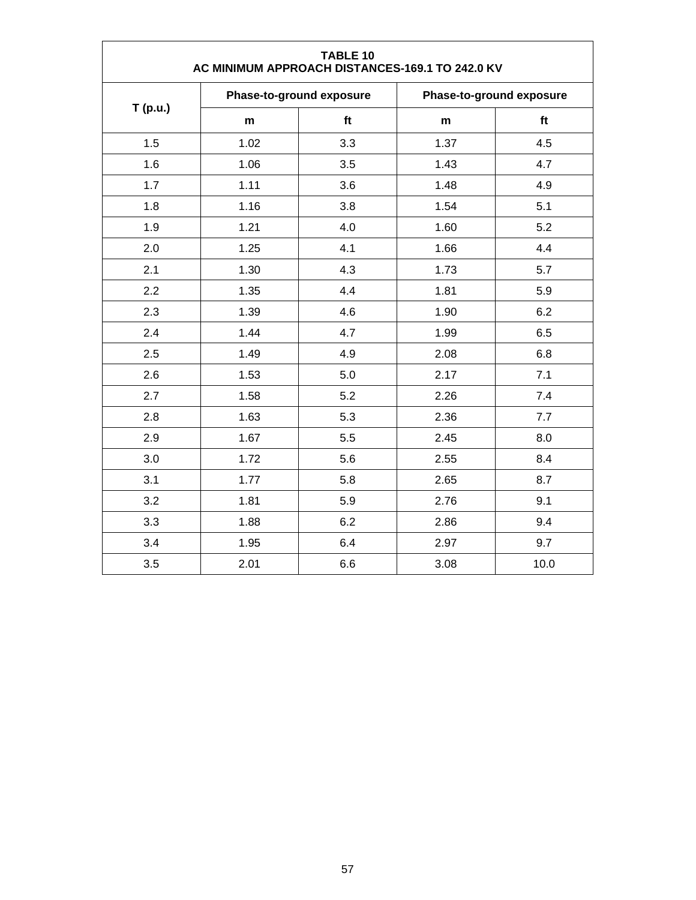| TABLE 10<br>AC MINIMUM APPROACH DISTANCES-169.1 TO 242.0 KV |                          |     |                          |      |
|-------------------------------------------------------------|--------------------------|-----|--------------------------|------|
|                                                             | Phase-to-ground exposure |     | Phase-to-ground exposure |      |
| T(p.u.)                                                     | m                        | ft  | m                        | ft   |
| 1.5                                                         | 1.02                     | 3.3 | 1.37                     | 4.5  |
| 1.6                                                         | 1.06                     | 3.5 | 1.43                     | 4.7  |
| 1.7                                                         | 1.11                     | 3.6 | 1.48                     | 4.9  |
| 1.8                                                         | 1.16                     | 3.8 | 1.54                     | 5.1  |
| 1.9                                                         | 1.21                     | 4.0 | 1.60                     | 5.2  |
| 2.0                                                         | 1.25                     | 4.1 | 1.66                     | 4.4  |
| 2.1                                                         | 1.30                     | 4.3 | 1.73                     | 5.7  |
| 2.2                                                         | 1.35                     | 4.4 | 1.81                     | 5.9  |
| 2.3                                                         | 1.39                     | 4.6 | 1.90                     | 6.2  |
| 2.4                                                         | 1.44                     | 4.7 | 1.99                     | 6.5  |
| 2.5                                                         | 1.49                     | 4.9 | 2.08                     | 6.8  |
| 2.6                                                         | 1.53                     | 5.0 | 2.17                     | 7.1  |
| 2.7                                                         | 1.58                     | 5.2 | 2.26                     | 7.4  |
| 2.8                                                         | 1.63                     | 5.3 | 2.36                     | 7.7  |
| 2.9                                                         | 1.67                     | 5.5 | 2.45                     | 8.0  |
| 3.0                                                         | 1.72                     | 5.6 | 2.55                     | 8.4  |
| 3.1                                                         | 1.77                     | 5.8 | 2.65                     | 8.7  |
| 3.2                                                         | 1.81                     | 5.9 | 2.76                     | 9.1  |
| 3.3                                                         | 1.88                     | 6.2 | 2.86                     | 9.4  |
| 3.4                                                         | 1.95                     | 6.4 | 2.97                     | 9.7  |
| 3.5                                                         | 2.01                     | 6.6 | 3.08                     | 10.0 |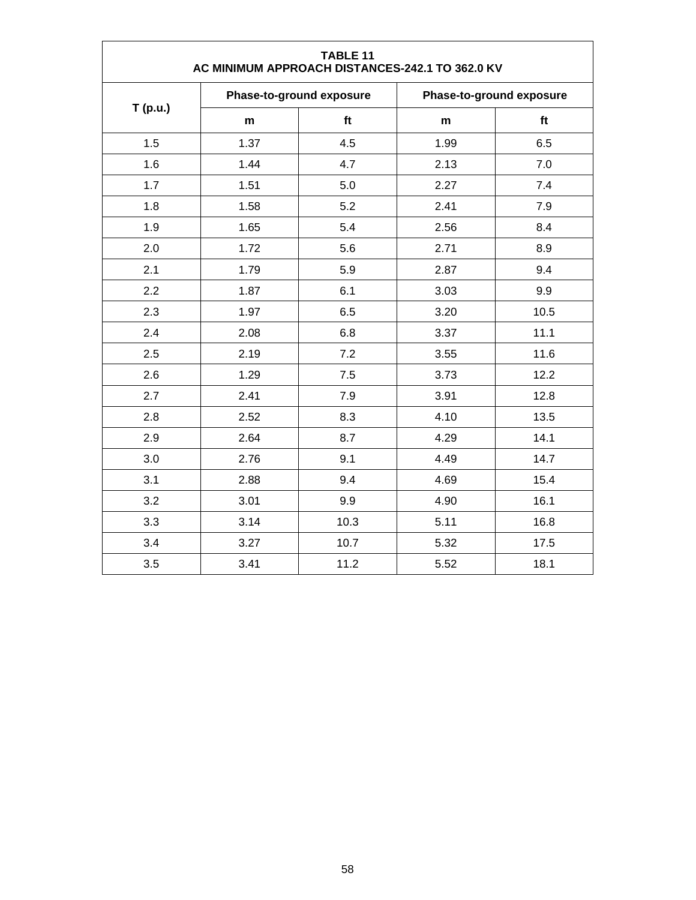| TABLE 11<br>AC MINIMUM APPROACH DISTANCES-242.1 TO 362.0 KV |                          |      |                          |      |  |
|-------------------------------------------------------------|--------------------------|------|--------------------------|------|--|
| T(p.u.)                                                     | Phase-to-ground exposure |      | Phase-to-ground exposure |      |  |
|                                                             | m                        | ft   | m                        | ft   |  |
| 1.5                                                         | 1.37                     | 4.5  | 1.99                     | 6.5  |  |
| 1.6                                                         | 1.44                     | 4.7  | 2.13                     | 7.0  |  |
| 1.7                                                         | 1.51                     | 5.0  | 2.27                     | 7.4  |  |
| 1.8                                                         | 1.58                     | 5.2  | 2.41                     | 7.9  |  |
| 1.9                                                         | 1.65                     | 5.4  | 2.56                     | 8.4  |  |
| 2.0                                                         | 1.72                     | 5.6  | 2.71                     | 8.9  |  |
| 2.1                                                         | 1.79                     | 5.9  | 2.87                     | 9.4  |  |
| 2.2                                                         | 1.87                     | 6.1  | 3.03                     | 9.9  |  |
| 2.3                                                         | 1.97                     | 6.5  | 3.20                     | 10.5 |  |
| 2.4                                                         | 2.08                     | 6.8  | 3.37                     | 11.1 |  |
| 2.5                                                         | 2.19                     | 7.2  | 3.55                     | 11.6 |  |
| 2.6                                                         | 1.29                     | 7.5  | 3.73                     | 12.2 |  |
| 2.7                                                         | 2.41                     | 7.9  | 3.91                     | 12.8 |  |
| 2.8                                                         | 2.52                     | 8.3  | 4.10                     | 13.5 |  |
| 2.9                                                         | 2.64                     | 8.7  | 4.29                     | 14.1 |  |
| 3.0                                                         | 2.76                     | 9.1  | 4.49                     | 14.7 |  |
| 3.1                                                         | 2.88                     | 9.4  | 4.69                     | 15.4 |  |
| 3.2                                                         | 3.01                     | 9.9  | 4.90                     | 16.1 |  |
| 3.3                                                         | 3.14                     | 10.3 | 5.11                     | 16.8 |  |
| 3.4                                                         | 3.27                     | 10.7 | 5.32                     | 17.5 |  |
| 3.5                                                         | 3.41                     | 11.2 | 5.52                     | 18.1 |  |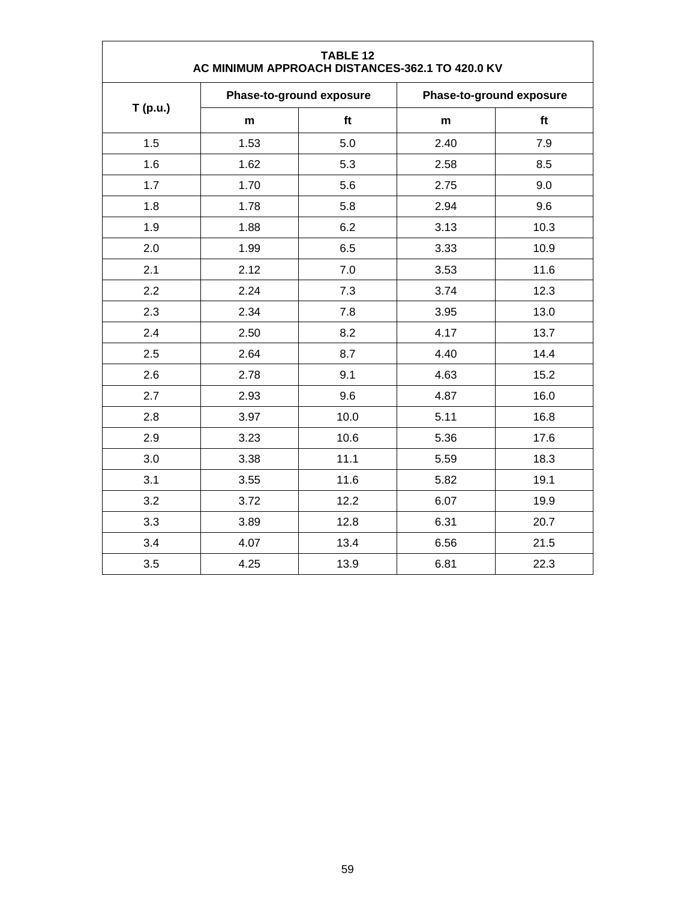| <b>TABLE 12</b><br>AC MINIMUM APPROACH DISTANCES-362.1 TO 420.0 KV |                          |      |                          |      |
|--------------------------------------------------------------------|--------------------------|------|--------------------------|------|
|                                                                    | Phase-to-ground exposure |      | Phase-to-ground exposure |      |
| T (p.u.)                                                           | m                        | ft   | m                        | ft   |
| 1.5                                                                | 1.53                     | 5.0  | 2.40                     | 7.9  |
| 1.6                                                                | 1.62                     | 5.3  | 2.58                     | 8.5  |
| 1.7                                                                | 1.70                     | 5.6  | 2.75                     | 9.0  |
| 1.8                                                                | 1.78                     | 5.8  | 2.94                     | 9.6  |
| 1.9                                                                | 1.88                     | 6.2  | 3.13                     | 10.3 |
| 2.0                                                                | 1.99                     | 6.5  | 3.33                     | 10.9 |
| 2.1                                                                | 2.12                     | 7.0  | 3.53                     | 11.6 |
| 2.2                                                                | 2.24                     | 7.3  | 3.74                     | 12.3 |
| 2.3                                                                | 2.34                     | 7.8  | 3.95                     | 13.0 |
| 2.4                                                                | 2.50                     | 8.2  | 4.17                     | 13.7 |
| 2.5                                                                | 2.64                     | 8.7  | 4.40                     | 14.4 |
| 2.6                                                                | 2.78                     | 9.1  | 4.63                     | 15.2 |
| 2.7                                                                | 2.93                     | 9.6  | 4.87                     | 16.0 |
| 2.8                                                                | 3.97                     | 10.0 | 5.11                     | 16.8 |
| 2.9                                                                | 3.23                     | 10.6 | 5.36                     | 17.6 |
| 3.0                                                                | 3.38                     | 11.1 | 5.59                     | 18.3 |
| 3.1                                                                | 3.55                     | 11.6 | 5.82                     | 19.1 |
| 3.2                                                                | 3.72                     | 12.2 | 6.07                     | 19.9 |
| 3.3                                                                | 3.89                     | 12.8 | 6.31                     | 20.7 |
| 3.4                                                                | 4.07                     | 13.4 | 6.56                     | 21.5 |
| 3.5                                                                | 4.25                     | 13.9 | 6.81                     | 22.3 |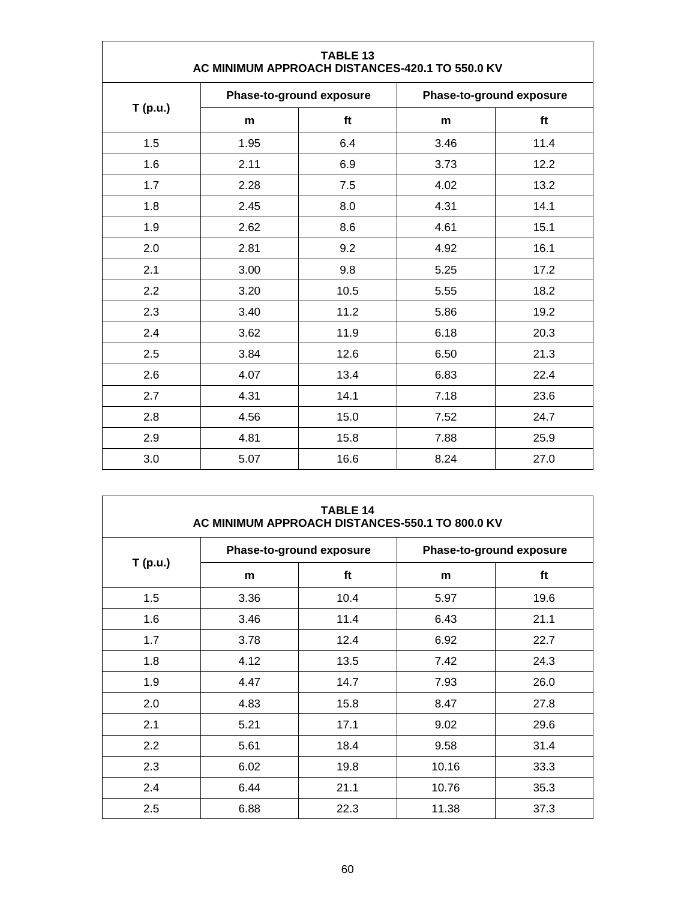| <b>TABLE 13</b><br>AC MINIMUM APPROACH DISTANCES-420.1 TO 550.0 KV |                          |      |                          |      |  |  |
|--------------------------------------------------------------------|--------------------------|------|--------------------------|------|--|--|
| T (p.u.)                                                           | Phase-to-ground exposure |      | Phase-to-ground exposure |      |  |  |
|                                                                    | m                        | ft   | m                        | ft   |  |  |
| 1.5                                                                | 1.95                     | 6.4  | 3.46                     | 11.4 |  |  |
| 1.6                                                                | 2.11                     | 6.9  | 3.73                     | 12.2 |  |  |
| 1.7                                                                | 2.28                     | 7.5  | 4.02                     | 13.2 |  |  |
| 1.8                                                                | 2.45                     | 8.0  | 4.31                     | 14.1 |  |  |
| 1.9                                                                | 2.62                     | 8.6  | 4.61                     | 15.1 |  |  |
| 2.0                                                                | 2.81                     | 9.2  | 4.92                     | 16.1 |  |  |
| 2.1                                                                | 3.00                     | 9.8  | 5.25                     | 17.2 |  |  |
| 2.2                                                                | 3.20                     | 10.5 | 5.55                     | 18.2 |  |  |
| 2.3                                                                | 3.40                     | 11.2 | 5.86                     | 19.2 |  |  |
| 2.4                                                                | 3.62                     | 11.9 | 6.18                     | 20.3 |  |  |
| 2.5                                                                | 3.84                     | 12.6 | 6.50                     | 21.3 |  |  |
| 2.6                                                                | 4.07                     | 13.4 | 6.83                     | 22.4 |  |  |
| 2.7                                                                | 4.31                     | 14.1 | 7.18                     | 23.6 |  |  |
| 2.8                                                                | 4.56                     | 15.0 | 7.52                     | 24.7 |  |  |
| 2.9                                                                | 4.81                     | 15.8 | 7.88                     | 25.9 |  |  |
| 3.0                                                                | 5.07                     | 16.6 | 8.24                     | 27.0 |  |  |

| <b>TABLE 14</b><br>AC MINIMUM APPROACH DISTANCES-550.1 TO 800.0 KV |                          |      |                          |      |  |  |
|--------------------------------------------------------------------|--------------------------|------|--------------------------|------|--|--|
| T (p.u.)                                                           | Phase-to-ground exposure |      | Phase-to-ground exposure |      |  |  |
|                                                                    | m                        | ft   | m                        | ft   |  |  |
| 1.5                                                                | 3.36                     | 10.4 | 5.97                     | 19.6 |  |  |
| 1.6                                                                | 3.46                     | 11.4 | 6.43                     | 21.1 |  |  |
| 1.7                                                                | 3.78                     | 12.4 | 6.92                     | 22.7 |  |  |
| 1.8                                                                | 4.12                     | 13.5 | 7.42                     | 24.3 |  |  |
| 1.9                                                                | 4.47                     | 14.7 | 7.93                     | 26.0 |  |  |
| 2.0                                                                | 4.83                     | 15.8 | 8.47                     | 27.8 |  |  |
| 2.1                                                                | 5.21                     | 17.1 | 9.02                     | 29.6 |  |  |
| 2.2                                                                | 5.61                     | 18.4 | 9.58                     | 31.4 |  |  |
| 2.3                                                                | 6.02                     | 19.8 | 10.16                    | 33.3 |  |  |
| 2.4                                                                | 6.44                     | 21.1 | 10.76                    | 35.3 |  |  |
| 2.5                                                                | 6.88                     | 22.3 | 11.38                    | 37.3 |  |  |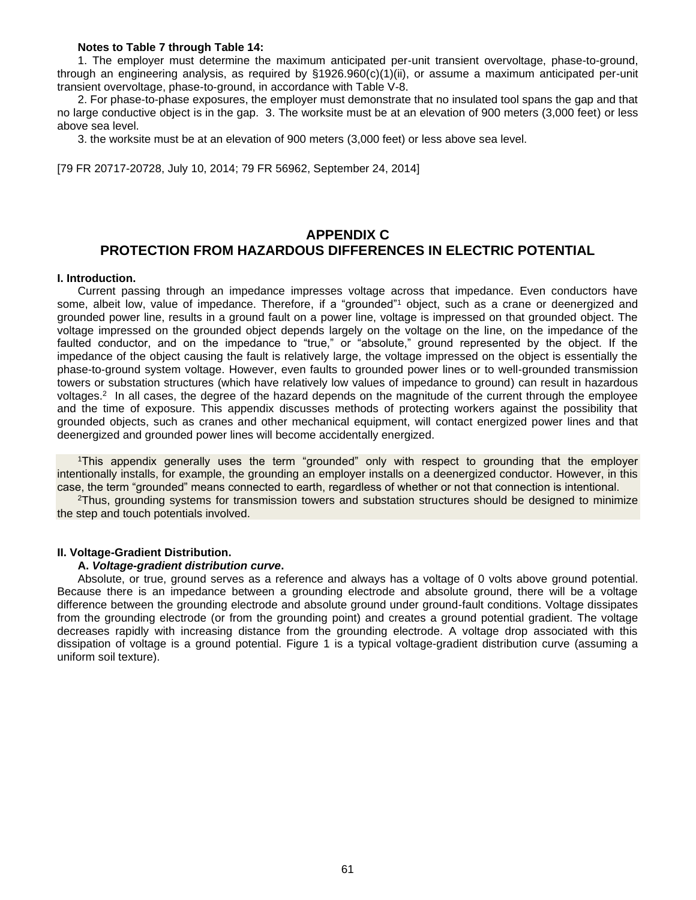#### **Notes to Table 7 through Table 14:**

1. The employer must determine the maximum anticipated per-unit transient overvoltage, phase-to-ground, through an engineering analysis, as required by §1926.960(c)(1)(ii), or assume a maximum anticipated per-unit transient overvoltage, phase-to-ground, in accordance with Table V-8.

2. For phase-to-phase exposures, the employer must demonstrate that no insulated tool spans the gap and that no large conductive object is in the gap. 3. The worksite must be at an elevation of 900 meters (3,000 feet) or less above sea level.

3. the worksite must be at an elevation of 900 meters (3,000 feet) or less above sea level.

[79 FR 20717-20728, July 10, 2014; 79 FR 56962, September 24, 2014]

# **APPENDIX C**

# **PROTECTION FROM HAZARDOUS DIFFERENCES IN ELECTRIC POTENTIAL**

#### **I. Introduction.**

Current passing through an impedance impresses voltage across that impedance. Even conductors have some, albeit low, value of impedance. Therefore, if a "grounded"<sup>1</sup> object, such as a crane or deenergized and grounded power line, results in a ground fault on a power line, voltage is impressed on that grounded object. The voltage impressed on the grounded object depends largely on the voltage on the line, on the impedance of the faulted conductor, and on the impedance to "true," or "absolute," ground represented by the object. If the impedance of the object causing the fault is relatively large, the voltage impressed on the object is essentially the phase-to-ground system voltage. However, even faults to grounded power lines or to well-grounded transmission towers or substation structures (which have relatively low values of impedance to ground) can result in hazardous voltages.<sup>2</sup> In all cases, the degree of the hazard depends on the magnitude of the current through the employee and the time of exposure. This appendix discusses methods of protecting workers against the possibility that grounded objects, such as cranes and other mechanical equipment, will contact energized power lines and that deenergized and grounded power lines will become accidentally energized.

<sup>1</sup>This appendix generally uses the term "grounded" only with respect to grounding that the employer intentionally installs, for example, the grounding an employer installs on a deenergized conductor. However, in this case, the term "grounded" means connected to earth, regardless of whether or not that connection is intentional.

<sup>2</sup>Thus, grounding systems for transmission towers and substation structures should be designed to minimize the step and touch potentials involved.

#### **II. Voltage-Gradient Distribution.**

## **A.** *Voltage-gradient distribution curve***.**

Absolute, or true, ground serves as a reference and always has a voltage of 0 volts above ground potential. Because there is an impedance between a grounding electrode and absolute ground, there will be a voltage difference between the grounding electrode and absolute ground under ground-fault conditions. Voltage dissipates from the grounding electrode (or from the grounding point) and creates a ground potential gradient. The voltage decreases rapidly with increasing distance from the grounding electrode. A voltage drop associated with this dissipation of voltage is a ground potential. Figure 1 is a typical voltage-gradient distribution curve (assuming a uniform soil texture).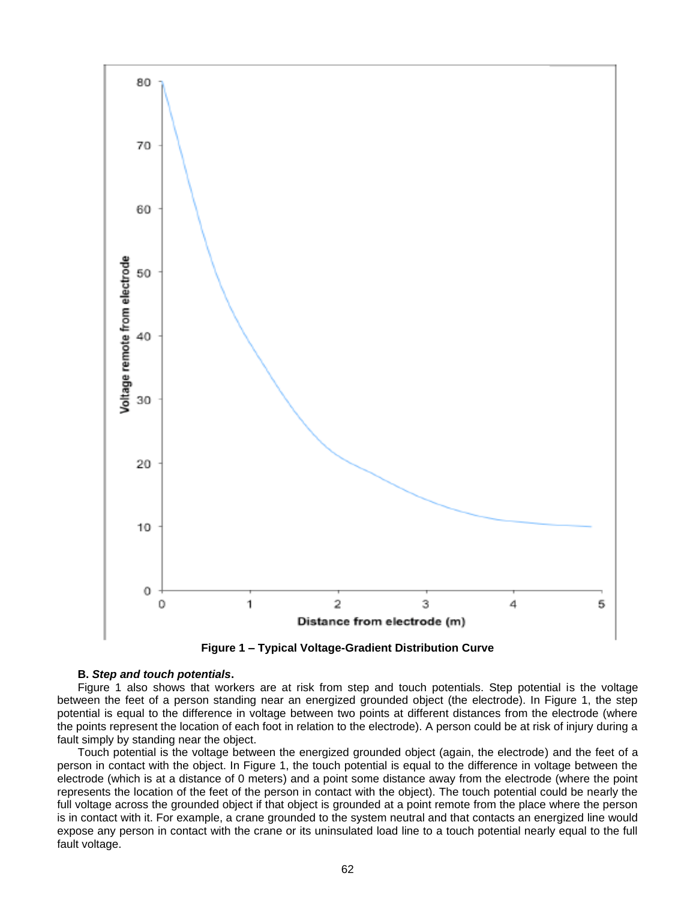

#### **B.** *Step and touch potentials***.**

Figure 1 also shows that workers are at risk from step and touch potentials. Step potential is the voltage between the feet of a person standing near an energized grounded object (the electrode). In Figure 1, the step potential is equal to the difference in voltage between two points at different distances from the electrode (where the points represent the location of each foot in relation to the electrode). A person could be at risk of injury during a fault simply by standing near the object.

Touch potential is the voltage between the energized grounded object (again, the electrode) and the feet of a person in contact with the object. In Figure 1, the touch potential is equal to the difference in voltage between the electrode (which is at a distance of 0 meters) and a point some distance away from the electrode (where the point represents the location of the feet of the person in contact with the object). The touch potential could be nearly the full voltage across the grounded object if that object is grounded at a point remote from the place where the person is in contact with it. For example, a crane grounded to the system neutral and that contacts an energized line would expose any person in contact with the crane or its uninsulated load line to a touch potential nearly equal to the full fault voltage.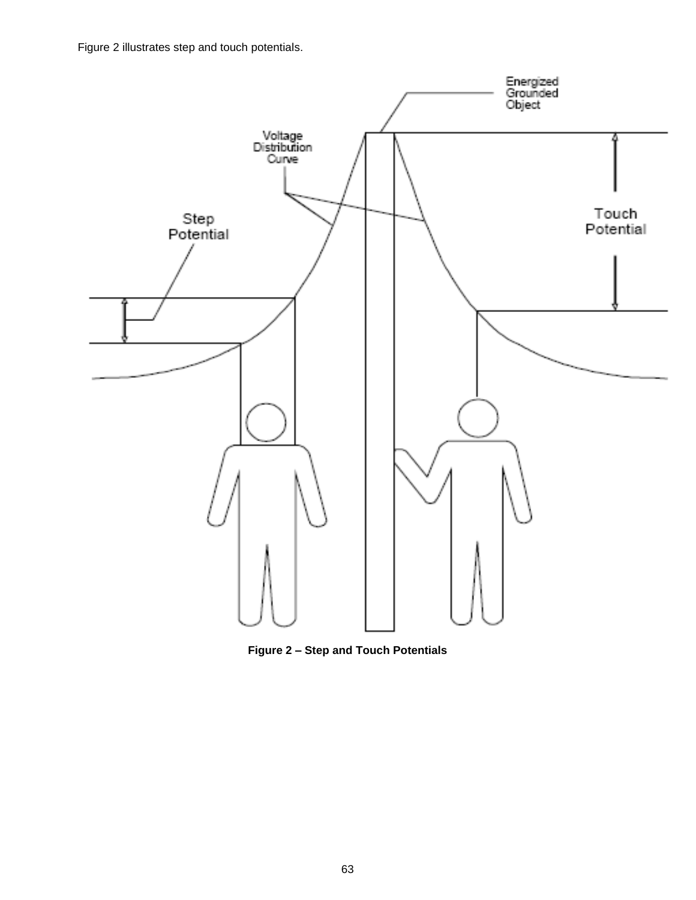Figure 2 illustrates step and touch potentials.



**Figure 2 – Step and Touch Potentials**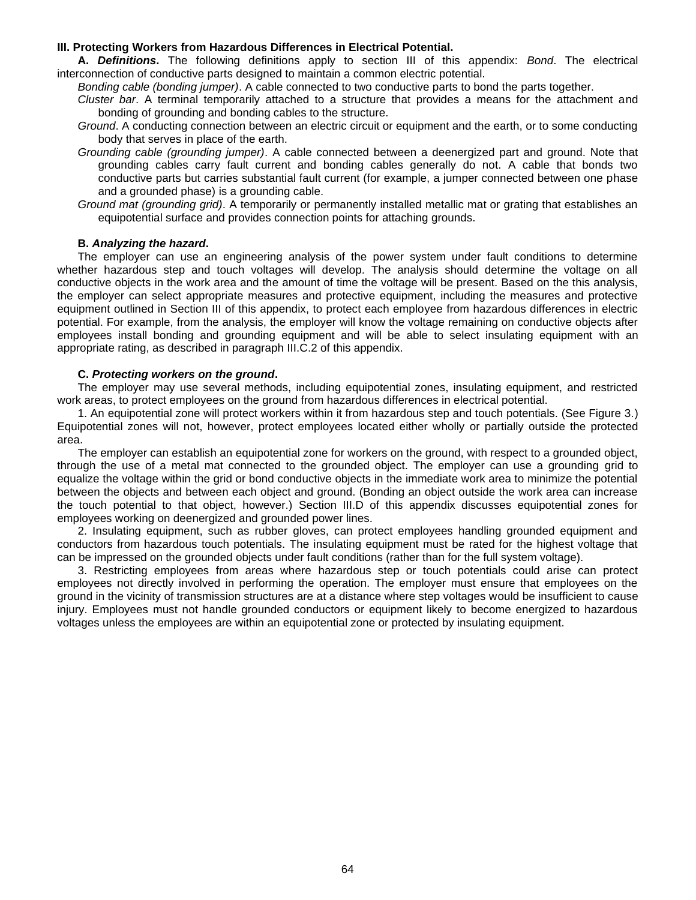## **III. Protecting Workers from Hazardous Differences in Electrical Potential.**

**A.** *Definitions***.** The following definitions apply to section III of this appendix: *Bond*. The electrical interconnection of conductive parts designed to maintain a common electric potential.

*Bonding cable (bonding jumper)*. A cable connected to two conductive parts to bond the parts together.

*Cluster bar*. A terminal temporarily attached to a structure that provides a means for the attachment and bonding of grounding and bonding cables to the structure.

- *Ground*. A conducting connection between an electric circuit or equipment and the earth, or to some conducting body that serves in place of the earth.
- *Grounding cable (grounding jumper)*. A cable connected between a deenergized part and ground. Note that grounding cables carry fault current and bonding cables generally do not. A cable that bonds two conductive parts but carries substantial fault current (for example, a jumper connected between one phase and a grounded phase) is a grounding cable.
- *Ground mat (grounding grid)*. A temporarily or permanently installed metallic mat or grating that establishes an equipotential surface and provides connection points for attaching grounds.

## **B.** *Analyzing the hazard***.**

The employer can use an engineering analysis of the power system under fault conditions to determine whether hazardous step and touch voltages will develop. The analysis should determine the voltage on all conductive objects in the work area and the amount of time the voltage will be present. Based on the this analysis, the employer can select appropriate measures and protective equipment, including the measures and protective equipment outlined in Section III of this appendix, to protect each employee from hazardous differences in electric potential. For example, from the analysis, the employer will know the voltage remaining on conductive objects after employees install bonding and grounding equipment and will be able to select insulating equipment with an appropriate rating, as described in paragraph III.C.2 of this appendix.

## **C.** *Protecting workers on the ground***.**

The employer may use several methods, including equipotential zones, insulating equipment, and restricted work areas, to protect employees on the ground from hazardous differences in electrical potential.

1. An equipotential zone will protect workers within it from hazardous step and touch potentials. (See Figure 3.) Equipotential zones will not, however, protect employees located either wholly or partially outside the protected area.

The employer can establish an equipotential zone for workers on the ground, with respect to a grounded object, through the use of a metal mat connected to the grounded object. The employer can use a grounding grid to equalize the voltage within the grid or bond conductive objects in the immediate work area to minimize the potential between the objects and between each object and ground. (Bonding an object outside the work area can increase the touch potential to that object, however.) Section III.D of this appendix discusses equipotential zones for employees working on deenergized and grounded power lines.

2. Insulating equipment, such as rubber gloves, can protect employees handling grounded equipment and conductors from hazardous touch potentials. The insulating equipment must be rated for the highest voltage that can be impressed on the grounded objects under fault conditions (rather than for the full system voltage).

3. Restricting employees from areas where hazardous step or touch potentials could arise can protect employees not directly involved in performing the operation. The employer must ensure that employees on the ground in the vicinity of transmission structures are at a distance where step voltages would be insufficient to cause injury. Employees must not handle grounded conductors or equipment likely to become energized to hazardous voltages unless the employees are within an equipotential zone or protected by insulating equipment.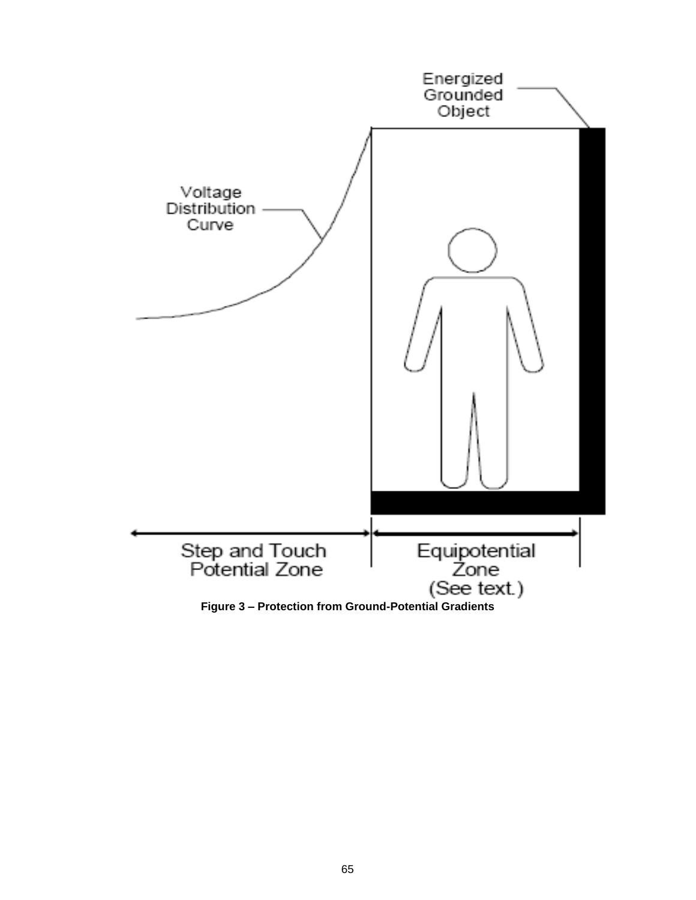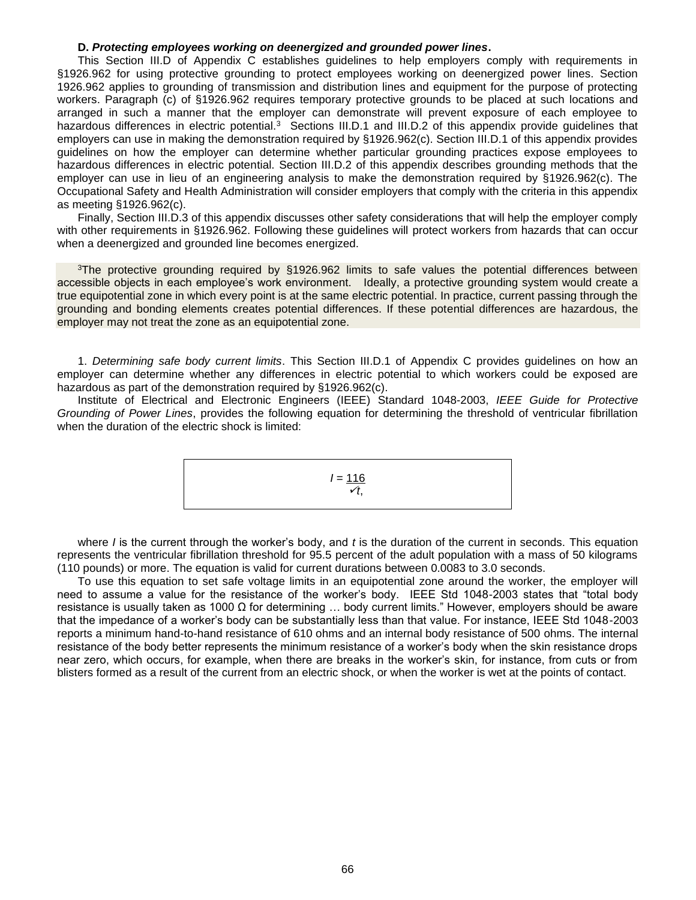#### **D.** *Protecting employees working on deenergized and grounded power lines***.**

This Section III.D of Appendix C establishes guidelines to help employers comply with requirements in §1926.962 for using protective grounding to protect employees working on deenergized power lines. Section 1926.962 applies to grounding of transmission and distribution lines and equipment for the purpose of protecting workers. Paragraph (c) of §1926.962 requires temporary protective grounds to be placed at such locations and arranged in such a manner that the employer can demonstrate will prevent exposure of each employee to hazardous differences in electric potential.<sup>3</sup> Sections III.D.1 and III.D.2 of this appendix provide guidelines that employers can use in making the demonstration required by §1926.962(c). Section III.D.1 of this appendix provides guidelines on how the employer can determine whether particular grounding practices expose employees to hazardous differences in electric potential. Section III.D.2 of this appendix describes grounding methods that the employer can use in lieu of an engineering analysis to make the demonstration required by §1926.962(c). The Occupational Safety and Health Administration will consider employers that comply with the criteria in this appendix as meeting §1926.962(c).

Finally, Section III.D.3 of this appendix discusses other safety considerations that will help the employer comply with other requirements in §1926.962. Following these guidelines will protect workers from hazards that can occur when a deenergized and grounded line becomes energized.

<sup>3</sup>The protective grounding required by §1926.962 limits to safe values the potential differences between accessible objects in each employee's work environment. Ideally, a protective grounding system would create a true equipotential zone in which every point is at the same electric potential. In practice, current passing through the grounding and bonding elements creates potential differences. If these potential differences are hazardous, the employer may not treat the zone as an equipotential zone.

1. *Determining safe body current limits*. This Section III.D.1 of Appendix C provides guidelines on how an employer can determine whether any differences in electric potential to which workers could be exposed are hazardous as part of the demonstration required by §1926.962(c).

Institute of Electrical and Electronic Engineers (IEEE) Standard 1048-2003, *IEEE Guide for Protective Grounding of Power Lines*, provides the following equation for determining the threshold of ventricular fibrillation when the duration of the electric shock is limited:

| $l = \frac{116}{\sqrt{t}}$ |  |
|----------------------------|--|
|                            |  |
|                            |  |
|                            |  |

where *I* is the current through the worker's body, and *t* is the duration of the current in seconds. This equation represents the ventricular fibrillation threshold for 95.5 percent of the adult population with a mass of 50 kilograms (110 pounds) or more. The equation is valid for current durations between 0.0083 to 3.0 seconds.

To use this equation to set safe voltage limits in an equipotential zone around the worker, the employer will need to assume a value for the resistance of the worker's body. IEEE Std 1048-2003 states that "total body resistance is usually taken as 1000 Ω for determining … body current limits." However, employers should be aware that the impedance of a worker's body can be substantially less than that value. For instance, IEEE Std 1048-2003 reports a minimum hand-to-hand resistance of 610 ohms and an internal body resistance of 500 ohms. The internal resistance of the body better represents the minimum resistance of a worker's body when the skin resistance drops near zero, which occurs, for example, when there are breaks in the worker's skin, for instance, from cuts or from blisters formed as a result of the current from an electric shock, or when the worker is wet at the points of contact.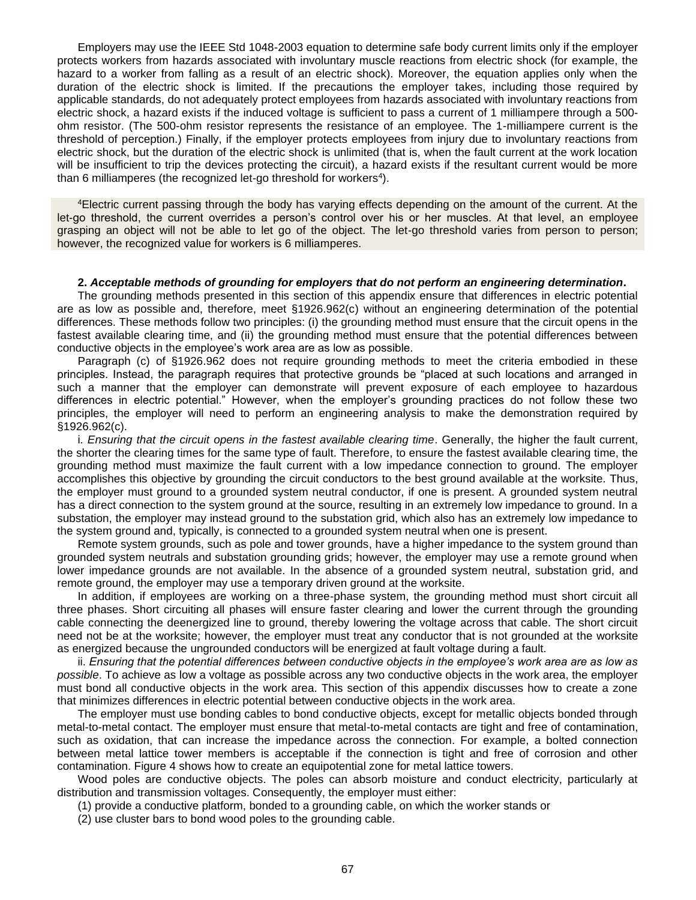Employers may use the IEEE Std 1048-2003 equation to determine safe body current limits only if the employer protects workers from hazards associated with involuntary muscle reactions from electric shock (for example, the hazard to a worker from falling as a result of an electric shock). Moreover, the equation applies only when the duration of the electric shock is limited. If the precautions the employer takes, including those required by applicable standards, do not adequately protect employees from hazards associated with involuntary reactions from electric shock, a hazard exists if the induced voltage is sufficient to pass a current of 1 milliampere through a 500 ohm resistor. (The 500-ohm resistor represents the resistance of an employee. The 1-milliampere current is the threshold of perception.) Finally, if the employer protects employees from injury due to involuntary reactions from electric shock, but the duration of the electric shock is unlimited (that is, when the fault current at the work location will be insufficient to trip the devices protecting the circuit), a hazard exists if the resultant current would be more than 6 milliamperes (the recognized let-go threshold for workers<sup>4</sup>).

<sup>4</sup>Electric current passing through the body has varying effects depending on the amount of the current. At the let-go threshold, the current overrides a person's control over his or her muscles. At that level, an employee grasping an object will not be able to let go of the object. The let-go threshold varies from person to person; however, the recognized value for workers is 6 milliamperes.

#### **2.** *Acceptable methods of grounding for employers that do not perform an engineering determination***.**

The grounding methods presented in this section of this appendix ensure that differences in electric potential are as low as possible and, therefore, meet §1926.962(c) without an engineering determination of the potential differences. These methods follow two principles: (i) the grounding method must ensure that the circuit opens in the fastest available clearing time, and (ii) the grounding method must ensure that the potential differences between conductive objects in the employee's work area are as low as possible.

Paragraph (c) of §1926.962 does not require grounding methods to meet the criteria embodied in these principles. Instead, the paragraph requires that protective grounds be "placed at such locations and arranged in such a manner that the employer can demonstrate will prevent exposure of each employee to hazardous differences in electric potential." However, when the employer's grounding practices do not follow these two principles, the employer will need to perform an engineering analysis to make the demonstration required by §1926.962(c).

i. *Ensuring that the circuit opens in the fastest available clearing time*. Generally, the higher the fault current, the shorter the clearing times for the same type of fault. Therefore, to ensure the fastest available clearing time, the grounding method must maximize the fault current with a low impedance connection to ground. The employer accomplishes this objective by grounding the circuit conductors to the best ground available at the worksite. Thus, the employer must ground to a grounded system neutral conductor, if one is present. A grounded system neutral has a direct connection to the system ground at the source, resulting in an extremely low impedance to ground. In a substation, the employer may instead ground to the substation grid, which also has an extremely low impedance to the system ground and, typically, is connected to a grounded system neutral when one is present.

Remote system grounds, such as pole and tower grounds, have a higher impedance to the system ground than grounded system neutrals and substation grounding grids; however, the employer may use a remote ground when lower impedance grounds are not available. In the absence of a grounded system neutral, substation grid, and remote ground, the employer may use a temporary driven ground at the worksite.

In addition, if employees are working on a three-phase system, the grounding method must short circuit all three phases. Short circuiting all phases will ensure faster clearing and lower the current through the grounding cable connecting the deenergized line to ground, thereby lowering the voltage across that cable. The short circuit need not be at the worksite; however, the employer must treat any conductor that is not grounded at the worksite as energized because the ungrounded conductors will be energized at fault voltage during a fault.

ii. *Ensuring that the potential differences between conductive objects in the employee's work area are as low as possible*. To achieve as low a voltage as possible across any two conductive objects in the work area, the employer must bond all conductive objects in the work area. This section of this appendix discusses how to create a zone that minimizes differences in electric potential between conductive objects in the work area.

The employer must use bonding cables to bond conductive objects, except for metallic objects bonded through metal-to-metal contact. The employer must ensure that metal-to-metal contacts are tight and free of contamination, such as oxidation, that can increase the impedance across the connection. For example, a bolted connection between metal lattice tower members is acceptable if the connection is tight and free of corrosion and other contamination. Figure 4 shows how to create an equipotential zone for metal lattice towers.

Wood poles are conductive objects. The poles can absorb moisture and conduct electricity, particularly at distribution and transmission voltages. Consequently, the employer must either:

(1) provide a conductive platform, bonded to a grounding cable, on which the worker stands or

(2) use cluster bars to bond wood poles to the grounding cable.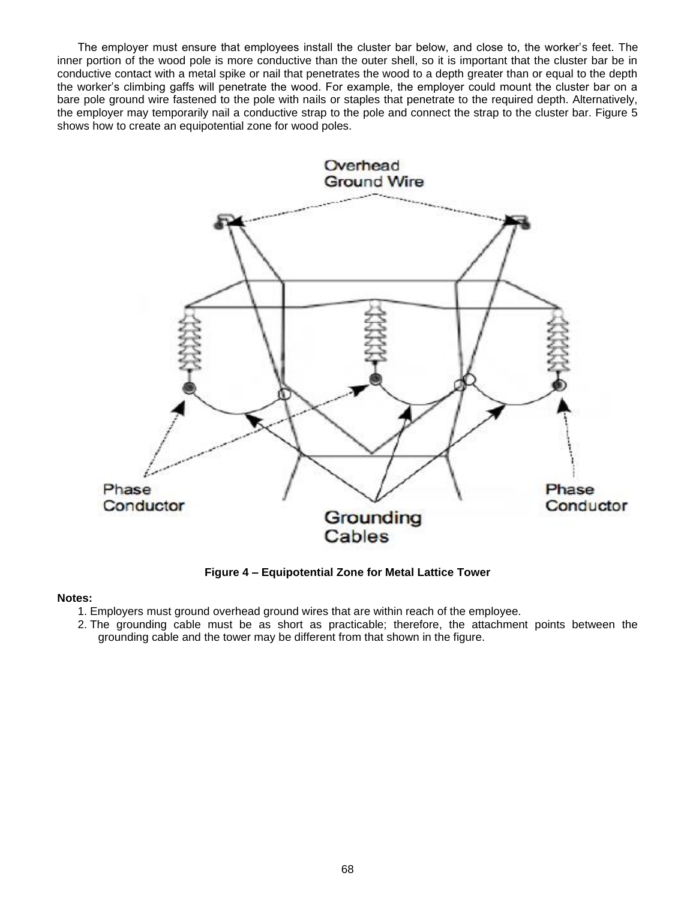The employer must ensure that employees install the cluster bar below, and close to, the worker's feet. The inner portion of the wood pole is more conductive than the outer shell, so it is important that the cluster bar be in conductive contact with a metal spike or nail that penetrates the wood to a depth greater than or equal to the depth the worker's climbing gaffs will penetrate the wood. For example, the employer could mount the cluster bar on a bare pole ground wire fastened to the pole with nails or staples that penetrate to the required depth. Alternatively, the employer may temporarily nail a conductive strap to the pole and connect the strap to the cluster bar. Figure 5 shows how to create an equipotential zone for wood poles.



**Figure 4 – Equipotential Zone for Metal Lattice Tower**

## **Notes:**

- 1. Employers must ground overhead ground wires that are within reach of the employee.
- 2. The grounding cable must be as short as practicable; therefore, the attachment points between the grounding cable and the tower may be different from that shown in the figure.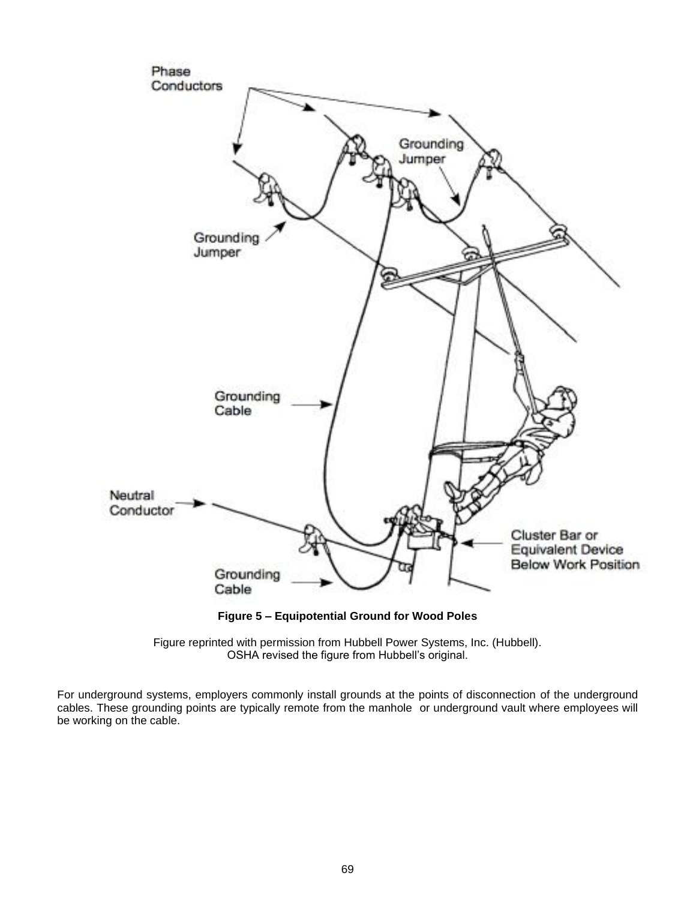

**Figure 5 – Equipotential Ground for Wood Poles**

Figure reprinted with permission from Hubbell Power Systems, Inc. (Hubbell). OSHA revised the figure from Hubbell's original.

For underground systems, employers commonly install grounds at the points of disconnection of the underground cables. These grounding points are typically remote from the manhole or underground vault where employees will be working on the cable.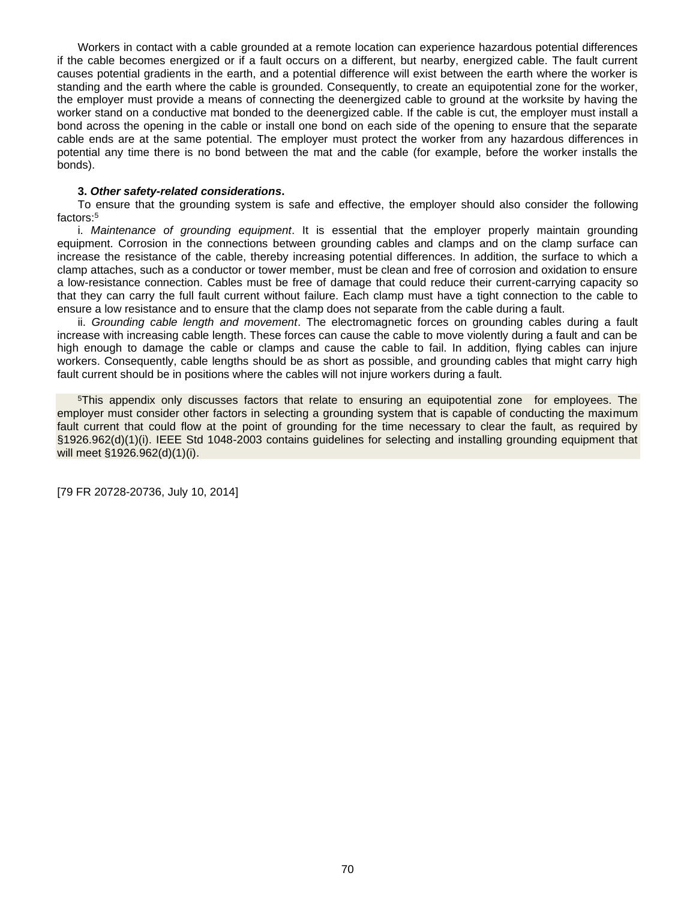Workers in contact with a cable grounded at a remote location can experience hazardous potential differences if the cable becomes energized or if a fault occurs on a different, but nearby, energized cable. The fault current causes potential gradients in the earth, and a potential difference will exist between the earth where the worker is standing and the earth where the cable is grounded. Consequently, to create an equipotential zone for the worker, the employer must provide a means of connecting the deenergized cable to ground at the worksite by having the worker stand on a conductive mat bonded to the deenergized cable. If the cable is cut, the employer must install a bond across the opening in the cable or install one bond on each side of the opening to ensure that the separate cable ends are at the same potential. The employer must protect the worker from any hazardous differences in potential any time there is no bond between the mat and the cable (for example, before the worker installs the bonds).

## **3.** *Other safety-related considerations***.**

To ensure that the grounding system is safe and effective, the employer should also consider the following factors:<sup>5</sup>

i. *Maintenance of grounding equipment*. It is essential that the employer properly maintain grounding equipment. Corrosion in the connections between grounding cables and clamps and on the clamp surface can increase the resistance of the cable, thereby increasing potential differences. In addition, the surface to which a clamp attaches, such as a conductor or tower member, must be clean and free of corrosion and oxidation to ensure a low-resistance connection. Cables must be free of damage that could reduce their current-carrying capacity so that they can carry the full fault current without failure. Each clamp must have a tight connection to the cable to ensure a low resistance and to ensure that the clamp does not separate from the cable during a fault.

ii. *Grounding cable length and movement*. The electromagnetic forces on grounding cables during a fault increase with increasing cable length. These forces can cause the cable to move violently during a fault and can be high enough to damage the cable or clamps and cause the cable to fail. In addition, flying cables can injure workers. Consequently, cable lengths should be as short as possible, and grounding cables that might carry high fault current should be in positions where the cables will not injure workers during a fault.

<sup>5</sup>This appendix only discusses factors that relate to ensuring an equipotential zone for employees. The employer must consider other factors in selecting a grounding system that is capable of conducting the maximum fault current that could flow at the point of grounding for the time necessary to clear the fault, as required by §1926.962(d)(1)(i). IEEE Std 1048-2003 contains guidelines for selecting and installing grounding equipment that will meet §1926.962(d)(1)(i).

[79 FR 20728-20736, July 10, 2014]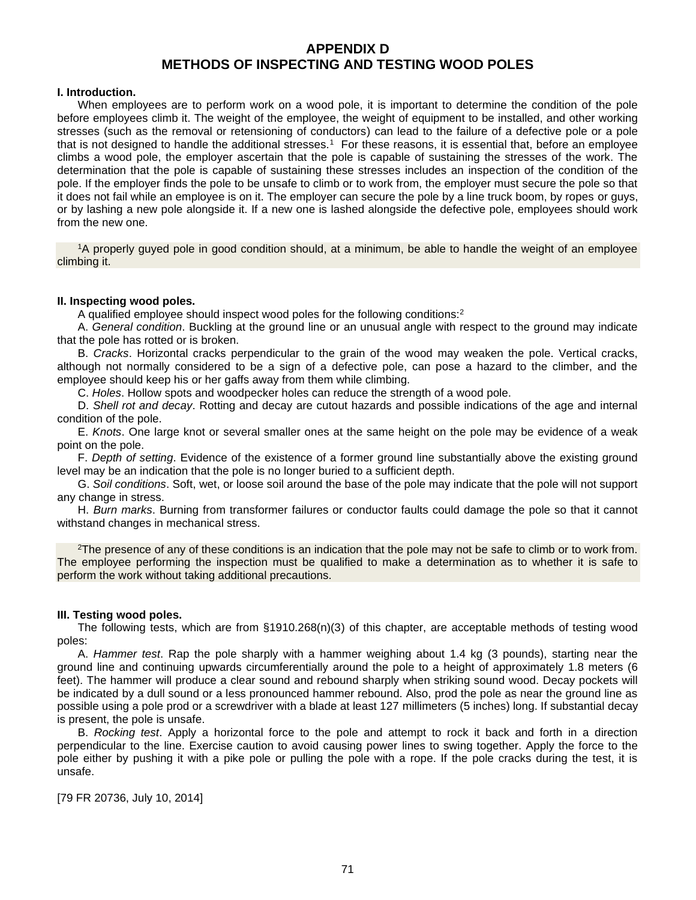# **APPENDIX D METHODS OF INSPECTING AND TESTING WOOD POLES**

## **I. Introduction.**

When employees are to perform work on a wood pole, it is important to determine the condition of the pole before employees climb it. The weight of the employee, the weight of equipment to be installed, and other working stresses (such as the removal or retensioning of conductors) can lead to the failure of a defective pole or a pole that is not designed to handle the additional stresses.<sup>1</sup> For these reasons, it is essential that, before an employee climbs a wood pole, the employer ascertain that the pole is capable of sustaining the stresses of the work. The determination that the pole is capable of sustaining these stresses includes an inspection of the condition of the pole. If the employer finds the pole to be unsafe to climb or to work from, the employer must secure the pole so that it does not fail while an employee is on it. The employer can secure the pole by a line truck boom, by ropes or guys, or by lashing a new pole alongside it. If a new one is lashed alongside the defective pole, employees should work from the new one.

<sup>1</sup>A properly guyed pole in good condition should, at a minimum, be able to handle the weight of an employee climbing it.

## **II. Inspecting wood poles.**

A qualified employee should inspect wood poles for the following conditions:<sup>2</sup>

A. *General condition*. Buckling at the ground line or an unusual angle with respect to the ground may indicate that the pole has rotted or is broken.

B. *Cracks*. Horizontal cracks perpendicular to the grain of the wood may weaken the pole. Vertical cracks, although not normally considered to be a sign of a defective pole, can pose a hazard to the climber, and the employee should keep his or her gaffs away from them while climbing.

C. *Holes*. Hollow spots and woodpecker holes can reduce the strength of a wood pole.

D. *Shell rot and decay*. Rotting and decay are cutout hazards and possible indications of the age and internal condition of the pole.

E. *Knots*. One large knot or several smaller ones at the same height on the pole may be evidence of a weak point on the pole.

F. *Depth of setting*. Evidence of the existence of a former ground line substantially above the existing ground level may be an indication that the pole is no longer buried to a sufficient depth.

G. *Soil conditions*. Soft, wet, or loose soil around the base of the pole may indicate that the pole will not support any change in stress.

H. *Burn marks*. Burning from transformer failures or conductor faults could damage the pole so that it cannot withstand changes in mechanical stress.

<sup>2</sup>The presence of any of these conditions is an indication that the pole may not be safe to climb or to work from. The employee performing the inspection must be qualified to make a determination as to whether it is safe to perform the work without taking additional precautions.

#### **III. Testing wood poles.**

The following tests, which are from §1910.268(n)(3) of this chapter, are acceptable methods of testing wood poles:

A. *Hammer test*. Rap the pole sharply with a hammer weighing about 1.4 kg (3 pounds), starting near the ground line and continuing upwards circumferentially around the pole to a height of approximately 1.8 meters (6 feet). The hammer will produce a clear sound and rebound sharply when striking sound wood. Decay pockets will be indicated by a dull sound or a less pronounced hammer rebound. Also, prod the pole as near the ground line as possible using a pole prod or a screwdriver with a blade at least 127 millimeters (5 inches) long. If substantial decay is present, the pole is unsafe.

B. *Rocking test*. Apply a horizontal force to the pole and attempt to rock it back and forth in a direction perpendicular to the line. Exercise caution to avoid causing power lines to swing together. Apply the force to the pole either by pushing it with a pike pole or pulling the pole with a rope. If the pole cracks during the test, it is unsafe.

[79 FR 20736, July 10, 2014]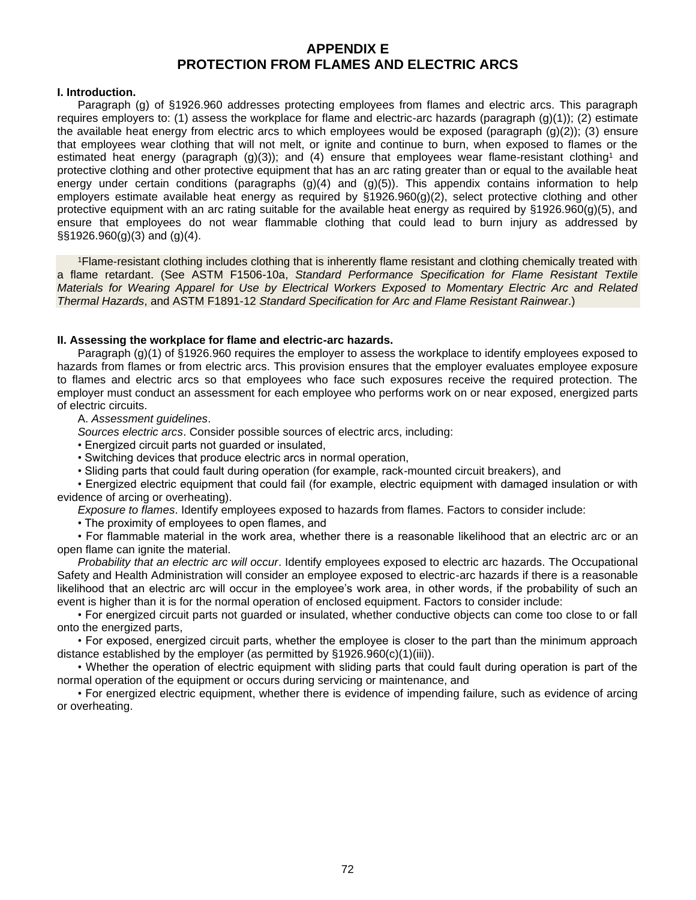# **APPENDIX E PROTECTION FROM FLAMES AND ELECTRIC ARCS**

## **I. Introduction.**

Paragraph (g) of §1926.960 addresses protecting employees from flames and electric arcs. This paragraph requires employers to: (1) assess the workplace for flame and electric-arc hazards (paragraph (g)(1)); (2) estimate the available heat energy from electric arcs to which employees would be exposed (paragraph (g)(2)); (3) ensure that employees wear clothing that will not melt, or ignite and continue to burn, when exposed to flames or the estimated heat energy (paragraph  $(g)(3)$ ); and (4) ensure that employees wear flame-resistant clothing<sup>1</sup> and protective clothing and other protective equipment that has an arc rating greater than or equal to the available heat energy under certain conditions (paragraphs  $(q)(4)$  and  $(q)(5)$ ). This appendix contains information to help employers estimate available heat energy as required by §1926.960(g)(2), select protective clothing and other protective equipment with an arc rating suitable for the available heat energy as required by §1926.960(g)(5), and ensure that employees do not wear flammable clothing that could lead to burn injury as addressed by §§1926.960(g)(3) and (g)(4).

<sup>1</sup>Flame-resistant clothing includes clothing that is inherently flame resistant and clothing chemically treated with a flame retardant. (See ASTM F1506-10a, *Standard Performance Specification for Flame Resistant Textile Materials for Wearing Apparel for Use by Electrical Workers Exposed to Momentary Electric Arc and Related Thermal Hazards*, and ASTM F1891-12 *Standard Specification for Arc and Flame Resistant Rainwear*.)

## **II. Assessing the workplace for flame and electric-arc hazards.**

Paragraph (g)(1) of §1926.960 requires the employer to assess the workplace to identify employees exposed to hazards from flames or from electric arcs. This provision ensures that the employer evaluates employee exposure to flames and electric arcs so that employees who face such exposures receive the required protection. The employer must conduct an assessment for each employee who performs work on or near exposed, energized parts of electric circuits.

A. *Assessment guidelines*.

*Sources electric arcs*. Consider possible sources of electric arcs, including:

• Energized circuit parts not guarded or insulated,

• Switching devices that produce electric arcs in normal operation,

• Sliding parts that could fault during operation (for example, rack-mounted circuit breakers), and

• Energized electric equipment that could fail (for example, electric equipment with damaged insulation or with evidence of arcing or overheating).

*Exposure to flames*. Identify employees exposed to hazards from flames. Factors to consider include:

• The proximity of employees to open flames, and

• For flammable material in the work area, whether there is a reasonable likelihood that an electric arc or an open flame can ignite the material.

*Probability that an electric arc will occur*. Identify employees exposed to electric arc hazards. The Occupational Safety and Health Administration will consider an employee exposed to electric-arc hazards if there is a reasonable likelihood that an electric arc will occur in the employee's work area, in other words, if the probability of such an event is higher than it is for the normal operation of enclosed equipment. Factors to consider include:

• For energized circuit parts not guarded or insulated, whether conductive objects can come too close to or fall onto the energized parts,

• For exposed, energized circuit parts, whether the employee is closer to the part than the minimum approach distance established by the employer (as permitted by  $\S 1926.960(c)(1)(iii)$ ).

• Whether the operation of electric equipment with sliding parts that could fault during operation is part of the normal operation of the equipment or occurs during servicing or maintenance, and

• For energized electric equipment, whether there is evidence of impending failure, such as evidence of arcing or overheating.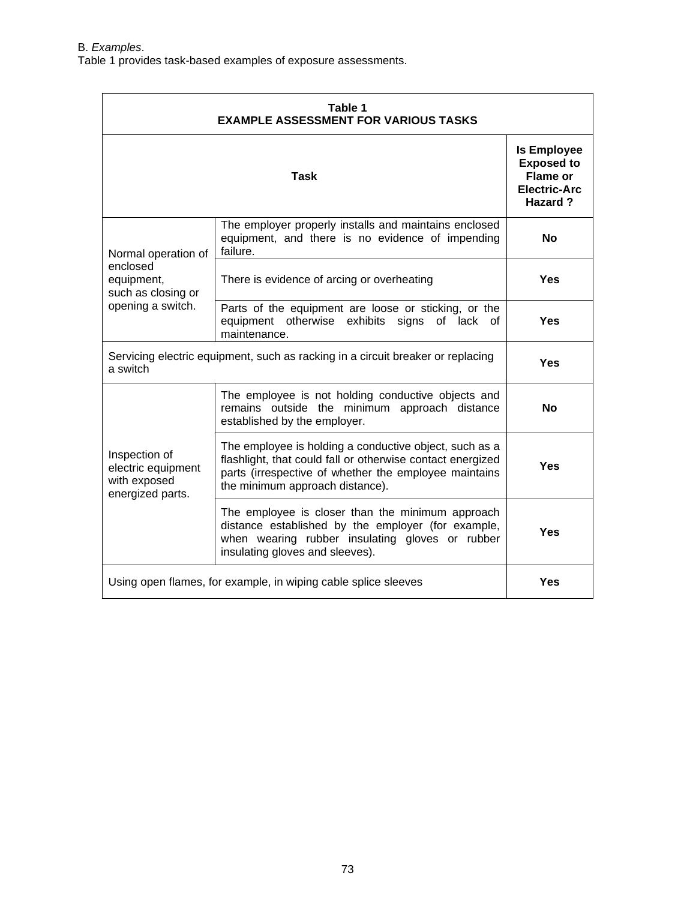Table 1 provides task-based examples of exposure assessments.

| Table 1<br><b>EXAMPLE ASSESSMENT FOR VARIOUS TASKS</b>                                      |                                                                                                                                                                                                                  |           |  |  |
|---------------------------------------------------------------------------------------------|------------------------------------------------------------------------------------------------------------------------------------------------------------------------------------------------------------------|-----------|--|--|
| <b>Is Employee</b><br><b>Exposed to</b><br><b>Task</b><br><b>Electric-Arc</b>               |                                                                                                                                                                                                                  |           |  |  |
| Normal operation of<br>enclosed<br>equipment,<br>such as closing or<br>opening a switch.    | The employer properly installs and maintains enclosed<br>equipment, and there is no evidence of impending<br>failure.                                                                                            | <b>No</b> |  |  |
|                                                                                             | There is evidence of arcing or overheating                                                                                                                                                                       | Yes       |  |  |
|                                                                                             | Parts of the equipment are loose or sticking, or the<br>equipment otherwise exhibits signs of lack of<br>maintenance.                                                                                            | Yes       |  |  |
| Servicing electric equipment, such as racking in a circuit breaker or replacing<br>a switch | Yes                                                                                                                                                                                                              |           |  |  |
| Inspection of<br>electric equipment<br>with exposed<br>energized parts.                     | The employee is not holding conductive objects and<br>remains outside the minimum approach distance<br>established by the employer.                                                                              | <b>No</b> |  |  |
|                                                                                             | The employee is holding a conductive object, such as a<br>flashlight, that could fall or otherwise contact energized<br>parts (irrespective of whether the employee maintains<br>the minimum approach distance). | Yes       |  |  |
|                                                                                             | The employee is closer than the minimum approach<br>distance established by the employer (for example,<br>when wearing rubber insulating gloves or rubber<br>insulating gloves and sleeves).                     | Yes       |  |  |
| Yes<br>Using open flames, for example, in wiping cable splice sleeves                       |                                                                                                                                                                                                                  |           |  |  |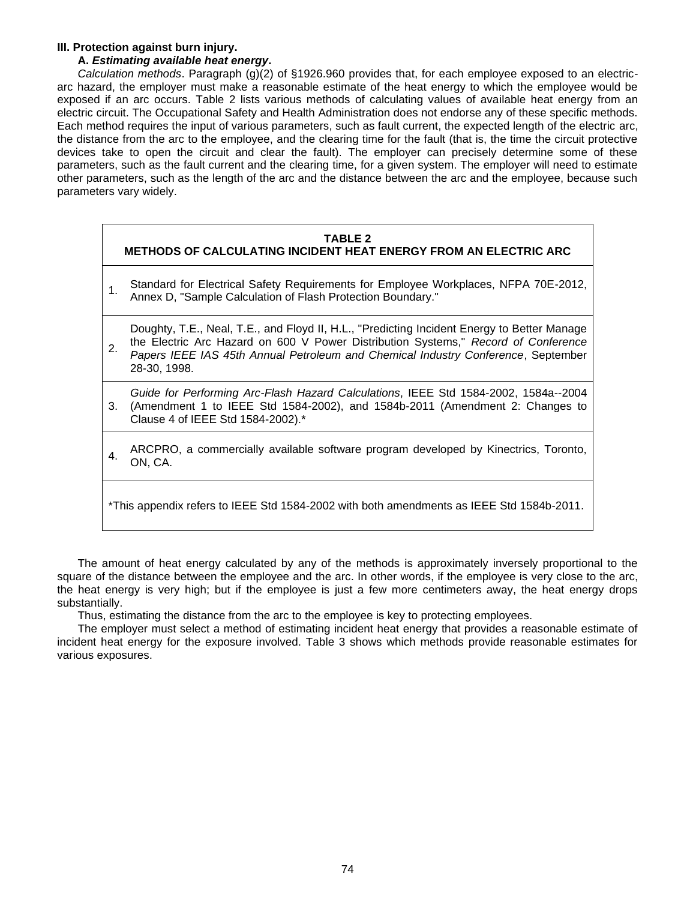#### **III. Protection against burn injury.**

### **A.** *Estimating available heat energy***.**

*Calculation methods*. Paragraph (g)(2) of §1926.960 provides that, for each employee exposed to an electricarc hazard, the employer must make a reasonable estimate of the heat energy to which the employee would be exposed if an arc occurs. Table 2 lists various methods of calculating values of available heat energy from an electric circuit. The Occupational Safety and Health Administration does not endorse any of these specific methods. Each method requires the input of various parameters, such as fault current, the expected length of the electric arc, the distance from the arc to the employee, and the clearing time for the fault (that is, the time the circuit protective devices take to open the circuit and clear the fault). The employer can precisely determine some of these parameters, such as the fault current and the clearing time, for a given system. The employer will need to estimate other parameters, such as the length of the arc and the distance between the arc and the employee, because such parameters vary widely.

#### **TABLE 2 METHODS OF CALCULATING INCIDENT HEAT ENERGY FROM AN ELECTRIC ARC**

- 1. Standard for Electrical Safety Requirements for Employee Workplaces, NFPA 70E-2012, Annex D, "Sample Calculation of Flash Protection Boundary."
- 2. Doughty, T.E., Neal, T.E., and Floyd II, H.L., "Predicting Incident Energy to Better Manage the Electric Arc Hazard on 600 V Power Distribution Systems," *Record of Conference Papers IEEE IAS 45th Annual Petroleum and Chemical Industry Conference*, September 28-30, 1998.
- 3. (Amendment 1 to IEEE Std 1584-2002), and 1584b-2011 (Amendment 2: Changes to *Guide for Performing Arc-Flash Hazard Calculations*, IEEE Std 1584-2002, 1584a--2004 Clause 4 of IEEE Std 1584-2002).\*
- 4. ARCPRO, a commercially available software program developed by Kinectrics, Toronto, ON, CA.

\*This appendix refers to IEEE Std 1584-2002 with both amendments as IEEE Std 1584b-2011.

The amount of heat energy calculated by any of the methods is approximately inversely proportional to the square of the distance between the employee and the arc. In other words, if the employee is very close to the arc, the heat energy is very high; but if the employee is just a few more centimeters away, the heat energy drops substantially.

Thus, estimating the distance from the arc to the employee is key to protecting employees.

The employer must select a method of estimating incident heat energy that provides a reasonable estimate of incident heat energy for the exposure involved. Table 3 shows which methods provide reasonable estimates for various exposures.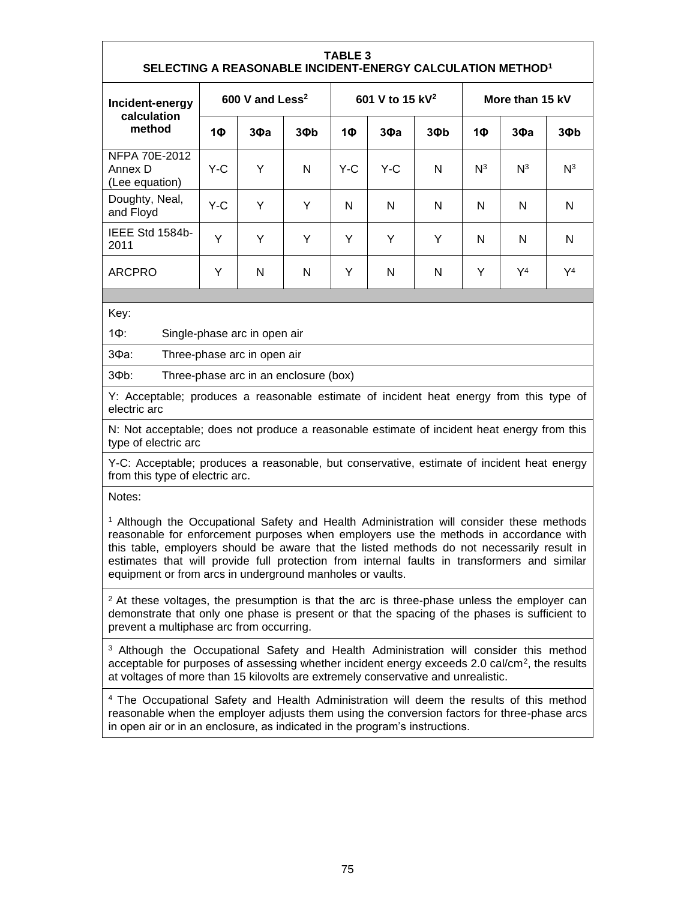### **TABLE 3 SELECTING A REASONABLE INCIDENT-ENERGY CALCULATION METHOD<sup>1</sup>**

| Incident-energy                            |     | 600 V and Less <sup>2</sup> |                  |       | 601 V to 15 kV <sup>2</sup> |                  |       | More than 15 kV |                  |  |
|--------------------------------------------|-----|-----------------------------|------------------|-------|-----------------------------|------------------|-------|-----------------|------------------|--|
| calculation<br>method                      | 1Ф  | ЗФа                         | 3 <sub>Φ</sub> b | 1Φ    | ЗФа                         | 3 <sub>Φ</sub> b | 1Ф    | ЗФа             | 3 <sub>Φ</sub> b |  |
| NFPA 70E-2012<br>Annex D<br>(Lee equation) | Y-C | Y                           | N                | $Y-C$ | $Y-C$                       | N                | $N^3$ | $N^3$           | $N^3$            |  |
| Doughty, Neal,<br>and Floyd                | Y-C | Y                           | Υ                | N     | N                           | N                | N     | N               | N                |  |
| IEEE Std 1584b-<br>2011                    | Υ   | Y                           | Y                | Υ     | Y                           | Y                | N     | N               | N                |  |
| <b>ARCPRO</b>                              | Υ   | N                           | N                | Y     | N                           | N                | Y     | Y <sup>4</sup>  | Y <sup>4</sup>   |  |

Key:

1Φ: Single-phase arc in open air

3Φa: Three-phase arc in open air

3Φb: Three-phase arc in an enclosure (box)

Y: Acceptable; produces a reasonable estimate of incident heat energy from this type of electric arc

N: Not acceptable; does not produce a reasonable estimate of incident heat energy from this type of electric arc

Y-C: Acceptable; produces a reasonable, but conservative, estimate of incident heat energy from this type of electric arc.

Notes:

<sup>1</sup> Although the Occupational Safety and Health Administration will consider these methods reasonable for enforcement purposes when employers use the methods in accordance with this table, employers should be aware that the listed methods do not necessarily result in estimates that will provide full protection from internal faults in transformers and similar equipment or from arcs in underground manholes or vaults.

<sup>2</sup> At these voltages, the presumption is that the arc is three-phase unless the employer can demonstrate that only one phase is present or that the spacing of the phases is sufficient to prevent a multiphase arc from occurring.

<sup>3</sup> Although the Occupational Safety and Health Administration will consider this method acceptable for purposes of assessing whether incident energy exceeds 2.0 cal/cm<sup>2</sup>, the results at voltages of more than 15 kilovolts are extremely conservative and unrealistic.

<sup>4</sup>The Occupational Safety and Health Administration will deem the results of this method reasonable when the employer adjusts them using the conversion factors for three-phase arcs in open air or in an enclosure, as indicated in the program's instructions.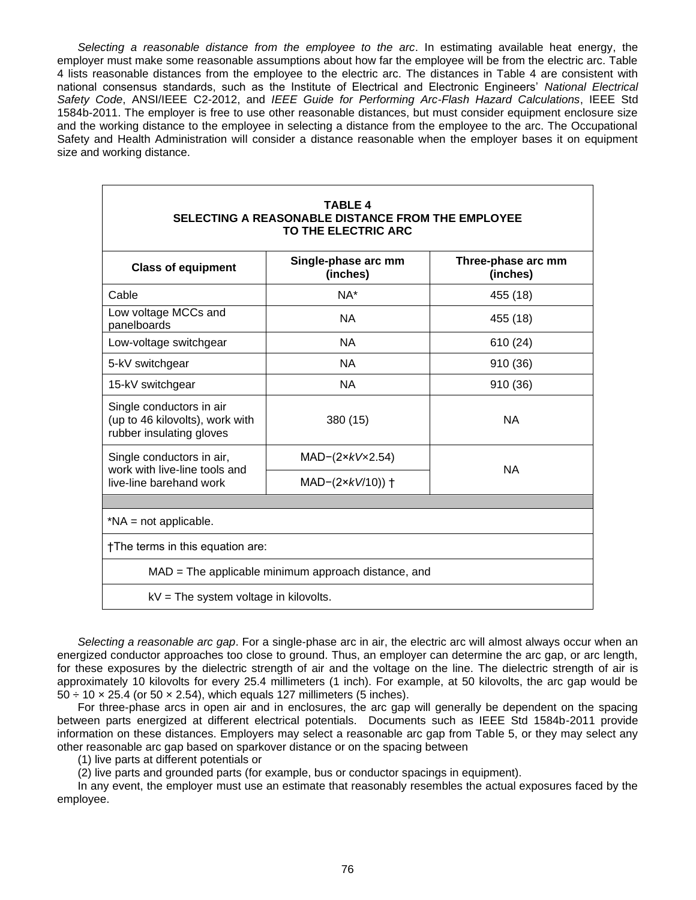*Selecting a reasonable distance from the employee to the arc*. In estimating available heat energy, the employer must make some reasonable assumptions about how far the employee will be from the electric arc. Table 4 lists reasonable distances from the employee to the electric arc. The distances in Table 4 are consistent with national consensus standards, such as the Institute of Electrical and Electronic Engineers' *National Electrical Safety Code*, ANSI/IEEE C2-2012, and *IEEE Guide for Performing Arc-Flash Hazard Calculations*, IEEE Std 1584b-2011. The employer is free to use other reasonable distances, but must consider equipment enclosure size and the working distance to the employee in selecting a distance from the employee to the arc. The Occupational Safety and Health Administration will consider a distance reasonable when the employer bases it on equipment size and working distance.

| <b>TABLE 4</b><br>SELECTING A REASONABLE DISTANCE FROM THE EMPLOYEE<br>TO THE ELECTRIC ARC |                                 |                                |  |  |
|--------------------------------------------------------------------------------------------|---------------------------------|--------------------------------|--|--|
| <b>Class of equipment</b>                                                                  | Single-phase arc mm<br>(inches) | Three-phase arc mm<br>(inches) |  |  |
| Cable                                                                                      | $NA*$                           | 455 (18)                       |  |  |
| Low voltage MCCs and<br>panelboards                                                        | <b>NA</b>                       | 455 (18)                       |  |  |
| Low-voltage switchgear                                                                     | <b>NA</b>                       | 610 (24)                       |  |  |
| 5-kV switchgear                                                                            | <b>NA</b>                       | 910 (36)                       |  |  |
| 15-kV switchgear                                                                           | <b>NA</b>                       | 910 (36)                       |  |  |
| Single conductors in air<br>(up to 46 kilovolts), work with<br>rubber insulating gloves    | 380 (15)                        | <b>NA</b>                      |  |  |
| Single conductors in air,<br>work with live-line tools and                                 | $MAD-(2\times kV \times 2.54)$  | <b>NA</b>                      |  |  |
| live-line barehand work                                                                    | $MAD-(2\times kV/10))$ †        |                                |  |  |
|                                                                                            |                                 |                                |  |  |
| $*NA$ = not applicable.                                                                    |                                 |                                |  |  |
| †The terms in this equation are:                                                           |                                 |                                |  |  |
| MAD = The applicable minimum approach distance, and                                        |                                 |                                |  |  |
| $kV$ = The system voltage in kilovolts.                                                    |                                 |                                |  |  |

*Selecting a reasonable arc gap*. For a single-phase arc in air, the electric arc will almost always occur when an energized conductor approaches too close to ground. Thus, an employer can determine the arc gap, or arc length, for these exposures by the dielectric strength of air and the voltage on the line. The dielectric strength of air is approximately 10 kilovolts for every 25.4 millimeters (1 inch). For example, at 50 kilovolts, the arc gap would be  $50 \div 10 \times 25.4$  (or  $50 \times 2.54$ ), which equals 127 millimeters (5 inches).

For three-phase arcs in open air and in enclosures, the arc gap will generally be dependent on the spacing between parts energized at different electrical potentials. Documents such as IEEE Std 1584b-2011 provide information on these distances. Employers may select a reasonable arc gap from Table 5, or they may select any other reasonable arc gap based on sparkover distance or on the spacing between

(1) live parts at different potentials or

 $\overline{\Gamma}$ 

(2) live parts and grounded parts (for example, bus or conductor spacings in equipment).

In any event, the employer must use an estimate that reasonably resembles the actual exposures faced by the employee.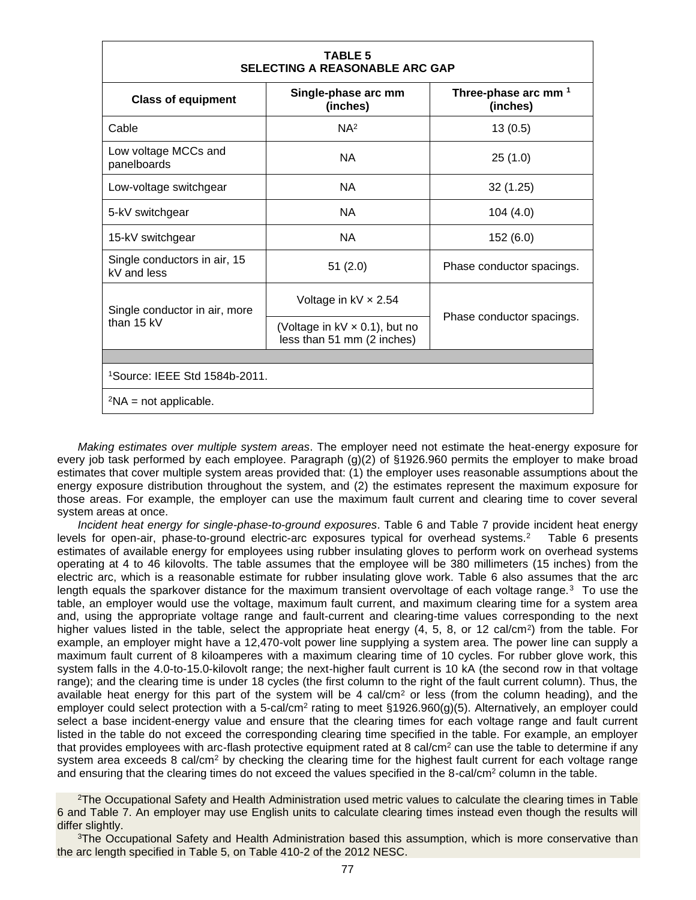| <b>TABLE 5</b><br><b>SELECTING A REASONABLE ARC GAP</b> |                                                                     |                                             |  |  |
|---------------------------------------------------------|---------------------------------------------------------------------|---------------------------------------------|--|--|
| <b>Class of equipment</b>                               | Single-phase arc mm<br>(inches)                                     | Three-phase arc mm <sup>1</sup><br>(inches) |  |  |
| Cable                                                   | NA <sup>2</sup>                                                     | 13(0.5)                                     |  |  |
| Low voltage MCCs and<br>panelboards                     | NA.                                                                 | 25(1.0)                                     |  |  |
| Low-voltage switchgear                                  | <b>NA</b>                                                           | 32 (1.25)                                   |  |  |
| 5-kV switchgear                                         | <b>NA</b>                                                           | 104(4.0)                                    |  |  |
| 15-kV switchgear                                        | <b>NA</b>                                                           | 152(6.0)                                    |  |  |
| Single conductors in air, 15<br>kV and less             | 51(2.0)                                                             | Phase conductor spacings.                   |  |  |
| Single conductor in air, more                           | Voltage in $kV \times 2.54$                                         |                                             |  |  |
| than 15 kV                                              | (Voltage in $kV \times 0.1$ ), but no<br>less than 51 mm (2 inches) | Phase conductor spacings.                   |  |  |
|                                                         |                                                                     |                                             |  |  |
| <sup>1</sup> Source: IEEE Std 1584b-2011.               |                                                                     |                                             |  |  |
| $^2NA$ = not applicable.                                |                                                                     |                                             |  |  |

*Making estimates over multiple system areas*. The employer need not estimate the heat-energy exposure for every job task performed by each employee. Paragraph (g)(2) of §1926.960 permits the employer to make broad estimates that cover multiple system areas provided that: (1) the employer uses reasonable assumptions about the energy exposure distribution throughout the system, and (2) the estimates represent the maximum exposure for those areas. For example, the employer can use the maximum fault current and clearing time to cover several system areas at once.

*Incident heat energy for single-phase-to-ground exposures*. Table 6 and Table 7 provide incident heat energy levels for open-air, phase-to-ground electric-arc exposures typical for overhead systems.<sup>2</sup> Table 6 presents estimates of available energy for employees using rubber insulating gloves to perform work on overhead systems operating at 4 to 46 kilovolts. The table assumes that the employee will be 380 millimeters (15 inches) from the electric arc, which is a reasonable estimate for rubber insulating glove work. Table 6 also assumes that the arc length equals the sparkover distance for the maximum transient overvoltage of each voltage range. $3$  To use the table, an employer would use the voltage, maximum fault current, and maximum clearing time for a system area and, using the appropriate voltage range and fault-current and clearing-time values corresponding to the next higher values listed in the table, select the appropriate heat energy (4, 5, 8, or 12 cal/cm<sup>2</sup>) from the table. For example, an employer might have a 12,470-volt power line supplying a system area. The power line can supply a maximum fault current of 8 kiloamperes with a maximum clearing time of 10 cycles. For rubber glove work, this system falls in the 4.0-to-15.0-kilovolt range; the next-higher fault current is 10 kA (the second row in that voltage range); and the clearing time is under 18 cycles (the first column to the right of the fault current column). Thus, the available heat energy for this part of the system will be 4 cal/cm<sup>2</sup> or less (from the column heading), and the employer could select protection with a 5-cal/cm<sup>2</sup> rating to meet §1926.960(g)(5). Alternatively, an employer could select a base incident-energy value and ensure that the clearing times for each voltage range and fault current listed in the table do not exceed the corresponding clearing time specified in the table. For example, an employer that provides employees with arc-flash protective equipment rated at 8 cal/cm<sup>2</sup> can use the table to determine if any system area exceeds 8 cal/cm<sup>2</sup> by checking the clearing time for the highest fault current for each voltage range and ensuring that the clearing times do not exceed the values specified in the 8-cal/cm<sup>2</sup> column in the table.

<sup>2</sup>The Occupational Safety and Health Administration used metric values to calculate the clearing times in Table 6 and Table 7. An employer may use English units to calculate clearing times instead even though the results will differ slightly.

<sup>3</sup>The Occupational Safety and Health Administration based this assumption, which is more conservative than the arc length specified in Table 5, on Table 410-2 of the 2012 NESC.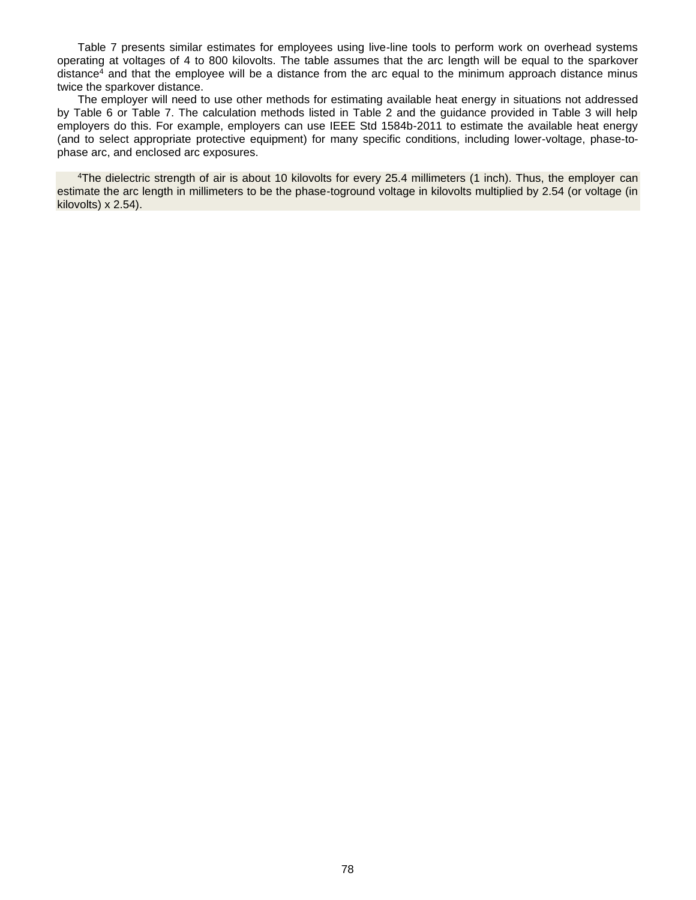Table 7 presents similar estimates for employees using live-line tools to perform work on overhead systems operating at voltages of 4 to 800 kilovolts. The table assumes that the arc length will be equal to the sparkover distance<sup>4</sup> and that the employee will be a distance from the arc equal to the minimum approach distance minus twice the sparkover distance.

The employer will need to use other methods for estimating available heat energy in situations not addressed by Table 6 or Table 7. The calculation methods listed in Table 2 and the guidance provided in Table 3 will help employers do this. For example, employers can use IEEE Std 1584b-2011 to estimate the available heat energy (and to select appropriate protective equipment) for many specific conditions, including lower-voltage, phase-tophase arc, and enclosed arc exposures.

<sup>4</sup>The dielectric strength of air is about 10 kilovolts for every 25.4 millimeters (1 inch). Thus, the employer can estimate the arc length in millimeters to be the phase-toground voltage in kilovolts multiplied by 2.54 (or voltage (in kilovolts) x 2.54).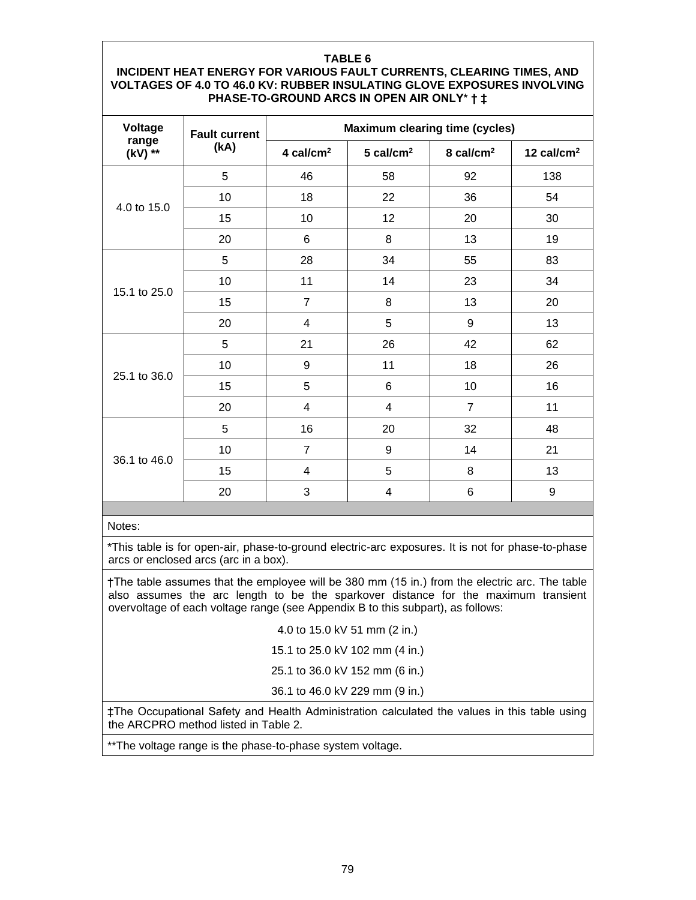#### **TABLE 6**

# **INCIDENT HEAT ENERGY FOR VARIOUS FAULT CURRENTS, CLEARING TIMES, AND VOLTAGES OF 4.0 TO 46.0 KV: RUBBER INSULATING GLOVE EXPOSURES INVOLVING PHASE-TO-GROUND ARCS IN OPEN AIR ONLY\* † ‡**

| Voltage          | <b>Fault current</b> | <b>Maximum clearing time (cycles)</b> |                         |                       |               |  |
|------------------|----------------------|---------------------------------------|-------------------------|-----------------------|---------------|--|
| range<br>(kV) ** | (kA)                 | 4 cal/cm $2$                          | $5$ cal/cm <sup>2</sup> | 8 cal/cm <sup>2</sup> | 12 cal/cm $2$ |  |
|                  | 5                    | 46                                    | 58                      | 92                    | 138           |  |
| 4.0 to 15.0      | 10                   | 18                                    | 22                      | 36                    | 54            |  |
|                  | 15                   | 10                                    | 12                      | 20                    | 30            |  |
|                  | 20                   | 6                                     | 8                       | 13                    | 19            |  |
|                  | 5                    | 28                                    | 34                      | 55                    | 83            |  |
| 15.1 to 25.0     | 10                   | 11                                    | 14                      | 23                    | 34            |  |
|                  | 15                   | $\overline{7}$                        | 8                       | 13                    | 20            |  |
|                  | 20                   | 4                                     | 5                       | 9                     | 13            |  |
| 25.1 to 36.0     | 5                    | 21                                    | 26                      | 42                    | 62            |  |
|                  | 10                   | 9                                     | 11                      | 18                    | 26            |  |
|                  | 15                   | 5                                     | $6\phantom{1}$          | 10                    | 16            |  |
|                  | 20                   | 4                                     | 4                       | $\overline{7}$        | 11            |  |
|                  | 5                    | 16                                    | 20                      | 32                    | 48            |  |
| 36.1 to 46.0     | 10                   | $\overline{7}$                        | 9                       | 14                    | 21            |  |
|                  | 15                   | 4                                     | 5                       | 8                     | 13            |  |
|                  | 20                   | 3                                     | 4                       | 6                     | 9             |  |

Notes:

\*This table is for open-air, phase-to-ground electric-arc exposures. It is not for phase-to-phase arcs or enclosed arcs (arc in a box).

†The table assumes that the employee will be 380 mm (15 in.) from the electric arc. The table also assumes the arc length to be the sparkover distance for the maximum transient overvoltage of each voltage range (see Appendix B to this subpart), as follows:

> 4.0 to 15.0 kV 51 mm (2 in.) 15.1 to 25.0 kV 102 mm (4 in.) 25.1 to 36.0 kV 152 mm (6 in.) 36.1 to 46.0 kV 229 mm (9 in.)

‡The Occupational Safety and Health Administration calculated the values in this table using the ARCPRO method listed in Table 2.

\*\*The voltage range is the phase-to-phase system voltage.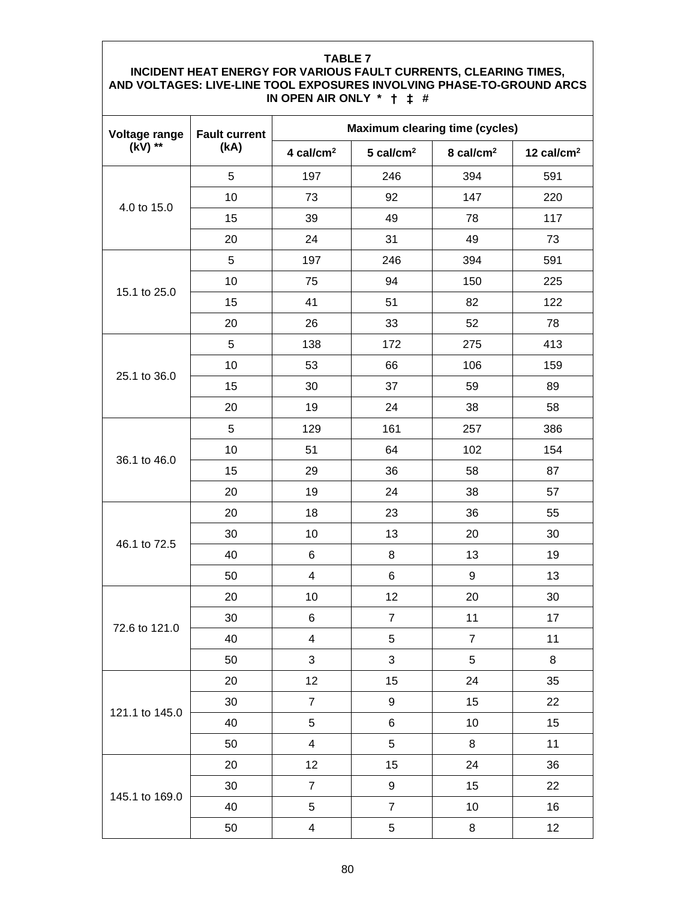## **TABLE 7 INCIDENT HEAT ENERGY FOR VARIOUS FAULT CURRENTS, CLEARING TIMES, AND VOLTAGES: LIVE-LINE TOOL EXPOSURES INVOLVING PHASE-TO-GROUND ARCS IN OPEN AIR ONLY \* † ‡ #**

| Voltage range  | <b>Fault current</b> | <b>Maximum clearing time (cycles)</b> |                         |                       |               |  |  |
|----------------|----------------------|---------------------------------------|-------------------------|-----------------------|---------------|--|--|
| (kV) **        | (kA)                 | 4 cal/cm $2$                          | $5$ cal/cm <sup>2</sup> | 8 cal/cm <sup>2</sup> | 12 cal/cm $2$ |  |  |
|                | 5                    | 197                                   | 246                     | 394                   | 591           |  |  |
|                | 10                   | 73                                    | 92                      | 147                   | 220           |  |  |
| 4.0 to 15.0    | 15                   | 39                                    | 49                      | 78                    | 117           |  |  |
|                | 20                   | 24                                    | 31                      | 49                    | 73            |  |  |
|                | 5                    | 197                                   | 246                     | 394                   | 591           |  |  |
|                | 10                   | 75                                    | 94                      | 150                   | 225           |  |  |
| 15.1 to 25.0   | 15                   | 41                                    | 51                      | 82                    | 122           |  |  |
|                | 20                   | 26                                    | 33                      | 52                    | 78            |  |  |
|                | 5                    | 138                                   | 172                     | 275                   | 413           |  |  |
|                | 10                   | 53                                    | 66                      | 106                   | 159           |  |  |
| 25.1 to 36.0   | 15                   | 30                                    | 37                      | 59                    | 89            |  |  |
|                | 20                   | 19                                    | 24                      | 38                    | 58            |  |  |
|                | 5                    | 129                                   | 161                     | 257                   | 386           |  |  |
|                | 10                   | 51                                    | 64                      | 102                   | 154           |  |  |
| 36.1 to 46.0   | 15                   | 29                                    | 36                      | 58                    | 87            |  |  |
|                | 20                   | 19                                    | 24                      | 38                    | 57            |  |  |
|                | 20                   | 18                                    | 23                      | 36                    | 55            |  |  |
| 46.1 to 72.5   | 30                   | 10                                    | 13                      | 20                    | 30            |  |  |
|                | 40                   | 6                                     | 8                       | 13                    | 19            |  |  |
|                | 50                   | 4                                     | 6                       | 9                     | 13            |  |  |
|                | 20                   | 10                                    | 12                      | 20                    | 30            |  |  |
|                | 30                   | 6                                     | $\overline{7}$          | 11                    | 17            |  |  |
| 72.6 to 121.0  | 40                   | $\overline{\mathcal{A}}$              | 5                       | $\overline{7}$        | 11            |  |  |
|                | 50                   | 3                                     | 3                       | 5                     | 8             |  |  |
|                | 20                   | 12                                    | 15                      | 24                    | 35            |  |  |
|                | 30                   | $\overline{7}$                        | 9                       | 15                    | 22            |  |  |
| 121.1 to 145.0 | 40                   | 5                                     | 6                       | 10                    | 15            |  |  |
|                | 50                   | 4                                     | 5                       | 8                     | 11            |  |  |
|                | 20                   | 12                                    | 15                      | 24                    | 36            |  |  |
|                | 30                   | $\overline{7}$                        | 9                       | 15                    | 22            |  |  |
| 145.1 to 169.0 | 40                   | 5                                     | $\overline{7}$          | 10                    | 16            |  |  |
|                | 50                   | $\overline{\mathbf{4}}$               | 5                       | 8                     | 12            |  |  |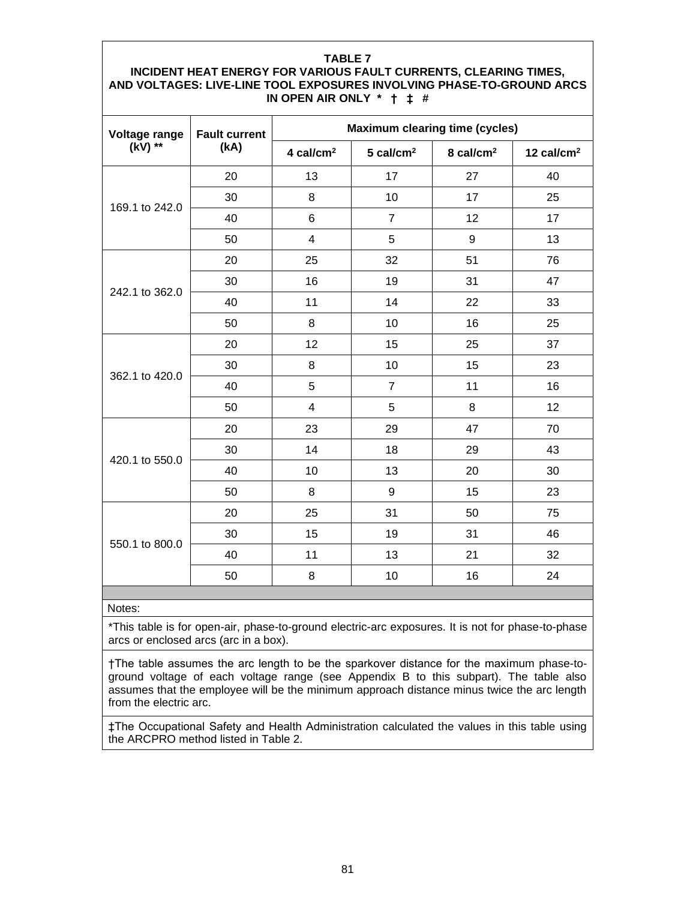### **TABLE 7 INCIDENT HEAT ENERGY FOR VARIOUS FAULT CURRENTS, CLEARING TIMES, AND VOLTAGES: LIVE-LINE TOOL EXPOSURES INVOLVING PHASE-TO-GROUND ARCS IN OPEN AIR ONLY \* † ‡ #**

| Voltage range  | <b>Fault current</b> |                | <b>Maximum clearing time (cycles)</b> |                       |               |  |
|----------------|----------------------|----------------|---------------------------------------|-----------------------|---------------|--|
| (kV) **        | (kA)                 | 4 cal/cm $2$   | $5$ cal/cm <sup>2</sup>               | 8 cal/cm <sup>2</sup> | 12 cal/cm $2$ |  |
|                | 20                   | 13             | 17                                    | 27                    | 40            |  |
| 169.1 to 242.0 | 30                   | 8              | 10                                    | 17                    | 25            |  |
|                | 40                   | 6              | $\overline{7}$                        | 12                    | 17            |  |
|                | 50                   | 4              | 5                                     | 9                     | 13            |  |
|                | 20                   | 25             | 32                                    | 51                    | 76            |  |
| 242.1 to 362.0 | 30                   | 16             | 19                                    | 31                    | 47            |  |
|                | 40                   | 11             | 14                                    | 22                    | 33            |  |
|                | 50                   | 8              | 10                                    | 16                    | 25            |  |
|                | 20                   | 12             | 15                                    | 25                    | 37            |  |
|                | 30                   | 8              | 10                                    | 15                    | 23            |  |
| 362.1 to 420.0 | 40                   | 5              | $\overline{7}$                        | 11                    | 16            |  |
|                | 50                   | $\overline{4}$ | 5                                     | 8                     | 12            |  |
|                | 20                   | 23             | 29                                    | 47                    | 70            |  |
| 420.1 to 550.0 | 30                   | 14             | 18                                    | 29                    | 43            |  |
|                | 40                   | 10             | 13                                    | 20                    | 30            |  |
|                | 50                   | 8              | 9                                     | 15                    | 23            |  |
|                | 20                   | 25             | 31                                    | 50                    | 75            |  |
|                | 30                   | 15             | 19                                    | 31                    | 46            |  |
| 550.1 to 800.0 | 40                   | 11             | 13                                    | 21                    | 32            |  |
|                | 50                   | 8              | 10                                    | 16                    | 24            |  |
|                |                      |                |                                       |                       |               |  |

Notes:

\*This table is for open-air, phase-to-ground electric-arc exposures. It is not for phase-to-phase arcs or enclosed arcs (arc in a box).

†The table assumes the arc length to be the sparkover distance for the maximum phase-toground voltage of each voltage range (see Appendix B to this subpart). The table also assumes that the employee will be the minimum approach distance minus twice the arc length from the electric arc.

‡The Occupational Safety and Health Administration calculated the values in this table using the ARCPRO method listed in Table 2.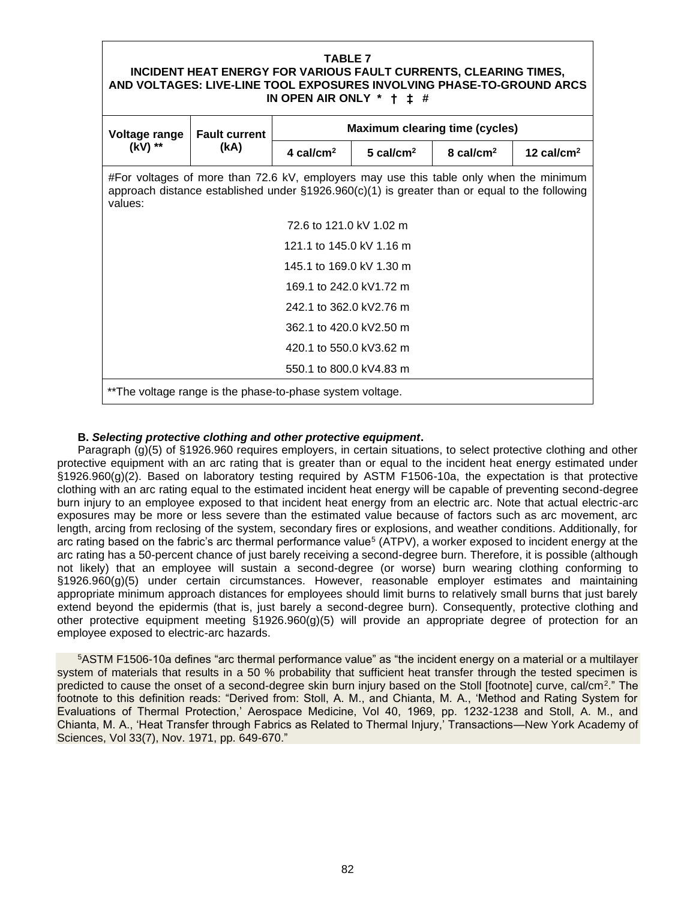### **TABLE 7 INCIDENT HEAT ENERGY FOR VARIOUS FAULT CURRENTS, CLEARING TIMES, AND VOLTAGES: LIVE-LINE TOOL EXPOSURES INVOLVING PHASE-TO-GROUND ARCS IN OPEN AIR ONLY \* † ‡ #**

| Voltage range                                                                                                                                                                                         | <b>Fault current</b>     | Maximum clearing time (cycles) |                       |                       |                        |  |  |
|-------------------------------------------------------------------------------------------------------------------------------------------------------------------------------------------------------|--------------------------|--------------------------------|-----------------------|-----------------------|------------------------|--|--|
| (kV) **                                                                                                                                                                                               | (kA)                     | 4 cal/cm <sup>2</sup>          | 5 cal/cm <sup>2</sup> | 8 cal/cm <sup>2</sup> | 12 cal/cm <sup>2</sup> |  |  |
| #For voltages of more than 72.6 kV, employers may use this table only when the minimum<br>approach distance established under $\S1926.960(c)(1)$ is greater than or equal to the following<br>values: |                          |                                |                       |                       |                        |  |  |
| 72.6 to 121.0 kV 1.02 m                                                                                                                                                                               |                          |                                |                       |                       |                        |  |  |
| 121.1 to 145.0 kV 1.16 m                                                                                                                                                                              |                          |                                |                       |                       |                        |  |  |
|                                                                                                                                                                                                       | 145.1 to 169.0 kV 1.30 m |                                |                       |                       |                        |  |  |
| 169.1 to 242.0 kV1.72 m                                                                                                                                                                               |                          |                                |                       |                       |                        |  |  |
| 242.1 to 362.0 kV2.76 m                                                                                                                                                                               |                          |                                |                       |                       |                        |  |  |
| 362.1 to 420.0 kV2.50 m                                                                                                                                                                               |                          |                                |                       |                       |                        |  |  |
| 420.1 to 550.0 kV3.62 m                                                                                                                                                                               |                          |                                |                       |                       |                        |  |  |
| 550.1 to 800.0 kV4.83 m                                                                                                                                                                               |                          |                                |                       |                       |                        |  |  |
| **The voltage range is the phase-to-phase system voltage.                                                                                                                                             |                          |                                |                       |                       |                        |  |  |

## **B.** *Selecting protective clothing and other protective equipment***.**

Paragraph (g)(5) of §1926.960 requires employers, in certain situations, to select protective clothing and other protective equipment with an arc rating that is greater than or equal to the incident heat energy estimated under §1926.960(g)(2). Based on laboratory testing required by ASTM F1506-10a, the expectation is that protective clothing with an arc rating equal to the estimated incident heat energy will be capable of preventing second-degree burn injury to an employee exposed to that incident heat energy from an electric arc. Note that actual electric-arc exposures may be more or less severe than the estimated value because of factors such as arc movement, arc length, arcing from reclosing of the system, secondary fires or explosions, and weather conditions. Additionally, for arc rating based on the fabric's arc thermal performance value<sup>5</sup> (ATPV), a worker exposed to incident energy at the arc rating has a 50-percent chance of just barely receiving a second-degree burn. Therefore, it is possible (although not likely) that an employee will sustain a second-degree (or worse) burn wearing clothing conforming to §1926.960(g)(5) under certain circumstances. However, reasonable employer estimates and maintaining appropriate minimum approach distances for employees should limit burns to relatively small burns that just barely extend beyond the epidermis (that is, just barely a second-degree burn). Consequently, protective clothing and other protective equipment meeting §1926.960(g)(5) will provide an appropriate degree of protection for an employee exposed to electric-arc hazards.

<sup>5</sup>ASTM F1506-10a defines "arc thermal performance value" as "the incident energy on a material or a multilayer system of materials that results in a 50 % probability that sufficient heat transfer through the tested specimen is predicted to cause the onset of a second-degree skin burn injury based on the Stoll [footnote] curve, cal/cm<sup>2</sup>." The footnote to this definition reads: "Derived from: Stoll, A. M., and Chianta, M. A., 'Method and Rating System for Evaluations of Thermal Protection,' Aerospace Medicine, Vol 40, 1969, pp. 1232-1238 and Stoll, A. M., and Chianta, M. A., 'Heat Transfer through Fabrics as Related to Thermal Injury,' Transactions—New York Academy of Sciences, Vol 33(7), Nov. 1971, pp. 649-670."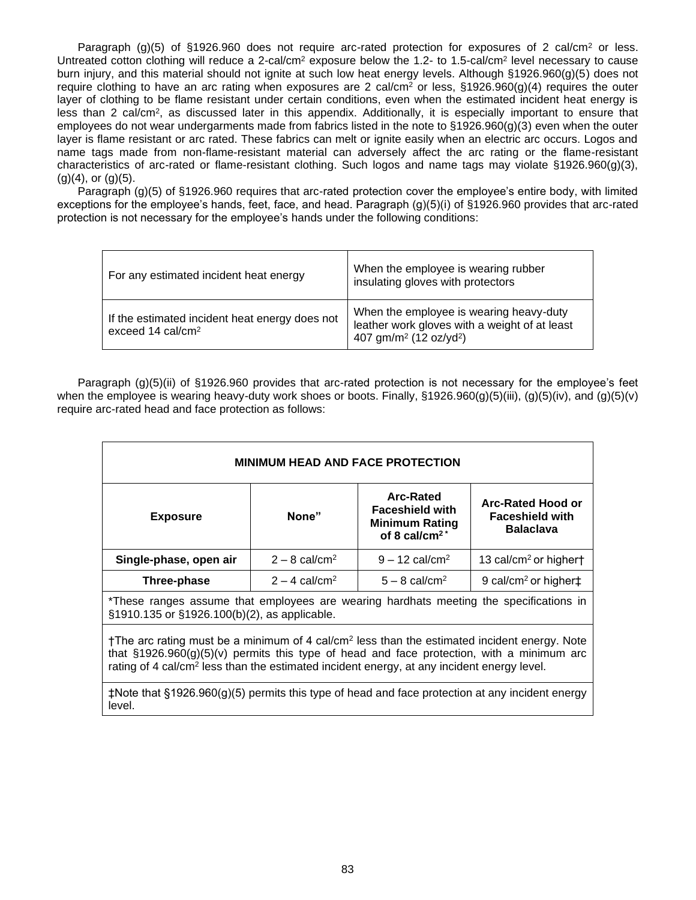Paragraph (g)(5) of §1926.960 does not require arc-rated protection for exposures of 2 cal/cm<sup>2</sup> or less. Untreated cotton clothing will reduce a 2-cal/cm<sup>2</sup> exposure below the 1.2- to 1.5-cal/cm<sup>2</sup> level necessary to cause burn injury, and this material should not ignite at such low heat energy levels. Although §1926.960(g)(5) does not require clothing to have an arc rating when exposures are 2 cal/cm<sup>2</sup> or less, §1926.960(g)(4) requires the outer layer of clothing to be flame resistant under certain conditions, even when the estimated incident heat energy is less than 2 cal/cm<sup>2</sup>, as discussed later in this appendix. Additionally, it is especially important to ensure that employees do not wear undergarments made from fabrics listed in the note to §1926.960(g)(3) even when the outer layer is flame resistant or arc rated. These fabrics can melt or ignite easily when an electric arc occurs. Logos and name tags made from non-flame-resistant material can adversely affect the arc rating or the flame-resistant characteristics of arc-rated or flame-resistant clothing. Such logos and name tags may violate §1926.960(g)(3),  $(g)(4)$ , or  $(g)(5)$ .

Paragraph (g)(5) of §1926.960 requires that arc-rated protection cover the employee's entire body, with limited exceptions for the employee's hands, feet, face, and head. Paragraph (g)(5)(i) of §1926.960 provides that arc-rated protection is not necessary for the employee's hands under the following conditions:

| For any estimated incident heat energy                                          | When the employee is wearing rubber<br>insulating gloves with protectors                                                                   |
|---------------------------------------------------------------------------------|--------------------------------------------------------------------------------------------------------------------------------------------|
| If the estimated incident heat energy does not<br>exceed 14 cal/cm <sup>2</sup> | When the employee is wearing heavy-duty<br>leather work gloves with a weight of at least<br>407 gm/m <sup>2</sup> (12 oz/yd <sup>2</sup> ) |

Paragraph (g)(5)(ii) of §1926.960 provides that arc-rated protection is not necessary for the employee's feet when the employee is wearing heavy-duty work shoes or boots. Finally,  $\S1926.960(g)(5)(iii)$ ,  $(g)(5)(iv)$ , and  $(g)(5)(v)$ require arc-rated head and face protection as follows:

| <b>MINIMUM HEAD AND FACE PROTECTION</b>                                                                                                                                                                                                                                                                                     |                             |                                                                                                           |                                                                 |  |  |
|-----------------------------------------------------------------------------------------------------------------------------------------------------------------------------------------------------------------------------------------------------------------------------------------------------------------------------|-----------------------------|-----------------------------------------------------------------------------------------------------------|-----------------------------------------------------------------|--|--|
| <b>Exposure</b>                                                                                                                                                                                                                                                                                                             | None"                       | <b>Arc-Rated</b><br><b>Faceshield with</b><br><b>Minimum Rating</b><br>of 8 cal/cm <sup>2</sup> $\degree$ | Arc-Rated Hood or<br><b>Faceshield with</b><br><b>Balaclava</b> |  |  |
| Single-phase, open air                                                                                                                                                                                                                                                                                                      | $2 - 8$ cal/cm <sup>2</sup> | $9 - 12$ cal/cm <sup>2</sup>                                                                              | 13 cal/cm <sup>2</sup> or higher $\dagger$                      |  |  |
| Three-phase                                                                                                                                                                                                                                                                                                                 | $2 - 4$ cal/cm <sup>2</sup> | $5 - 8$ cal/cm <sup>2</sup>                                                                               | 9 cal/cm <sup>2</sup> or higher $\pm$                           |  |  |
| *These ranges assume that employees are wearing hardhats meeting the specifications in<br>§1910.135 or §1926.100(b)(2), as applicable.                                                                                                                                                                                      |                             |                                                                                                           |                                                                 |  |  |
| $\dagger$ The arc rating must be a minimum of 4 cal/cm <sup>2</sup> less than the estimated incident energy. Note<br>that $\S1926.960(g)(5)(v)$ permits this type of head and face protection, with a minimum arc<br>rating of 4 cal/cm <sup>2</sup> less than the estimated incident energy, at any incident energy level. |                             |                                                                                                           |                                                                 |  |  |
| $\pm$ Note that §1926.960(g)(5) permits this type of head and face protection at any incident energy<br>level.                                                                                                                                                                                                              |                             |                                                                                                           |                                                                 |  |  |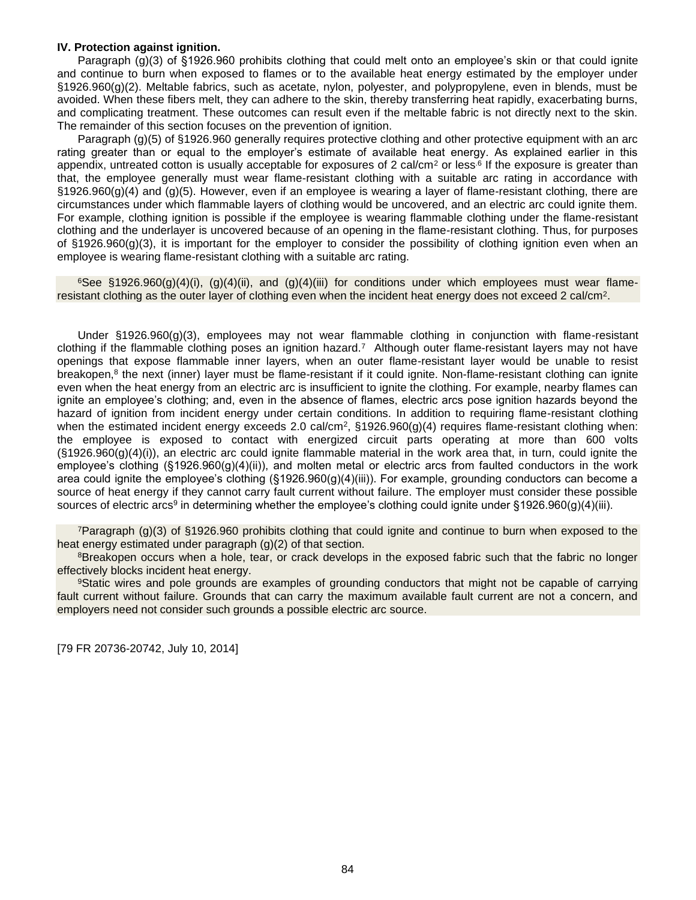#### **IV. Protection against ignition.**

Paragraph (g)(3) of §1926.960 prohibits clothing that could melt onto an employee's skin or that could ignite and continue to burn when exposed to flames or to the available heat energy estimated by the employer under §1926.960(g)(2). Meltable fabrics, such as acetate, nylon, polyester, and polypropylene, even in blends, must be avoided. When these fibers melt, they can adhere to the skin, thereby transferring heat rapidly, exacerbating burns, and complicating treatment. These outcomes can result even if the meltable fabric is not directly next to the skin. The remainder of this section focuses on the prevention of ignition.

Paragraph (g)(5) of §1926.960 generally requires protective clothing and other protective equipment with an arc rating greater than or equal to the employer's estimate of available heat energy. As explained earlier in this appendix, untreated cotton is usually acceptable for exposures of 2 cal/cm<sup>2</sup> or less.<sup>6</sup> If the exposure is greater than that, the employee generally must wear flame-resistant clothing with a suitable arc rating in accordance with §1926.960(g)(4) and (g)(5). However, even if an employee is wearing a layer of flame-resistant clothing, there are circumstances under which flammable layers of clothing would be uncovered, and an electric arc could ignite them. For example, clothing ignition is possible if the employee is wearing flammable clothing under the flame-resistant clothing and the underlayer is uncovered because of an opening in the flame-resistant clothing. Thus, for purposes of §1926.960(g)(3), it is important for the employer to consider the possibility of clothing ignition even when an employee is wearing flame-resistant clothing with a suitable arc rating.

<sup>6</sup>See §1926.960(g)(4)(i), (g)(4)(ii), and (g)(4)(iii) for conditions under which employees must wear flameresistant clothing as the outer layer of clothing even when the incident heat energy does not exceed 2 cal/cm<sup>2</sup>.

Under §1926.960(g)(3), employees may not wear flammable clothing in conjunction with flame-resistant clothing if the flammable clothing poses an ignition hazard.<sup>7</sup> Although outer flame-resistant layers may not have openings that expose flammable inner layers, when an outer flame-resistant layer would be unable to resist breakopen,<sup>8</sup> the next (inner) layer must be flame-resistant if it could ignite. Non-flame-resistant clothing can ignite even when the heat energy from an electric arc is insufficient to ignite the clothing. For example, nearby flames can ignite an employee's clothing; and, even in the absence of flames, electric arcs pose ignition hazards beyond the hazard of ignition from incident energy under certain conditions. In addition to requiring flame-resistant clothing when the estimated incident energy exceeds 2.0 cal/cm<sup>2</sup>, §1926.960(g)(4) requires flame-resistant clothing when: the employee is exposed to contact with energized circuit parts operating at more than 600 volts  $(\S 1926.960(g)(4)(i))$ , an electric arc could ignite flammable material in the work area that, in turn, could ignite the employee's clothing (§1926.960(g)(4)(ii)), and molten metal or electric arcs from faulted conductors in the work area could ignite the employee's clothing (§1926.960(g)(4)(iii)). For example, grounding conductors can become a source of heat energy if they cannot carry fault current without failure. The employer must consider these possible sources of electric arcs<sup>9</sup> in determining whether the employee's clothing could ignite under §1926.960(g)(4)(iii).

<sup>7</sup>Paragraph (g)(3) of §1926.960 prohibits clothing that could ignite and continue to burn when exposed to the heat energy estimated under paragraph (g)(2) of that section.

<sup>8</sup>Breakopen occurs when a hole, tear, or crack develops in the exposed fabric such that the fabric no longer effectively blocks incident heat energy.

<sup>9</sup>Static wires and pole grounds are examples of grounding conductors that might not be capable of carrying fault current without failure. Grounds that can carry the maximum available fault current are not a concern, and employers need not consider such grounds a possible electric arc source.

[79 FR 20736-20742, July 10, 2014]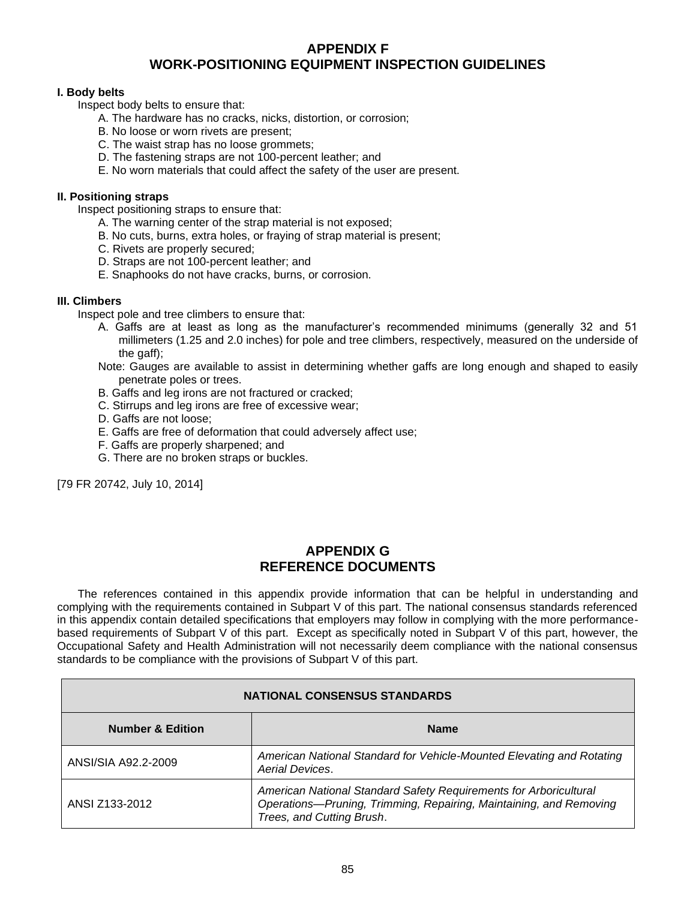# **APPENDIX F WORK-POSITIONING EQUIPMENT INSPECTION GUIDELINES**

# **I. Body belts**

Inspect body belts to ensure that:

- A. The hardware has no cracks, nicks, distortion, or corrosion;
- B. No loose or worn rivets are present;
- C. The waist strap has no loose grommets;
- D. The fastening straps are not 100-percent leather; and
- E. No worn materials that could affect the safety of the user are present.

### **II. Positioning straps**

Inspect positioning straps to ensure that:

- A. The warning center of the strap material is not exposed;
- B. No cuts, burns, extra holes, or fraying of strap material is present;
- C. Rivets are properly secured;
- D. Straps are not 100-percent leather; and
- E. Snaphooks do not have cracks, burns, or corrosion.

## **III. Climbers**

Inspect pole and tree climbers to ensure that:

- A. Gaffs are at least as long as the manufacturer's recommended minimums (generally 32 and 51 millimeters (1.25 and 2.0 inches) for pole and tree climbers, respectively, measured on the underside of the gaff);
- Note: Gauges are available to assist in determining whether gaffs are long enough and shaped to easily penetrate poles or trees.
- B. Gaffs and leg irons are not fractured or cracked;
- C. Stirrups and leg irons are free of excessive wear;
- D. Gaffs are not loose;
- E. Gaffs are free of deformation that could adversely affect use;
- F. Gaffs are properly sharpened; and
- G. There are no broken straps or buckles.

[79 FR 20742, July 10, 2014]

# **APPENDIX G REFERENCE DOCUMENTS**

The references contained in this appendix provide information that can be helpful in understanding and complying with the requirements contained in Subpart V of this part. The national consensus standards referenced in this appendix contain detailed specifications that employers may follow in complying with the more performancebased requirements of Subpart V of this part. Except as specifically noted in Subpart V of this part, however, the Occupational Safety and Health Administration will not necessarily deem compliance with the national consensus standards to be compliance with the provisions of Subpart V of this part.

| <b>NATIONAL CONSENSUS STANDARDS</b> |                                                                                                                                                                      |  |  |
|-------------------------------------|----------------------------------------------------------------------------------------------------------------------------------------------------------------------|--|--|
| <b>Number &amp; Edition</b>         | <b>Name</b>                                                                                                                                                          |  |  |
| ANSI/SIA A92.2-2009                 | American National Standard for Vehicle-Mounted Elevating and Rotating<br>Aerial Devices.                                                                             |  |  |
| ANSI Z133-2012                      | American National Standard Safety Requirements for Arboricultural<br>Operations-Pruning, Trimming, Repairing, Maintaining, and Removing<br>Trees, and Cutting Brush. |  |  |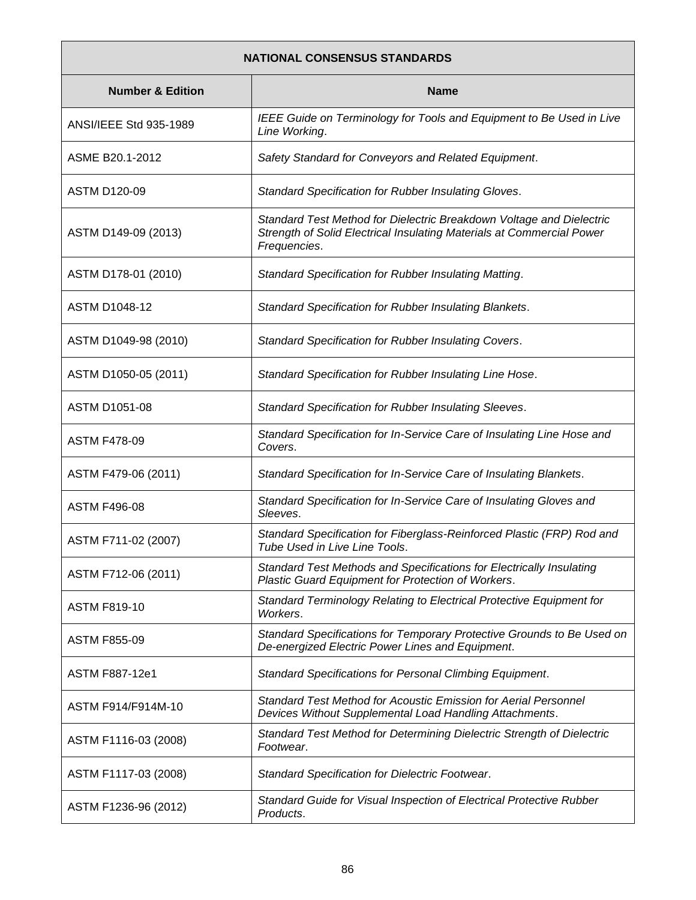# **NATIONAL CONSENSUS STANDARDS**

| <b>Number &amp; Edition</b> | <b>Name</b>                                                                                                                                                   |
|-----------------------------|---------------------------------------------------------------------------------------------------------------------------------------------------------------|
| ANSI/IEEE Std 935-1989      | IEEE Guide on Terminology for Tools and Equipment to Be Used in Live<br>Line Working.                                                                         |
| ASME B20.1-2012             | Safety Standard for Conveyors and Related Equipment.                                                                                                          |
| <b>ASTM D120-09</b>         | Standard Specification for Rubber Insulating Gloves.                                                                                                          |
| ASTM D149-09 (2013)         | Standard Test Method for Dielectric Breakdown Voltage and Dielectric<br>Strength of Solid Electrical Insulating Materials at Commercial Power<br>Frequencies. |
| ASTM D178-01 (2010)         | Standard Specification for Rubber Insulating Matting.                                                                                                         |
| <b>ASTM D1048-12</b>        | Standard Specification for Rubber Insulating Blankets.                                                                                                        |
| ASTM D1049-98 (2010)        | Standard Specification for Rubber Insulating Covers.                                                                                                          |
| ASTM D1050-05 (2011)        | Standard Specification for Rubber Insulating Line Hose.                                                                                                       |
| <b>ASTM D1051-08</b>        | Standard Specification for Rubber Insulating Sleeves.                                                                                                         |
| <b>ASTM F478-09</b>         | Standard Specification for In-Service Care of Insulating Line Hose and<br>Covers.                                                                             |
| ASTM F479-06 (2011)         | Standard Specification for In-Service Care of Insulating Blankets.                                                                                            |
| <b>ASTM F496-08</b>         | Standard Specification for In-Service Care of Insulating Gloves and<br>Sleeves.                                                                               |
| ASTM F711-02 (2007)         | Standard Specification for Fiberglass-Reinforced Plastic (FRP) Rod and<br>Tube Used in Live Line Tools.                                                       |
| ASTM F712-06 (2011)         | Standard Test Methods and Specifications for Electrically Insulating<br>Plastic Guard Equipment for Protection of Workers.                                    |
| <b>ASTM F819-10</b>         | Standard Terminology Relating to Electrical Protective Equipment for<br>Workers.                                                                              |
| <b>ASTM F855-09</b>         | Standard Specifications for Temporary Protective Grounds to Be Used on<br>De-energized Electric Power Lines and Equipment.                                    |
| <b>ASTM F887-12e1</b>       | Standard Specifications for Personal Climbing Equipment.                                                                                                      |
| ASTM F914/F914M-10          | Standard Test Method for Acoustic Emission for Aerial Personnel<br>Devices Without Supplemental Load Handling Attachments.                                    |
| ASTM F1116-03 (2008)        | Standard Test Method for Determining Dielectric Strength of Dielectric<br>Footwear.                                                                           |
| ASTM F1117-03 (2008)        | Standard Specification for Dielectric Footwear.                                                                                                               |
| ASTM F1236-96 (2012)        | Standard Guide for Visual Inspection of Electrical Protective Rubber<br>Products.                                                                             |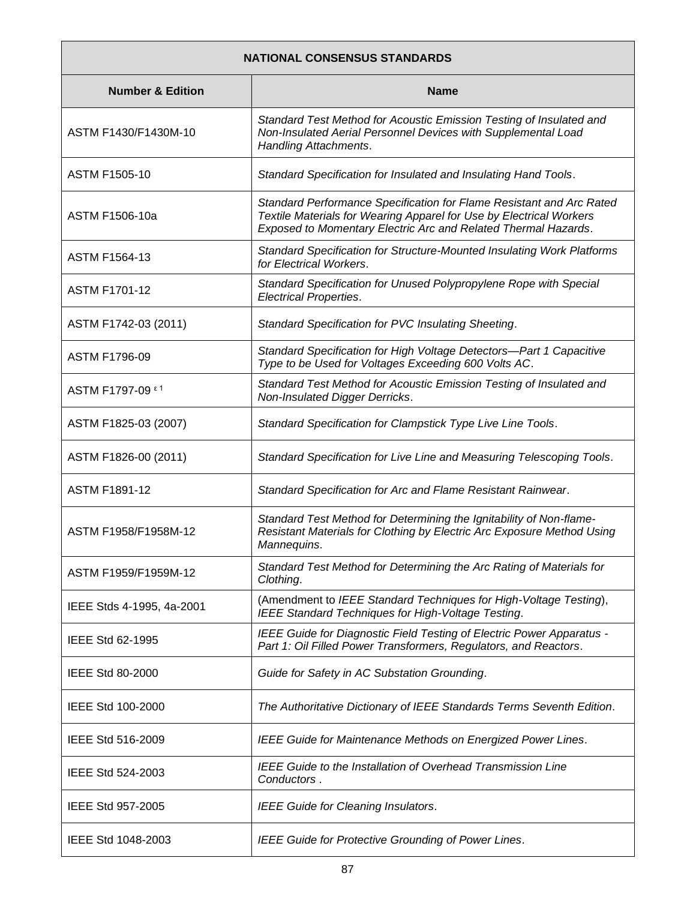# **NATIONAL CONSENSUS STANDARDS**

| <b>Number &amp; Edition</b> | <b>Name</b>                                                                                                                                                                                                   |
|-----------------------------|---------------------------------------------------------------------------------------------------------------------------------------------------------------------------------------------------------------|
| ASTM F1430/F1430M-10        | Standard Test Method for Acoustic Emission Testing of Insulated and<br>Non-Insulated Aerial Personnel Devices with Supplemental Load<br><b>Handling Attachments.</b>                                          |
| <b>ASTM F1505-10</b>        | Standard Specification for Insulated and Insulating Hand Tools.                                                                                                                                               |
| ASTM F1506-10a              | Standard Performance Specification for Flame Resistant and Arc Rated<br>Textile Materials for Wearing Apparel for Use by Electrical Workers<br>Exposed to Momentary Electric Arc and Related Thermal Hazards. |
| <b>ASTM F1564-13</b>        | Standard Specification for Structure-Mounted Insulating Work Platforms<br>for Electrical Workers.                                                                                                             |
| <b>ASTM F1701-12</b>        | Standard Specification for Unused Polypropylene Rope with Special<br><b>Electrical Properties.</b>                                                                                                            |
| ASTM F1742-03 (2011)        | Standard Specification for PVC Insulating Sheeting.                                                                                                                                                           |
| <b>ASTM F1796-09</b>        | Standard Specification for High Voltage Detectors-Part 1 Capacitive<br>Type to be Used for Voltages Exceeding 600 Volts AC.                                                                                   |
| ASTM F1797-09 £1            | Standard Test Method for Acoustic Emission Testing of Insulated and<br>Non-Insulated Digger Derricks.                                                                                                         |
| ASTM F1825-03 (2007)        | Standard Specification for Clampstick Type Live Line Tools.                                                                                                                                                   |
| ASTM F1826-00 (2011)        | Standard Specification for Live Line and Measuring Telescoping Tools.                                                                                                                                         |
| <b>ASTM F1891-12</b>        | Standard Specification for Arc and Flame Resistant Rainwear.                                                                                                                                                  |
| ASTM F1958/F1958M-12        | Standard Test Method for Determining the Ignitability of Non-flame-<br>Resistant Materials for Clothing by Electric Arc Exposure Method Using<br>Mannequins.                                                  |
| ASTM F1959/F1959M-12        | Standard Test Method for Determining the Arc Rating of Materials for<br>Clothing.                                                                                                                             |
| IEEE Stds 4-1995, 4a-2001   | (Amendment to IEEE Standard Techniques for High-Voltage Testing),<br><b>IEEE Standard Techniques for High-Voltage Testing.</b>                                                                                |
| <b>IEEE Std 62-1995</b>     | IEEE Guide for Diagnostic Field Testing of Electric Power Apparatus -<br>Part 1: Oil Filled Power Transformers, Regulators, and Reactors.                                                                     |
| <b>IEEE Std 80-2000</b>     | Guide for Safety in AC Substation Grounding.                                                                                                                                                                  |
| IEEE Std 100-2000           | The Authoritative Dictionary of IEEE Standards Terms Seventh Edition.                                                                                                                                         |
| IEEE Std 516-2009           | IEEE Guide for Maintenance Methods on Energized Power Lines.                                                                                                                                                  |
| IEEE Std 524-2003           | <b>IEEE Guide to the Installation of Overhead Transmission Line</b><br>Conductors.                                                                                                                            |
| IEEE Std 957-2005           | <b>IEEE Guide for Cleaning Insulators.</b>                                                                                                                                                                    |
| IEEE Std 1048-2003          | <b>IEEE Guide for Protective Grounding of Power Lines.</b>                                                                                                                                                    |